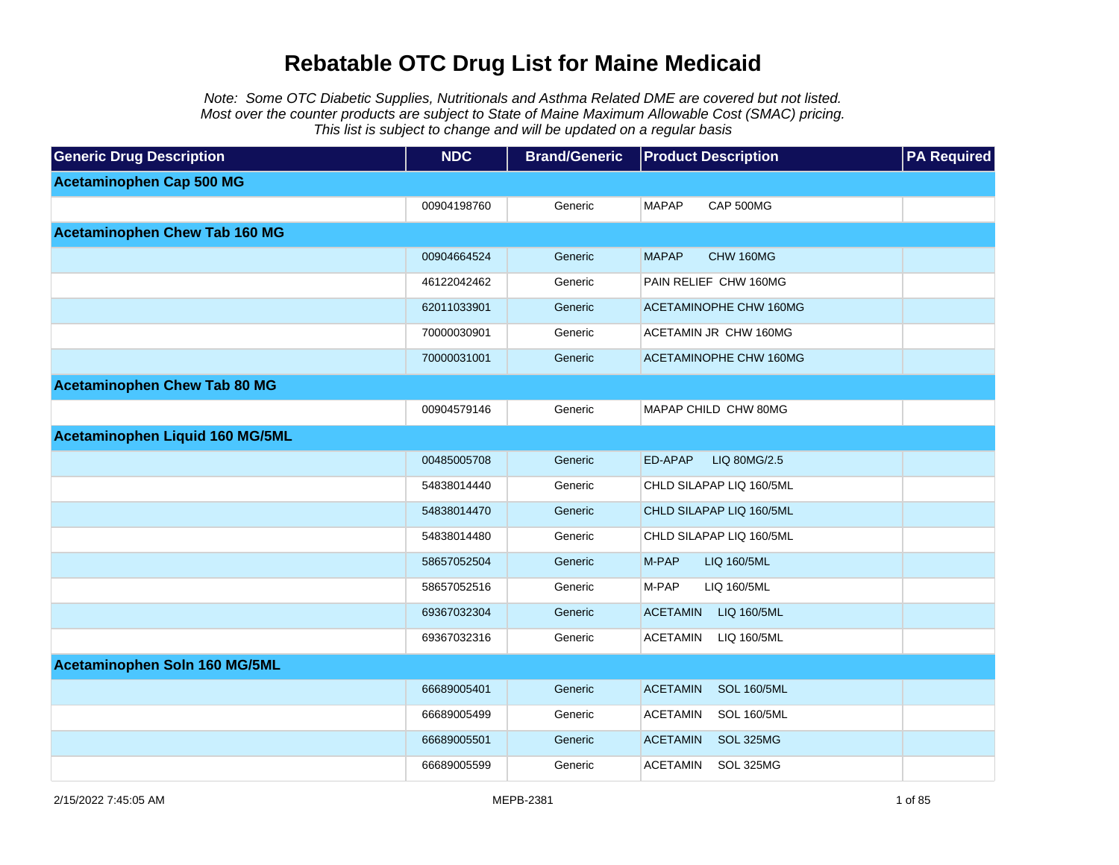Note: Some OTC Diabetic Supplies, Nutritionals and Asthma Related DME are covered but not listed. Most over the counter products are subject to State of Maine Maximum Allowable Cost (SMAC) pricing. This list is subject to change and will be updated on a regular basis

| <b>Generic Drug Description</b>      | <b>NDC</b>  | <b>Brand/Generic</b> | <b>Product Description</b>            | <b>PA Required</b> |
|--------------------------------------|-------------|----------------------|---------------------------------------|--------------------|
| <b>Acetaminophen Cap 500 MG</b>      |             |                      |                                       |                    |
|                                      | 00904198760 | Generic              | <b>MAPAP</b><br>CAP 500MG             |                    |
| <b>Acetaminophen Chew Tab 160 MG</b> |             |                      |                                       |                    |
|                                      | 00904664524 | Generic              | <b>MAPAP</b><br>CHW 160MG             |                    |
|                                      | 46122042462 | Generic              | PAIN RELIEF CHW 160MG                 |                    |
|                                      | 62011033901 | Generic              | ACETAMINOPHE CHW 160MG                |                    |
|                                      | 70000030901 | Generic              | ACETAMIN JR CHW 160MG                 |                    |
|                                      | 70000031001 | Generic              | ACETAMINOPHE CHW 160MG                |                    |
| <b>Acetaminophen Chew Tab 80 MG</b>  |             |                      |                                       |                    |
|                                      | 00904579146 | Generic              | MAPAP CHILD CHW 80MG                  |                    |
| Acetaminophen Liquid 160 MG/5ML      |             |                      |                                       |                    |
|                                      | 00485005708 | Generic              | ED-APAP<br>LIQ 80MG/2.5               |                    |
|                                      | 54838014440 | Generic              | CHLD SILAPAP LIQ 160/5ML              |                    |
|                                      | 54838014470 | Generic              | CHLD SILAPAP LIQ 160/5ML              |                    |
|                                      | 54838014480 | Generic              | CHLD SILAPAP LIQ 160/5ML              |                    |
|                                      | 58657052504 | Generic              | M-PAP<br>LIQ 160/5ML                  |                    |
|                                      | 58657052516 | Generic              | M-PAP<br>LIQ 160/5ML                  |                    |
|                                      | 69367032304 | Generic              | <b>ACETAMIN</b><br>LIQ 160/5ML        |                    |
|                                      | 69367032316 | Generic              | <b>ACETAMIN</b><br>LIQ 160/5ML        |                    |
| Acetaminophen Soln 160 MG/5ML        |             |                      |                                       |                    |
|                                      | 66689005401 | Generic              | <b>ACETAMIN</b><br><b>SOL 160/5ML</b> |                    |
|                                      | 66689005499 | Generic              | <b>ACETAMIN</b><br><b>SOL 160/5ML</b> |                    |
|                                      | 66689005501 | Generic              | <b>ACETAMIN</b><br>SOL 325MG          |                    |
|                                      | 66689005599 | Generic              | <b>ACETAMIN</b><br>SOL 325MG          |                    |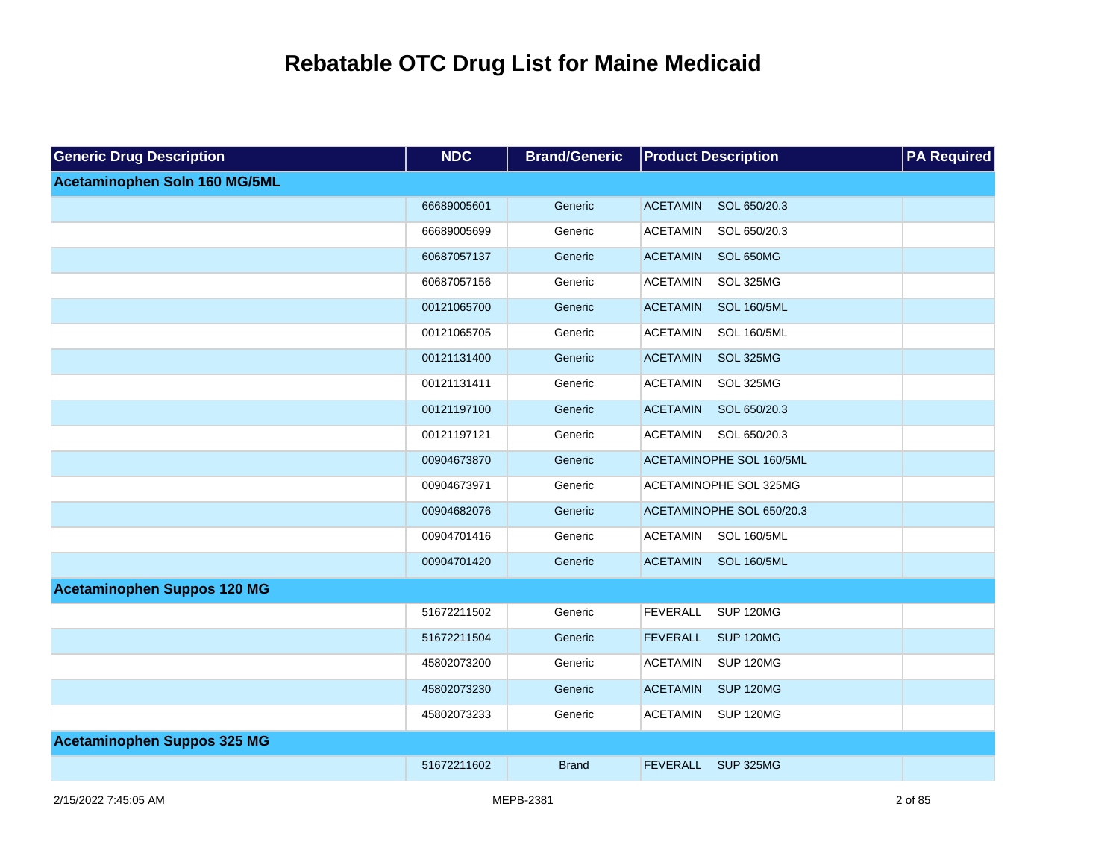| <b>Generic Drug Description</b>    | <b>NDC</b>  | <b>Brand/Generic</b> | <b>Product Description</b>            | <b>PA Required</b> |
|------------------------------------|-------------|----------------------|---------------------------------------|--------------------|
| Acetaminophen Soln 160 MG/5ML      |             |                      |                                       |                    |
|                                    | 66689005601 | Generic              | <b>ACETAMIN</b><br>SOL 650/20.3       |                    |
|                                    | 66689005699 | Generic              | <b>ACETAMIN</b><br>SOL 650/20.3       |                    |
|                                    | 60687057137 | Generic              | <b>ACETAMIN</b><br>SOL 650MG          |                    |
|                                    | 60687057156 | Generic              | <b>ACETAMIN</b><br>SOL 325MG          |                    |
|                                    | 00121065700 | Generic              | <b>ACETAMIN</b><br><b>SOL 160/5ML</b> |                    |
|                                    | 00121065705 | Generic              | <b>ACETAMIN</b><br><b>SOL 160/5ML</b> |                    |
|                                    | 00121131400 | Generic              | <b>ACETAMIN</b><br>SOL 325MG          |                    |
|                                    | 00121131411 | Generic              | <b>ACETAMIN</b><br>SOL 325MG          |                    |
|                                    | 00121197100 | Generic              | <b>ACETAMIN</b><br>SOL 650/20.3       |                    |
|                                    | 00121197121 | Generic              | <b>ACETAMIN</b><br>SOL 650/20.3       |                    |
|                                    | 00904673870 | Generic              | ACETAMINOPHE SOL 160/5ML              |                    |
|                                    | 00904673971 | Generic              | ACETAMINOPHE SOL 325MG                |                    |
|                                    | 00904682076 | Generic              | ACETAMINOPHE SOL 650/20.3             |                    |
|                                    | 00904701416 | Generic              | <b>SOL 160/5ML</b><br><b>ACETAMIN</b> |                    |
|                                    | 00904701420 | Generic              | <b>ACETAMIN</b><br><b>SOL 160/5ML</b> |                    |
| <b>Acetaminophen Suppos 120 MG</b> |             |                      |                                       |                    |
|                                    | 51672211502 | Generic              | <b>FEVERALL</b><br>SUP 120MG          |                    |
|                                    | 51672211504 | Generic              | <b>FEVERALL</b><br><b>SUP 120MG</b>   |                    |
|                                    | 45802073200 | Generic              | <b>ACETAMIN</b><br><b>SUP 120MG</b>   |                    |
|                                    | 45802073230 | Generic              | <b>ACETAMIN</b><br><b>SUP 120MG</b>   |                    |
|                                    | 45802073233 | Generic              | <b>SUP 120MG</b><br><b>ACETAMIN</b>   |                    |
| <b>Acetaminophen Suppos 325 MG</b> |             |                      |                                       |                    |
|                                    | 51672211602 | <b>Brand</b>         | <b>FEVERALL</b><br><b>SUP 325MG</b>   |                    |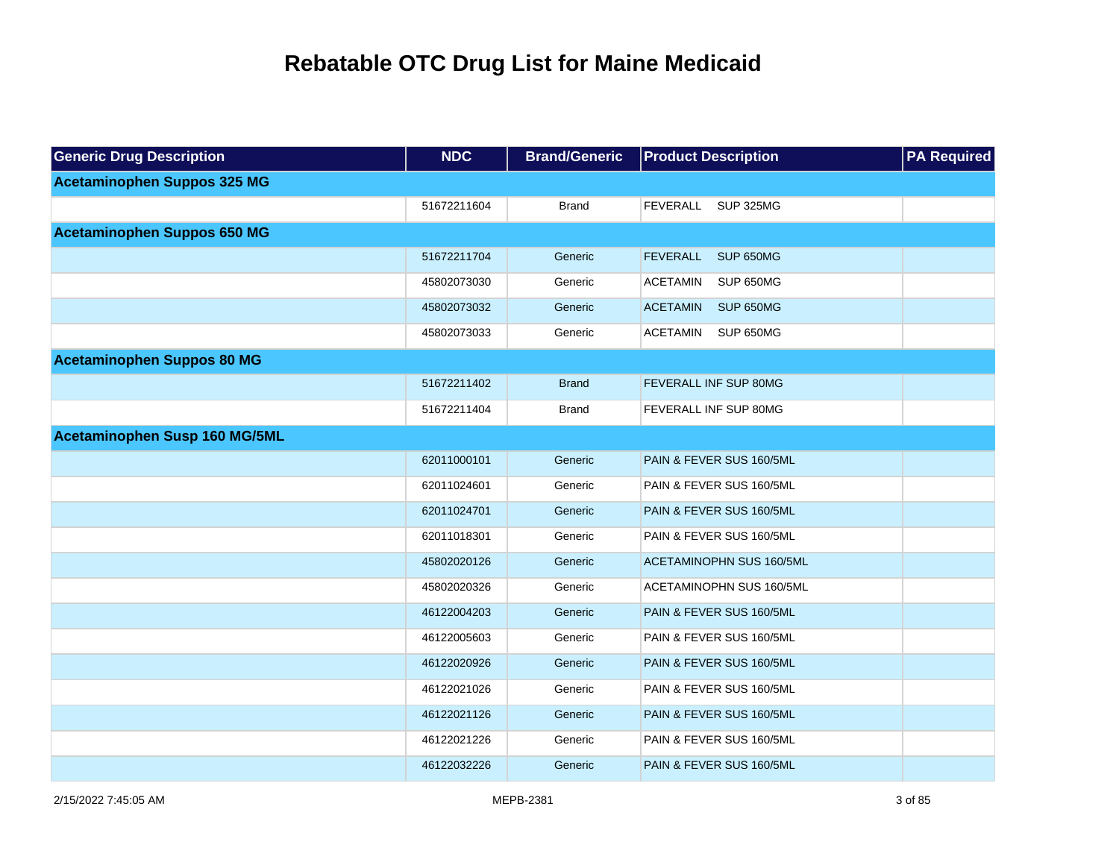| <b>Generic Drug Description</b>    | <b>NDC</b>  | <b>Brand/Generic</b> | <b>Product Description</b>   | <b>PA Required</b> |
|------------------------------------|-------------|----------------------|------------------------------|--------------------|
| <b>Acetaminophen Suppos 325 MG</b> |             |                      |                              |                    |
|                                    | 51672211604 | <b>Brand</b>         | <b>SUP 325MG</b><br>FEVERALL |                    |
| <b>Acetaminophen Suppos 650 MG</b> |             |                      |                              |                    |
|                                    | 51672211704 | Generic              | FEVERALL<br>SUP 650MG        |                    |
|                                    | 45802073030 | Generic              | <b>ACETAMIN</b><br>SUP 650MG |                    |
|                                    | 45802073032 | Generic              | <b>ACETAMIN</b><br>SUP 650MG |                    |
|                                    | 45802073033 | Generic              | <b>ACETAMIN</b><br>SUP 650MG |                    |
| <b>Acetaminophen Suppos 80 MG</b>  |             |                      |                              |                    |
|                                    | 51672211402 | <b>Brand</b>         | <b>FEVERALL INF SUP 80MG</b> |                    |
|                                    | 51672211404 | <b>Brand</b>         | <b>FEVERALL INF SUP 80MG</b> |                    |
| Acetaminophen Susp 160 MG/5ML      |             |                      |                              |                    |
|                                    | 62011000101 | Generic              | PAIN & FEVER SUS 160/5ML     |                    |
|                                    | 62011024601 | Generic              | PAIN & FEVER SUS 160/5ML     |                    |
|                                    | 62011024701 | Generic              | PAIN & FEVER SUS 160/5ML     |                    |
|                                    | 62011018301 | Generic              | PAIN & FEVER SUS 160/5ML     |                    |
|                                    | 45802020126 | Generic              | ACETAMINOPHN SUS 160/5ML     |                    |
|                                    | 45802020326 | Generic              | ACETAMINOPHN SUS 160/5ML     |                    |
|                                    | 46122004203 | Generic              | PAIN & FEVER SUS 160/5ML     |                    |
|                                    | 46122005603 | Generic              | PAIN & FEVER SUS 160/5ML     |                    |
|                                    | 46122020926 | Generic              | PAIN & FEVER SUS 160/5ML     |                    |
|                                    | 46122021026 | Generic              | PAIN & FEVER SUS 160/5ML     |                    |
|                                    | 46122021126 | Generic              | PAIN & FEVER SUS 160/5ML     |                    |
|                                    | 46122021226 | Generic              | PAIN & FEVER SUS 160/5ML     |                    |
|                                    | 46122032226 | Generic              | PAIN & FEVER SUS 160/5ML     |                    |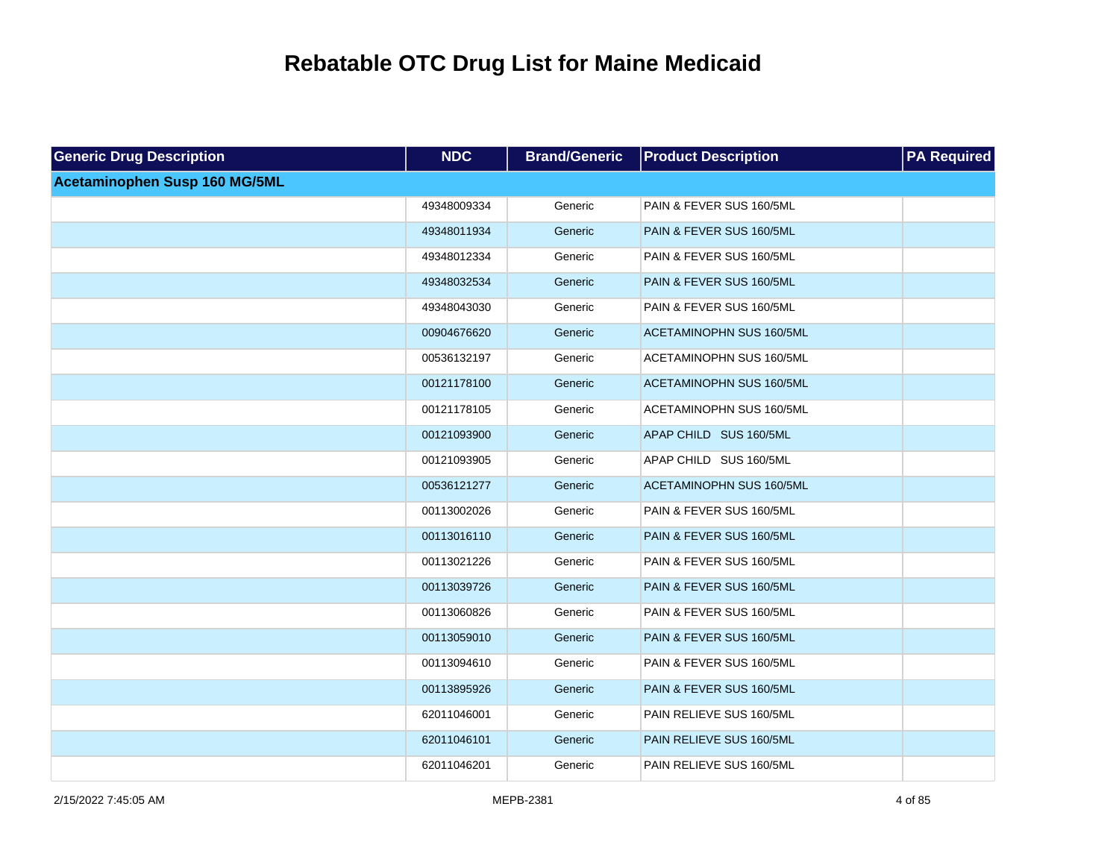| <b>Generic Drug Description</b> | <b>NDC</b>  | <b>Brand/Generic</b> | <b>Product Description</b>      | <b>PA Required</b> |
|---------------------------------|-------------|----------------------|---------------------------------|--------------------|
| Acetaminophen Susp 160 MG/5ML   |             |                      |                                 |                    |
|                                 | 49348009334 | Generic              | PAIN & FEVER SUS 160/5ML        |                    |
|                                 | 49348011934 | Generic              | PAIN & FEVER SUS 160/5ML        |                    |
|                                 | 49348012334 | Generic              | PAIN & FEVER SUS 160/5ML        |                    |
|                                 | 49348032534 | Generic              | PAIN & FEVER SUS 160/5ML        |                    |
|                                 | 49348043030 | Generic              | PAIN & FEVER SUS 160/5ML        |                    |
|                                 | 00904676620 | Generic              | <b>ACETAMINOPHN SUS 160/5ML</b> |                    |
|                                 | 00536132197 | Generic              | ACETAMINOPHN SUS 160/5ML        |                    |
|                                 | 00121178100 | Generic              | <b>ACETAMINOPHN SUS 160/5ML</b> |                    |
|                                 | 00121178105 | Generic              | ACETAMINOPHN SUS 160/5ML        |                    |
|                                 | 00121093900 | Generic              | APAP CHILD SUS 160/5ML          |                    |
|                                 | 00121093905 | Generic              | APAP CHILD SUS 160/5ML          |                    |
|                                 | 00536121277 | Generic              | <b>ACETAMINOPHN SUS 160/5ML</b> |                    |
|                                 | 00113002026 | Generic              | PAIN & FEVER SUS 160/5ML        |                    |
|                                 | 00113016110 | Generic              | PAIN & FEVER SUS 160/5ML        |                    |
|                                 | 00113021226 | Generic              | PAIN & FEVER SUS 160/5ML        |                    |
|                                 | 00113039726 | Generic              | PAIN & FEVER SUS 160/5ML        |                    |
|                                 | 00113060826 | Generic              | PAIN & FEVER SUS 160/5ML        |                    |
|                                 | 00113059010 | Generic              | PAIN & FEVER SUS 160/5ML        |                    |
|                                 | 00113094610 | Generic              | PAIN & FEVER SUS 160/5ML        |                    |
|                                 | 00113895926 | Generic              | PAIN & FEVER SUS 160/5ML        |                    |
|                                 | 62011046001 | Generic              | PAIN RELIEVE SUS 160/5ML        |                    |
|                                 | 62011046101 | Generic              | PAIN RELIEVE SUS 160/5ML        |                    |
|                                 | 62011046201 | Generic              | PAIN RELIEVE SUS 160/5ML        |                    |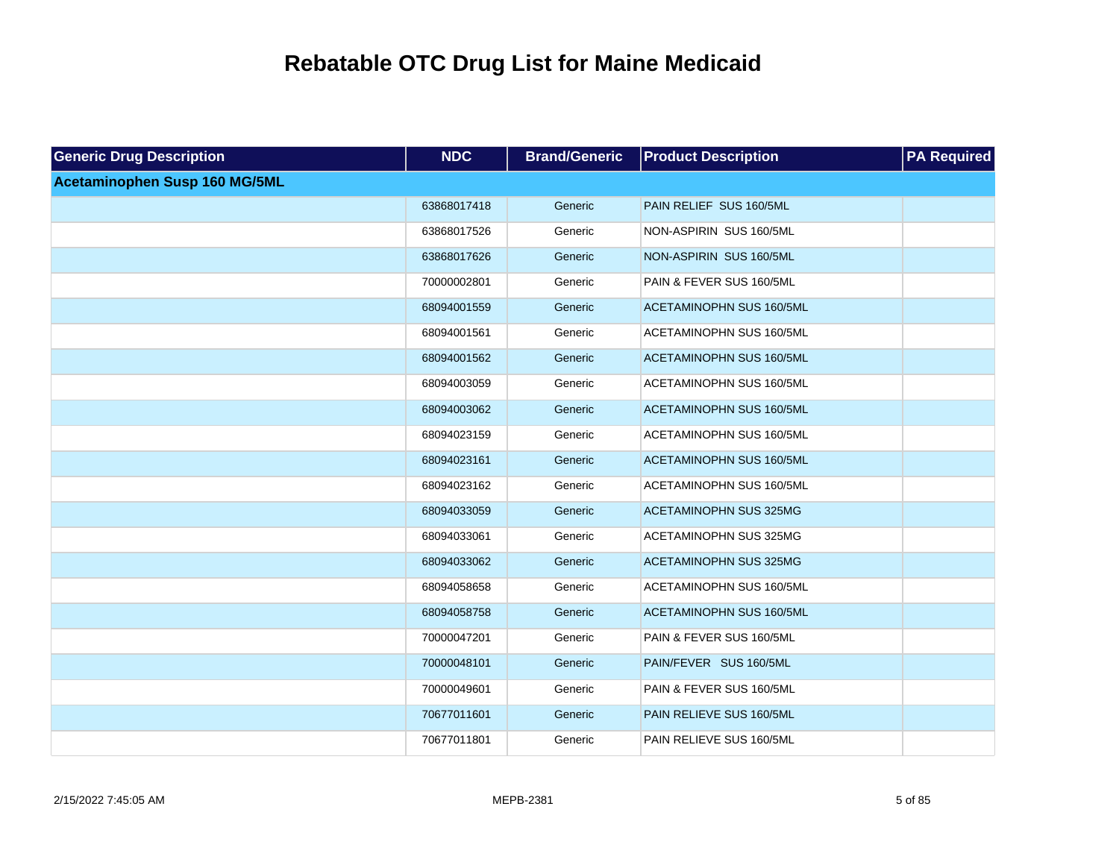| <b>Generic Drug Description</b> | <b>NDC</b>  | <b>Brand/Generic</b> | <b>Product Description</b>      | <b>PA Required</b> |
|---------------------------------|-------------|----------------------|---------------------------------|--------------------|
| Acetaminophen Susp 160 MG/5ML   |             |                      |                                 |                    |
|                                 | 63868017418 | Generic              | PAIN RELIEF SUS 160/5ML         |                    |
|                                 | 63868017526 | Generic              | NON-ASPIRIN SUS 160/5ML         |                    |
|                                 | 63868017626 | Generic              | NON-ASPIRIN SUS 160/5ML         |                    |
|                                 | 70000002801 | Generic              | PAIN & FEVER SUS 160/5ML        |                    |
|                                 | 68094001559 | Generic              | <b>ACETAMINOPHN SUS 160/5ML</b> |                    |
|                                 | 68094001561 | Generic              | ACETAMINOPHN SUS 160/5ML        |                    |
|                                 | 68094001562 | Generic              | <b>ACETAMINOPHN SUS 160/5ML</b> |                    |
|                                 | 68094003059 | Generic              | ACETAMINOPHN SUS 160/5ML        |                    |
|                                 | 68094003062 | Generic              | <b>ACETAMINOPHN SUS 160/5ML</b> |                    |
|                                 | 68094023159 | Generic              | ACETAMINOPHN SUS 160/5ML        |                    |
|                                 | 68094023161 | Generic              | ACETAMINOPHN SUS 160/5ML        |                    |
|                                 | 68094023162 | Generic              | ACETAMINOPHN SUS 160/5ML        |                    |
|                                 | 68094033059 | Generic              | <b>ACETAMINOPHN SUS 325MG</b>   |                    |
|                                 | 68094033061 | Generic              | <b>ACETAMINOPHN SUS 325MG</b>   |                    |
|                                 | 68094033062 | Generic              | <b>ACETAMINOPHN SUS 325MG</b>   |                    |
|                                 | 68094058658 | Generic              | ACETAMINOPHN SUS 160/5ML        |                    |
|                                 | 68094058758 | Generic              | <b>ACETAMINOPHN SUS 160/5ML</b> |                    |
|                                 | 70000047201 | Generic              | PAIN & FEVER SUS 160/5ML        |                    |
|                                 | 70000048101 | Generic              | PAIN/FEVER SUS 160/5ML          |                    |
|                                 | 70000049601 | Generic              | PAIN & FEVER SUS 160/5ML        |                    |
|                                 | 70677011601 | Generic              | PAIN RELIEVE SUS 160/5ML        |                    |
|                                 | 70677011801 | Generic              | PAIN RELIEVE SUS 160/5ML        |                    |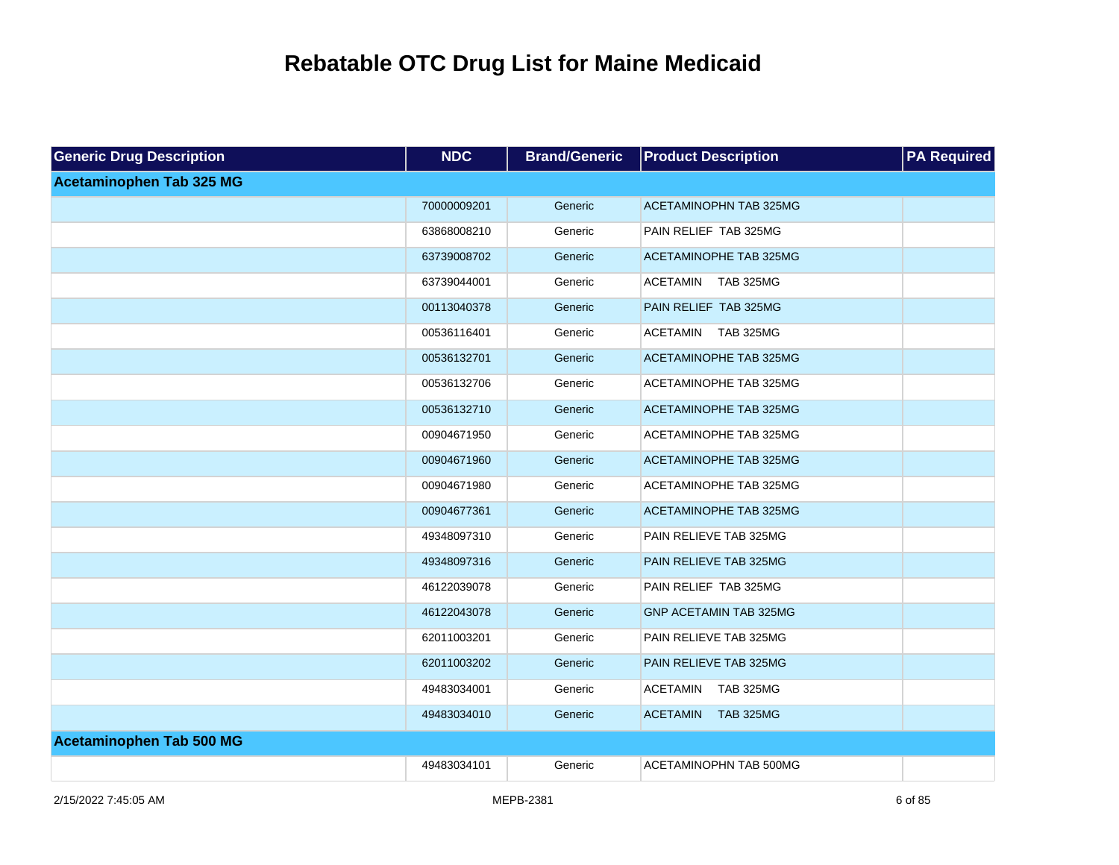| <b>Generic Drug Description</b> | <b>NDC</b>  | <b>Brand/Generic</b> | <b>Product Description</b>          | <b>PA Required</b> |
|---------------------------------|-------------|----------------------|-------------------------------------|--------------------|
| <b>Acetaminophen Tab 325 MG</b> |             |                      |                                     |                    |
|                                 | 70000009201 | Generic              | <b>ACETAMINOPHN TAB 325MG</b>       |                    |
|                                 | 63868008210 | Generic              | PAIN RELIEF TAB 325MG               |                    |
|                                 | 63739008702 | Generic              | ACETAMINOPHE TAB 325MG              |                    |
|                                 | 63739044001 | Generic              | ACETAMIN TAB 325MG                  |                    |
|                                 | 00113040378 | Generic              | PAIN RELIEF TAB 325MG               |                    |
|                                 | 00536116401 | Generic              | ACETAMIN TAB 325MG                  |                    |
|                                 | 00536132701 | Generic              | <b>ACETAMINOPHE TAB 325MG</b>       |                    |
|                                 | 00536132706 | Generic              | ACETAMINOPHE TAB 325MG              |                    |
|                                 | 00536132710 | Generic              | ACETAMINOPHE TAB 325MG              |                    |
|                                 | 00904671950 | Generic              | ACETAMINOPHE TAB 325MG              |                    |
|                                 | 00904671960 | Generic              | ACETAMINOPHE TAB 325MG              |                    |
|                                 | 00904671980 | Generic              | ACETAMINOPHE TAB 325MG              |                    |
|                                 | 00904677361 | Generic              | <b>ACETAMINOPHE TAB 325MG</b>       |                    |
|                                 | 49348097310 | Generic              | PAIN RELIEVE TAB 325MG              |                    |
|                                 | 49348097316 | Generic              | PAIN RELIEVE TAB 325MG              |                    |
|                                 | 46122039078 | Generic              | PAIN RELIEF TAB 325MG               |                    |
|                                 | 46122043078 | Generic              | <b>GNP ACETAMIN TAB 325MG</b>       |                    |
|                                 | 62011003201 | Generic              | PAIN RELIEVE TAB 325MG              |                    |
|                                 | 62011003202 | Generic              | PAIN RELIEVE TAB 325MG              |                    |
|                                 | 49483034001 | Generic              | ACETAMIN<br>TAB 325MG               |                    |
|                                 | 49483034010 | Generic              | <b>TAB 325MG</b><br><b>ACETAMIN</b> |                    |
| <b>Acetaminophen Tab 500 MG</b> |             |                      |                                     |                    |
|                                 | 49483034101 | Generic              | ACETAMINOPHN TAB 500MG              |                    |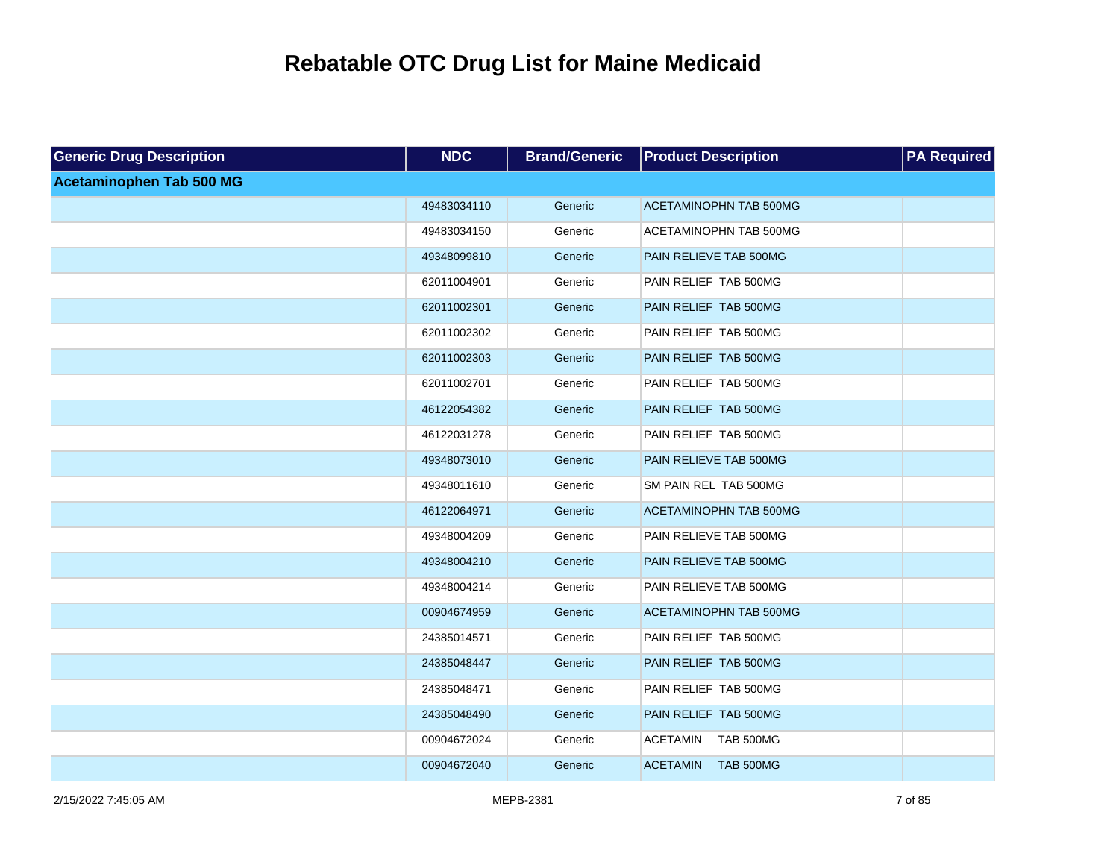| <b>Generic Drug Description</b> | <b>NDC</b>  | <b>Brand/Generic</b> | <b>Product Description</b>          | <b>PA Required</b> |
|---------------------------------|-------------|----------------------|-------------------------------------|--------------------|
| <b>Acetaminophen Tab 500 MG</b> |             |                      |                                     |                    |
|                                 | 49483034110 | Generic              | <b>ACETAMINOPHN TAB 500MG</b>       |                    |
|                                 | 49483034150 | Generic              | ACETAMINOPHN TAB 500MG              |                    |
|                                 | 49348099810 | Generic              | PAIN RELIEVE TAB 500MG              |                    |
|                                 | 62011004901 | Generic              | PAIN RELIEF TAB 500MG               |                    |
|                                 | 62011002301 | Generic              | PAIN RELIEF TAB 500MG               |                    |
|                                 | 62011002302 | Generic              | PAIN RELIEF TAB 500MG               |                    |
|                                 | 62011002303 | Generic              | PAIN RELIEF TAB 500MG               |                    |
|                                 | 62011002701 | Generic              | PAIN RELIEF TAB 500MG               |                    |
|                                 | 46122054382 | Generic              | PAIN RELIEF TAB 500MG               |                    |
|                                 | 46122031278 | Generic              | PAIN RELIEF TAB 500MG               |                    |
|                                 | 49348073010 | Generic              | PAIN RELIEVE TAB 500MG              |                    |
|                                 | 49348011610 | Generic              | SM PAIN REL TAB 500MG               |                    |
|                                 | 46122064971 | Generic              | <b>ACETAMINOPHN TAB 500MG</b>       |                    |
|                                 | 49348004209 | Generic              | PAIN RELIEVE TAB 500MG              |                    |
|                                 | 49348004210 | Generic              | PAIN RELIEVE TAB 500MG              |                    |
|                                 | 49348004214 | Generic              | PAIN RELIEVE TAB 500MG              |                    |
|                                 | 00904674959 | Generic              | <b>ACETAMINOPHN TAB 500MG</b>       |                    |
|                                 | 24385014571 | Generic              | PAIN RELIEF TAB 500MG               |                    |
|                                 | 24385048447 | Generic              | PAIN RELIEF TAB 500MG               |                    |
|                                 | 24385048471 | Generic              | PAIN RELIEF TAB 500MG               |                    |
|                                 | 24385048490 | Generic              | PAIN RELIEF TAB 500MG               |                    |
|                                 | 00904672024 | Generic              | <b>ACETAMIN</b><br><b>TAB 500MG</b> |                    |
|                                 | 00904672040 | Generic              | <b>ACETAMIN</b><br><b>TAB 500MG</b> |                    |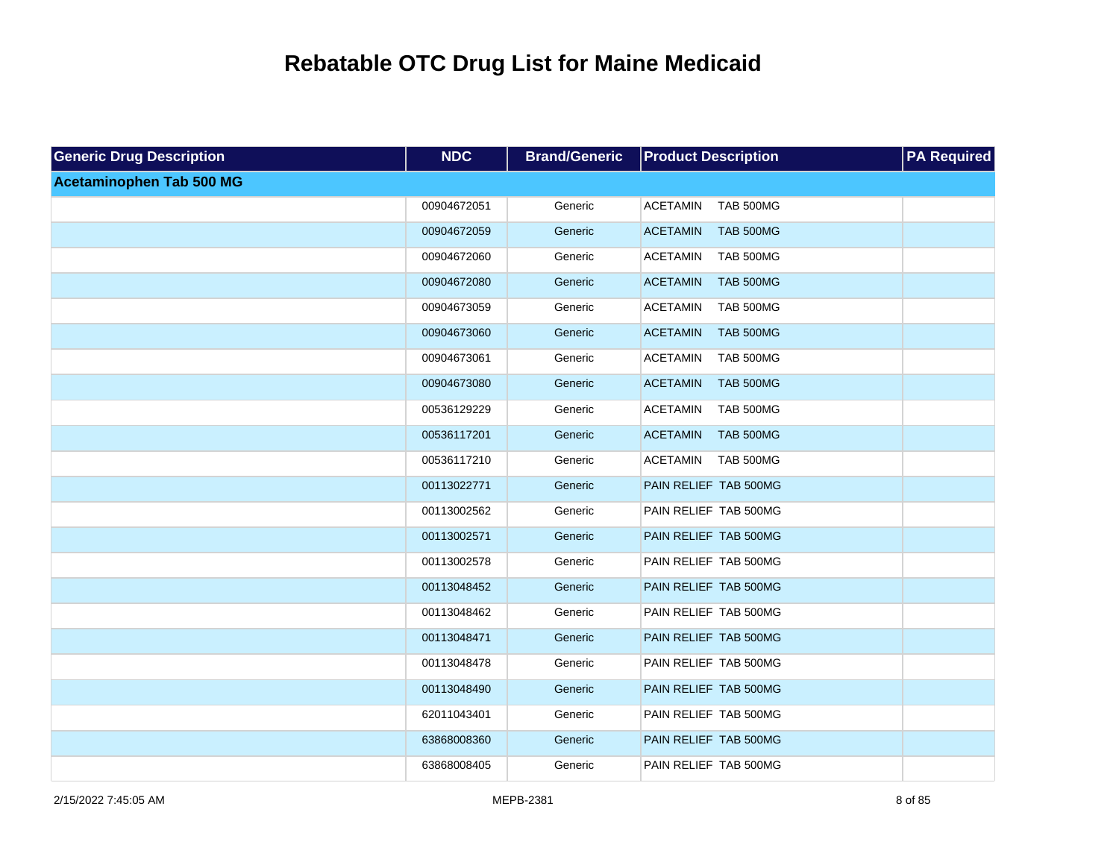| <b>Generic Drug Description</b> | <b>NDC</b>  | <b>Brand/Generic</b> | <b>Product Description</b>          | <b>PA Required</b> |
|---------------------------------|-------------|----------------------|-------------------------------------|--------------------|
| <b>Acetaminophen Tab 500 MG</b> |             |                      |                                     |                    |
|                                 | 00904672051 | Generic              | <b>ACETAMIN</b><br><b>TAB 500MG</b> |                    |
|                                 | 00904672059 | Generic              | <b>ACETAMIN</b><br><b>TAB 500MG</b> |                    |
|                                 | 00904672060 | Generic              | <b>ACETAMIN</b><br><b>TAB 500MG</b> |                    |
|                                 | 00904672080 | Generic              | <b>ACETAMIN</b><br><b>TAB 500MG</b> |                    |
|                                 | 00904673059 | Generic              | <b>ACETAMIN</b><br>TAB 500MG        |                    |
|                                 | 00904673060 | Generic              | <b>ACETAMIN</b><br><b>TAB 500MG</b> |                    |
|                                 | 00904673061 | Generic              | <b>ACETAMIN</b><br><b>TAB 500MG</b> |                    |
|                                 | 00904673080 | Generic              | <b>ACETAMIN</b><br><b>TAB 500MG</b> |                    |
|                                 | 00536129229 | Generic              | <b>ACETAMIN</b><br><b>TAB 500MG</b> |                    |
|                                 | 00536117201 | Generic              | <b>ACETAMIN</b><br><b>TAB 500MG</b> |                    |
|                                 | 00536117210 | Generic              | <b>TAB 500MG</b><br><b>ACETAMIN</b> |                    |
|                                 | 00113022771 | Generic              | PAIN RELIEF TAB 500MG               |                    |
|                                 | 00113002562 | Generic              | PAIN RELIEF TAB 500MG               |                    |
|                                 | 00113002571 | Generic              | PAIN RELIEF TAB 500MG               |                    |
|                                 | 00113002578 | Generic              | PAIN RELIEF TAB 500MG               |                    |
|                                 | 00113048452 | Generic              | PAIN RELIEF TAB 500MG               |                    |
|                                 | 00113048462 | Generic              | PAIN RELIEF TAB 500MG               |                    |
|                                 | 00113048471 | Generic              | PAIN RELIEF TAB 500MG               |                    |
|                                 | 00113048478 | Generic              | PAIN RELIEF TAB 500MG               |                    |
|                                 | 00113048490 | Generic              | PAIN RELIEF TAB 500MG               |                    |
|                                 | 62011043401 | Generic              | PAIN RELIEF TAB 500MG               |                    |
|                                 | 63868008360 | Generic              | PAIN RELIEF TAB 500MG               |                    |
|                                 | 63868008405 | Generic              | PAIN RELIEF TAB 500MG               |                    |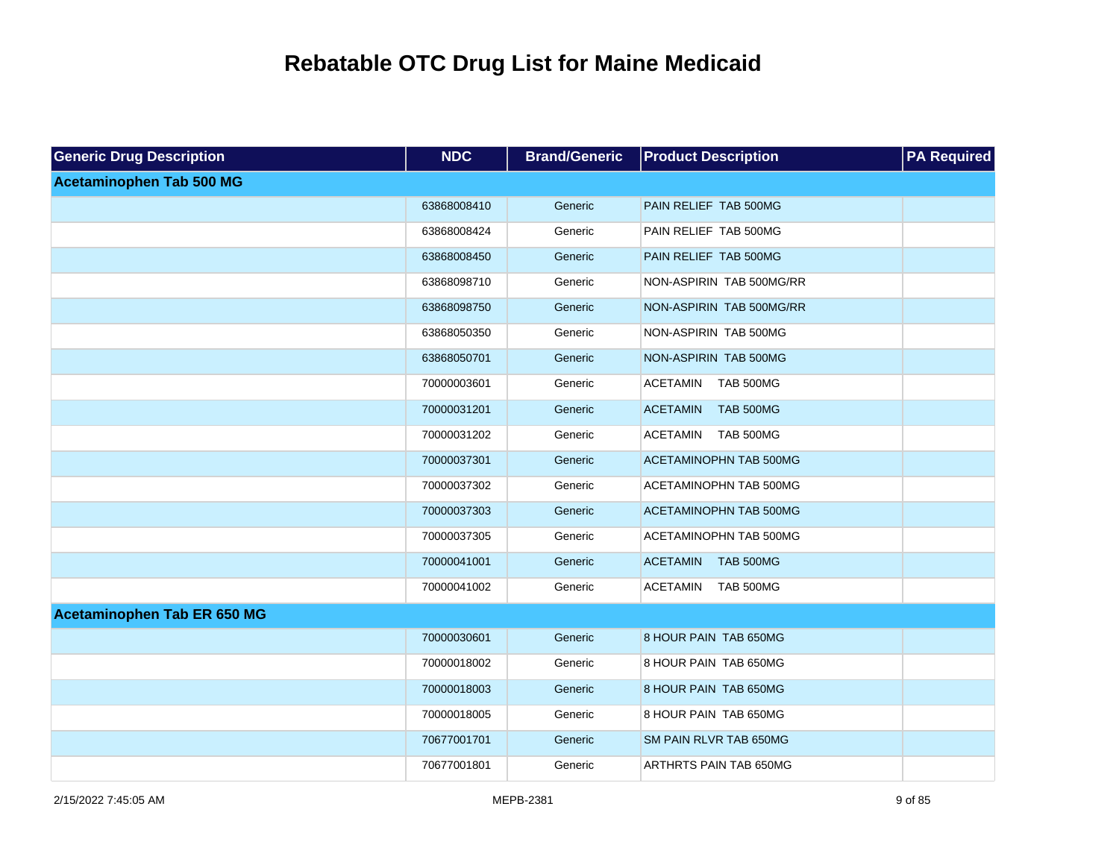| <b>Generic Drug Description</b> | <b>NDC</b>  | <b>Brand/Generic</b> | <b>Product Description</b>          | <b>PA Required</b> |
|---------------------------------|-------------|----------------------|-------------------------------------|--------------------|
| <b>Acetaminophen Tab 500 MG</b> |             |                      |                                     |                    |
|                                 | 63868008410 | Generic              | PAIN RELIEF TAB 500MG               |                    |
|                                 | 63868008424 | Generic              | PAIN RELIEF TAB 500MG               |                    |
|                                 | 63868008450 | Generic              | PAIN RELIEF TAB 500MG               |                    |
|                                 | 63868098710 | Generic              | NON-ASPIRIN TAB 500MG/RR            |                    |
|                                 | 63868098750 | Generic              | NON-ASPIRIN TAB 500MG/RR            |                    |
|                                 | 63868050350 | Generic              | NON-ASPIRIN TAB 500MG               |                    |
|                                 | 63868050701 | Generic              | NON-ASPIRIN TAB 500MG               |                    |
|                                 | 70000003601 | Generic              | <b>ACETAMIN</b><br><b>TAB 500MG</b> |                    |
|                                 | 70000031201 | Generic              | <b>TAB 500MG</b><br><b>ACETAMIN</b> |                    |
|                                 | 70000031202 | Generic              | <b>ACETAMIN</b><br><b>TAB 500MG</b> |                    |
|                                 | 70000037301 | Generic              | <b>ACETAMINOPHN TAB 500MG</b>       |                    |
|                                 | 70000037302 | Generic              | ACETAMINOPHN TAB 500MG              |                    |
|                                 | 70000037303 | Generic              | <b>ACETAMINOPHN TAB 500MG</b>       |                    |
|                                 | 70000037305 | Generic              | ACETAMINOPHN TAB 500MG              |                    |
|                                 | 70000041001 | Generic              | <b>ACETAMIN</b><br><b>TAB 500MG</b> |                    |
|                                 | 70000041002 | Generic              | <b>TAB 500MG</b><br>ACETAMIN        |                    |
| Acetaminophen Tab ER 650 MG     |             |                      |                                     |                    |
|                                 | 70000030601 | Generic              | 8 HOUR PAIN TAB 650MG               |                    |
|                                 | 70000018002 | Generic              | 8 HOUR PAIN TAB 650MG               |                    |
|                                 | 70000018003 | Generic              | 8 HOUR PAIN TAB 650MG               |                    |
|                                 | 70000018005 | Generic              | 8 HOUR PAIN TAB 650MG               |                    |
|                                 | 70677001701 | Generic              | SM PAIN RLVR TAB 650MG              |                    |
|                                 | 70677001801 | Generic              | ARTHRTS PAIN TAB 650MG              |                    |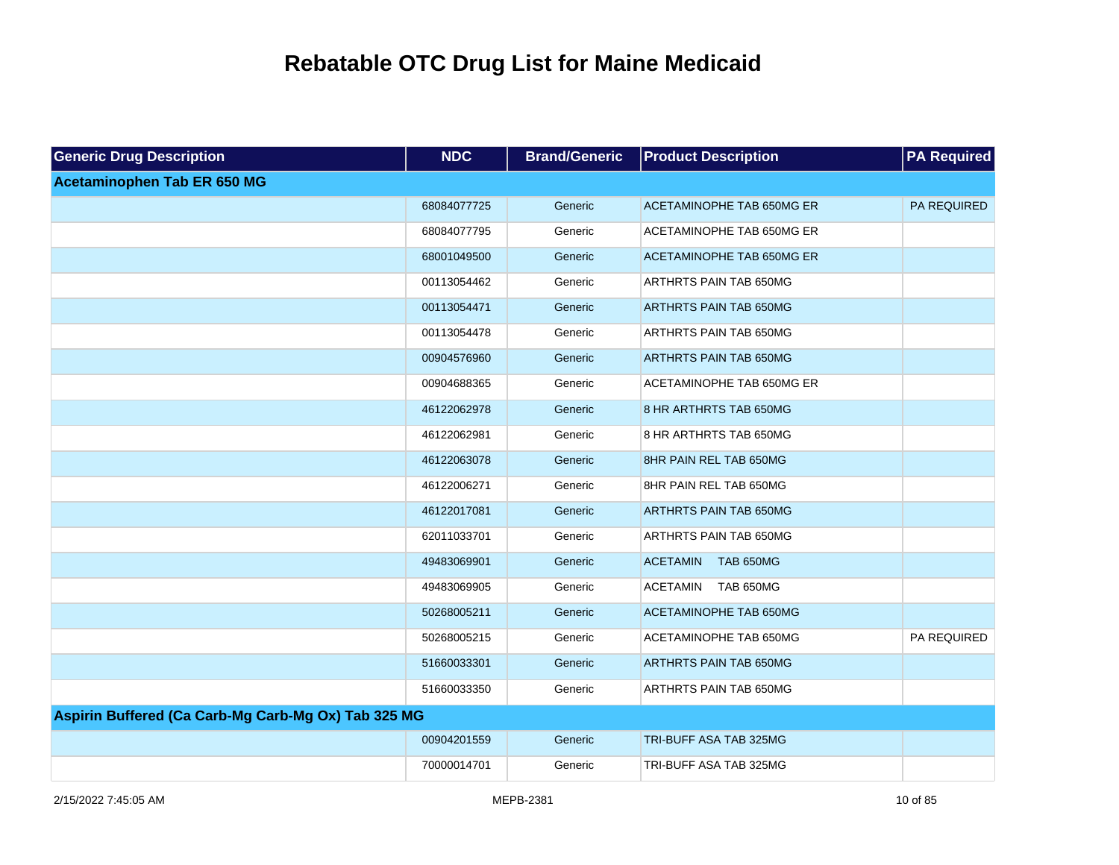| <b>Generic Drug Description</b>                     | <b>NDC</b>  | <b>Brand/Generic</b> | <b>Product Description</b>          | <b>PA</b> Required |
|-----------------------------------------------------|-------------|----------------------|-------------------------------------|--------------------|
| Acetaminophen Tab ER 650 MG                         |             |                      |                                     |                    |
|                                                     | 68084077725 | Generic              | ACETAMINOPHE TAB 650MG ER           | PA REQUIRED        |
|                                                     | 68084077795 | Generic              | ACETAMINOPHE TAB 650MG ER           |                    |
|                                                     | 68001049500 | Generic              | ACETAMINOPHE TAB 650MG ER           |                    |
|                                                     | 00113054462 | Generic              | ARTHRTS PAIN TAB 650MG              |                    |
|                                                     | 00113054471 | Generic              | <b>ARTHRTS PAIN TAB 650MG</b>       |                    |
|                                                     | 00113054478 | Generic              | ARTHRTS PAIN TAB 650MG              |                    |
|                                                     | 00904576960 | Generic              | <b>ARTHRTS PAIN TAB 650MG</b>       |                    |
|                                                     | 00904688365 | Generic              | ACETAMINOPHE TAB 650MG ER           |                    |
|                                                     | 46122062978 | Generic              | 8 HR ARTHRTS TAB 650MG              |                    |
|                                                     | 46122062981 | Generic              | 8 HR ARTHRTS TAB 650MG              |                    |
|                                                     | 46122063078 | Generic              | 8HR PAIN REL TAB 650MG              |                    |
|                                                     | 46122006271 | Generic              | 8HR PAIN REL TAB 650MG              |                    |
|                                                     | 46122017081 | Generic              | ARTHRTS PAIN TAB 650MG              |                    |
|                                                     | 62011033701 | Generic              | ARTHRTS PAIN TAB 650MG              |                    |
|                                                     | 49483069901 | Generic              | <b>ACETAMIN</b><br><b>TAB 650MG</b> |                    |
|                                                     | 49483069905 | Generic              | <b>ACETAMIN</b><br><b>TAB 650MG</b> |                    |
|                                                     | 50268005211 | Generic              | <b>ACETAMINOPHE TAB 650MG</b>       |                    |
|                                                     | 50268005215 | Generic              | ACETAMINOPHE TAB 650MG              | PA REQUIRED        |
|                                                     | 51660033301 | Generic              | <b>ARTHRTS PAIN TAB 650MG</b>       |                    |
|                                                     | 51660033350 | Generic              | ARTHRTS PAIN TAB 650MG              |                    |
| Aspirin Buffered (Ca Carb-Mg Carb-Mg Ox) Tab 325 MG |             |                      |                                     |                    |
|                                                     | 00904201559 | Generic              | TRI-BUFF ASA TAB 325MG              |                    |
|                                                     | 70000014701 | Generic              | TRI-BUFF ASA TAB 325MG              |                    |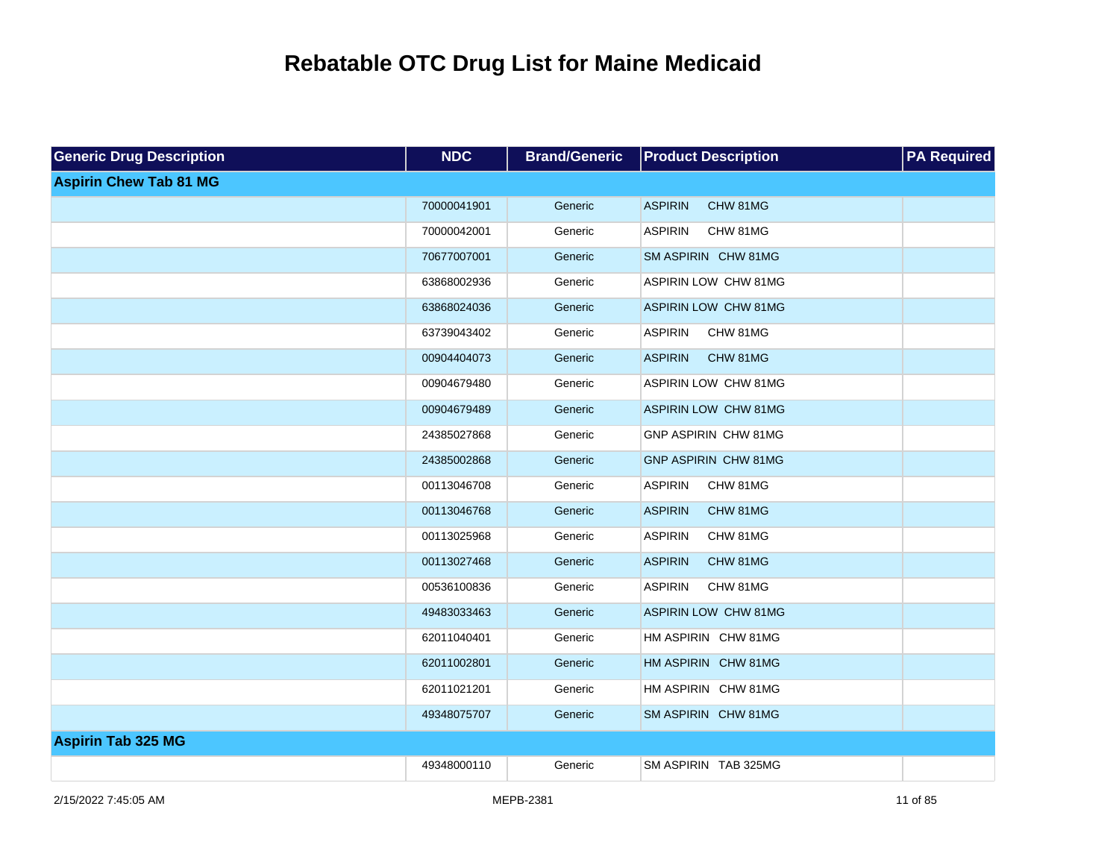| <b>Generic Drug Description</b> | <b>NDC</b>  | <b>Brand/Generic</b> | <b>Product Description</b>  | <b>PA Required</b> |
|---------------------------------|-------------|----------------------|-----------------------------|--------------------|
| <b>Aspirin Chew Tab 81 MG</b>   |             |                      |                             |                    |
|                                 | 70000041901 | Generic              | <b>ASPIRIN</b><br>CHW 81MG  |                    |
|                                 | 70000042001 | Generic              | <b>ASPIRIN</b><br>CHW 81MG  |                    |
|                                 | 70677007001 | Generic              | SM ASPIRIN CHW 81MG         |                    |
|                                 | 63868002936 | Generic              | ASPIRIN LOW CHW 81MG        |                    |
|                                 | 63868024036 | Generic              | <b>ASPIRIN LOW CHW 81MG</b> |                    |
|                                 | 63739043402 | Generic              | <b>ASPIRIN</b><br>CHW 81MG  |                    |
|                                 | 00904404073 | Generic              | <b>ASPIRIN</b><br>CHW 81MG  |                    |
|                                 | 00904679480 | Generic              | ASPIRIN LOW CHW 81MG        |                    |
|                                 | 00904679489 | Generic              | <b>ASPIRIN LOW CHW 81MG</b> |                    |
|                                 | 24385027868 | Generic              | GNP ASPIRIN CHW 81MG        |                    |
|                                 | 24385002868 | Generic              | <b>GNP ASPIRIN CHW 81MG</b> |                    |
|                                 | 00113046708 | Generic              | <b>ASPIRIN</b><br>CHW 81MG  |                    |
|                                 | 00113046768 | Generic              | <b>ASPIRIN</b><br>CHW 81MG  |                    |
|                                 | 00113025968 | Generic              | <b>ASPIRIN</b><br>CHW 81MG  |                    |
|                                 | 00113027468 | Generic              | <b>ASPIRIN</b><br>CHW 81MG  |                    |
|                                 | 00536100836 | Generic              | <b>ASPIRIN</b><br>CHW 81MG  |                    |
|                                 | 49483033463 | Generic              | <b>ASPIRIN LOW CHW 81MG</b> |                    |
|                                 | 62011040401 | Generic              | HM ASPIRIN CHW 81MG         |                    |
|                                 | 62011002801 | Generic              | HM ASPIRIN CHW 81MG         |                    |
|                                 | 62011021201 | Generic              | HM ASPIRIN CHW 81MG         |                    |
|                                 | 49348075707 | Generic              | SM ASPIRIN CHW 81MG         |                    |
| <b>Aspirin Tab 325 MG</b>       |             |                      |                             |                    |
|                                 | 49348000110 | Generic              | SM ASPIRIN TAB 325MG        |                    |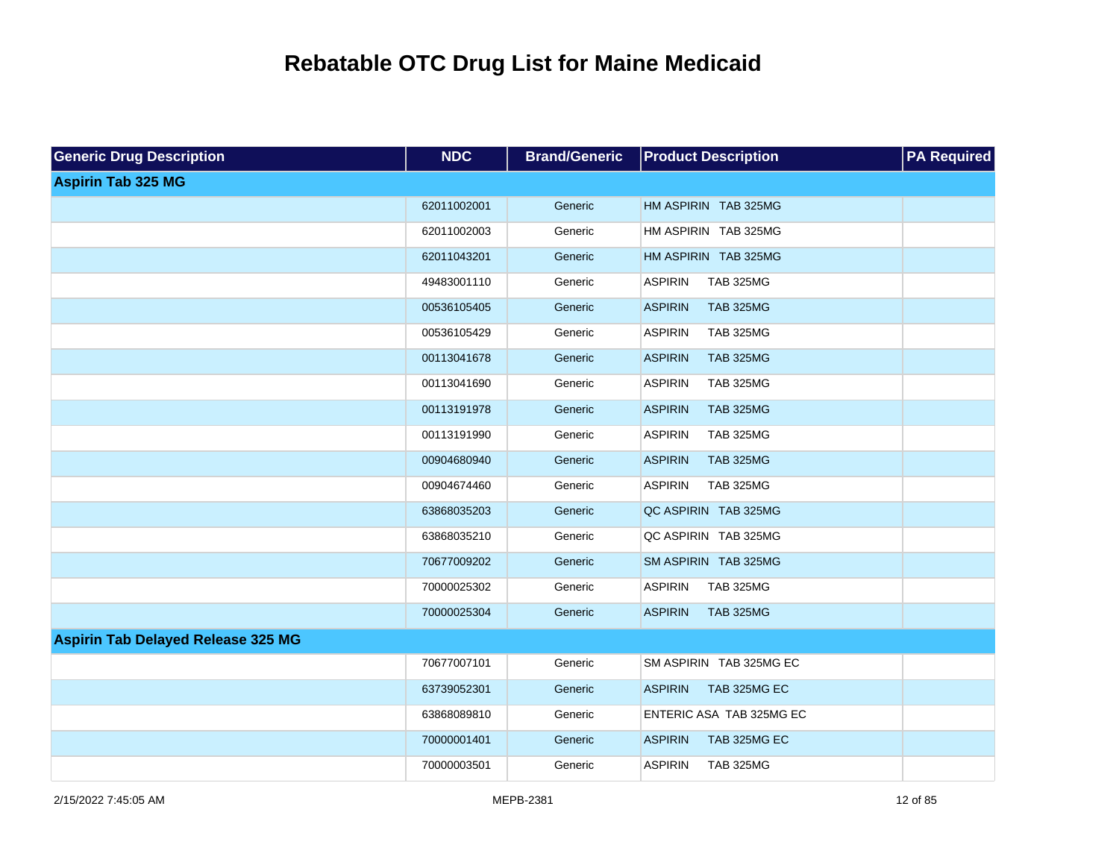| <b>Generic Drug Description</b>           | <b>NDC</b>  | <b>Brand/Generic</b> | <b>Product Description</b>         | <b>PA Required</b> |
|-------------------------------------------|-------------|----------------------|------------------------------------|--------------------|
| <b>Aspirin Tab 325 MG</b>                 |             |                      |                                    |                    |
|                                           | 62011002001 | Generic              | HM ASPIRIN TAB 325MG               |                    |
|                                           | 62011002003 | Generic              | HM ASPIRIN TAB 325MG               |                    |
|                                           | 62011043201 | Generic              | HM ASPIRIN TAB 325MG               |                    |
|                                           | 49483001110 | Generic              | <b>ASPIRIN</b><br><b>TAB 325MG</b> |                    |
|                                           | 00536105405 | Generic              | <b>ASPIRIN</b><br><b>TAB 325MG</b> |                    |
|                                           | 00536105429 | Generic              | <b>ASPIRIN</b><br><b>TAB 325MG</b> |                    |
|                                           | 00113041678 | Generic              | <b>ASPIRIN</b><br><b>TAB 325MG</b> |                    |
|                                           | 00113041690 | Generic              | <b>ASPIRIN</b><br><b>TAB 325MG</b> |                    |
|                                           | 00113191978 | Generic              | <b>ASPIRIN</b><br><b>TAB 325MG</b> |                    |
|                                           | 00113191990 | Generic              | <b>ASPIRIN</b><br><b>TAB 325MG</b> |                    |
|                                           | 00904680940 | Generic              | <b>ASPIRIN</b><br><b>TAB 325MG</b> |                    |
|                                           | 00904674460 | Generic              | <b>ASPIRIN</b><br><b>TAB 325MG</b> |                    |
|                                           | 63868035203 | Generic              | QC ASPIRIN TAB 325MG               |                    |
|                                           | 63868035210 | Generic              | QC ASPIRIN TAB 325MG               |                    |
|                                           | 70677009202 | Generic              | SM ASPIRIN TAB 325MG               |                    |
|                                           | 70000025302 | Generic              | <b>ASPIRIN</b><br><b>TAB 325MG</b> |                    |
|                                           | 70000025304 | Generic              | <b>ASPIRIN</b><br><b>TAB 325MG</b> |                    |
| <b>Aspirin Tab Delayed Release 325 MG</b> |             |                      |                                    |                    |
|                                           | 70677007101 | Generic              | SM ASPIRIN TAB 325MG EC            |                    |
|                                           | 63739052301 | Generic              | <b>ASPIRIN</b><br>TAB 325MG EC     |                    |
|                                           | 63868089810 | Generic              | ENTERIC ASA TAB 325MG EC           |                    |
|                                           | 70000001401 | Generic              | <b>ASPIRIN</b><br>TAB 325MG EC     |                    |
|                                           | 70000003501 | Generic              | <b>ASPIRIN</b><br><b>TAB 325MG</b> |                    |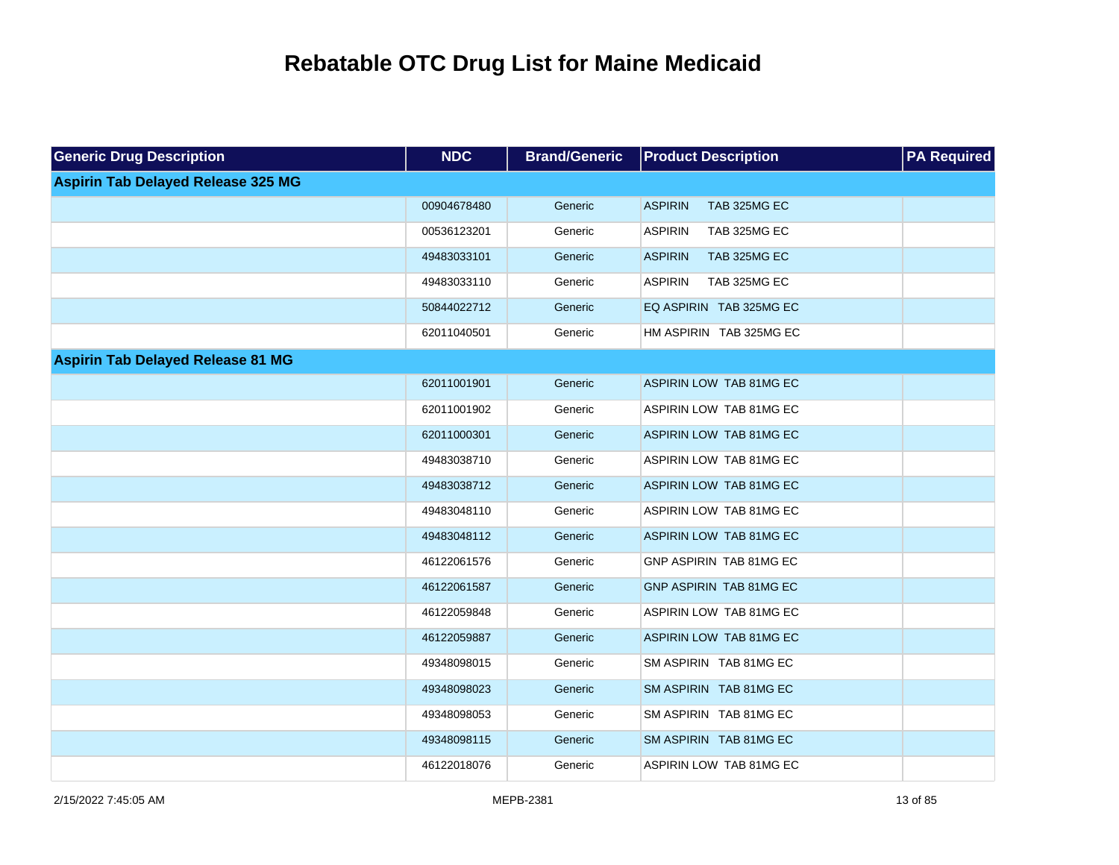| <b>Generic Drug Description</b>           | <b>NDC</b>  | <b>Brand/Generic</b> | <b>Product Description</b>     | <b>PA Required</b> |
|-------------------------------------------|-------------|----------------------|--------------------------------|--------------------|
| <b>Aspirin Tab Delayed Release 325 MG</b> |             |                      |                                |                    |
|                                           | 00904678480 | Generic              | <b>ASPIRIN</b><br>TAB 325MG EC |                    |
|                                           | 00536123201 | Generic              | <b>ASPIRIN</b><br>TAB 325MG EC |                    |
|                                           | 49483033101 | Generic              | <b>ASPIRIN</b><br>TAB 325MG EC |                    |
|                                           | 49483033110 | Generic              | <b>ASPIRIN</b><br>TAB 325MG EC |                    |
|                                           | 50844022712 | Generic              | EQ ASPIRIN TAB 325MG EC        |                    |
|                                           | 62011040501 | Generic              | HM ASPIRIN TAB 325MG EC        |                    |
| <b>Aspirin Tab Delayed Release 81 MG</b>  |             |                      |                                |                    |
|                                           | 62011001901 | Generic              | ASPIRIN LOW TAB 81MG EC        |                    |
|                                           | 62011001902 | Generic              | ASPIRIN LOW TAB 81MG EC        |                    |
|                                           | 62011000301 | Generic              | ASPIRIN LOW TAB 81MG EC        |                    |
|                                           | 49483038710 | Generic              | ASPIRIN LOW TAB 81MG EC        |                    |
|                                           | 49483038712 | Generic              | ASPIRIN LOW TAB 81MG EC        |                    |
|                                           | 49483048110 | Generic              | ASPIRIN LOW TAB 81MG EC        |                    |
|                                           | 49483048112 | Generic              | ASPIRIN LOW TAB 81MG EC        |                    |
|                                           | 46122061576 | Generic              | GNP ASPIRIN TAB 81MG EC        |                    |
|                                           | 46122061587 | Generic              | GNP ASPIRIN TAB 81MG EC        |                    |
|                                           | 46122059848 | Generic              | ASPIRIN LOW TAB 81MG EC        |                    |
|                                           | 46122059887 | Generic              | ASPIRIN LOW TAB 81MG EC        |                    |
|                                           | 49348098015 | Generic              | SM ASPIRIN TAB 81MG EC         |                    |
|                                           | 49348098023 | Generic              | SM ASPIRIN TAB 81MG EC         |                    |
|                                           | 49348098053 | Generic              | SM ASPIRIN TAB 81MG EC         |                    |
|                                           | 49348098115 | Generic              | SM ASPIRIN TAB 81MG EC         |                    |
|                                           | 46122018076 | Generic              | ASPIRIN LOW TAB 81MG EC        |                    |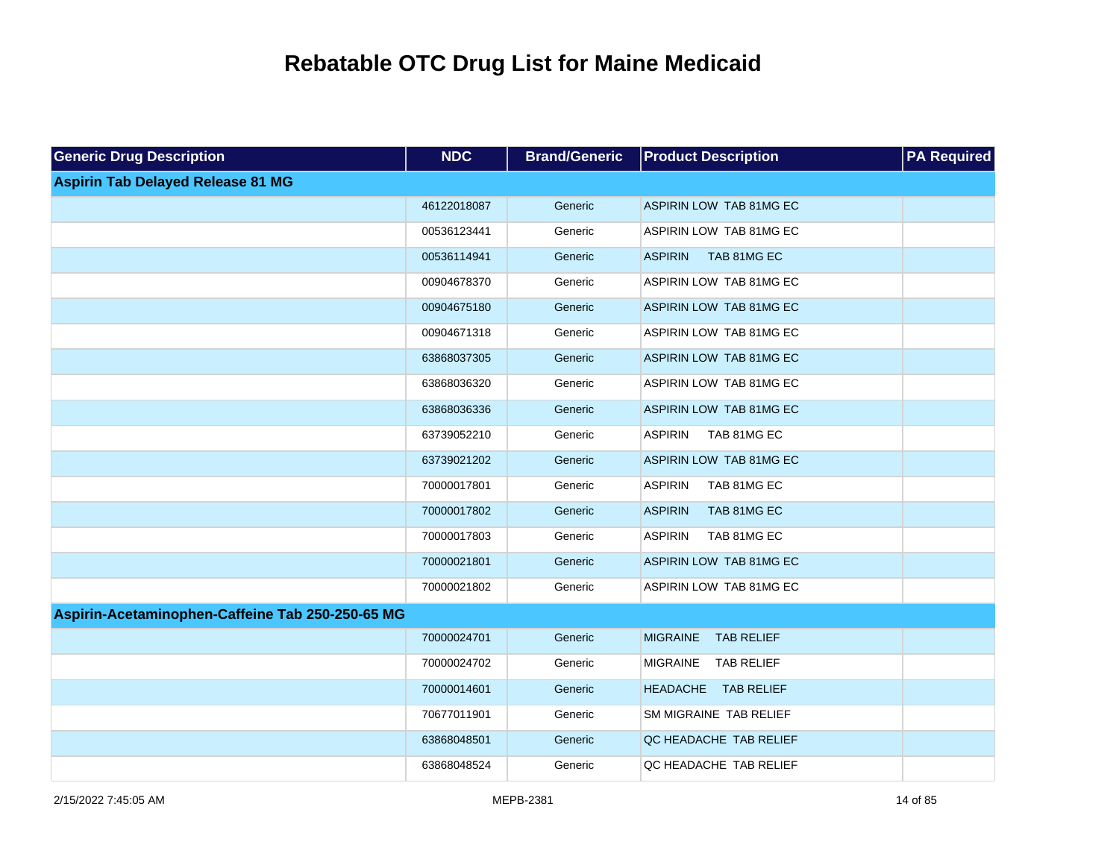| <b>Generic Drug Description</b>                  | <b>NDC</b>  | <b>Brand/Generic</b> | <b>Product Description</b>           | <b>PA Required</b> |
|--------------------------------------------------|-------------|----------------------|--------------------------------------|--------------------|
| <b>Aspirin Tab Delayed Release 81 MG</b>         |             |                      |                                      |                    |
|                                                  | 46122018087 | Generic              | ASPIRIN LOW TAB 81MG EC              |                    |
|                                                  | 00536123441 | Generic              | ASPIRIN LOW TAB 81MG EC              |                    |
|                                                  | 00536114941 | Generic              | <b>ASPIRIN</b><br>TAB 81MG EC        |                    |
|                                                  | 00904678370 | Generic              | ASPIRIN LOW TAB 81MG EC              |                    |
|                                                  | 00904675180 | Generic              | ASPIRIN LOW TAB 81MG EC              |                    |
|                                                  | 00904671318 | Generic              | ASPIRIN LOW TAB 81MG EC              |                    |
|                                                  | 63868037305 | Generic              | ASPIRIN LOW TAB 81MG EC              |                    |
|                                                  | 63868036320 | Generic              | ASPIRIN LOW TAB 81MG EC              |                    |
|                                                  | 63868036336 | Generic              | ASPIRIN LOW TAB 81MG EC              |                    |
|                                                  | 63739052210 | Generic              | TAB 81MG EC<br><b>ASPIRIN</b>        |                    |
|                                                  | 63739021202 | Generic              | ASPIRIN LOW TAB 81MG EC              |                    |
|                                                  | 70000017801 | Generic              | <b>ASPIRIN</b><br>TAB 81MG EC        |                    |
|                                                  | 70000017802 | Generic              | <b>ASPIRIN</b><br>TAB 81MG EC        |                    |
|                                                  | 70000017803 | Generic              | <b>ASPIRIN</b><br>TAB 81MG EC        |                    |
|                                                  | 70000021801 | Generic              | ASPIRIN LOW TAB 81MG EC              |                    |
|                                                  | 70000021802 | Generic              | ASPIRIN LOW TAB 81MG EC              |                    |
| Aspirin-Acetaminophen-Caffeine Tab 250-250-65 MG |             |                      |                                      |                    |
|                                                  | 70000024701 | Generic              | <b>MIGRAINE</b><br><b>TAB RELIEF</b> |                    |
|                                                  | 70000024702 | Generic              | MIGRAINE<br><b>TAB RELIEF</b>        |                    |
|                                                  | 70000014601 | Generic              | HEADACHE TAB RELIEF                  |                    |
|                                                  | 70677011901 | Generic              | SM MIGRAINE TAB RELIEF               |                    |
|                                                  | 63868048501 | Generic              | QC HEADACHE TAB RELIEF               |                    |
|                                                  | 63868048524 | Generic              | QC HEADACHE TAB RELIEF               |                    |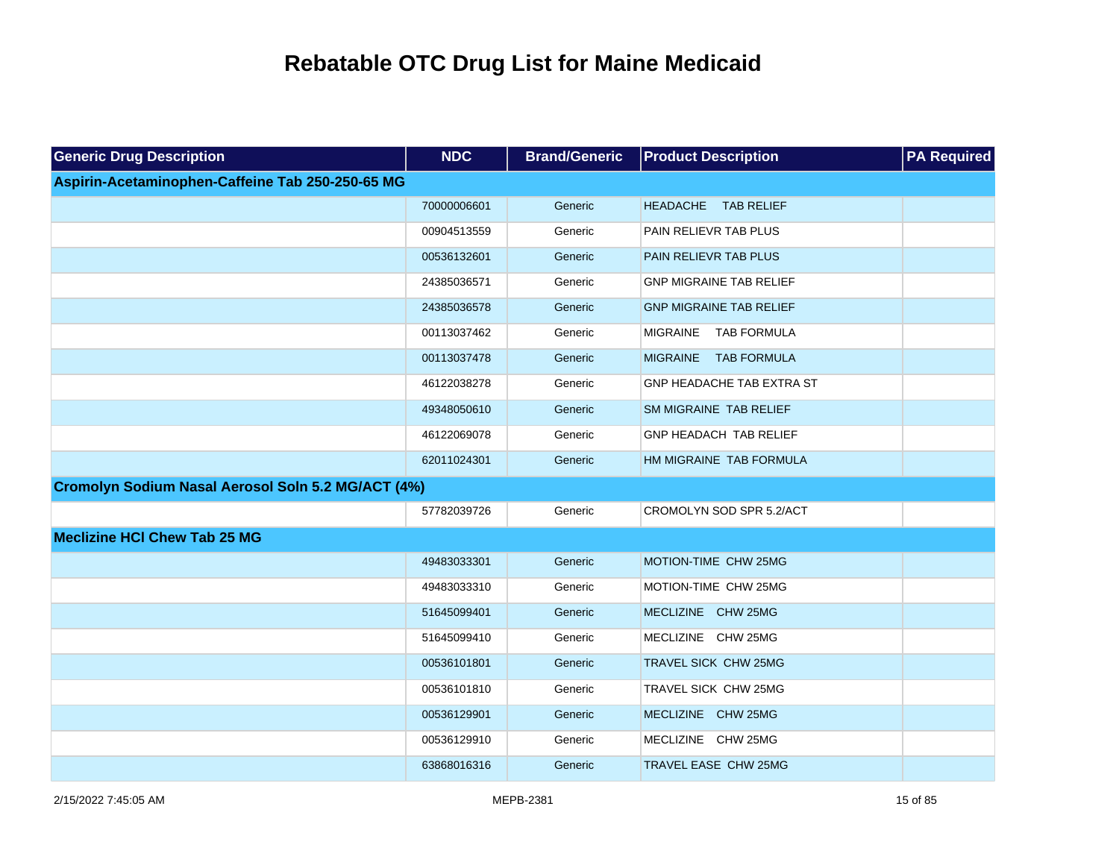| <b>Generic Drug Description</b>                           | <b>NDC</b>  | <b>Brand/Generic</b> | <b>Product Description</b>     | <b>PA Required</b> |
|-----------------------------------------------------------|-------------|----------------------|--------------------------------|--------------------|
| Aspirin-Acetaminophen-Caffeine Tab 250-250-65 MG          |             |                      |                                |                    |
|                                                           | 70000006601 | Generic              | HEADACHE TAB RELIEF            |                    |
|                                                           | 00904513559 | Generic              | PAIN RELIEVR TAB PLUS          |                    |
|                                                           | 00536132601 | Generic              | PAIN RELIEVR TAB PLUS          |                    |
|                                                           | 24385036571 | Generic              | <b>GNP MIGRAINE TAB RELIEF</b> |                    |
|                                                           | 24385036578 | Generic              | <b>GNP MIGRAINE TAB RELIEF</b> |                    |
|                                                           | 00113037462 | Generic              | <b>TAB FORMULA</b><br>MIGRAINE |                    |
|                                                           | 00113037478 | Generic              | MIGRAINE TAB FORMULA           |                    |
|                                                           | 46122038278 | Generic              | GNP HEADACHE TAB EXTRA ST      |                    |
|                                                           | 49348050610 | Generic              | SM MIGRAINE TAB RELIEF         |                    |
|                                                           | 46122069078 | Generic              | GNP HEADACH TAB RELIEF         |                    |
|                                                           | 62011024301 | Generic              | HM MIGRAINE TAB FORMULA        |                    |
| <b>Cromolyn Sodium Nasal Aerosol Soln 5.2 MG/ACT (4%)</b> |             |                      |                                |                    |
|                                                           | 57782039726 | Generic              | CROMOLYN SOD SPR 5.2/ACT       |                    |
| <b>Meclizine HCI Chew Tab 25 MG</b>                       |             |                      |                                |                    |
|                                                           | 49483033301 | Generic              | MOTION-TIME CHW 25MG           |                    |
|                                                           | 49483033310 | Generic              | MOTION-TIME CHW 25MG           |                    |
|                                                           | 51645099401 | Generic              | MECLIZINE CHW 25MG             |                    |
|                                                           | 51645099410 | Generic              | MECLIZINE CHW 25MG             |                    |
|                                                           | 00536101801 | Generic              | TRAVEL SICK CHW 25MG           |                    |
|                                                           | 00536101810 | Generic              | TRAVEL SICK CHW 25MG           |                    |
|                                                           | 00536129901 | Generic              | MECLIZINE CHW 25MG             |                    |
|                                                           | 00536129910 | Generic              | MECLIZINE CHW 25MG             |                    |
|                                                           | 63868016316 | Generic              | TRAVEL EASE CHW 25MG           |                    |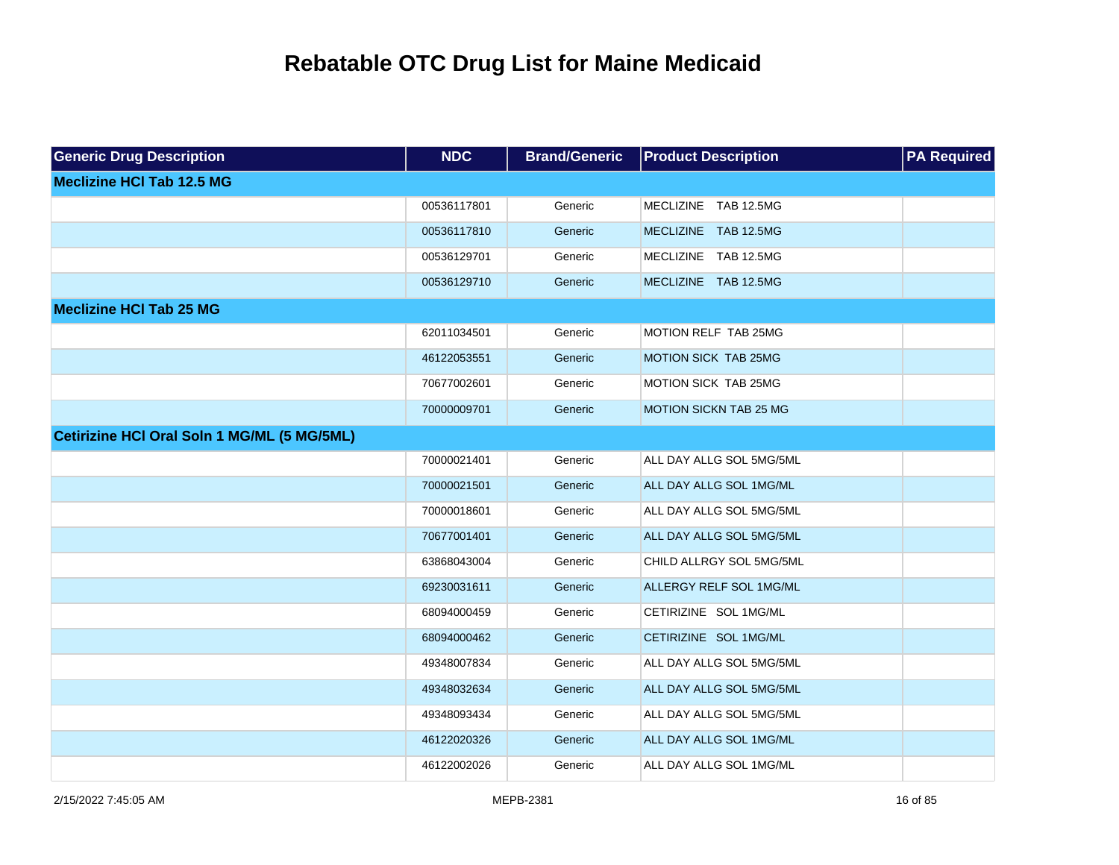| <b>Generic Drug Description</b>                    | <b>NDC</b>  | <b>Brand/Generic</b> | <b>Product Description</b> | <b>PA</b> Required |
|----------------------------------------------------|-------------|----------------------|----------------------------|--------------------|
| <b>Meclizine HCI Tab 12.5 MG</b>                   |             |                      |                            |                    |
|                                                    | 00536117801 | Generic              | MECLIZINE TAB 12.5MG       |                    |
|                                                    | 00536117810 | Generic              | MECLIZINE TAB 12.5MG       |                    |
|                                                    | 00536129701 | Generic              | MECLIZINE TAB 12.5MG       |                    |
|                                                    | 00536129710 | Generic              | MECLIZINE TAB 12.5MG       |                    |
| <b>Meclizine HCI Tab 25 MG</b>                     |             |                      |                            |                    |
|                                                    | 62011034501 | Generic              | MOTION RELF TAB 25MG       |                    |
|                                                    | 46122053551 | Generic              | MOTION SICK TAB 25MG       |                    |
|                                                    | 70677002601 | Generic              | MOTION SICK TAB 25MG       |                    |
|                                                    | 70000009701 | Generic              | MOTION SICKN TAB 25 MG     |                    |
| <b>Cetirizine HCI Oral Soln 1 MG/ML (5 MG/5ML)</b> |             |                      |                            |                    |
|                                                    | 70000021401 | Generic              | ALL DAY ALLG SOL 5MG/5ML   |                    |
|                                                    | 70000021501 | Generic              | ALL DAY ALLG SOL 1MG/ML    |                    |
|                                                    | 70000018601 | Generic              | ALL DAY ALLG SOL 5MG/5ML   |                    |
|                                                    | 70677001401 | Generic              | ALL DAY ALLG SOL 5MG/5ML   |                    |
|                                                    | 63868043004 | Generic              | CHILD ALLRGY SOL 5MG/5ML   |                    |
|                                                    | 69230031611 | Generic              | ALLERGY RELF SOL 1MG/ML    |                    |
|                                                    | 68094000459 | Generic              | CETIRIZINE SOL 1MG/ML      |                    |
|                                                    | 68094000462 | Generic              | CETIRIZINE SOL 1MG/ML      |                    |
|                                                    | 49348007834 | Generic              | ALL DAY ALLG SOL 5MG/5ML   |                    |
|                                                    | 49348032634 | Generic              | ALL DAY ALLG SOL 5MG/5ML   |                    |
|                                                    | 49348093434 | Generic              | ALL DAY ALLG SOL 5MG/5ML   |                    |
|                                                    | 46122020326 | Generic              | ALL DAY ALLG SOL 1MG/ML    |                    |
|                                                    | 46122002026 | Generic              | ALL DAY ALLG SOL 1MG/ML    |                    |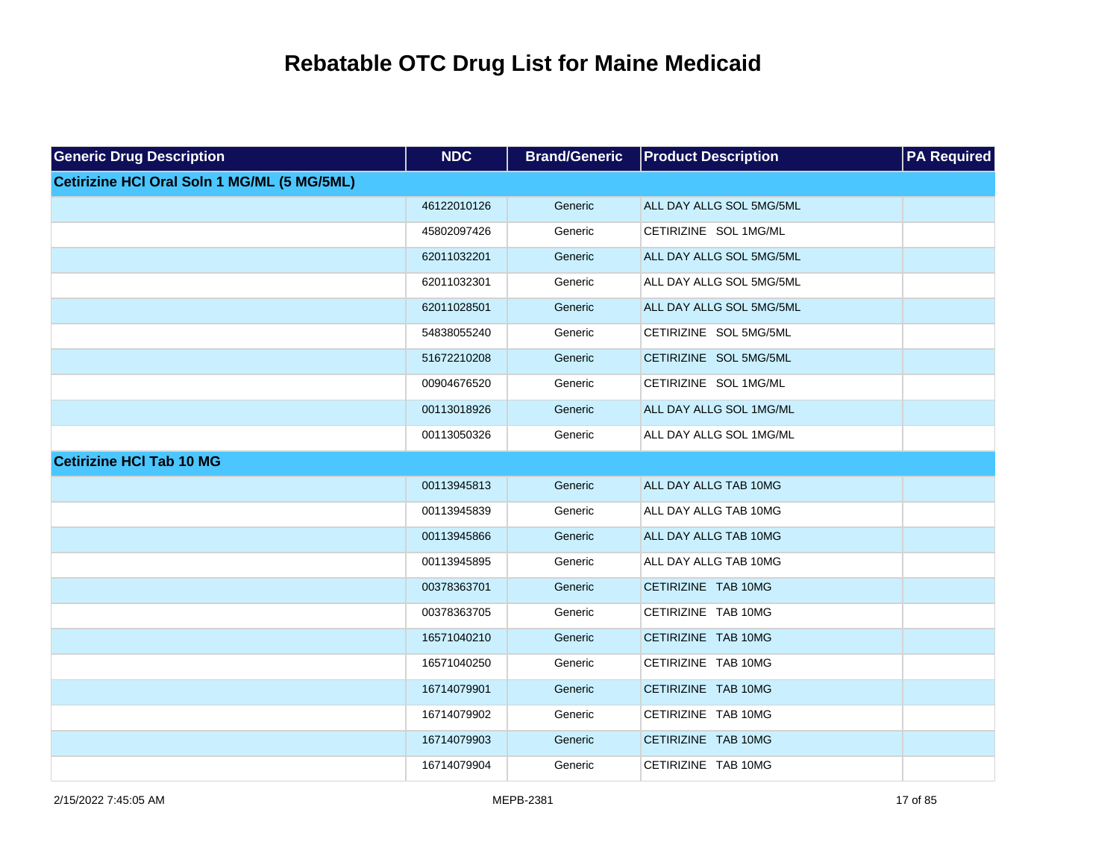| <b>Generic Drug Description</b>                    | <b>NDC</b>  | <b>Brand/Generic</b> | <b>Product Description</b> | <b>PA Required</b> |
|----------------------------------------------------|-------------|----------------------|----------------------------|--------------------|
| <b>Cetirizine HCI Oral Soln 1 MG/ML (5 MG/5ML)</b> |             |                      |                            |                    |
|                                                    | 46122010126 | Generic              | ALL DAY ALLG SOL 5MG/5ML   |                    |
|                                                    | 45802097426 | Generic              | CETIRIZINE SOL 1MG/ML      |                    |
|                                                    | 62011032201 | Generic              | ALL DAY ALLG SOL 5MG/5ML   |                    |
|                                                    | 62011032301 | Generic              | ALL DAY ALLG SOL 5MG/5ML   |                    |
|                                                    | 62011028501 | Generic              | ALL DAY ALLG SOL 5MG/5ML   |                    |
|                                                    | 54838055240 | Generic              | CETIRIZINE SOL 5MG/5ML     |                    |
|                                                    | 51672210208 | Generic              | CETIRIZINE SOL 5MG/5ML     |                    |
|                                                    | 00904676520 | Generic              | CETIRIZINE SOL 1MG/ML      |                    |
|                                                    | 00113018926 | Generic              | ALL DAY ALLG SOL 1MG/ML    |                    |
|                                                    | 00113050326 | Generic              | ALL DAY ALLG SOL 1MG/ML    |                    |
| <b>Cetirizine HCI Tab 10 MG</b>                    |             |                      |                            |                    |
|                                                    | 00113945813 | Generic              | ALL DAY ALLG TAB 10MG      |                    |
|                                                    | 00113945839 | Generic              | ALL DAY ALLG TAB 10MG      |                    |
|                                                    | 00113945866 | Generic              | ALL DAY ALLG TAB 10MG      |                    |
|                                                    | 00113945895 | Generic              | ALL DAY ALLG TAB 10MG      |                    |
|                                                    | 00378363701 | Generic              | CETIRIZINE TAB 10MG        |                    |
|                                                    | 00378363705 | Generic              | CETIRIZINE TAB 10MG        |                    |
|                                                    | 16571040210 | Generic              | CETIRIZINE TAB 10MG        |                    |
|                                                    | 16571040250 | Generic              | CETIRIZINE TAB 10MG        |                    |
|                                                    | 16714079901 | Generic              | CETIRIZINE TAB 10MG        |                    |
|                                                    | 16714079902 | Generic              | CETIRIZINE TAB 10MG        |                    |
|                                                    | 16714079903 | Generic              | CETIRIZINE TAB 10MG        |                    |
|                                                    | 16714079904 | Generic              | CETIRIZINE TAB 10MG        |                    |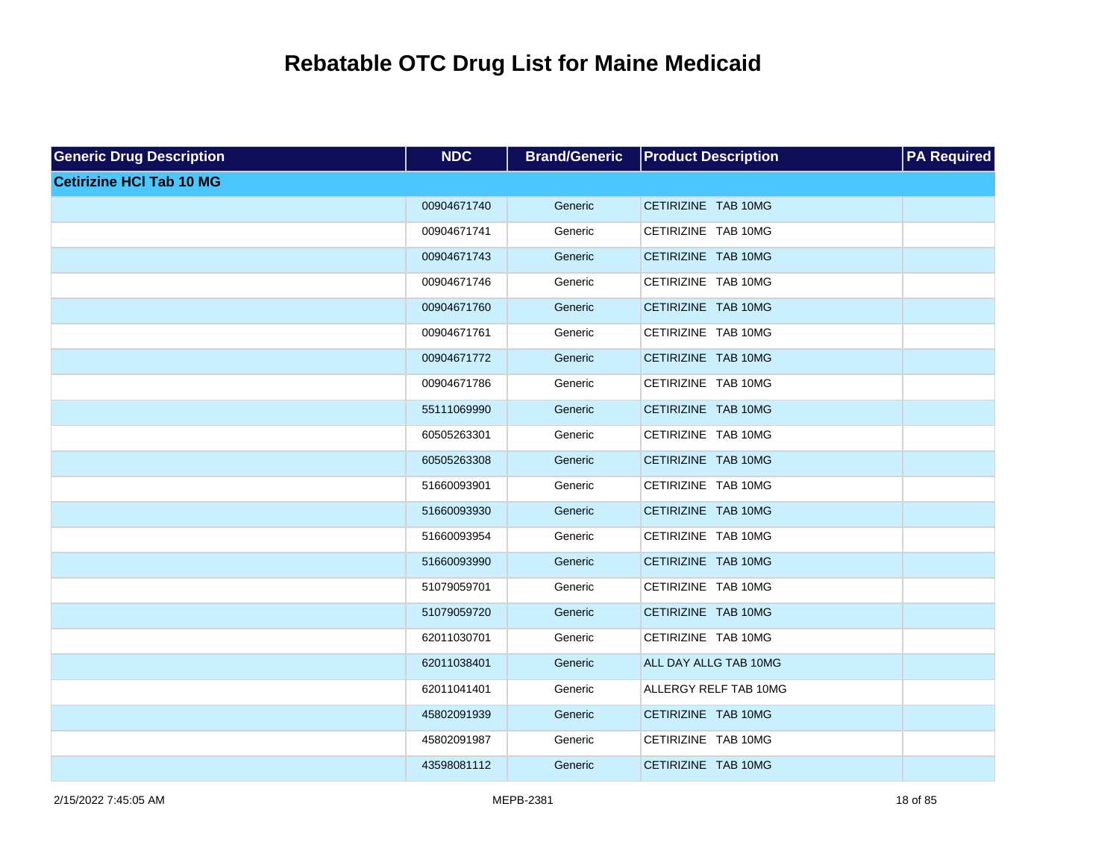| <b>Generic Drug Description</b> | <b>NDC</b>  | <b>Brand/Generic</b> | <b>Product Description</b> | <b>PA Required</b> |
|---------------------------------|-------------|----------------------|----------------------------|--------------------|
| <b>Cetirizine HCI Tab 10 MG</b> |             |                      |                            |                    |
|                                 | 00904671740 | Generic              | CETIRIZINE TAB 10MG        |                    |
|                                 | 00904671741 | Generic              | CETIRIZINE TAB 10MG        |                    |
|                                 | 00904671743 | Generic              | CETIRIZINE TAB 10MG        |                    |
|                                 | 00904671746 | Generic              | CETIRIZINE TAB 10MG        |                    |
|                                 | 00904671760 | Generic              | CETIRIZINE TAB 10MG        |                    |
|                                 | 00904671761 | Generic              | CETIRIZINE TAB 10MG        |                    |
|                                 | 00904671772 | Generic              | CETIRIZINE TAB 10MG        |                    |
|                                 | 00904671786 | Generic              | CETIRIZINE TAB 10MG        |                    |
|                                 | 55111069990 | Generic              | CETIRIZINE TAB 10MG        |                    |
|                                 | 60505263301 | Generic              | CETIRIZINE TAB 10MG        |                    |
|                                 | 60505263308 | Generic              | CETIRIZINE TAB 10MG        |                    |
|                                 | 51660093901 | Generic              | CETIRIZINE TAB 10MG        |                    |
|                                 | 51660093930 | Generic              | CETIRIZINE TAB 10MG        |                    |
|                                 | 51660093954 | Generic              | CETIRIZINE TAB 10MG        |                    |
|                                 | 51660093990 | Generic              | CETIRIZINE TAB 10MG        |                    |
|                                 | 51079059701 | Generic              | CETIRIZINE TAB 10MG        |                    |
|                                 | 51079059720 | Generic              | CETIRIZINE TAB 10MG        |                    |
|                                 | 62011030701 | Generic              | CETIRIZINE TAB 10MG        |                    |
|                                 | 62011038401 | Generic              | ALL DAY ALLG TAB 10MG      |                    |
|                                 | 62011041401 | Generic              | ALLERGY RELF TAB 10MG      |                    |
|                                 | 45802091939 | Generic              | CETIRIZINE TAB 10MG        |                    |
|                                 | 45802091987 | Generic              | CETIRIZINE TAB 10MG        |                    |
|                                 | 43598081112 | Generic              | CETIRIZINE TAB 10MG        |                    |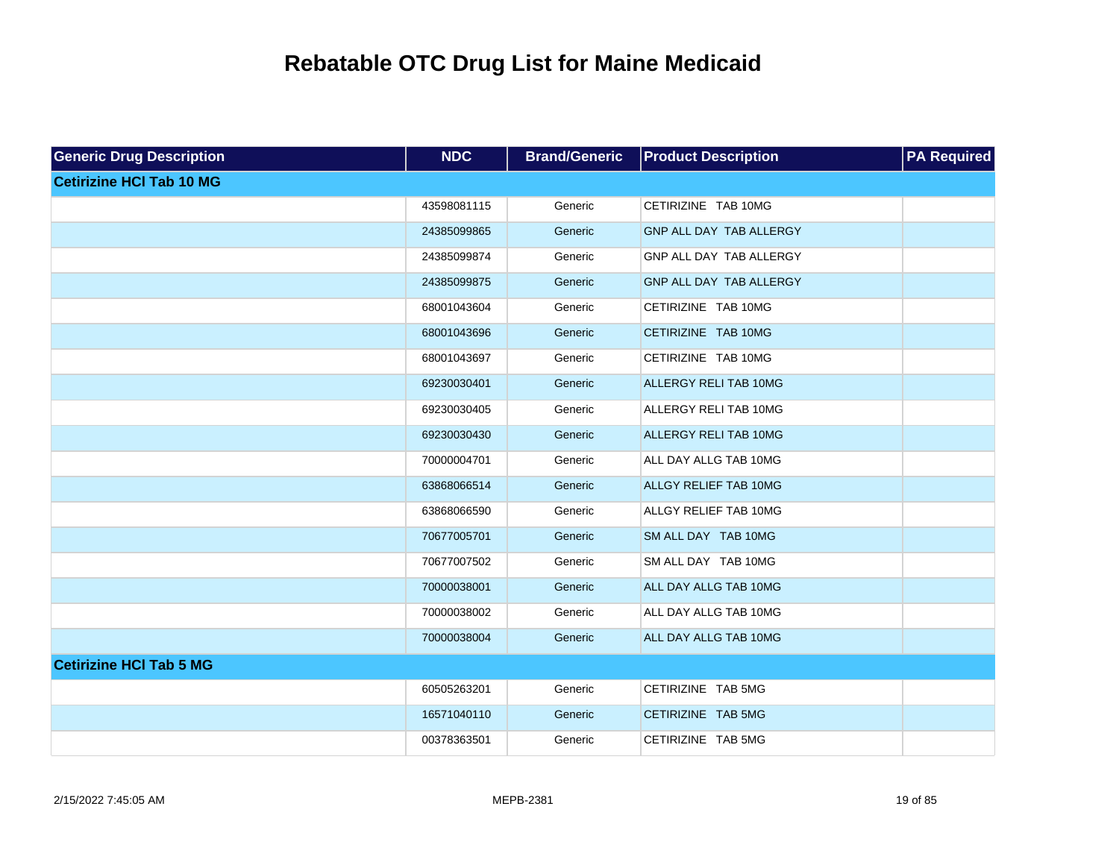| <b>Generic Drug Description</b> | <b>NDC</b>  | <b>Brand/Generic</b> | <b>Product Description</b> | <b>PA Required</b> |
|---------------------------------|-------------|----------------------|----------------------------|--------------------|
| <b>Cetirizine HCI Tab 10 MG</b> |             |                      |                            |                    |
|                                 | 43598081115 | Generic              | CETIRIZINE TAB 10MG        |                    |
|                                 | 24385099865 | Generic              | GNP ALL DAY TAB ALLERGY    |                    |
|                                 | 24385099874 | Generic              | GNP ALL DAY TAB ALLERGY    |                    |
|                                 | 24385099875 | Generic              | GNP ALL DAY TAB ALLERGY    |                    |
|                                 | 68001043604 | Generic              | CETIRIZINE TAB 10MG        |                    |
|                                 | 68001043696 | Generic              | CETIRIZINE TAB 10MG        |                    |
|                                 | 68001043697 | Generic              | CETIRIZINE TAB 10MG        |                    |
|                                 | 69230030401 | Generic              | ALLERGY RELI TAB 10MG      |                    |
|                                 | 69230030405 | Generic              | ALLERGY RELI TAB 10MG      |                    |
|                                 | 69230030430 | Generic              | ALLERGY RELI TAB 10MG      |                    |
|                                 | 70000004701 | Generic              | ALL DAY ALLG TAB 10MG      |                    |
|                                 | 63868066514 | Generic              | ALLGY RELIEF TAB 10MG      |                    |
|                                 | 63868066590 | Generic              | ALLGY RELIEF TAB 10MG      |                    |
|                                 | 70677005701 | Generic              | SM ALL DAY TAB 10MG        |                    |
|                                 | 70677007502 | Generic              | SM ALL DAY TAB 10MG        |                    |
|                                 | 70000038001 | Generic              | ALL DAY ALLG TAB 10MG      |                    |
|                                 | 70000038002 | Generic              | ALL DAY ALLG TAB 10MG      |                    |
|                                 | 70000038004 | Generic              | ALL DAY ALLG TAB 10MG      |                    |
| <b>Cetirizine HCI Tab 5 MG</b>  |             |                      |                            |                    |
|                                 | 60505263201 | Generic              | CETIRIZINE TAB 5MG         |                    |
|                                 | 16571040110 | Generic              | CETIRIZINE TAB 5MG         |                    |
|                                 | 00378363501 | Generic              | CETIRIZINE TAB 5MG         |                    |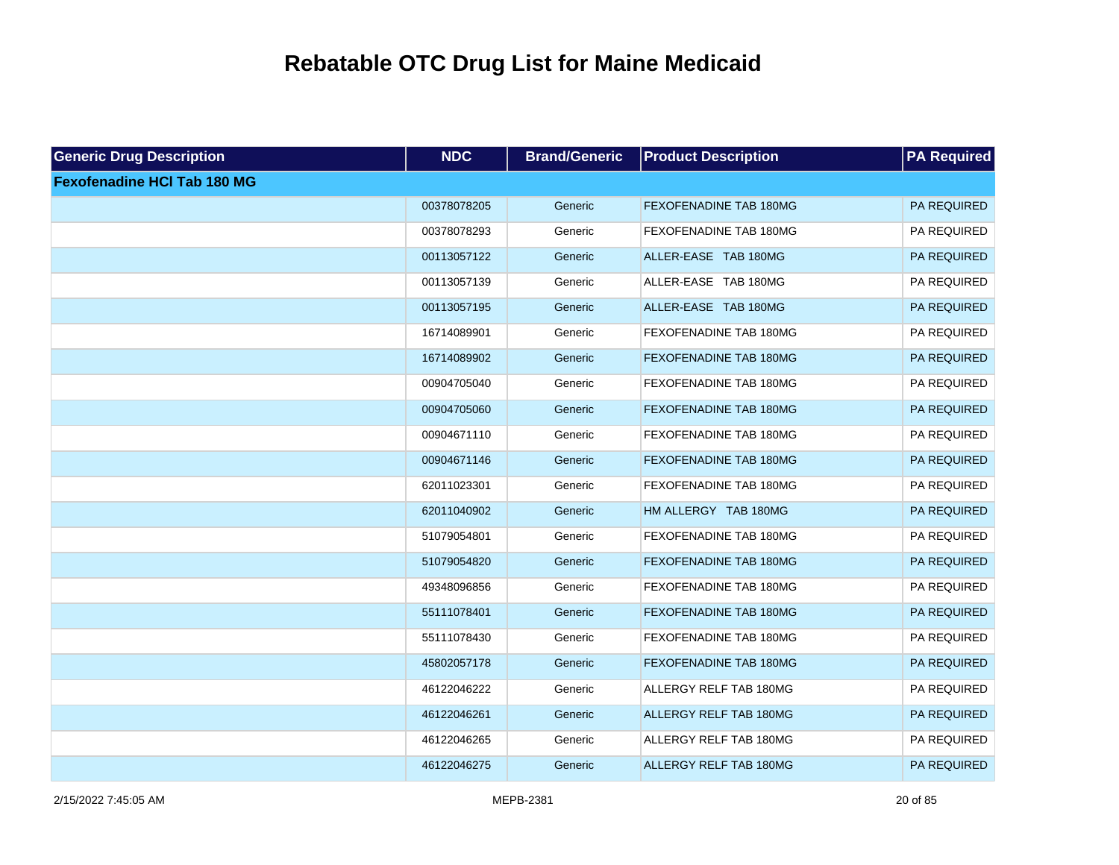| <b>Generic Drug Description</b>    | <b>NDC</b>  | <b>Brand/Generic</b> | <b>Product Description</b>    | <b>PA Required</b> |
|------------------------------------|-------------|----------------------|-------------------------------|--------------------|
| <b>Fexofenadine HCI Tab 180 MG</b> |             |                      |                               |                    |
|                                    | 00378078205 | Generic              | <b>FEXOFENADINE TAB 180MG</b> | PA REQUIRED        |
|                                    | 00378078293 | Generic              | FEXOFENADINE TAB 180MG        | PA REQUIRED        |
|                                    | 00113057122 | Generic              | ALLER-EASE TAB 180MG          | PA REQUIRED        |
|                                    | 00113057139 | Generic              | ALLER-EASE TAB 180MG          | PA REQUIRED        |
|                                    | 00113057195 | Generic              | ALLER-EASE TAB 180MG          | PA REQUIRED        |
|                                    | 16714089901 | Generic              | FEXOFENADINE TAB 180MG        | PA REQUIRED        |
|                                    | 16714089902 | Generic              | <b>FEXOFENADINE TAB 180MG</b> | PA REQUIRED        |
|                                    | 00904705040 | Generic              | FEXOFENADINE TAB 180MG        | PA REQUIRED        |
|                                    | 00904705060 | Generic              | <b>FEXOFENADINE TAB 180MG</b> | PA REQUIRED        |
|                                    | 00904671110 | Generic              | FEXOFENADINE TAB 180MG        | PA REQUIRED        |
|                                    | 00904671146 | Generic              | FEXOFENADINE TAB 180MG        | PA REQUIRED        |
|                                    | 62011023301 | Generic              | FEXOFENADINE TAB 180MG        | PA REQUIRED        |
|                                    | 62011040902 | Generic              | HM ALLERGY TAB 180MG          | PA REQUIRED        |
|                                    | 51079054801 | Generic              | FEXOFENADINE TAB 180MG        | PA REQUIRED        |
|                                    | 51079054820 | Generic              | <b>FEXOFENADINE TAB 180MG</b> | PA REQUIRED        |
|                                    | 49348096856 | Generic              | FEXOFENADINE TAB 180MG        | PA REQUIRED        |
|                                    | 55111078401 | Generic              | <b>FEXOFENADINE TAB 180MG</b> | PA REQUIRED        |
|                                    | 55111078430 | Generic              | FEXOFENADINE TAB 180MG        | PA REQUIRED        |
|                                    | 45802057178 | Generic              | <b>FEXOFENADINE TAB 180MG</b> | PA REQUIRED        |
|                                    | 46122046222 | Generic              | ALLERGY RELF TAB 180MG        | PA REQUIRED        |
|                                    | 46122046261 | Generic              | <b>ALLERGY RELF TAB 180MG</b> | PA REQUIRED        |
|                                    | 46122046265 | Generic              | ALLERGY RELF TAB 180MG        | PA REQUIRED        |
|                                    | 46122046275 | Generic              | <b>ALLERGY RELF TAB 180MG</b> | PA REQUIRED        |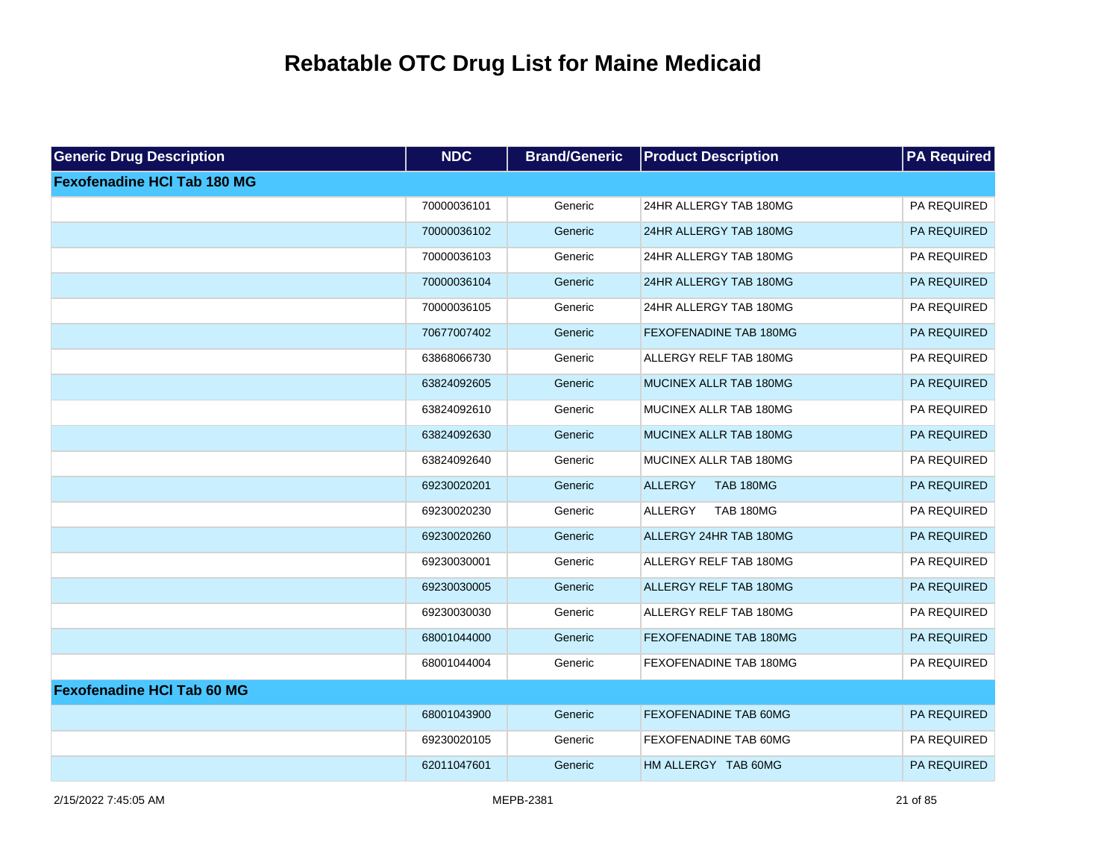| <b>Generic Drug Description</b>    | <b>NDC</b>  | <b>Brand/Generic</b> | <b>Product Description</b>         | <b>PA Required</b> |
|------------------------------------|-------------|----------------------|------------------------------------|--------------------|
| <b>Fexofenadine HCI Tab 180 MG</b> |             |                      |                                    |                    |
|                                    | 70000036101 | Generic              | 24HR ALLERGY TAB 180MG             | PA REQUIRED        |
|                                    | 70000036102 | Generic              | 24HR ALLERGY TAB 180MG             | PA REQUIRED        |
|                                    | 70000036103 | Generic              | 24HR ALLERGY TAB 180MG             | PA REQUIRED        |
|                                    | 70000036104 | Generic              | 24HR ALLERGY TAB 180MG             | PA REQUIRED        |
|                                    | 70000036105 | Generic              | 24HR ALLERGY TAB 180MG             | PA REQUIRED        |
|                                    | 70677007402 | Generic              | <b>FEXOFENADINE TAB 180MG</b>      | PA REQUIRED        |
|                                    | 63868066730 | Generic              | ALLERGY RELF TAB 180MG             | PA REQUIRED        |
|                                    | 63824092605 | Generic              | MUCINEX ALLR TAB 180MG             | PA REQUIRED        |
|                                    | 63824092610 | Generic              | MUCINEX ALLR TAB 180MG             | PA REQUIRED        |
|                                    | 63824092630 | Generic              | MUCINEX ALLR TAB 180MG             | PA REQUIRED        |
|                                    | 63824092640 | Generic              | MUCINEX ALLR TAB 180MG             | PA REQUIRED        |
|                                    | 69230020201 | Generic              | <b>ALLERGY</b><br><b>TAB 180MG</b> | PA REQUIRED        |
|                                    | 69230020230 | Generic              | <b>ALLERGY</b><br><b>TAB 180MG</b> | PA REQUIRED        |
|                                    | 69230020260 | Generic              | ALLERGY 24HR TAB 180MG             | PA REQUIRED        |
|                                    | 69230030001 | Generic              | ALLERGY RELF TAB 180MG             | PA REQUIRED        |
|                                    | 69230030005 | Generic              | ALLERGY RELF TAB 180MG             | PA REQUIRED        |
|                                    | 69230030030 | Generic              | ALLERGY RELF TAB 180MG             | PA REQUIRED        |
|                                    | 68001044000 | Generic              | FEXOFENADINE TAB 180MG             | PA REQUIRED        |
|                                    | 68001044004 | Generic              | FEXOFENADINE TAB 180MG             | PA REQUIRED        |
| <b>Fexofenadine HCI Tab 60 MG</b>  |             |                      |                                    |                    |
|                                    | 68001043900 | Generic              | <b>FEXOFENADINE TAB 60MG</b>       | PA REQUIRED        |
|                                    | 69230020105 | Generic              | FEXOFENADINE TAB 60MG              | PA REQUIRED        |
|                                    | 62011047601 | Generic              | HM ALLERGY TAB 60MG                | PA REQUIRED        |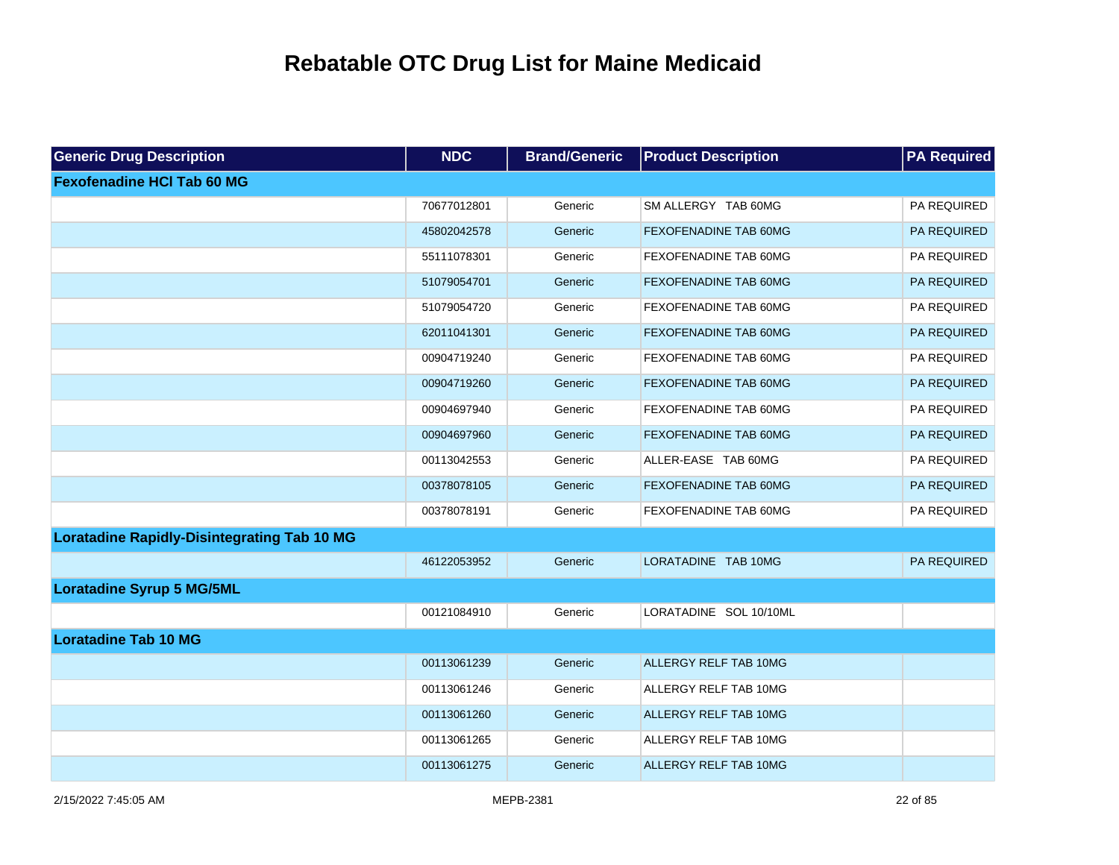| <b>Generic Drug Description</b>                    | <b>NDC</b>  | <b>Brand/Generic</b> | <b>Product Description</b>   | <b>PA Required</b> |
|----------------------------------------------------|-------------|----------------------|------------------------------|--------------------|
| <b>Fexofenadine HCI Tab 60 MG</b>                  |             |                      |                              |                    |
|                                                    | 70677012801 | Generic              | SM ALLERGY TAB 60MG          | PA REQUIRED        |
|                                                    | 45802042578 | Generic              | FEXOFENADINE TAB 60MG        | PA REQUIRED        |
|                                                    | 55111078301 | Generic              | FEXOFENADINE TAB 60MG        | PA REQUIRED        |
|                                                    | 51079054701 | Generic              | <b>FEXOFENADINE TAB 60MG</b> | PA REQUIRED        |
|                                                    | 51079054720 | Generic              | FEXOFENADINE TAB 60MG        | PA REQUIRED        |
|                                                    | 62011041301 | Generic              | <b>FEXOFENADINE TAB 60MG</b> | PA REQUIRED        |
|                                                    | 00904719240 | Generic              | FEXOFENADINE TAB 60MG        | PA REQUIRED        |
|                                                    | 00904719260 | Generic              | <b>FEXOFENADINE TAB 60MG</b> | PA REQUIRED        |
|                                                    | 00904697940 | Generic              | FEXOFENADINE TAB 60MG        | PA REQUIRED        |
|                                                    | 00904697960 | Generic              | <b>FEXOFENADINE TAB 60MG</b> | PA REQUIRED        |
|                                                    | 00113042553 | Generic              | ALLER-EASE TAB 60MG          | PA REQUIRED        |
|                                                    | 00378078105 | Generic              | <b>FEXOFENADINE TAB 60MG</b> | PA REQUIRED        |
|                                                    | 00378078191 | Generic              | FEXOFENADINE TAB 60MG        | PA REQUIRED        |
| <b>Loratadine Rapidly-Disintegrating Tab 10 MG</b> |             |                      |                              |                    |
|                                                    | 46122053952 | Generic              | LORATADINE TAB 10MG          | PA REQUIRED        |
| <b>Loratadine Syrup 5 MG/5ML</b>                   |             |                      |                              |                    |
|                                                    | 00121084910 | Generic              | LORATADINE SOL 10/10ML       |                    |
| <b>Loratadine Tab 10 MG</b>                        |             |                      |                              |                    |
|                                                    | 00113061239 | Generic              | <b>ALLERGY RELF TAB 10MG</b> |                    |
|                                                    | 00113061246 | Generic              | ALLERGY RELF TAB 10MG        |                    |
|                                                    | 00113061260 | Generic              | <b>ALLERGY RELF TAB 10MG</b> |                    |
|                                                    | 00113061265 | Generic              | ALLERGY RELF TAB 10MG        |                    |
|                                                    | 00113061275 | Generic              | ALLERGY RELF TAB 10MG        |                    |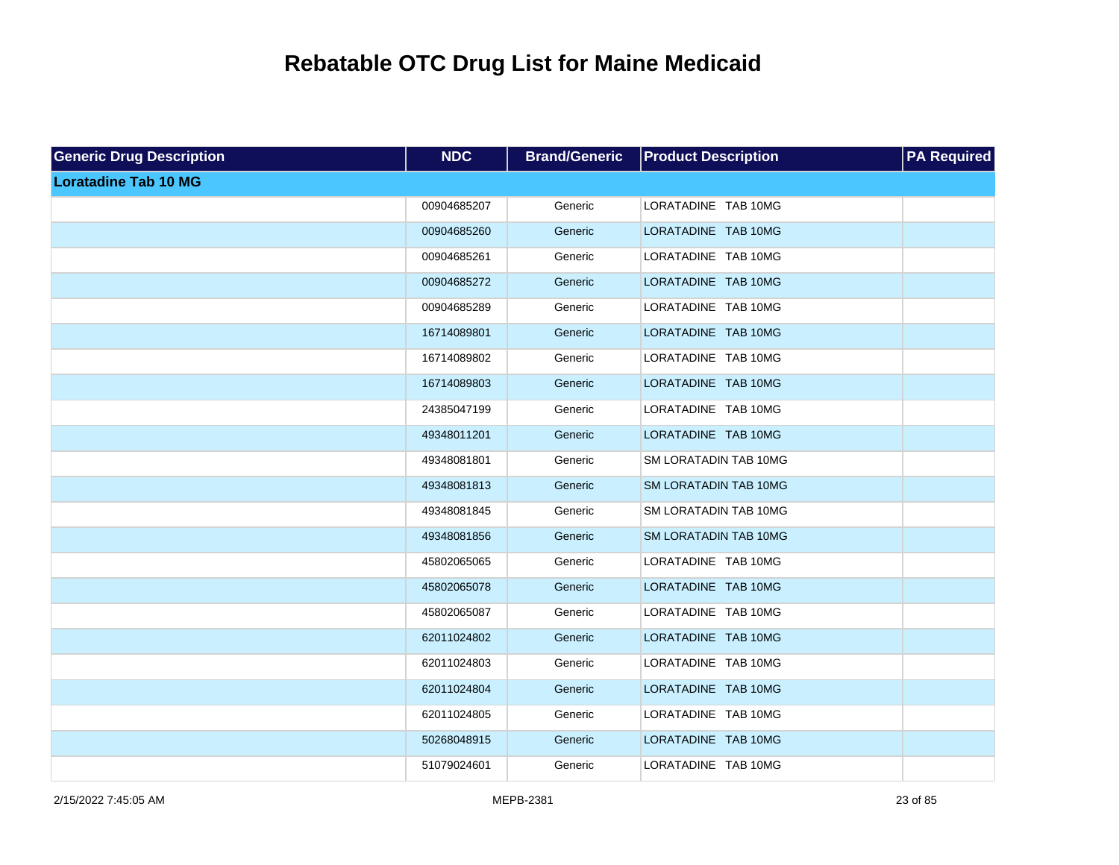| <b>Generic Drug Description</b> | <b>NDC</b>  | <b>Brand/Generic</b> | <b>Product Description</b>   | <b>PA Required</b> |
|---------------------------------|-------------|----------------------|------------------------------|--------------------|
| <b>Loratadine Tab 10 MG</b>     |             |                      |                              |                    |
|                                 | 00904685207 | Generic              | LORATADINE TAB 10MG          |                    |
|                                 | 00904685260 | Generic              | LORATADINE TAB 10MG          |                    |
|                                 | 00904685261 | Generic              | LORATADINE TAB 10MG          |                    |
|                                 | 00904685272 | Generic              | LORATADINE TAB 10MG          |                    |
|                                 | 00904685289 | Generic              | LORATADINE TAB 10MG          |                    |
|                                 | 16714089801 | Generic              | LORATADINE TAB 10MG          |                    |
|                                 | 16714089802 | Generic              | LORATADINE TAB 10MG          |                    |
|                                 | 16714089803 | Generic              | LORATADINE TAB 10MG          |                    |
|                                 | 24385047199 | Generic              | LORATADINE TAB 10MG          |                    |
|                                 | 49348011201 | Generic              | LORATADINE TAB 10MG          |                    |
|                                 | 49348081801 | Generic              | SM LORATADIN TAB 10MG        |                    |
|                                 | 49348081813 | Generic              | <b>SM LORATADIN TAB 10MG</b> |                    |
|                                 | 49348081845 | Generic              | <b>SM LORATADIN TAB 10MG</b> |                    |
|                                 | 49348081856 | Generic              | <b>SM LORATADIN TAB 10MG</b> |                    |
|                                 | 45802065065 | Generic              | LORATADINE TAB 10MG          |                    |
|                                 | 45802065078 | Generic              | LORATADINE TAB 10MG          |                    |
|                                 | 45802065087 | Generic              | LORATADINE TAB 10MG          |                    |
|                                 | 62011024802 | Generic              | LORATADINE TAB 10MG          |                    |
|                                 | 62011024803 | Generic              | LORATADINE TAB 10MG          |                    |
|                                 | 62011024804 | Generic              | LORATADINE TAB 10MG          |                    |
|                                 | 62011024805 | Generic              | LORATADINE TAB 10MG          |                    |
|                                 | 50268048915 | Generic              | LORATADINE TAB 10MG          |                    |
|                                 | 51079024601 | Generic              | LORATADINE TAB 10MG          |                    |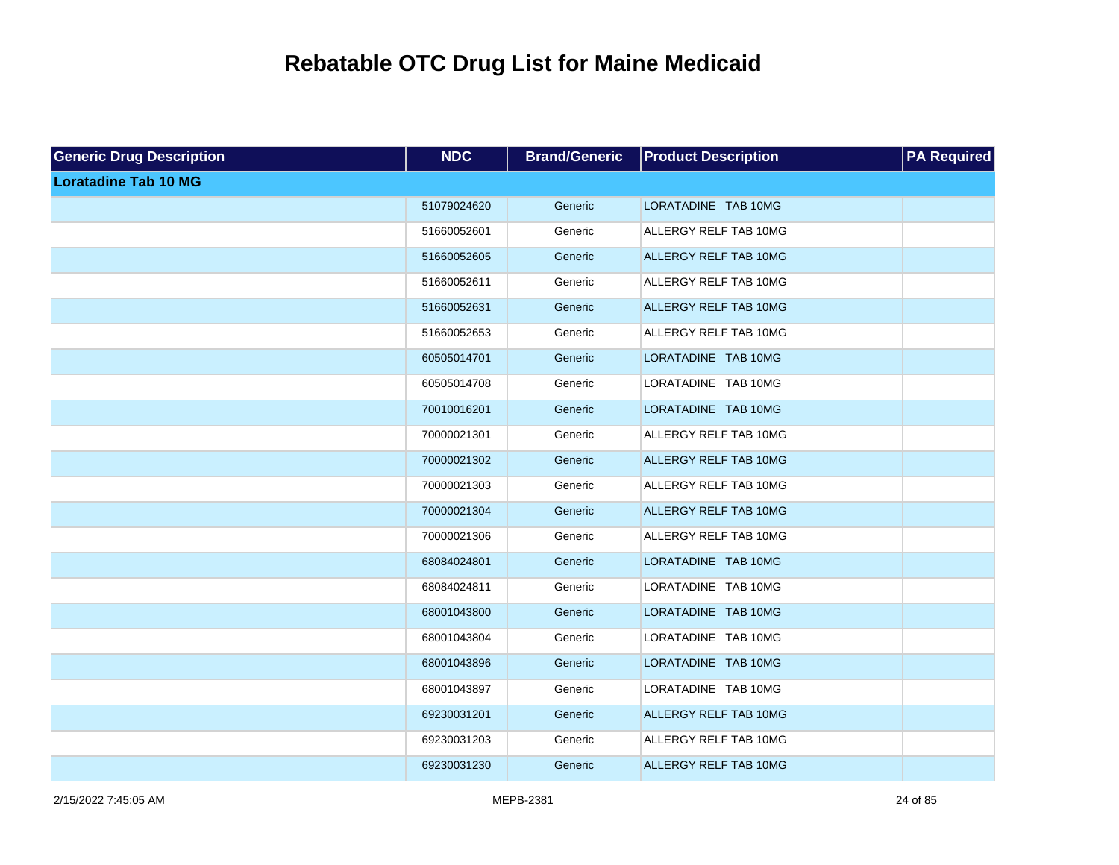| <b>Generic Drug Description</b> | <b>NDC</b>  | <b>Brand/Generic</b> | <b>Product Description</b> | <b>PA Required</b> |
|---------------------------------|-------------|----------------------|----------------------------|--------------------|
| <b>Loratadine Tab 10 MG</b>     |             |                      |                            |                    |
|                                 | 51079024620 | Generic              | LORATADINE TAB 10MG        |                    |
|                                 | 51660052601 | Generic              | ALLERGY RELF TAB 10MG      |                    |
|                                 | 51660052605 | Generic              | ALLERGY RELF TAB 10MG      |                    |
|                                 | 51660052611 | Generic              | ALLERGY RELF TAB 10MG      |                    |
|                                 | 51660052631 | Generic              | ALLERGY RELF TAB 10MG      |                    |
|                                 | 51660052653 | Generic              | ALLERGY RELF TAB 10MG      |                    |
|                                 | 60505014701 | Generic              | LORATADINE TAB 10MG        |                    |
|                                 | 60505014708 | Generic              | LORATADINE TAB 10MG        |                    |
|                                 | 70010016201 | Generic              | LORATADINE TAB 10MG        |                    |
|                                 | 70000021301 | Generic              | ALLERGY RELF TAB 10MG      |                    |
|                                 | 70000021302 | Generic              | ALLERGY RELF TAB 10MG      |                    |
|                                 | 70000021303 | Generic              | ALLERGY RELF TAB 10MG      |                    |
|                                 | 70000021304 | Generic              | ALLERGY RELF TAB 10MG      |                    |
|                                 | 70000021306 | Generic              | ALLERGY RELF TAB 10MG      |                    |
|                                 | 68084024801 | Generic              | LORATADINE TAB 10MG        |                    |
|                                 | 68084024811 | Generic              | LORATADINE TAB 10MG        |                    |
|                                 | 68001043800 | Generic              | LORATADINE TAB 10MG        |                    |
|                                 | 68001043804 | Generic              | LORATADINE TAB 10MG        |                    |
|                                 | 68001043896 | Generic              | LORATADINE TAB 10MG        |                    |
|                                 | 68001043897 | Generic              | LORATADINE TAB 10MG        |                    |
|                                 | 69230031201 | Generic              | ALLERGY RELF TAB 10MG      |                    |
|                                 | 69230031203 | Generic              | ALLERGY RELF TAB 10MG      |                    |
|                                 | 69230031230 | Generic              | ALLERGY RELF TAB 10MG      |                    |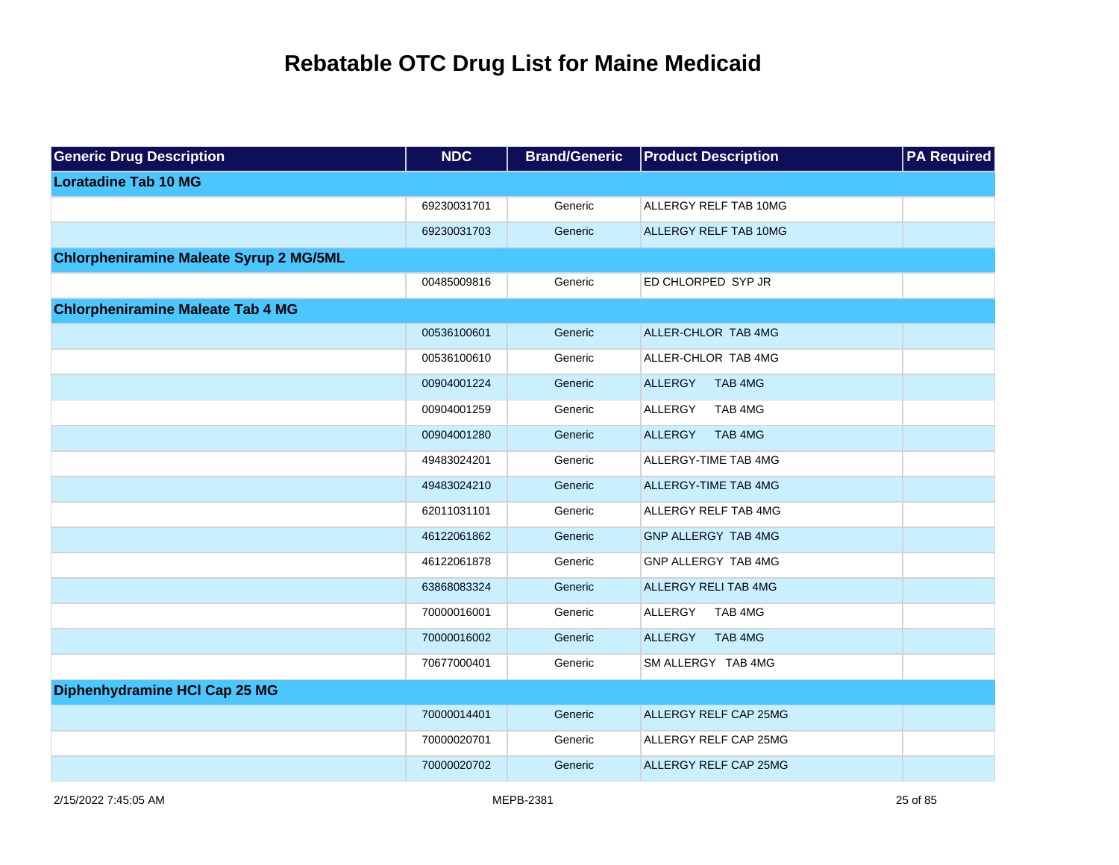| <b>Generic Drug Description</b>                | NDC         | <b>Brand/Generic</b> | <b>Product Description</b>  | <b>PA</b> Required |
|------------------------------------------------|-------------|----------------------|-----------------------------|--------------------|
| <b>Loratadine Tab 10 MG</b>                    |             |                      |                             |                    |
|                                                | 69230031701 | Generic              | ALLERGY RELF TAB 10MG       |                    |
|                                                | 69230031703 | Generic              | ALLERGY RELF TAB 10MG       |                    |
| <b>Chlorpheniramine Maleate Syrup 2 MG/5ML</b> |             |                      |                             |                    |
|                                                | 00485009816 | Generic              | ED CHLORPED SYP JR          |                    |
| <b>Chlorpheniramine Maleate Tab 4 MG</b>       |             |                      |                             |                    |
|                                                | 00536100601 | Generic              | ALLER-CHLOR TAB 4MG         |                    |
|                                                | 00536100610 | Generic              | ALLER-CHLOR TAB 4MG         |                    |
|                                                | 00904001224 | Generic              | <b>ALLERGY</b><br>TAB 4MG   |                    |
|                                                | 00904001259 | Generic              | ALLERGY<br>TAB 4MG          |                    |
|                                                | 00904001280 | Generic              | <b>ALLERGY</b><br>TAB 4MG   |                    |
|                                                | 49483024201 | Generic              | ALLERGY-TIME TAB 4MG        |                    |
|                                                | 49483024210 | Generic              | ALLERGY-TIME TAB 4MG        |                    |
|                                                | 62011031101 | Generic              | ALLERGY RELF TAB 4MG        |                    |
|                                                | 46122061862 | Generic              | GNP ALLERGY TAB 4MG         |                    |
|                                                | 46122061878 | Generic              | GNP ALLERGY TAB 4MG         |                    |
|                                                | 63868083324 | Generic              | <b>ALLERGY RELI TAB 4MG</b> |                    |
|                                                | 70000016001 | Generic              | ALLERGY<br>TAB 4MG          |                    |
|                                                | 70000016002 | Generic              | <b>ALLERGY</b><br>TAB 4MG   |                    |
|                                                | 70677000401 | Generic              | SM ALLERGY TAB 4MG          |                    |
| Diphenhydramine HCI Cap 25 MG                  |             |                      |                             |                    |
|                                                | 70000014401 | Generic              | ALLERGY RELF CAP 25MG       |                    |
|                                                | 70000020701 | Generic              | ALLERGY RELF CAP 25MG       |                    |
|                                                | 70000020702 | Generic              | ALLERGY RELF CAP 25MG       |                    |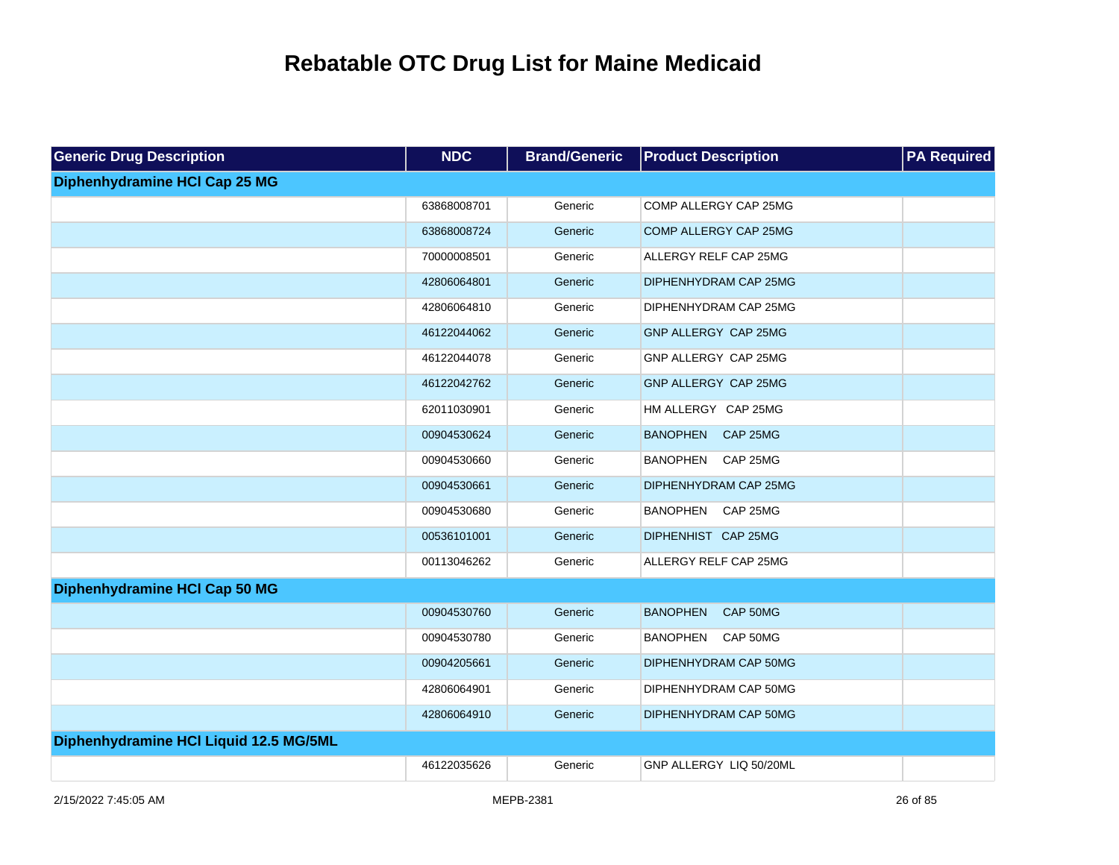| <b>Generic Drug Description</b>        | <b>NDC</b>  | <b>Brand/Generic</b> | <b>Product Description</b>  | <b>PA Required</b> |
|----------------------------------------|-------------|----------------------|-----------------------------|--------------------|
| Diphenhydramine HCI Cap 25 MG          |             |                      |                             |                    |
|                                        | 63868008701 | Generic              | COMP ALLERGY CAP 25MG       |                    |
|                                        | 63868008724 | Generic              | COMP ALLERGY CAP 25MG       |                    |
|                                        | 70000008501 | Generic              | ALLERGY RELF CAP 25MG       |                    |
|                                        | 42806064801 | Generic              | DIPHENHYDRAM CAP 25MG       |                    |
|                                        | 42806064810 | Generic              | DIPHENHYDRAM CAP 25MG       |                    |
|                                        | 46122044062 | Generic              | GNP ALLERGY CAP 25MG        |                    |
|                                        | 46122044078 | Generic              | GNP ALLERGY CAP 25MG        |                    |
|                                        | 46122042762 | Generic              | GNP ALLERGY CAP 25MG        |                    |
|                                        | 62011030901 | Generic              | HM ALLERGY CAP 25MG         |                    |
|                                        | 00904530624 | Generic              | <b>BANOPHEN</b><br>CAP 25MG |                    |
|                                        | 00904530660 | Generic              | <b>BANOPHEN</b><br>CAP 25MG |                    |
|                                        | 00904530661 | Generic              | DIPHENHYDRAM CAP 25MG       |                    |
|                                        | 00904530680 | Generic              | BANOPHEN CAP 25MG           |                    |
|                                        | 00536101001 | Generic              | DIPHENHIST CAP 25MG         |                    |
|                                        | 00113046262 | Generic              | ALLERGY RELF CAP 25MG       |                    |
| Diphenhydramine HCI Cap 50 MG          |             |                      |                             |                    |
|                                        | 00904530760 | Generic              | <b>BANOPHEN</b><br>CAP 50MG |                    |
|                                        | 00904530780 | Generic              | <b>BANOPHEN</b><br>CAP 50MG |                    |
|                                        | 00904205661 | Generic              | DIPHENHYDRAM CAP 50MG       |                    |
|                                        | 42806064901 | Generic              | DIPHENHYDRAM CAP 50MG       |                    |
|                                        | 42806064910 | Generic              | DIPHENHYDRAM CAP 50MG       |                    |
| Diphenhydramine HCI Liquid 12.5 MG/5ML |             |                      |                             |                    |
|                                        | 46122035626 | Generic              | GNP ALLERGY LIQ 50/20ML     |                    |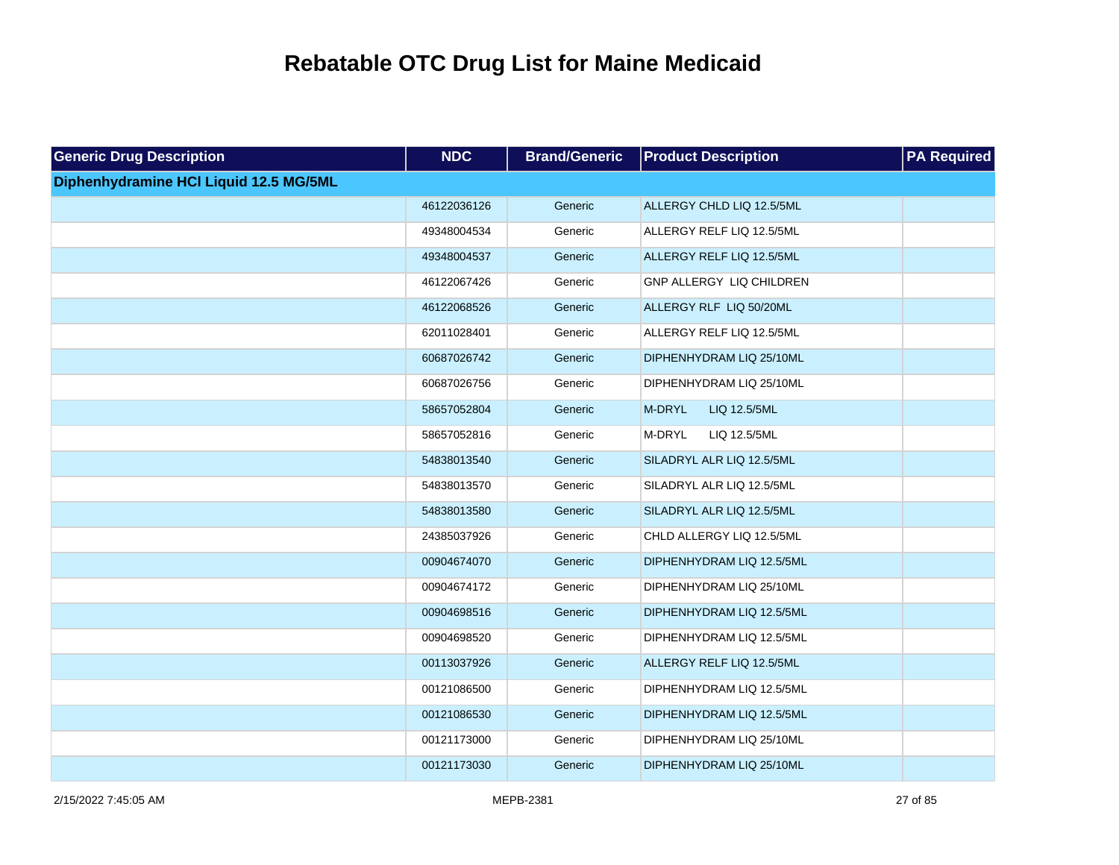| <b>Generic Drug Description</b>        | <b>NDC</b>  | <b>Brand/Generic</b> | <b>Product Description</b> | <b>PA Required</b> |
|----------------------------------------|-------------|----------------------|----------------------------|--------------------|
| Diphenhydramine HCI Liquid 12.5 MG/5ML |             |                      |                            |                    |
|                                        | 46122036126 | Generic              | ALLERGY CHLD LIQ 12.5/5ML  |                    |
|                                        | 49348004534 | Generic              | ALLERGY RELF LIQ 12.5/5ML  |                    |
|                                        | 49348004537 | Generic              | ALLERGY RELF LIQ 12.5/5ML  |                    |
|                                        | 46122067426 | Generic              | GNP ALLERGY LIQ CHILDREN   |                    |
|                                        | 46122068526 | Generic              | ALLERGY RLF LIQ 50/20ML    |                    |
|                                        | 62011028401 | Generic              | ALLERGY RELF LIQ 12.5/5ML  |                    |
|                                        | 60687026742 | Generic              | DIPHENHYDRAM LIQ 25/10ML   |                    |
|                                        | 60687026756 | Generic              | DIPHENHYDRAM LIQ 25/10ML   |                    |
|                                        | 58657052804 | Generic              | M-DRYL<br>LIQ 12.5/5ML     |                    |
|                                        | 58657052816 | Generic              | M-DRYL<br>LIQ 12.5/5ML     |                    |
|                                        | 54838013540 | Generic              | SILADRYL ALR LIQ 12.5/5ML  |                    |
|                                        | 54838013570 | Generic              | SILADRYL ALR LIQ 12.5/5ML  |                    |
|                                        | 54838013580 | Generic              | SILADRYL ALR LIQ 12.5/5ML  |                    |
|                                        | 24385037926 | Generic              | CHLD ALLERGY LIQ 12.5/5ML  |                    |
|                                        | 00904674070 | Generic              | DIPHENHYDRAM LIQ 12.5/5ML  |                    |
|                                        | 00904674172 | Generic              | DIPHENHYDRAM LIQ 25/10ML   |                    |
|                                        | 00904698516 | Generic              | DIPHENHYDRAM LIQ 12.5/5ML  |                    |
|                                        | 00904698520 | Generic              | DIPHENHYDRAM LIQ 12.5/5ML  |                    |
|                                        | 00113037926 | Generic              | ALLERGY RELF LIQ 12.5/5ML  |                    |
|                                        | 00121086500 | Generic              | DIPHENHYDRAM LIQ 12.5/5ML  |                    |
|                                        | 00121086530 | Generic              | DIPHENHYDRAM LIQ 12.5/5ML  |                    |
|                                        | 00121173000 | Generic              | DIPHENHYDRAM LIQ 25/10ML   |                    |
|                                        | 00121173030 | Generic              | DIPHENHYDRAM LIQ 25/10ML   |                    |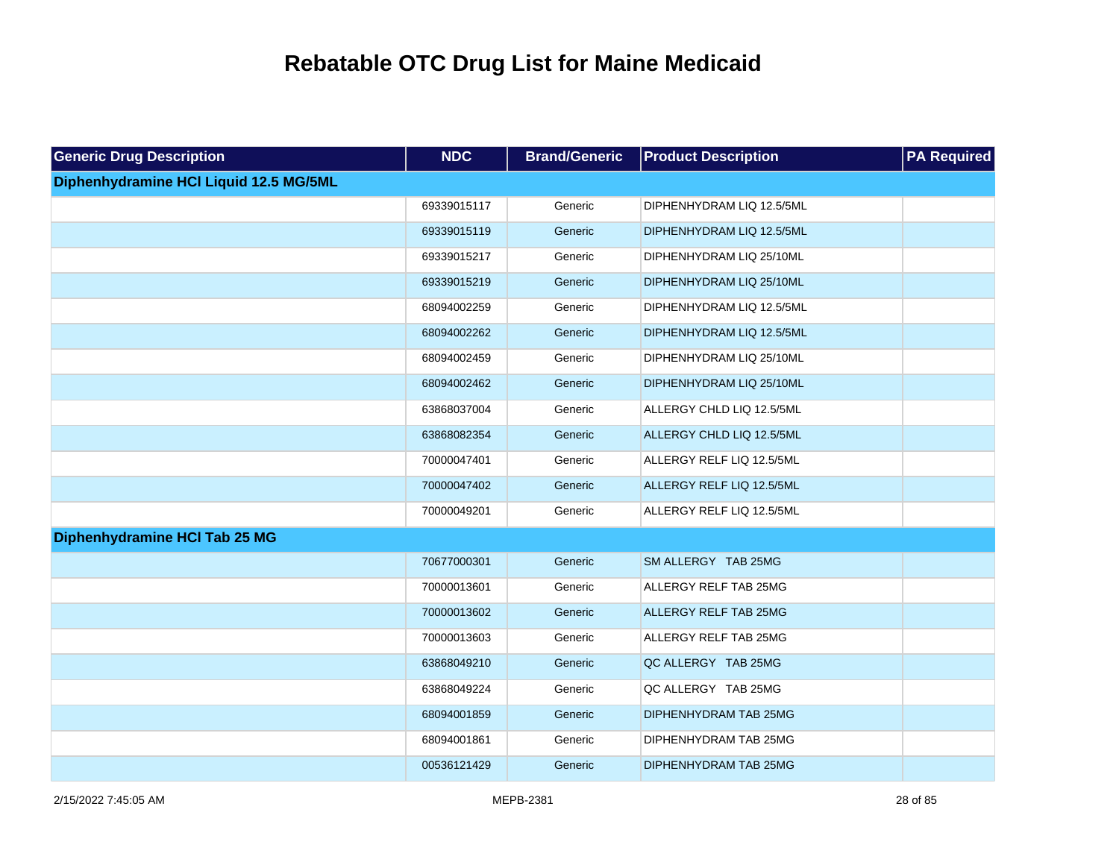| <b>Generic Drug Description</b>        | <b>NDC</b>  | <b>Brand/Generic</b> | <b>Product Description</b>   | <b>PA Required</b> |
|----------------------------------------|-------------|----------------------|------------------------------|--------------------|
| Diphenhydramine HCI Liquid 12.5 MG/5ML |             |                      |                              |                    |
|                                        | 69339015117 | Generic              | DIPHENHYDRAM LIQ 12.5/5ML    |                    |
|                                        | 69339015119 | Generic              | DIPHENHYDRAM LIQ 12.5/5ML    |                    |
|                                        | 69339015217 | Generic              | DIPHENHYDRAM LIQ 25/10ML     |                    |
|                                        | 69339015219 | Generic              | DIPHENHYDRAM LIQ 25/10ML     |                    |
|                                        | 68094002259 | Generic              | DIPHENHYDRAM LIQ 12.5/5ML    |                    |
|                                        | 68094002262 | Generic              | DIPHENHYDRAM LIQ 12.5/5ML    |                    |
|                                        | 68094002459 | Generic              | DIPHENHYDRAM LIQ 25/10ML     |                    |
|                                        | 68094002462 | Generic              | DIPHENHYDRAM LIQ 25/10ML     |                    |
|                                        | 63868037004 | Generic              | ALLERGY CHLD LIQ 12.5/5ML    |                    |
|                                        | 63868082354 | Generic              | ALLERGY CHLD LIQ 12.5/5ML    |                    |
|                                        | 70000047401 | Generic              | ALLERGY RELF LIQ 12.5/5ML    |                    |
|                                        | 70000047402 | Generic              | ALLERGY RELF LIQ 12.5/5ML    |                    |
|                                        | 70000049201 | Generic              | ALLERGY RELF LIQ 12.5/5ML    |                    |
| Diphenhydramine HCI Tab 25 MG          |             |                      |                              |                    |
|                                        | 70677000301 | Generic              | SM ALLERGY TAB 25MG          |                    |
|                                        | 70000013601 | Generic              | ALLERGY RELF TAB 25MG        |                    |
|                                        | 70000013602 | Generic              | <b>ALLERGY RELF TAB 25MG</b> |                    |
|                                        | 70000013603 | Generic              | ALLERGY RELF TAB 25MG        |                    |
|                                        | 63868049210 | Generic              | QC ALLERGY TAB 25MG          |                    |
|                                        | 63868049224 | Generic              | QC ALLERGY TAB 25MG          |                    |
|                                        | 68094001859 | Generic              | DIPHENHYDRAM TAB 25MG        |                    |
|                                        | 68094001861 | Generic              | DIPHENHYDRAM TAB 25MG        |                    |
|                                        | 00536121429 | Generic              | DIPHENHYDRAM TAB 25MG        |                    |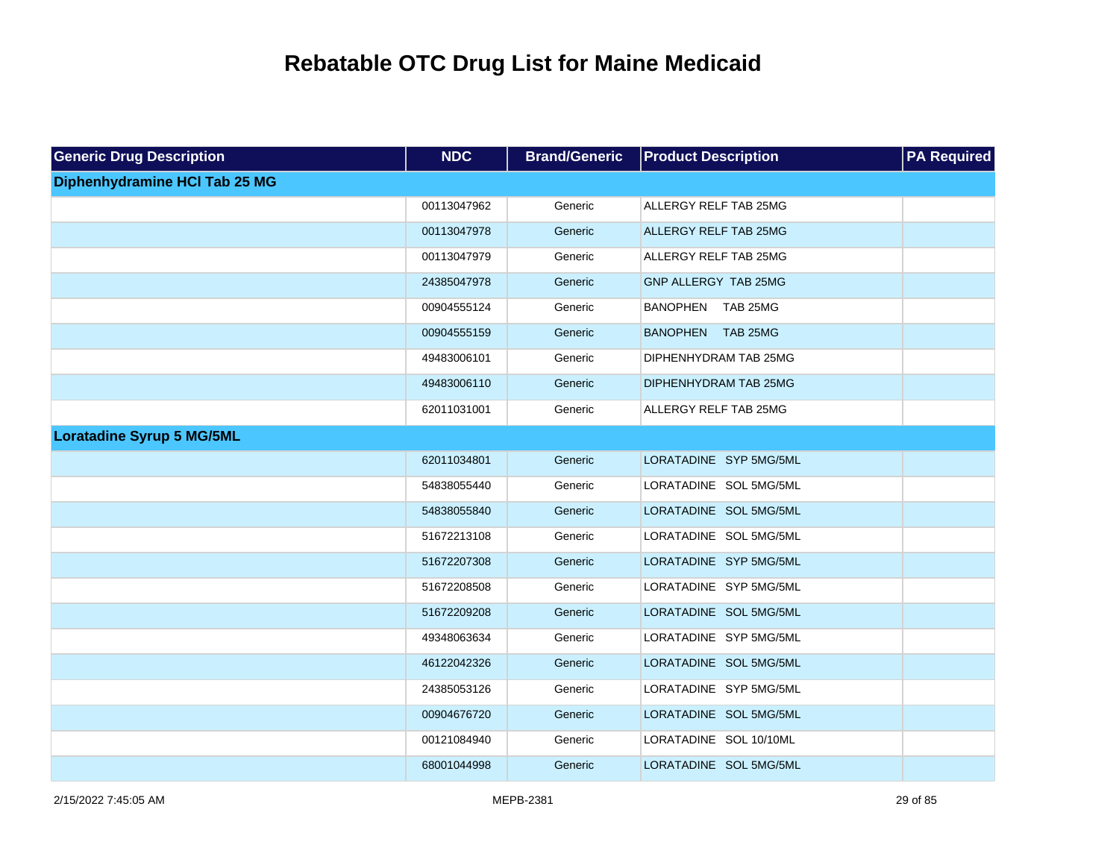| <b>Generic Drug Description</b>  | <b>NDC</b>  | <b>Brand/Generic</b> | <b>Product Description</b>   | <b>PA</b> Required |
|----------------------------------|-------------|----------------------|------------------------------|--------------------|
| Diphenhydramine HCI Tab 25 MG    |             |                      |                              |                    |
|                                  | 00113047962 | Generic              | ALLERGY RELF TAB 25MG        |                    |
|                                  | 00113047978 | Generic              | <b>ALLERGY RELF TAB 25MG</b> |                    |
|                                  | 00113047979 | Generic              | ALLERGY RELF TAB 25MG        |                    |
|                                  | 24385047978 | Generic              | GNP ALLERGY TAB 25MG         |                    |
|                                  | 00904555124 | Generic              | BANOPHEN TAB 25MG            |                    |
|                                  | 00904555159 | Generic              | BANOPHEN TAB 25MG            |                    |
|                                  | 49483006101 | Generic              | DIPHENHYDRAM TAB 25MG        |                    |
|                                  | 49483006110 | Generic              | DIPHENHYDRAM TAB 25MG        |                    |
|                                  | 62011031001 | Generic              | ALLERGY RELF TAB 25MG        |                    |
| <b>Loratadine Syrup 5 MG/5ML</b> |             |                      |                              |                    |
|                                  | 62011034801 | Generic              | LORATADINE SYP 5MG/5ML       |                    |
|                                  | 54838055440 | Generic              | LORATADINE SOL 5MG/5ML       |                    |
|                                  | 54838055840 | Generic              | LORATADINE SOL 5MG/5ML       |                    |
|                                  | 51672213108 | Generic              | LORATADINE SOL 5MG/5ML       |                    |
|                                  | 51672207308 | Generic              | LORATADINE SYP 5MG/5ML       |                    |
|                                  | 51672208508 | Generic              | LORATADINE SYP 5MG/5ML       |                    |
|                                  | 51672209208 | Generic              | LORATADINE SOL 5MG/5ML       |                    |
|                                  | 49348063634 | Generic              | LORATADINE SYP 5MG/5ML       |                    |
|                                  | 46122042326 | Generic              | LORATADINE SOL 5MG/5ML       |                    |
|                                  | 24385053126 | Generic              | LORATADINE SYP 5MG/5ML       |                    |
|                                  | 00904676720 | Generic              | LORATADINE SOL 5MG/5ML       |                    |
|                                  | 00121084940 | Generic              | LORATADINE SOL 10/10ML       |                    |
|                                  | 68001044998 | Generic              | LORATADINE SOL 5MG/5ML       |                    |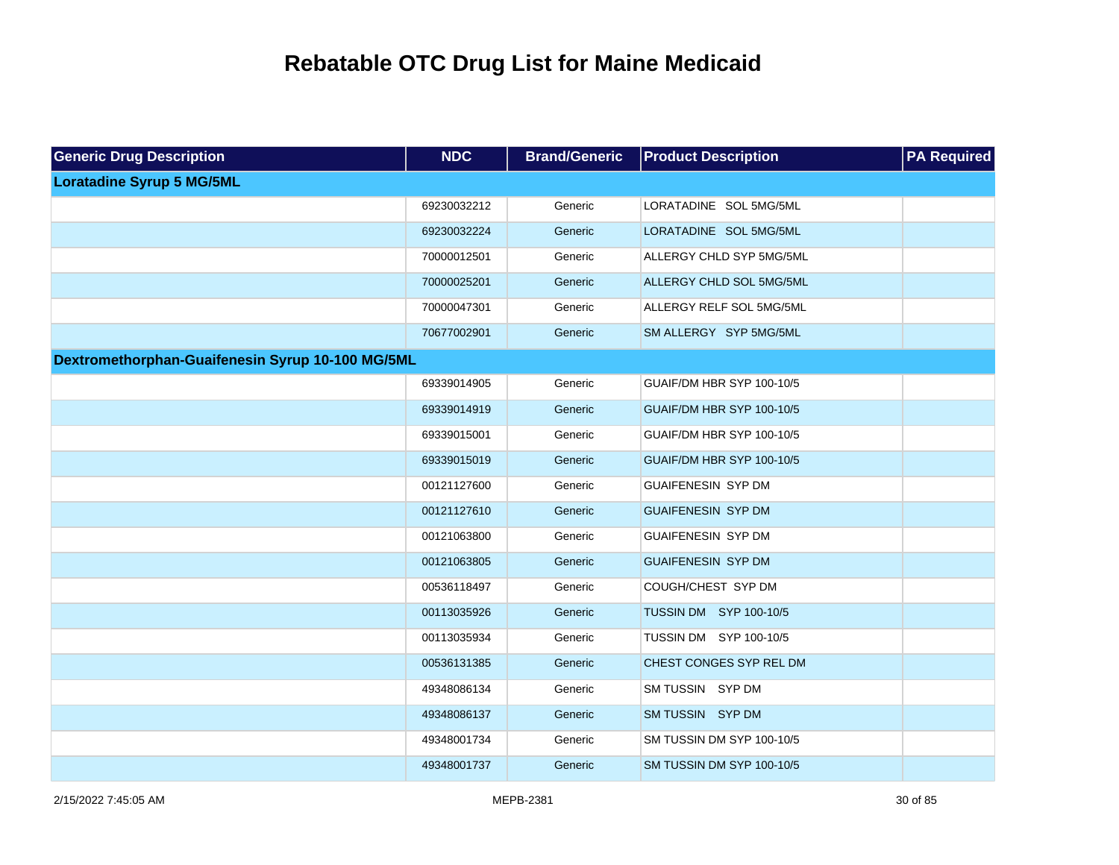| <b>Generic Drug Description</b>                  | <b>NDC</b>  | <b>Brand/Generic</b> | <b>Product Description</b> | <b>PA Required</b> |
|--------------------------------------------------|-------------|----------------------|----------------------------|--------------------|
| <b>Loratadine Syrup 5 MG/5ML</b>                 |             |                      |                            |                    |
|                                                  | 69230032212 | Generic              | LORATADINE SOL 5MG/5ML     |                    |
|                                                  | 69230032224 | Generic              | LORATADINE SOL 5MG/5ML     |                    |
|                                                  | 70000012501 | Generic              | ALLERGY CHLD SYP 5MG/5ML   |                    |
|                                                  | 70000025201 | Generic              | ALLERGY CHLD SOL 5MG/5ML   |                    |
|                                                  | 70000047301 | Generic              | ALLERGY RELF SOL 5MG/5ML   |                    |
|                                                  | 70677002901 | Generic              | SM ALLERGY SYP 5MG/5ML     |                    |
| Dextromethorphan-Guaifenesin Syrup 10-100 MG/5ML |             |                      |                            |                    |
|                                                  | 69339014905 | Generic              | GUAIF/DM HBR SYP 100-10/5  |                    |
|                                                  | 69339014919 | Generic              | GUAIF/DM HBR SYP 100-10/5  |                    |
|                                                  | 69339015001 | Generic              | GUAIF/DM HBR SYP 100-10/5  |                    |
|                                                  | 69339015019 | Generic              | GUAIF/DM HBR SYP 100-10/5  |                    |
|                                                  | 00121127600 | Generic              | <b>GUAIFENESIN SYP DM</b>  |                    |
|                                                  | 00121127610 | Generic              | <b>GUAIFENESIN SYP DM</b>  |                    |
|                                                  | 00121063800 | Generic              | <b>GUAIFENESIN SYP DM</b>  |                    |
|                                                  | 00121063805 | Generic              | <b>GUAIFENESIN SYP DM</b>  |                    |
|                                                  | 00536118497 | Generic              | COUGH/CHEST SYP DM         |                    |
|                                                  | 00113035926 | Generic              | TUSSIN DM SYP 100-10/5     |                    |
|                                                  | 00113035934 | Generic              | TUSSIN DM SYP 100-10/5     |                    |
|                                                  | 00536131385 | Generic              | CHEST CONGES SYP REL DM    |                    |
|                                                  | 49348086134 | Generic              | SM TUSSIN SYP DM           |                    |
|                                                  | 49348086137 | Generic              | SM TUSSIN SYP DM           |                    |
|                                                  | 49348001734 | Generic              | SM TUSSIN DM SYP 100-10/5  |                    |
|                                                  | 49348001737 | Generic              | SM TUSSIN DM SYP 100-10/5  |                    |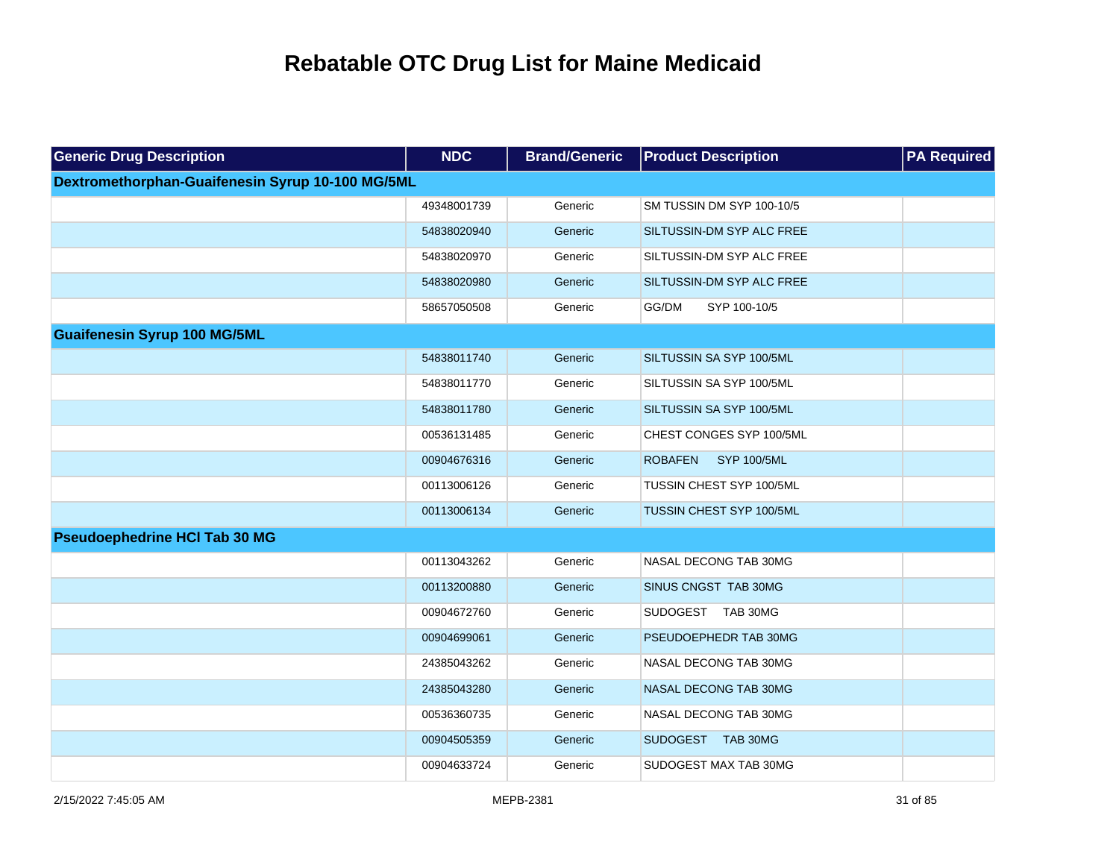| <b>Generic Drug Description</b>                  | <b>NDC</b>  | <b>Brand/Generic</b> | <b>Product Description</b>    | <b>PA Required</b> |
|--------------------------------------------------|-------------|----------------------|-------------------------------|--------------------|
| Dextromethorphan-Guaifenesin Syrup 10-100 MG/5ML |             |                      |                               |                    |
|                                                  | 49348001739 | Generic              | SM TUSSIN DM SYP 100-10/5     |                    |
|                                                  | 54838020940 | Generic              | SILTUSSIN-DM SYP ALC FREE     |                    |
|                                                  | 54838020970 | Generic              | SILTUSSIN-DM SYP ALC FREE     |                    |
|                                                  | 54838020980 | Generic              | SILTUSSIN-DM SYP ALC FREE     |                    |
|                                                  | 58657050508 | Generic              | GG/DM<br>SYP 100-10/5         |                    |
| <b>Guaifenesin Syrup 100 MG/5ML</b>              |             |                      |                               |                    |
|                                                  | 54838011740 | Generic              | SILTUSSIN SA SYP 100/5ML      |                    |
|                                                  | 54838011770 | Generic              | SILTUSSIN SA SYP 100/5ML      |                    |
|                                                  | 54838011780 | Generic              | SILTUSSIN SA SYP 100/5ML      |                    |
|                                                  | 00536131485 | Generic              | CHEST CONGES SYP 100/5ML      |                    |
|                                                  | 00904676316 | Generic              | <b>ROBAFEN</b><br>SYP 100/5ML |                    |
|                                                  | 00113006126 | Generic              | TUSSIN CHEST SYP 100/5ML      |                    |
|                                                  | 00113006134 | Generic              | TUSSIN CHEST SYP 100/5ML      |                    |
| <b>Pseudoephedrine HCI Tab 30 MG</b>             |             |                      |                               |                    |
|                                                  | 00113043262 | Generic              | NASAL DECONG TAB 30MG         |                    |
|                                                  | 00113200880 | Generic              | SINUS CNGST TAB 30MG          |                    |
|                                                  | 00904672760 | Generic              | SUDOGEST TAB 30MG             |                    |
|                                                  | 00904699061 | Generic              | PSEUDOEPHEDR TAB 30MG         |                    |
|                                                  | 24385043262 | Generic              | NASAL DECONG TAB 30MG         |                    |
|                                                  | 24385043280 | Generic              | NASAL DECONG TAB 30MG         |                    |
|                                                  | 00536360735 | Generic              | NASAL DECONG TAB 30MG         |                    |
|                                                  | 00904505359 | Generic              | SUDOGEST TAB 30MG             |                    |
|                                                  | 00904633724 | Generic              | SUDOGEST MAX TAB 30MG         |                    |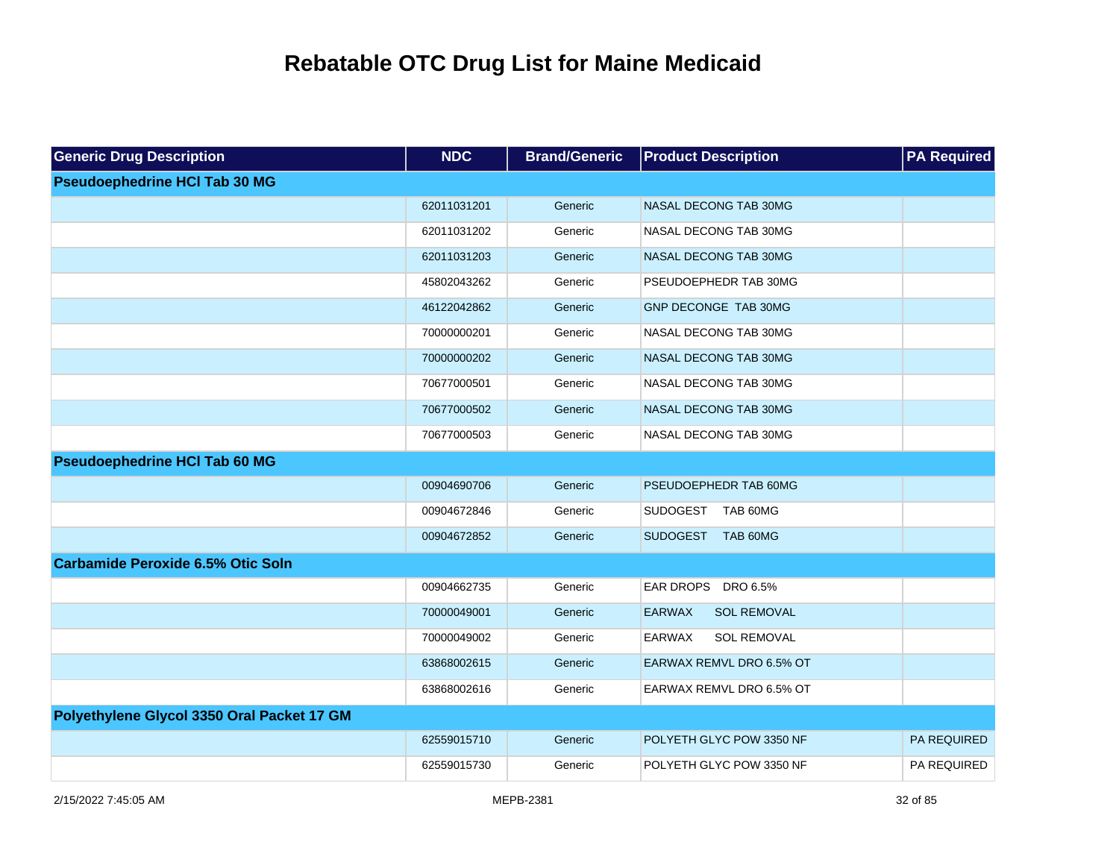| <b>Generic Drug Description</b>            | <b>NDC</b>  | <b>Brand/Generic</b> | <b>Product Description</b>          | <b>PA Required</b> |
|--------------------------------------------|-------------|----------------------|-------------------------------------|--------------------|
| <b>Pseudoephedrine HCI Tab 30 MG</b>       |             |                      |                                     |                    |
|                                            | 62011031201 | Generic              | NASAL DECONG TAB 30MG               |                    |
|                                            | 62011031202 | Generic              | NASAL DECONG TAB 30MG               |                    |
|                                            | 62011031203 | Generic              | NASAL DECONG TAB 30MG               |                    |
|                                            | 45802043262 | Generic              | PSEUDOEPHEDR TAB 30MG               |                    |
|                                            | 46122042862 | Generic              | GNP DECONGE TAB 30MG                |                    |
|                                            | 70000000201 | Generic              | NASAL DECONG TAB 30MG               |                    |
|                                            | 70000000202 | Generic              | NASAL DECONG TAB 30MG               |                    |
|                                            | 70677000501 | Generic              | NASAL DECONG TAB 30MG               |                    |
|                                            | 70677000502 | Generic              | NASAL DECONG TAB 30MG               |                    |
|                                            | 70677000503 | Generic              | NASAL DECONG TAB 30MG               |                    |
| <b>Pseudoephedrine HCI Tab 60 MG</b>       |             |                      |                                     |                    |
|                                            | 00904690706 | Generic              | PSEUDOEPHEDR TAB 60MG               |                    |
|                                            | 00904672846 | Generic              | SUDOGEST TAB 60MG                   |                    |
|                                            | 00904672852 | Generic              | SUDOGEST TAB 60MG                   |                    |
| <b>Carbamide Peroxide 6.5% Otic Soln</b>   |             |                      |                                     |                    |
|                                            | 00904662735 | Generic              | EAR DROPS DRO 6.5%                  |                    |
|                                            | 70000049001 | Generic              | <b>EARWAX</b><br><b>SOL REMOVAL</b> |                    |
|                                            | 70000049002 | Generic              | <b>EARWAX</b><br><b>SOL REMOVAL</b> |                    |
|                                            | 63868002615 | Generic              | EARWAX REMVL DRO 6.5% OT            |                    |
|                                            | 63868002616 | Generic              | EARWAX REMVL DRO 6.5% OT            |                    |
| Polyethylene Glycol 3350 Oral Packet 17 GM |             |                      |                                     |                    |
|                                            | 62559015710 | Generic              | POLYETH GLYC POW 3350 NF            | PA REQUIRED        |
|                                            | 62559015730 | Generic              | POLYETH GLYC POW 3350 NF            | PA REQUIRED        |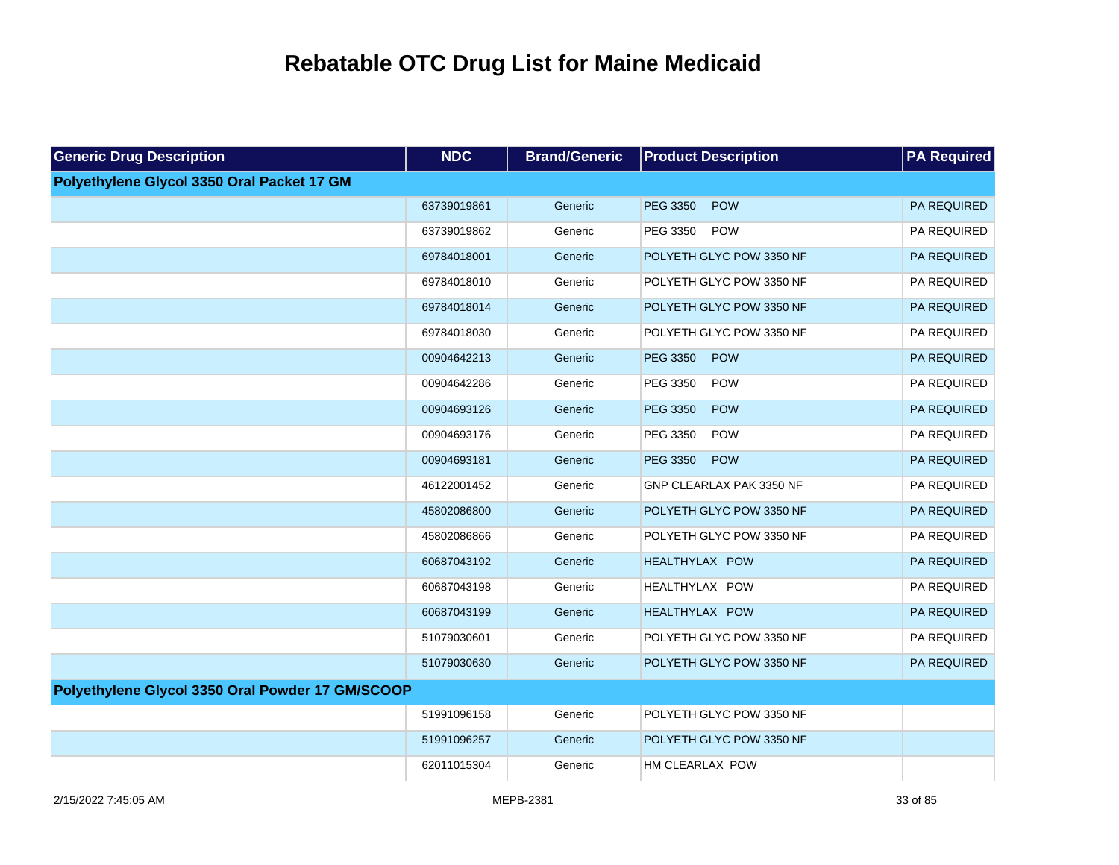| <b>Generic Drug Description</b>                  | <b>NDC</b>  | <b>Brand/Generic</b> | <b>Product Description</b> | <b>PA Required</b> |
|--------------------------------------------------|-------------|----------------------|----------------------------|--------------------|
| Polyethylene Glycol 3350 Oral Packet 17 GM       |             |                      |                            |                    |
|                                                  | 63739019861 | Generic              | POW<br>PEG 3350            | PA REQUIRED        |
|                                                  | 63739019862 | Generic              | PEG 3350<br><b>POW</b>     | PA REQUIRED        |
|                                                  | 69784018001 | Generic              | POLYETH GLYC POW 3350 NF   | PA REQUIRED        |
|                                                  | 69784018010 | Generic              | POLYETH GLYC POW 3350 NF   | PA REQUIRED        |
|                                                  | 69784018014 | Generic              | POLYETH GLYC POW 3350 NF   | PA REQUIRED        |
|                                                  | 69784018030 | Generic              | POLYETH GLYC POW 3350 NF   | PA REQUIRED        |
|                                                  | 00904642213 | Generic              | PEG 3350<br>POW            | PA REQUIRED        |
|                                                  | 00904642286 | Generic              | PEG 3350<br><b>POW</b>     | PA REQUIRED        |
|                                                  | 00904693126 | Generic              | PEG 3350<br>POW            | PA REQUIRED        |
|                                                  | 00904693176 | Generic              | PEG 3350<br><b>POW</b>     | PA REQUIRED        |
|                                                  | 00904693181 | Generic              | POW<br>PEG 3350            | PA REQUIRED        |
|                                                  | 46122001452 | Generic              | GNP CLEARLAX PAK 3350 NF   | PA REQUIRED        |
|                                                  | 45802086800 | Generic              | POLYETH GLYC POW 3350 NF   | PA REQUIRED        |
|                                                  | 45802086866 | Generic              | POLYETH GLYC POW 3350 NF   | PA REQUIRED        |
|                                                  | 60687043192 | Generic              | HEALTHYLAX POW             | PA REQUIRED        |
|                                                  | 60687043198 | Generic              | HEALTHYLAX POW             | PA REQUIRED        |
|                                                  | 60687043199 | Generic              | <b>HEALTHYLAX POW</b>      | PA REQUIRED        |
|                                                  | 51079030601 | Generic              | POLYETH GLYC POW 3350 NF   | PA REQUIRED        |
|                                                  | 51079030630 | Generic              | POLYETH GLYC POW 3350 NF   | PA REQUIRED        |
| Polyethylene Glycol 3350 Oral Powder 17 GM/SCOOP |             |                      |                            |                    |
|                                                  | 51991096158 | Generic              | POLYETH GLYC POW 3350 NF   |                    |
|                                                  | 51991096257 | Generic              | POLYETH GLYC POW 3350 NF   |                    |
|                                                  | 62011015304 | Generic              | HM CLEARLAX POW            |                    |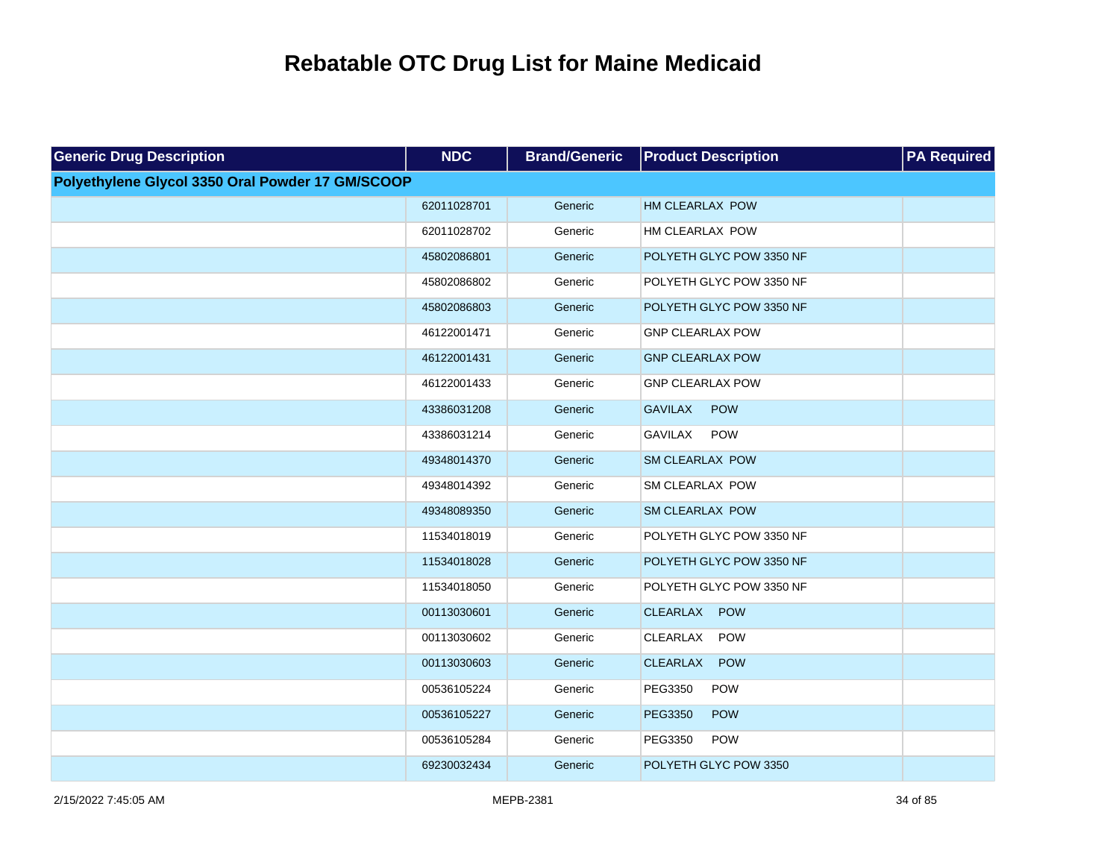| <b>Generic Drug Description</b>                  | <b>NDC</b>  | <b>Brand/Generic</b> | <b>Product Description</b>    | <b>PA Required</b> |
|--------------------------------------------------|-------------|----------------------|-------------------------------|--------------------|
| Polyethylene Glycol 3350 Oral Powder 17 GM/SCOOP |             |                      |                               |                    |
|                                                  | 62011028701 | Generic              | <b>HM CLEARLAX POW</b>        |                    |
|                                                  | 62011028702 | Generic              | HM CLEARLAX POW               |                    |
|                                                  | 45802086801 | Generic              | POLYETH GLYC POW 3350 NF      |                    |
|                                                  | 45802086802 | Generic              | POLYETH GLYC POW 3350 NF      |                    |
|                                                  | 45802086803 | Generic              | POLYETH GLYC POW 3350 NF      |                    |
|                                                  | 46122001471 | Generic              | <b>GNP CLEARLAX POW</b>       |                    |
|                                                  | 46122001431 | Generic              | <b>GNP CLEARLAX POW</b>       |                    |
|                                                  | 46122001433 | Generic              | <b>GNP CLEARLAX POW</b>       |                    |
|                                                  | 43386031208 | Generic              | <b>GAVILAX</b><br><b>POW</b>  |                    |
|                                                  | 43386031214 | Generic              | <b>GAVILAX</b><br><b>POW</b>  |                    |
|                                                  | 49348014370 | Generic              | SM CLEARLAX POW               |                    |
|                                                  | 49348014392 | Generic              | SM CLEARLAX POW               |                    |
|                                                  | 49348089350 | Generic              | <b>SM CLEARLAX POW</b>        |                    |
|                                                  | 11534018019 | Generic              | POLYETH GLYC POW 3350 NF      |                    |
|                                                  | 11534018028 | Generic              | POLYETH GLYC POW 3350 NF      |                    |
|                                                  | 11534018050 | Generic              | POLYETH GLYC POW 3350 NF      |                    |
|                                                  | 00113030601 | Generic              | <b>CLEARLAX</b><br><b>POW</b> |                    |
|                                                  | 00113030602 | Generic              | CLEARLAX<br><b>POW</b>        |                    |
|                                                  | 00113030603 | Generic              | <b>CLEARLAX</b><br><b>POW</b> |                    |
|                                                  | 00536105224 | Generic              | POW<br>PEG3350                |                    |
|                                                  | 00536105227 | Generic              | POW<br>PEG3350                |                    |
|                                                  | 00536105284 | Generic              | PEG3350<br><b>POW</b>         |                    |
|                                                  | 69230032434 | Generic              | POLYETH GLYC POW 3350         |                    |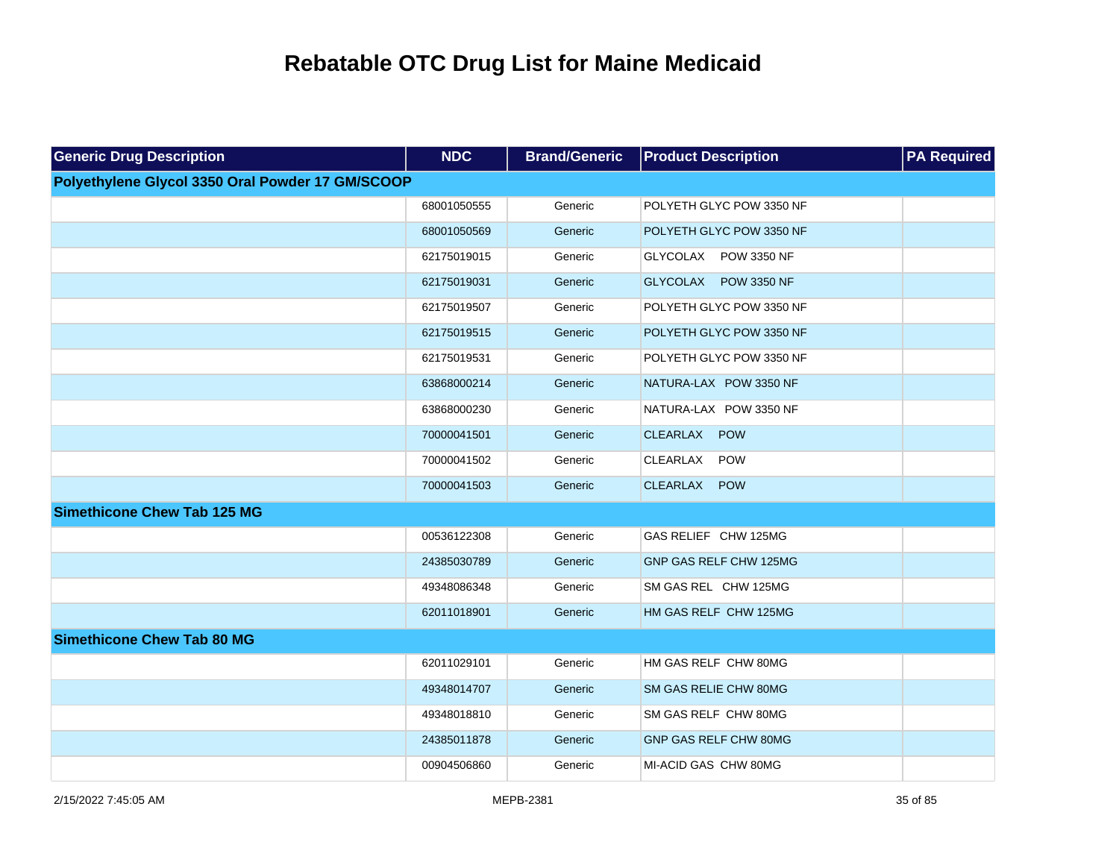| <b>Generic Drug Description</b>                  | <b>NDC</b>  | <b>Brand/Generic</b> | <b>Product Description</b> | <b>PA Required</b> |
|--------------------------------------------------|-------------|----------------------|----------------------------|--------------------|
| Polyethylene Glycol 3350 Oral Powder 17 GM/SCOOP |             |                      |                            |                    |
|                                                  | 68001050555 | Generic              | POLYETH GLYC POW 3350 NF   |                    |
|                                                  | 68001050569 | Generic              | POLYETH GLYC POW 3350 NF   |                    |
|                                                  | 62175019015 | Generic              | GLYCOLAX POW 3350 NF       |                    |
|                                                  | 62175019031 | Generic              | GLYCOLAX POW 3350 NF       |                    |
|                                                  | 62175019507 | Generic              | POLYETH GLYC POW 3350 NF   |                    |
|                                                  | 62175019515 | Generic              | POLYETH GLYC POW 3350 NF   |                    |
|                                                  | 62175019531 | Generic              | POLYETH GLYC POW 3350 NF   |                    |
|                                                  | 63868000214 | Generic              | NATURA-LAX POW 3350 NF     |                    |
|                                                  | 63868000230 | Generic              | NATURA-LAX POW 3350 NF     |                    |
|                                                  | 70000041501 | Generic              | CLEARLAX POW               |                    |
|                                                  | 70000041502 | Generic              | POW<br>CLEARLAX            |                    |
|                                                  | 70000041503 | Generic              | CLEARLAX<br><b>POW</b>     |                    |
| <b>Simethicone Chew Tab 125 MG</b>               |             |                      |                            |                    |
|                                                  | 00536122308 | Generic              | GAS RELIEF CHW 125MG       |                    |
|                                                  | 24385030789 | Generic              | GNP GAS RELF CHW 125MG     |                    |
|                                                  | 49348086348 | Generic              | SM GAS REL CHW 125MG       |                    |
|                                                  | 62011018901 | Generic              | HM GAS RELF CHW 125MG      |                    |
| <b>Simethicone Chew Tab 80 MG</b>                |             |                      |                            |                    |
|                                                  | 62011029101 | Generic              | HM GAS RELF CHW 80MG       |                    |
|                                                  | 49348014707 | Generic              | SM GAS RELIE CHW 80MG      |                    |
|                                                  | 49348018810 | Generic              | SM GAS RELF CHW 80MG       |                    |
|                                                  | 24385011878 | Generic              | GNP GAS RELF CHW 80MG      |                    |
|                                                  | 00904506860 | Generic              | MI-ACID GAS CHW 80MG       |                    |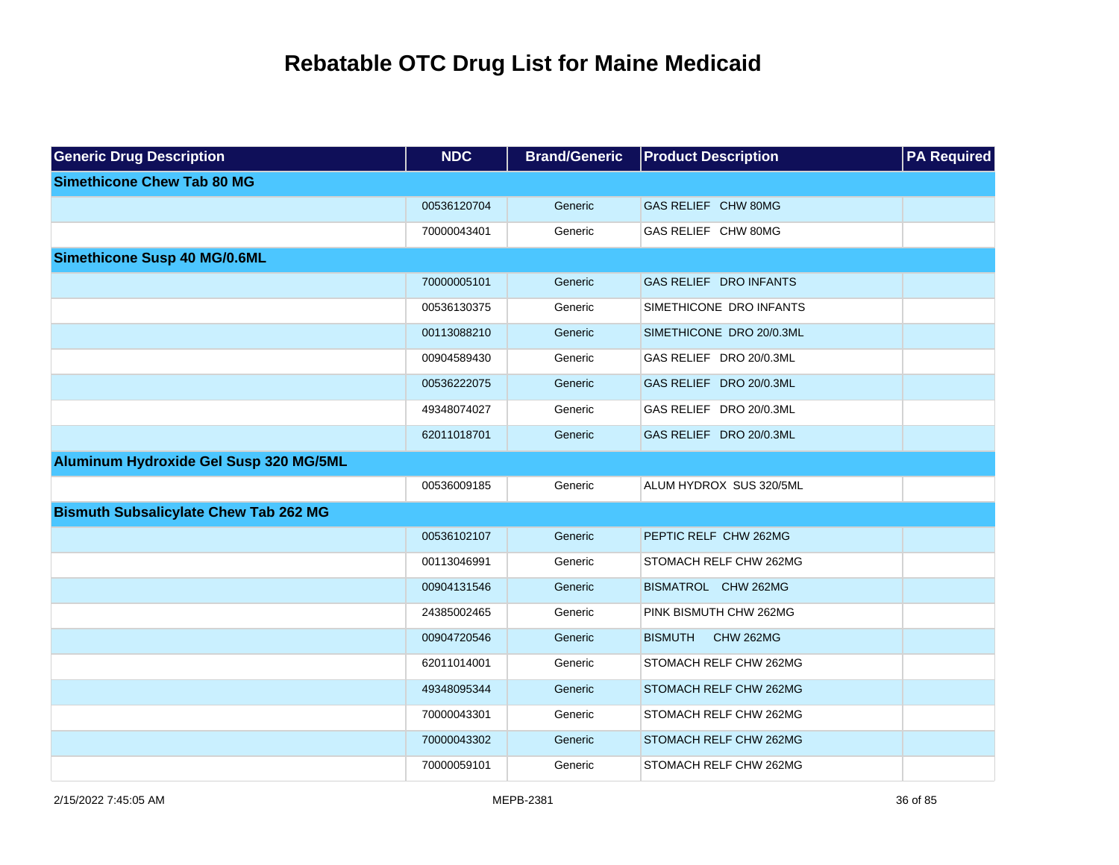| <b>Generic Drug Description</b>              | <b>NDC</b>  | <b>Brand/Generic</b> | <b>Product Description</b>         | <b>PA Required</b> |
|----------------------------------------------|-------------|----------------------|------------------------------------|--------------------|
| <b>Simethicone Chew Tab 80 MG</b>            |             |                      |                                    |                    |
|                                              | 00536120704 | Generic              | GAS RELIEF CHW 80MG                |                    |
|                                              | 70000043401 | Generic              | GAS RELIEF CHW 80MG                |                    |
| <b>Simethicone Susp 40 MG/0.6ML</b>          |             |                      |                                    |                    |
|                                              | 70000005101 | Generic              | GAS RELIEF DRO INFANTS             |                    |
|                                              | 00536130375 | Generic              | SIMETHICONE DRO INFANTS            |                    |
|                                              | 00113088210 | Generic              | SIMETHICONE DRO 20/0.3ML           |                    |
|                                              | 00904589430 | Generic              | GAS RELIEF DRO 20/0.3ML            |                    |
|                                              | 00536222075 | Generic              | GAS RELIEF DRO 20/0.3ML            |                    |
|                                              | 49348074027 | Generic              | GAS RELIEF DRO 20/0.3ML            |                    |
|                                              | 62011018701 | Generic              | GAS RELIEF DRO 20/0.3ML            |                    |
| Aluminum Hydroxide Gel Susp 320 MG/5ML       |             |                      |                                    |                    |
|                                              | 00536009185 | Generic              | ALUM HYDROX SUS 320/5ML            |                    |
| <b>Bismuth Subsalicylate Chew Tab 262 MG</b> |             |                      |                                    |                    |
|                                              | 00536102107 | Generic              | PEPTIC RELF CHW 262MG              |                    |
|                                              | 00113046991 | Generic              | STOMACH RELF CHW 262MG             |                    |
|                                              | 00904131546 | Generic              | BISMATROL CHW 262MG                |                    |
|                                              | 24385002465 | Generic              | PINK BISMUTH CHW 262MG             |                    |
|                                              | 00904720546 | Generic              | <b>BISMUTH</b><br><b>CHW 262MG</b> |                    |
|                                              | 62011014001 | Generic              | STOMACH RELF CHW 262MG             |                    |
|                                              | 49348095344 | Generic              | STOMACH RELF CHW 262MG             |                    |
|                                              | 70000043301 | Generic              | STOMACH RELF CHW 262MG             |                    |
|                                              | 70000043302 | Generic              | STOMACH RELF CHW 262MG             |                    |
|                                              | 70000059101 | Generic              | STOMACH RELF CHW 262MG             |                    |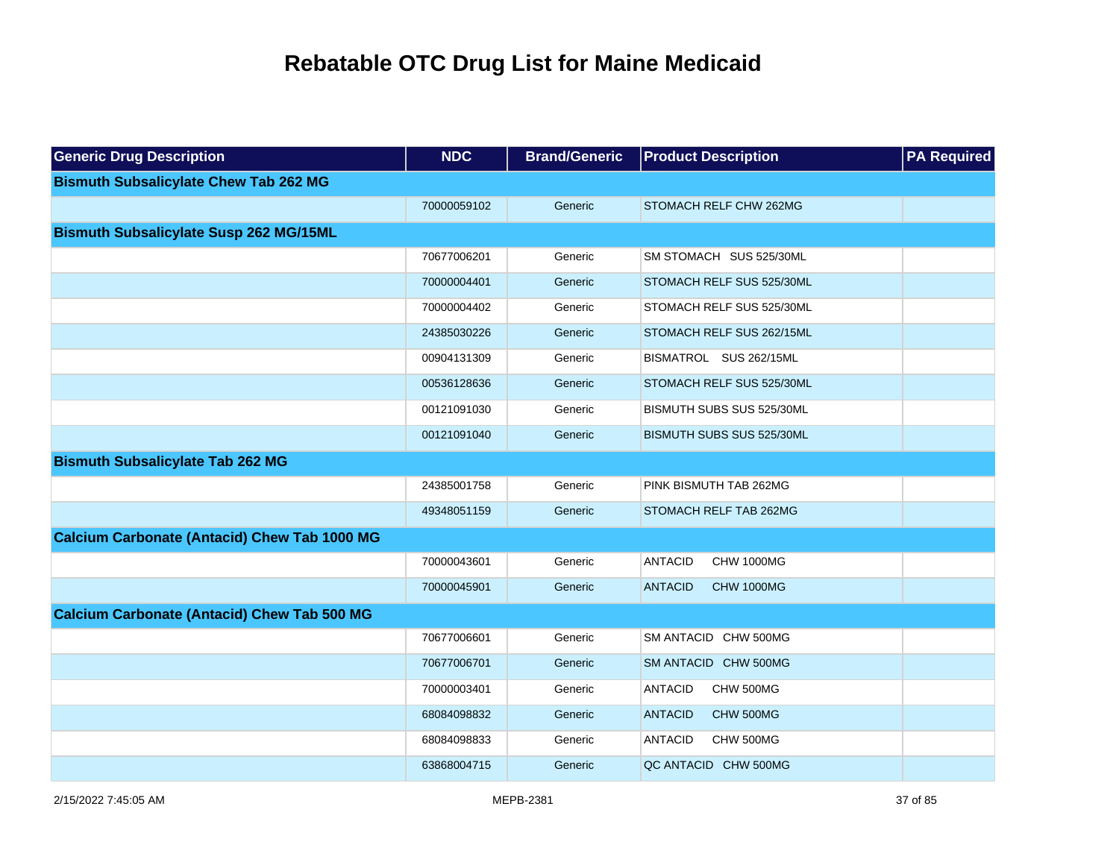| <b>Generic Drug Description</b>                     | <b>NDC</b>  | <b>Brand/Generic</b> | <b>Product Description</b>          | <b>PA Required</b> |
|-----------------------------------------------------|-------------|----------------------|-------------------------------------|--------------------|
| <b>Bismuth Subsalicylate Chew Tab 262 MG</b>        |             |                      |                                     |                    |
|                                                     | 70000059102 | Generic              | STOMACH RELF CHW 262MG              |                    |
| <b>Bismuth Subsalicylate Susp 262 MG/15ML</b>       |             |                      |                                     |                    |
|                                                     | 70677006201 | Generic              | SM STOMACH SUS 525/30ML             |                    |
|                                                     | 70000004401 | Generic              | STOMACH RELF SUS 525/30ML           |                    |
|                                                     | 70000004402 | Generic              | STOMACH RELF SUS 525/30ML           |                    |
|                                                     | 24385030226 | Generic              | STOMACH RELF SUS 262/15ML           |                    |
|                                                     | 00904131309 | Generic              | BISMATROL SUS 262/15ML              |                    |
|                                                     | 00536128636 | Generic              | STOMACH RELF SUS 525/30ML           |                    |
|                                                     | 00121091030 | Generic              | BISMUTH SUBS SUS 525/30ML           |                    |
|                                                     | 00121091040 | Generic              | BISMUTH SUBS SUS 525/30ML           |                    |
| <b>Bismuth Subsalicylate Tab 262 MG</b>             |             |                      |                                     |                    |
|                                                     | 24385001758 | Generic              | PINK BISMUTH TAB 262MG              |                    |
|                                                     | 49348051159 | Generic              | STOMACH RELF TAB 262MG              |                    |
| <b>Calcium Carbonate (Antacid) Chew Tab 1000 MG</b> |             |                      |                                     |                    |
|                                                     | 70000043601 | Generic              | <b>ANTACID</b><br><b>CHW 1000MG</b> |                    |
|                                                     | 70000045901 | Generic              | <b>ANTACID</b><br><b>CHW 1000MG</b> |                    |
| <b>Calcium Carbonate (Antacid) Chew Tab 500 MG</b>  |             |                      |                                     |                    |
|                                                     | 70677006601 | Generic              | SM ANTACID CHW 500MG                |                    |
|                                                     | 70677006701 | Generic              | SM ANTACID CHW 500MG                |                    |
|                                                     | 70000003401 | Generic              | <b>ANTACID</b><br>CHW 500MG         |                    |
|                                                     | 68084098832 | Generic              | <b>ANTACID</b><br>CHW 500MG         |                    |
|                                                     | 68084098833 | Generic              | <b>ANTACID</b><br>CHW 500MG         |                    |
|                                                     | 63868004715 | Generic              | QC ANTACID CHW 500MG                |                    |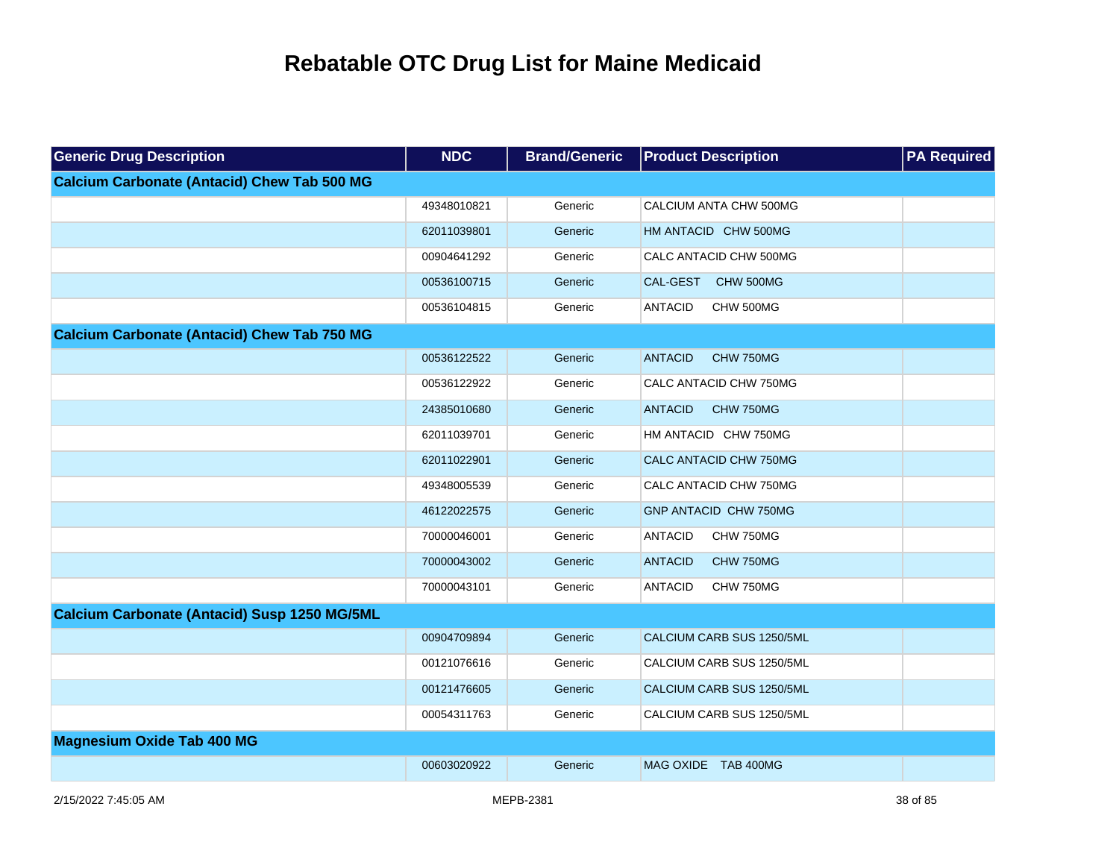| <b>Generic Drug Description</b>                     | <b>NDC</b>  | <b>Brand/Generic</b> | <b>Product Description</b>         | <b>PA Required</b> |
|-----------------------------------------------------|-------------|----------------------|------------------------------------|--------------------|
| <b>Calcium Carbonate (Antacid) Chew Tab 500 MG</b>  |             |                      |                                    |                    |
|                                                     | 49348010821 | Generic              | CALCIUM ANTA CHW 500MG             |                    |
|                                                     | 62011039801 | Generic              | HM ANTACID CHW 500MG               |                    |
|                                                     | 00904641292 | Generic              | CALC ANTACID CHW 500MG             |                    |
|                                                     | 00536100715 | Generic              | CAL-GEST<br>CHW 500MG              |                    |
|                                                     | 00536104815 | Generic              | <b>ANTACID</b><br>CHW 500MG        |                    |
| <b>Calcium Carbonate (Antacid) Chew Tab 750 MG</b>  |             |                      |                                    |                    |
|                                                     | 00536122522 | Generic              | <b>ANTACID</b><br><b>CHW 750MG</b> |                    |
|                                                     | 00536122922 | Generic              | CALC ANTACID CHW 750MG             |                    |
|                                                     | 24385010680 | Generic              | <b>ANTACID</b><br>CHW 750MG        |                    |
|                                                     | 62011039701 | Generic              | HM ANTACID CHW 750MG               |                    |
|                                                     | 62011022901 | Generic              | CALC ANTACID CHW 750MG             |                    |
|                                                     | 49348005539 | Generic              | CALC ANTACID CHW 750MG             |                    |
|                                                     | 46122022575 | Generic              | <b>GNP ANTACID CHW 750MG</b>       |                    |
|                                                     | 70000046001 | Generic              | <b>ANTACID</b><br>CHW 750MG        |                    |
|                                                     | 70000043002 | Generic              | CHW 750MG<br><b>ANTACID</b>        |                    |
|                                                     | 70000043101 | Generic              | CHW 750MG<br><b>ANTACID</b>        |                    |
| <b>Calcium Carbonate (Antacid) Susp 1250 MG/5ML</b> |             |                      |                                    |                    |
|                                                     | 00904709894 | Generic              | CALCIUM CARB SUS 1250/5ML          |                    |
|                                                     | 00121076616 | Generic              | CALCIUM CARB SUS 1250/5ML          |                    |
|                                                     | 00121476605 | Generic              | CALCIUM CARB SUS 1250/5ML          |                    |
|                                                     | 00054311763 | Generic              | CALCIUM CARB SUS 1250/5ML          |                    |
| <b>Magnesium Oxide Tab 400 MG</b>                   |             |                      |                                    |                    |
|                                                     | 00603020922 | Generic              | MAG OXIDE TAB 400MG                |                    |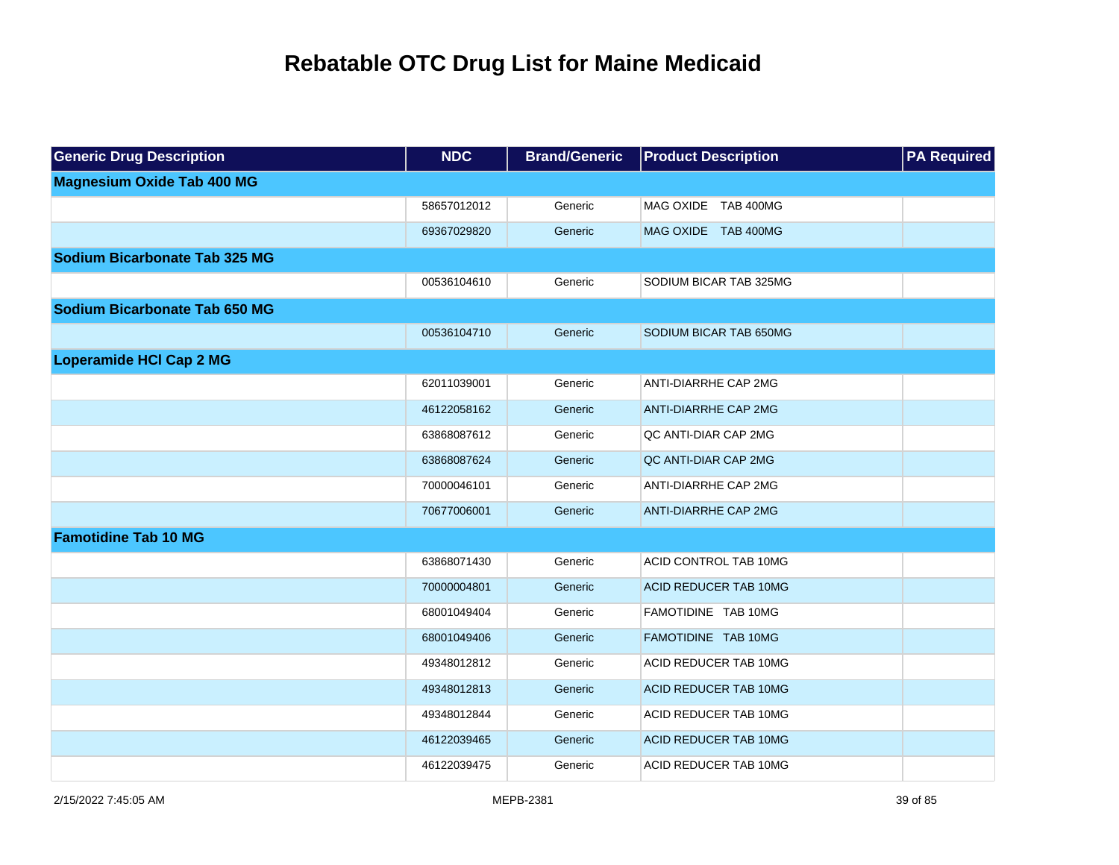| <b>Generic Drug Description</b>      | <b>NDC</b>  | <b>Brand/Generic</b> | <b>Product Description</b>   | <b>PA Required</b> |
|--------------------------------------|-------------|----------------------|------------------------------|--------------------|
| <b>Magnesium Oxide Tab 400 MG</b>    |             |                      |                              |                    |
|                                      | 58657012012 | Generic              | MAG OXIDE TAB 400MG          |                    |
|                                      | 69367029820 | Generic              | MAG OXIDE TAB 400MG          |                    |
| <b>Sodium Bicarbonate Tab 325 MG</b> |             |                      |                              |                    |
|                                      | 00536104610 | Generic              | SODIUM BICAR TAB 325MG       |                    |
| Sodium Bicarbonate Tab 650 MG        |             |                      |                              |                    |
|                                      | 00536104710 | Generic              | SODIUM BICAR TAB 650MG       |                    |
| <b>Loperamide HCI Cap 2 MG</b>       |             |                      |                              |                    |
|                                      | 62011039001 | Generic              | <b>ANTI-DIARRHE CAP 2MG</b>  |                    |
|                                      | 46122058162 | Generic              | <b>ANTI-DIARRHE CAP 2MG</b>  |                    |
|                                      | 63868087612 | Generic              | QC ANTI-DIAR CAP 2MG         |                    |
|                                      | 63868087624 | Generic              | QC ANTI-DIAR CAP 2MG         |                    |
|                                      | 70000046101 | Generic              | ANTI-DIARRHE CAP 2MG         |                    |
|                                      | 70677006001 | Generic              | <b>ANTI-DIARRHE CAP 2MG</b>  |                    |
| <b>Famotidine Tab 10 MG</b>          |             |                      |                              |                    |
|                                      | 63868071430 | Generic              | ACID CONTROL TAB 10MG        |                    |
|                                      | 70000004801 | Generic              | <b>ACID REDUCER TAB 10MG</b> |                    |
|                                      | 68001049404 | Generic              | FAMOTIDINE TAB 10MG          |                    |
|                                      | 68001049406 | Generic              | FAMOTIDINE TAB 10MG          |                    |
|                                      | 49348012812 | Generic              | ACID REDUCER TAB 10MG        |                    |
|                                      | 49348012813 | Generic              | <b>ACID REDUCER TAB 10MG</b> |                    |
|                                      | 49348012844 | Generic              | ACID REDUCER TAB 10MG        |                    |
|                                      | 46122039465 | Generic              | <b>ACID REDUCER TAB 10MG</b> |                    |
|                                      | 46122039475 | Generic              | ACID REDUCER TAB 10MG        |                    |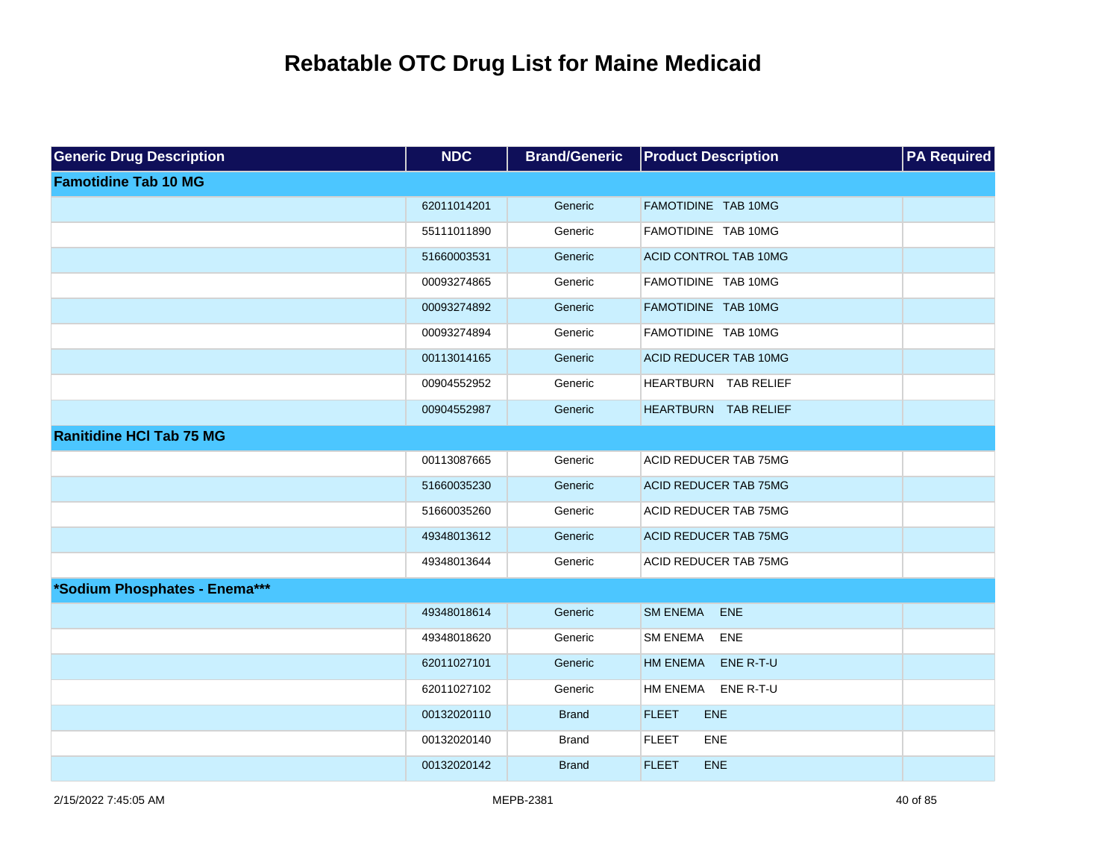| <b>Generic Drug Description</b> | <b>NDC</b>  | <b>Brand/Generic</b> | <b>Product Description</b>    | <b>PA Required</b> |
|---------------------------------|-------------|----------------------|-------------------------------|--------------------|
| <b>Famotidine Tab 10 MG</b>     |             |                      |                               |                    |
|                                 | 62011014201 | Generic              | FAMOTIDINE TAB 10MG           |                    |
|                                 | 55111011890 | Generic              | FAMOTIDINE TAB 10MG           |                    |
|                                 | 51660003531 | Generic              | <b>ACID CONTROL TAB 10MG</b>  |                    |
|                                 | 00093274865 | Generic              | FAMOTIDINE TAB 10MG           |                    |
|                                 | 00093274892 | Generic              | FAMOTIDINE TAB 10MG           |                    |
|                                 | 00093274894 | Generic              | FAMOTIDINE TAB 10MG           |                    |
|                                 | 00113014165 | Generic              | <b>ACID REDUCER TAB 10MG</b>  |                    |
|                                 | 00904552952 | Generic              | HEARTBURN TAB RELIEF          |                    |
|                                 | 00904552987 | Generic              | HEARTBURN TAB RELIEF          |                    |
| <b>Ranitidine HCI Tab 75 MG</b> |             |                      |                               |                    |
|                                 | 00113087665 | Generic              | ACID REDUCER TAB 75MG         |                    |
|                                 | 51660035230 | Generic              | ACID REDUCER TAB 75MG         |                    |
|                                 | 51660035260 | Generic              | ACID REDUCER TAB 75MG         |                    |
|                                 | 49348013612 | Generic              | ACID REDUCER TAB 75MG         |                    |
|                                 | 49348013644 | Generic              | ACID REDUCER TAB 75MG         |                    |
| *Sodium Phosphates - Enema***   |             |                      |                               |                    |
|                                 | 49348018614 | Generic              | <b>SM ENEMA</b><br><b>ENE</b> |                    |
|                                 | 49348018620 | Generic              | <b>SM ENEMA</b><br><b>ENE</b> |                    |
|                                 | 62011027101 | Generic              | <b>HM ENEMA</b><br>ENE R-T-U  |                    |
|                                 | 62011027102 | Generic              | HM ENEMA<br>ENE R-T-U         |                    |
|                                 | 00132020110 | <b>Brand</b>         | <b>FLEET</b><br><b>ENE</b>    |                    |
|                                 | 00132020140 | <b>Brand</b>         | <b>FLEET</b><br><b>ENE</b>    |                    |
|                                 | 00132020142 | <b>Brand</b>         | <b>FLEET</b><br><b>ENE</b>    |                    |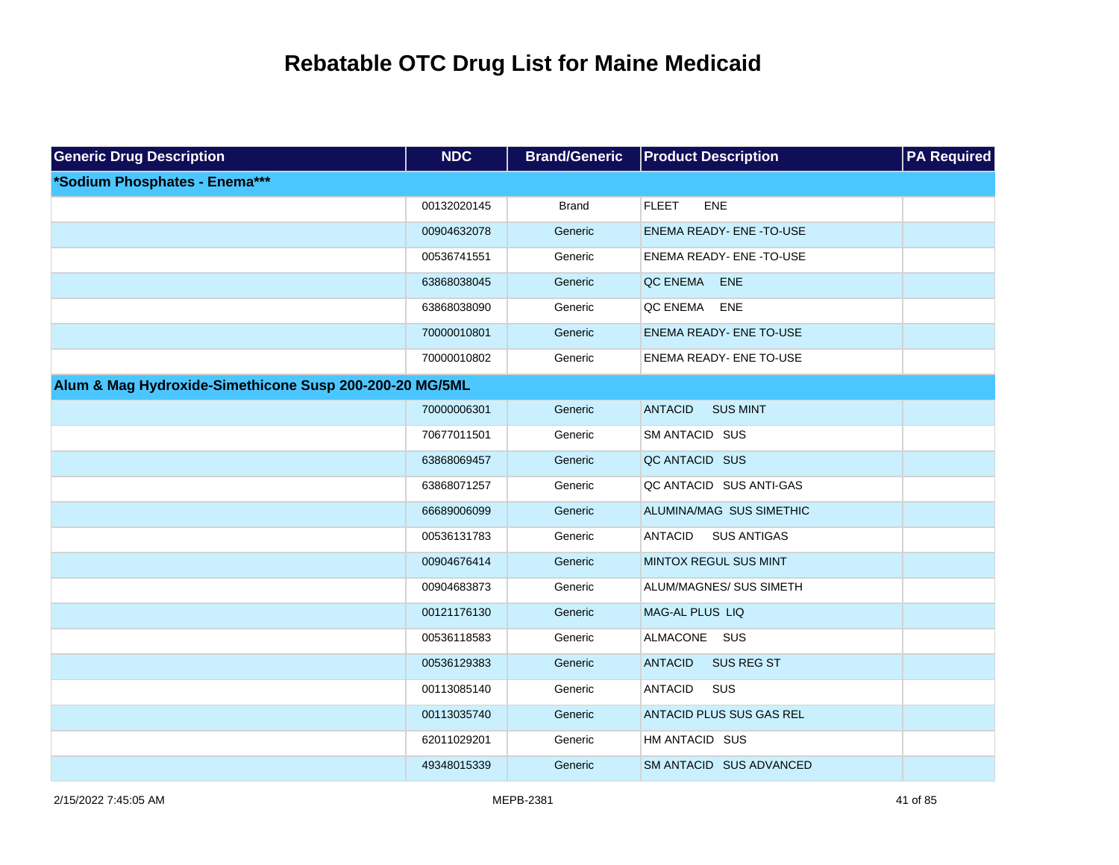| <b>Generic Drug Description</b>                         | <b>NDC</b>  | <b>Brand/Generic</b> | <b>Product Description</b>           | <b>PA Required</b> |
|---------------------------------------------------------|-------------|----------------------|--------------------------------------|--------------------|
| *Sodium Phosphates - Enema***                           |             |                      |                                      |                    |
|                                                         | 00132020145 | <b>Brand</b>         | <b>FLEET</b><br><b>ENE</b>           |                    |
|                                                         | 00904632078 | Generic              | <b>ENEMA READY- ENE -TO-USE</b>      |                    |
|                                                         | 00536741551 | Generic              | ENEMA READY- ENE -TO-USE             |                    |
|                                                         | 63868038045 | Generic              | QC ENEMA<br><b>ENE</b>               |                    |
|                                                         | 63868038090 | Generic              | QC ENEMA ENE                         |                    |
|                                                         | 70000010801 | Generic              | <b>ENEMA READY- ENE TO-USE</b>       |                    |
|                                                         | 70000010802 | Generic              | <b>ENEMA READY- ENE TO-USE</b>       |                    |
| Alum & Mag Hydroxide-Simethicone Susp 200-200-20 MG/5ML |             |                      |                                      |                    |
|                                                         | 70000006301 | Generic              | <b>SUS MINT</b><br><b>ANTACID</b>    |                    |
|                                                         | 70677011501 | Generic              | SM ANTACID SUS                       |                    |
|                                                         | 63868069457 | Generic              | QC ANTACID SUS                       |                    |
|                                                         | 63868071257 | Generic              | QC ANTACID SUS ANTI-GAS              |                    |
|                                                         | 66689006099 | Generic              | ALUMINA/MAG SUS SIMETHIC             |                    |
|                                                         | 00536131783 | Generic              | <b>ANTACID</b><br><b>SUS ANTIGAS</b> |                    |
|                                                         | 00904676414 | Generic              | MINTOX REGUL SUS MINT                |                    |
|                                                         | 00904683873 | Generic              | ALUM/MAGNES/ SUS SIMETH              |                    |
|                                                         | 00121176130 | Generic              | MAG-AL PLUS LIQ                      |                    |
|                                                         | 00536118583 | Generic              | ALMACONE SUS                         |                    |
|                                                         | 00536129383 | Generic              | <b>ANTACID</b><br><b>SUS REG ST</b>  |                    |
|                                                         | 00113085140 | Generic              | <b>ANTACID</b><br>SUS                |                    |
|                                                         | 00113035740 | Generic              | ANTACID PLUS SUS GAS REL             |                    |
|                                                         | 62011029201 | Generic              | HM ANTACID SUS                       |                    |
|                                                         | 49348015339 | Generic              | SM ANTACID SUS ADVANCED              |                    |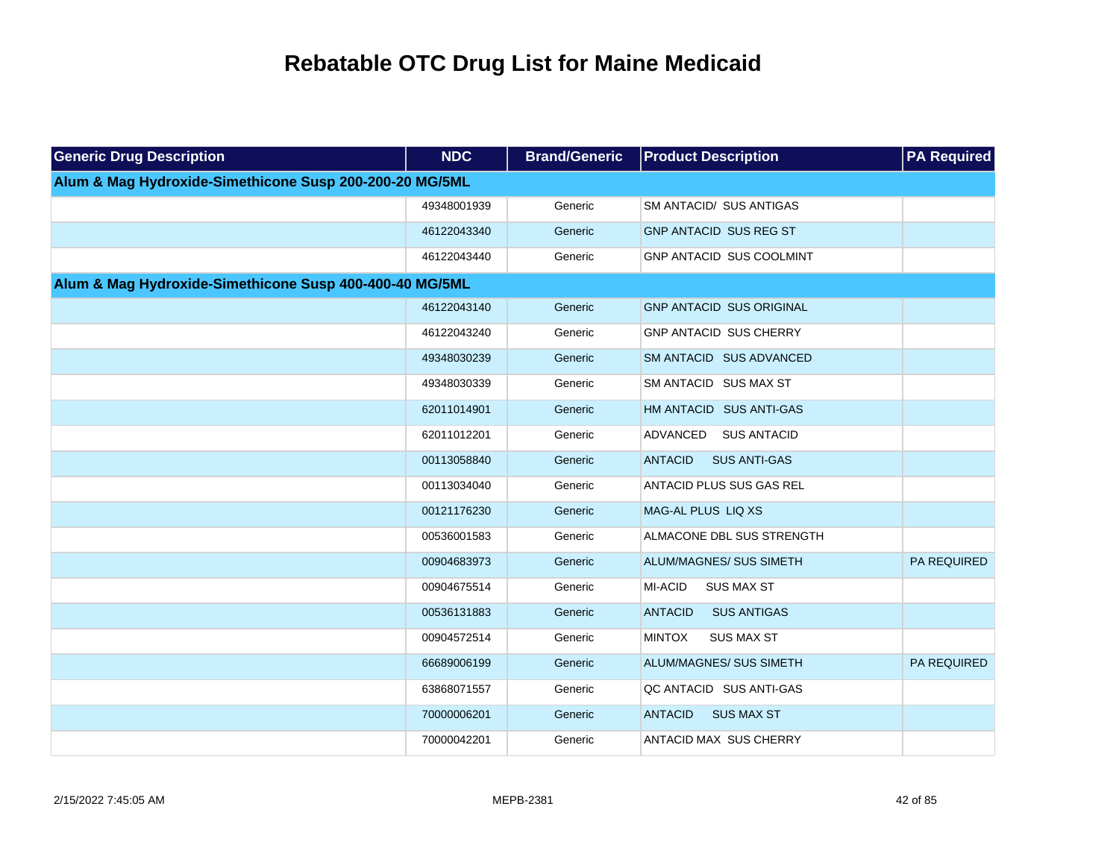| <b>Generic Drug Description</b>                         | <b>NDC</b>  | <b>Brand/Generic</b> | <b>Product Description</b>            | <b>PA Required</b> |
|---------------------------------------------------------|-------------|----------------------|---------------------------------------|--------------------|
| Alum & Mag Hydroxide-Simethicone Susp 200-200-20 MG/5ML |             |                      |                                       |                    |
|                                                         | 49348001939 | Generic              | SM ANTACID/ SUS ANTIGAS               |                    |
|                                                         | 46122043340 | Generic              | GNP ANTACID SUS REG ST                |                    |
|                                                         | 46122043440 | Generic              | <b>GNP ANTACID SUS COOLMINT</b>       |                    |
| Alum & Mag Hydroxide-Simethicone Susp 400-400-40 MG/5ML |             |                      |                                       |                    |
|                                                         | 46122043140 | Generic              | <b>GNP ANTACID SUS ORIGINAL</b>       |                    |
|                                                         | 46122043240 | Generic              | <b>GNP ANTACID SUS CHERRY</b>         |                    |
|                                                         | 49348030239 | Generic              | SM ANTACID SUS ADVANCED               |                    |
|                                                         | 49348030339 | Generic              | SM ANTACID SUS MAX ST                 |                    |
|                                                         | 62011014901 | Generic              | HM ANTACID SUS ANTI-GAS               |                    |
|                                                         | 62011012201 | Generic              | ADVANCED<br>SUS ANTACID               |                    |
|                                                         | 00113058840 | Generic              | <b>SUS ANTI-GAS</b><br><b>ANTACID</b> |                    |
|                                                         | 00113034040 | Generic              | <b>ANTACID PLUS SUS GAS REL</b>       |                    |
|                                                         | 00121176230 | Generic              | MAG-AL PLUS LIQ XS                    |                    |
|                                                         | 00536001583 | Generic              | ALMACONE DBL SUS STRENGTH             |                    |
|                                                         | 00904683973 | Generic              | <b>ALUM/MAGNES/ SUS SIMETH</b>        | <b>PA REQUIRED</b> |
|                                                         | 00904675514 | Generic              | <b>MI-ACID</b><br><b>SUS MAX ST</b>   |                    |
|                                                         | 00536131883 | Generic              | <b>ANTACID</b><br><b>SUS ANTIGAS</b>  |                    |
|                                                         | 00904572514 | Generic              | <b>MINTOX</b><br><b>SUS MAX ST</b>    |                    |
|                                                         | 66689006199 | Generic              | ALUM/MAGNES/ SUS SIMETH               | PA REQUIRED        |
|                                                         | 63868071557 | Generic              | QC ANTACID SUS ANTI-GAS               |                    |
|                                                         | 70000006201 | Generic              | <b>SUS MAX ST</b><br><b>ANTACID</b>   |                    |
|                                                         | 70000042201 | Generic              | <b>ANTACID MAX SUS CHERRY</b>         |                    |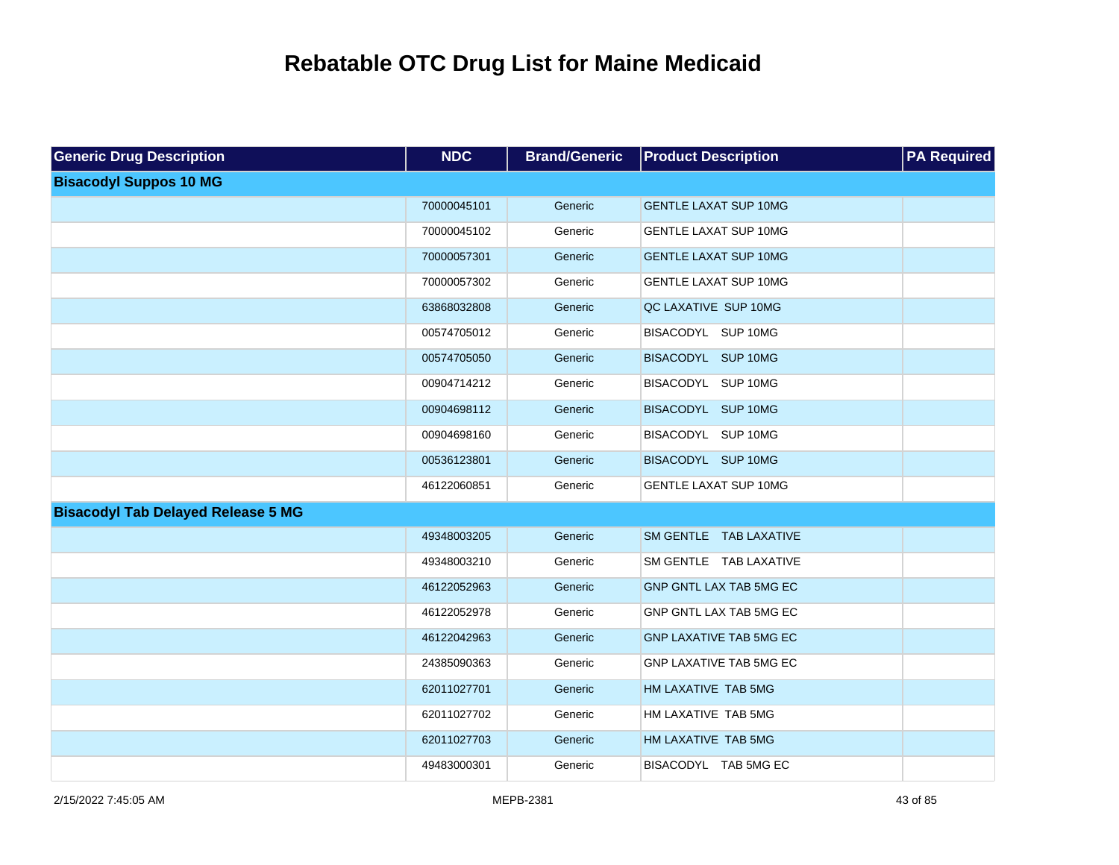| <b>Generic Drug Description</b>           | <b>NDC</b>  | <b>Brand/Generic</b> | <b>Product Description</b>     | <b>PA Required</b> |
|-------------------------------------------|-------------|----------------------|--------------------------------|--------------------|
| <b>Bisacodyl Suppos 10 MG</b>             |             |                      |                                |                    |
|                                           | 70000045101 | Generic              | <b>GENTLE LAXAT SUP 10MG</b>   |                    |
|                                           | 70000045102 | Generic              | <b>GENTLE LAXAT SUP 10MG</b>   |                    |
|                                           | 70000057301 | Generic              | <b>GENTLE LAXAT SUP 10MG</b>   |                    |
|                                           | 70000057302 | Generic              | <b>GENTLE LAXAT SUP 10MG</b>   |                    |
|                                           | 63868032808 | Generic              | QC LAXATIVE SUP 10MG           |                    |
|                                           | 00574705012 | Generic              | BISACODYL SUP 10MG             |                    |
|                                           | 00574705050 | Generic              | BISACODYL SUP 10MG             |                    |
|                                           | 00904714212 | Generic              | BISACODYL SUP 10MG             |                    |
|                                           | 00904698112 | Generic              | BISACODYL SUP 10MG             |                    |
|                                           | 00904698160 | Generic              | BISACODYL SUP 10MG             |                    |
|                                           | 00536123801 | Generic              | BISACODYL SUP 10MG             |                    |
|                                           | 46122060851 | Generic              | <b>GENTLE LAXAT SUP 10MG</b>   |                    |
| <b>Bisacodyl Tab Delayed Release 5 MG</b> |             |                      |                                |                    |
|                                           | 49348003205 | Generic              | SM GENTLE TAB LAXATIVE         |                    |
|                                           | 49348003210 | Generic              | SM GENTLE TAB LAXATIVE         |                    |
|                                           | 46122052963 | Generic              | GNP GNTL LAX TAB 5MG EC        |                    |
|                                           | 46122052978 | Generic              | GNP GNTL LAX TAB 5MG EC        |                    |
|                                           | 46122042963 | Generic              | <b>GNP LAXATIVE TAB 5MG EC</b> |                    |
|                                           | 24385090363 | Generic              | GNP LAXATIVE TAB 5MG EC        |                    |
|                                           | 62011027701 | Generic              | HM LAXATIVE TAB 5MG            |                    |
|                                           | 62011027702 | Generic              | HM LAXATIVE TAB 5MG            |                    |
|                                           | 62011027703 | Generic              | HM LAXATIVE TAB 5MG            |                    |
|                                           | 49483000301 | Generic              | BISACODYL TAB 5MG EC           |                    |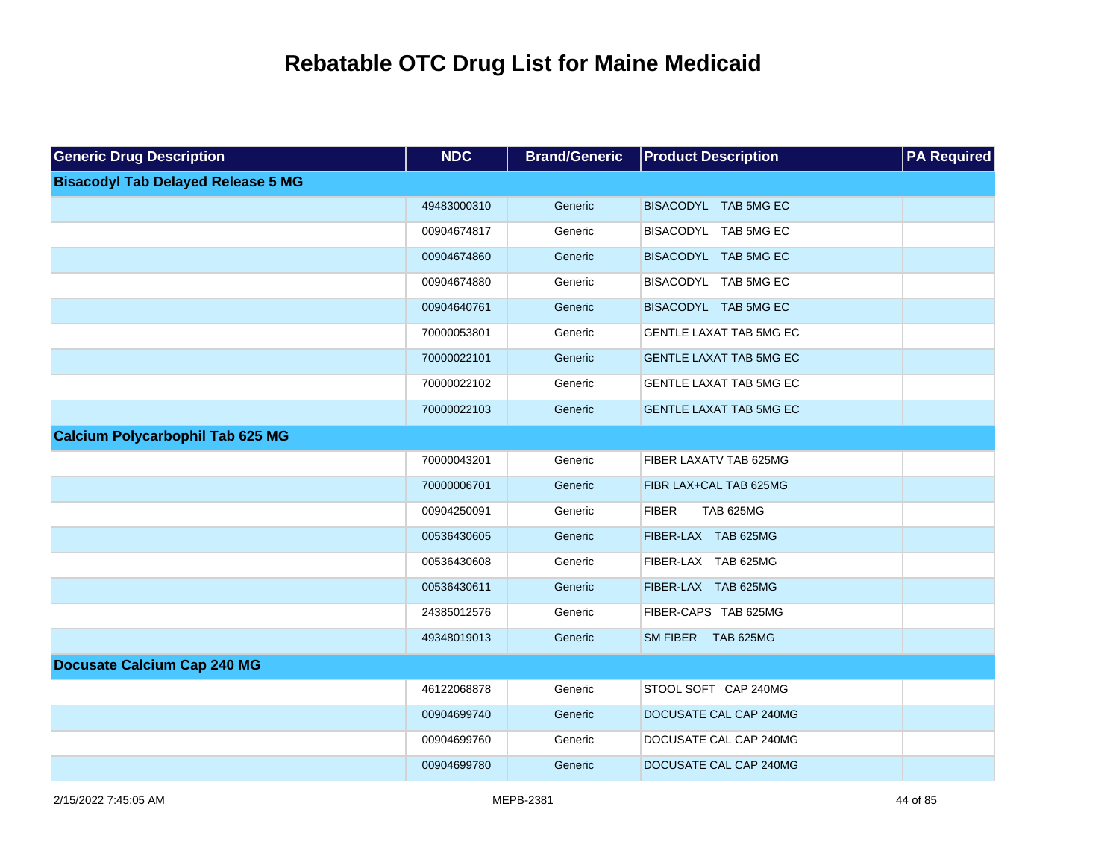| <b>Generic Drug Description</b>           | <b>NDC</b>  | <b>Brand/Generic</b> | <b>Product Description</b>       | <b>PA Required</b> |
|-------------------------------------------|-------------|----------------------|----------------------------------|--------------------|
| <b>Bisacodyl Tab Delayed Release 5 MG</b> |             |                      |                                  |                    |
|                                           | 49483000310 | Generic              | BISACODYL TAB 5MG EC             |                    |
|                                           | 00904674817 | Generic              | BISACODYL TAB 5MG EC             |                    |
|                                           | 00904674860 | Generic              | BISACODYL TAB 5MG EC             |                    |
|                                           | 00904674880 | Generic              | BISACODYL TAB 5MG EC             |                    |
|                                           | 00904640761 | Generic              | BISACODYL TAB 5MG EC             |                    |
|                                           | 70000053801 | Generic              | GENTLE LAXAT TAB 5MG EC          |                    |
|                                           | 70000022101 | Generic              | <b>GENTLE LAXAT TAB 5MG EC</b>   |                    |
|                                           | 70000022102 | Generic              | GENTLE LAXAT TAB 5MG EC          |                    |
|                                           | 70000022103 | Generic              | <b>GENTLE LAXAT TAB 5MG EC</b>   |                    |
| <b>Calcium Polycarbophil Tab 625 MG</b>   |             |                      |                                  |                    |
|                                           | 70000043201 | Generic              | FIBER LAXATV TAB 625MG           |                    |
|                                           | 70000006701 | Generic              | FIBR LAX+CAL TAB 625MG           |                    |
|                                           | 00904250091 | Generic              | <b>FIBER</b><br><b>TAB 625MG</b> |                    |
|                                           | 00536430605 | Generic              | FIBER-LAX TAB 625MG              |                    |
|                                           | 00536430608 | Generic              | FIBER-LAX TAB 625MG              |                    |
|                                           | 00536430611 | Generic              | FIBER-LAX TAB 625MG              |                    |
|                                           | 24385012576 | Generic              | FIBER-CAPS TAB 625MG             |                    |
|                                           | 49348019013 | Generic              | SM FIBER TAB 625MG               |                    |
| <b>Docusate Calcium Cap 240 MG</b>        |             |                      |                                  |                    |
|                                           | 46122068878 | Generic              | STOOL SOFT CAP 240MG             |                    |
|                                           | 00904699740 | Generic              | DOCUSATE CAL CAP 240MG           |                    |
|                                           | 00904699760 | Generic              | DOCUSATE CAL CAP 240MG           |                    |
|                                           | 00904699780 | Generic              | DOCUSATE CAL CAP 240MG           |                    |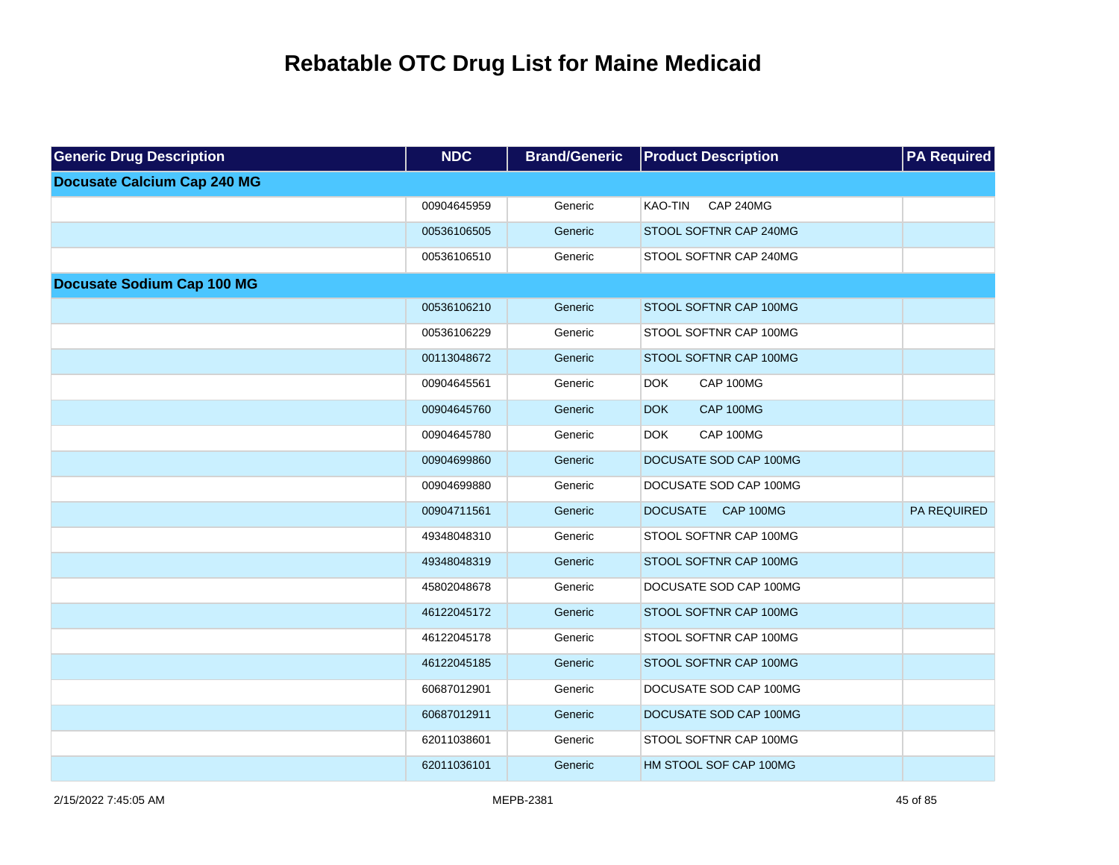| <b>Generic Drug Description</b>    | <b>NDC</b>  | <b>Brand/Generic</b> | <b>Product Description</b>         | <b>PA Required</b> |
|------------------------------------|-------------|----------------------|------------------------------------|--------------------|
| <b>Docusate Calcium Cap 240 MG</b> |             |                      |                                    |                    |
|                                    | 00904645959 | Generic              | <b>CAP 240MG</b><br><b>KAO-TIN</b> |                    |
|                                    | 00536106505 | Generic              | STOOL SOFTNR CAP 240MG             |                    |
|                                    | 00536106510 | Generic              | STOOL SOFTNR CAP 240MG             |                    |
| <b>Docusate Sodium Cap 100 MG</b>  |             |                      |                                    |                    |
|                                    | 00536106210 | Generic              | STOOL SOFTNR CAP 100MG             |                    |
|                                    | 00536106229 | Generic              | STOOL SOFTNR CAP 100MG             |                    |
|                                    | 00113048672 | Generic              | STOOL SOFTNR CAP 100MG             |                    |
|                                    | 00904645561 | Generic              | CAP 100MG<br><b>DOK</b>            |                    |
|                                    | 00904645760 | Generic              | CAP 100MG<br><b>DOK</b>            |                    |
|                                    | 00904645780 | Generic              | CAP 100MG<br><b>DOK</b>            |                    |
|                                    | 00904699860 | Generic              | DOCUSATE SOD CAP 100MG             |                    |
|                                    | 00904699880 | Generic              | DOCUSATE SOD CAP 100MG             |                    |
|                                    | 00904711561 | Generic              | DOCUSATE CAP 100MG                 | <b>PA REQUIRED</b> |
|                                    | 49348048310 | Generic              | STOOL SOFTNR CAP 100MG             |                    |
|                                    | 49348048319 | Generic              | STOOL SOFTNR CAP 100MG             |                    |
|                                    | 45802048678 | Generic              | DOCUSATE SOD CAP 100MG             |                    |
|                                    | 46122045172 | Generic              | STOOL SOFTNR CAP 100MG             |                    |
|                                    | 46122045178 | Generic              | STOOL SOFTNR CAP 100MG             |                    |
|                                    | 46122045185 | Generic              | STOOL SOFTNR CAP 100MG             |                    |
|                                    | 60687012901 | Generic              | DOCUSATE SOD CAP 100MG             |                    |
|                                    | 60687012911 | Generic              | DOCUSATE SOD CAP 100MG             |                    |
|                                    | 62011038601 | Generic              | STOOL SOFTNR CAP 100MG             |                    |
|                                    | 62011036101 | Generic              | HM STOOL SOF CAP 100MG             |                    |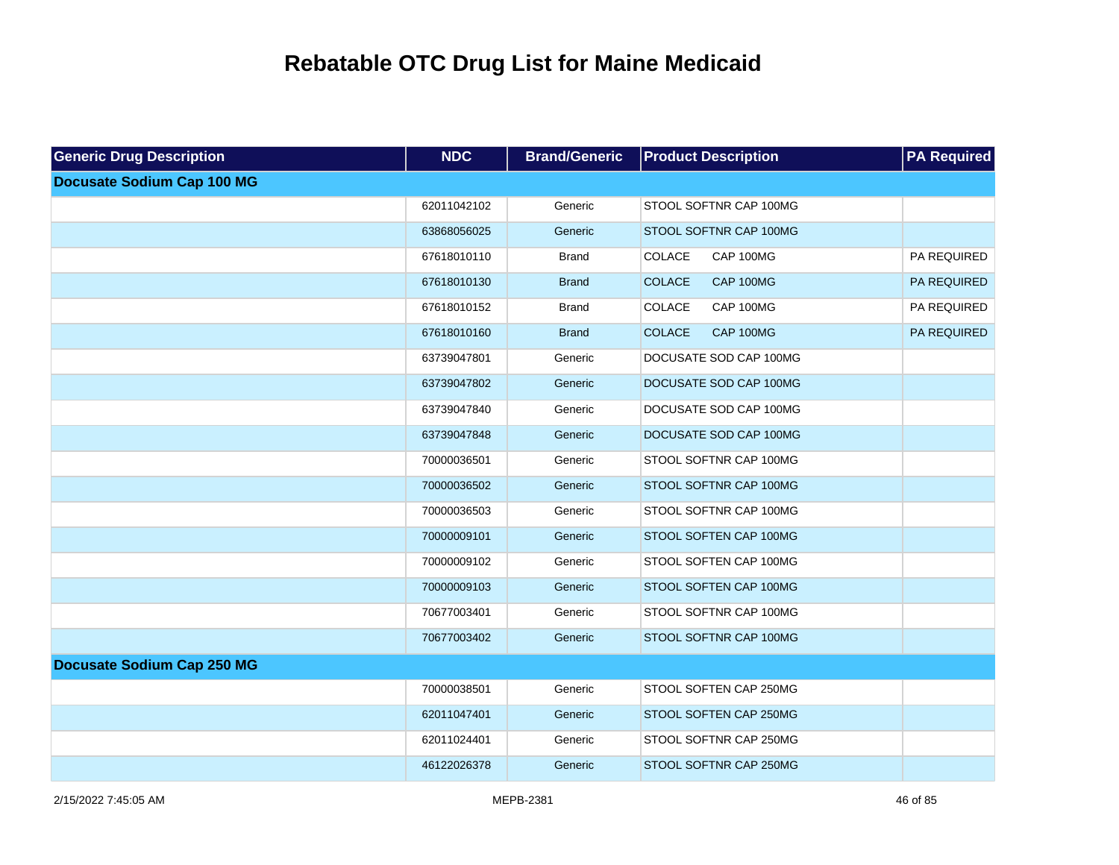| <b>Generic Drug Description</b>   | <b>NDC</b>  | <b>Brand/Generic</b> | <b>Product Description</b> | <b>PA Required</b> |
|-----------------------------------|-------------|----------------------|----------------------------|--------------------|
| <b>Docusate Sodium Cap 100 MG</b> |             |                      |                            |                    |
|                                   | 62011042102 | Generic              | STOOL SOFTNR CAP 100MG     |                    |
|                                   | 63868056025 | Generic              | STOOL SOFTNR CAP 100MG     |                    |
|                                   | 67618010110 | <b>Brand</b>         | COLACE<br>CAP 100MG        | PA REQUIRED        |
|                                   | 67618010130 | <b>Brand</b>         | <b>COLACE</b><br>CAP 100MG | PA REQUIRED        |
|                                   | 67618010152 | <b>Brand</b>         | COLACE<br>CAP 100MG        | PA REQUIRED        |
|                                   | 67618010160 | <b>Brand</b>         | <b>COLACE</b><br>CAP 100MG | PA REQUIRED        |
|                                   | 63739047801 | Generic              | DOCUSATE SOD CAP 100MG     |                    |
|                                   | 63739047802 | Generic              | DOCUSATE SOD CAP 100MG     |                    |
|                                   | 63739047840 | Generic              | DOCUSATE SOD CAP 100MG     |                    |
|                                   | 63739047848 | Generic              | DOCUSATE SOD CAP 100MG     |                    |
|                                   | 70000036501 | Generic              | STOOL SOFTNR CAP 100MG     |                    |
|                                   | 70000036502 | Generic              | STOOL SOFTNR CAP 100MG     |                    |
|                                   | 70000036503 | Generic              | STOOL SOFTNR CAP 100MG     |                    |
|                                   | 70000009101 | Generic              | STOOL SOFTEN CAP 100MG     |                    |
|                                   | 70000009102 | Generic              | STOOL SOFTEN CAP 100MG     |                    |
|                                   | 70000009103 | Generic              | STOOL SOFTEN CAP 100MG     |                    |
|                                   | 70677003401 | Generic              | STOOL SOFTNR CAP 100MG     |                    |
|                                   | 70677003402 | Generic              | STOOL SOFTNR CAP 100MG     |                    |
| <b>Docusate Sodium Cap 250 MG</b> |             |                      |                            |                    |
|                                   | 70000038501 | Generic              | STOOL SOFTEN CAP 250MG     |                    |
|                                   | 62011047401 | Generic              | STOOL SOFTEN CAP 250MG     |                    |
|                                   | 62011024401 | Generic              | STOOL SOFTNR CAP 250MG     |                    |
|                                   | 46122026378 | Generic              | STOOL SOFTNR CAP 250MG     |                    |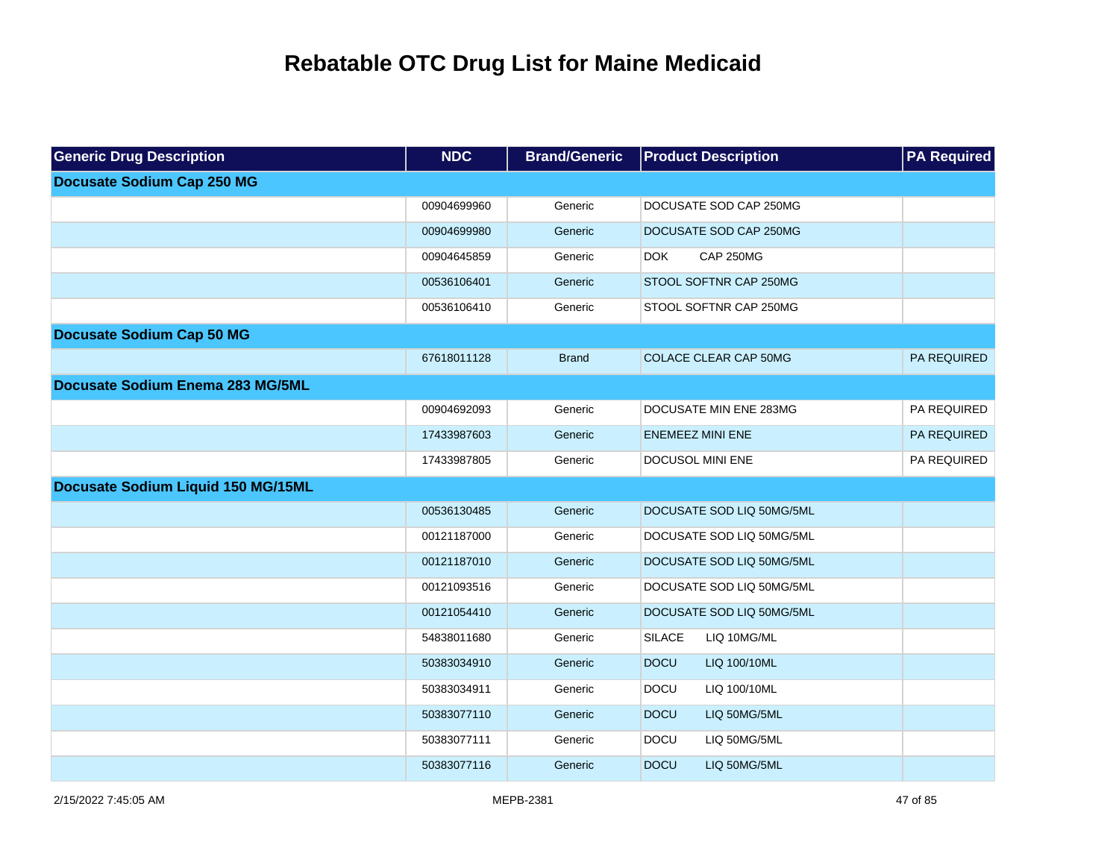| <b>Generic Drug Description</b>    | <b>NDC</b>  | <b>Brand/Generic</b> | <b>Product Description</b>     | <b>PA Required</b> |
|------------------------------------|-------------|----------------------|--------------------------------|--------------------|
| <b>Docusate Sodium Cap 250 MG</b>  |             |                      |                                |                    |
|                                    | 00904699960 | Generic              | DOCUSATE SOD CAP 250MG         |                    |
|                                    | 00904699980 | Generic              | DOCUSATE SOD CAP 250MG         |                    |
|                                    | 00904645859 | Generic              | <b>CAP 250MG</b><br><b>DOK</b> |                    |
|                                    | 00536106401 | Generic              | STOOL SOFTNR CAP 250MG         |                    |
|                                    | 00536106410 | Generic              | STOOL SOFTNR CAP 250MG         |                    |
| <b>Docusate Sodium Cap 50 MG</b>   |             |                      |                                |                    |
|                                    | 67618011128 | <b>Brand</b>         | <b>COLACE CLEAR CAP 50MG</b>   | PA REQUIRED        |
| Docusate Sodium Enema 283 MG/5ML   |             |                      |                                |                    |
|                                    | 00904692093 | Generic              | DOCUSATE MIN ENE 283MG         | PA REQUIRED        |
|                                    | 17433987603 | Generic              | <b>ENEMEEZ MINI ENE</b>        | PA REQUIRED        |
|                                    | 17433987805 | Generic              | DOCUSOL MINI ENE               | PA REQUIRED        |
| Docusate Sodium Liquid 150 MG/15ML |             |                      |                                |                    |
|                                    | 00536130485 | Generic              | DOCUSATE SOD LIQ 50MG/5ML      |                    |
|                                    | 00121187000 | Generic              | DOCUSATE SOD LIQ 50MG/5ML      |                    |
|                                    | 00121187010 | Generic              | DOCUSATE SOD LIQ 50MG/5ML      |                    |
|                                    | 00121093516 | Generic              | DOCUSATE SOD LIQ 50MG/5ML      |                    |
|                                    | 00121054410 | Generic              | DOCUSATE SOD LIQ 50MG/5ML      |                    |
|                                    | 54838011680 | Generic              | <b>SILACE</b><br>LIQ 10MG/ML   |                    |
|                                    | 50383034910 | Generic              | <b>DOCU</b><br>LIQ 100/10ML    |                    |
|                                    | 50383034911 | Generic              | <b>DOCU</b><br>LIQ 100/10ML    |                    |
|                                    | 50383077110 | Generic              | <b>DOCU</b><br>LIQ 50MG/5ML    |                    |
|                                    | 50383077111 | Generic              | <b>DOCU</b><br>LIQ 50MG/5ML    |                    |
|                                    | 50383077116 | Generic              | <b>DOCU</b><br>LIQ 50MG/5ML    |                    |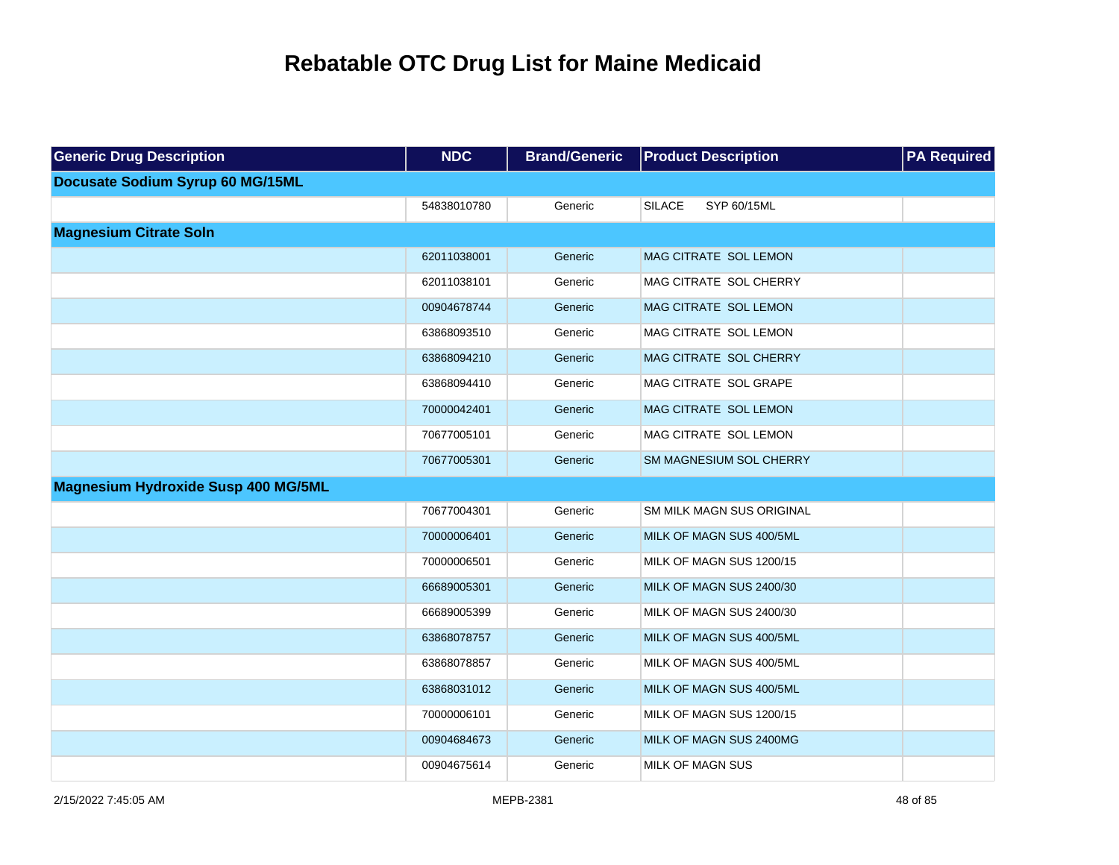| <b>Generic Drug Description</b>            | <b>NDC</b>  | <b>Brand/Generic</b> | <b>Product Description</b>       | <b>PA Required</b> |
|--------------------------------------------|-------------|----------------------|----------------------------------|--------------------|
| Docusate Sodium Syrup 60 MG/15ML           |             |                      |                                  |                    |
|                                            | 54838010780 | Generic              | <b>SILACE</b><br>SYP 60/15ML     |                    |
| <b>Magnesium Citrate Soln</b>              |             |                      |                                  |                    |
|                                            | 62011038001 | Generic              | MAG CITRATE SOL LEMON            |                    |
|                                            | 62011038101 | Generic              | MAG CITRATE SOL CHERRY           |                    |
|                                            | 00904678744 | Generic              | MAG CITRATE SOL LEMON            |                    |
|                                            | 63868093510 | Generic              | MAG CITRATE SOL LEMON            |                    |
|                                            | 63868094210 | Generic              | MAG CITRATE SOL CHERRY           |                    |
|                                            | 63868094410 | Generic              | MAG CITRATE SOL GRAPE            |                    |
|                                            | 70000042401 | Generic              | MAG CITRATE SOL LEMON            |                    |
|                                            | 70677005101 | Generic              | MAG CITRATE SOL LEMON            |                    |
|                                            | 70677005301 | Generic              | SM MAGNESIUM SOL CHERRY          |                    |
| <b>Magnesium Hydroxide Susp 400 MG/5ML</b> |             |                      |                                  |                    |
|                                            | 70677004301 | Generic              | <b>SM MILK MAGN SUS ORIGINAL</b> |                    |
|                                            | 70000006401 | Generic              | MILK OF MAGN SUS 400/5ML         |                    |
|                                            | 70000006501 | Generic              | MILK OF MAGN SUS 1200/15         |                    |
|                                            | 66689005301 | Generic              | MILK OF MAGN SUS 2400/30         |                    |
|                                            | 66689005399 | Generic              | MILK OF MAGN SUS 2400/30         |                    |
|                                            | 63868078757 | Generic              | MILK OF MAGN SUS 400/5ML         |                    |
|                                            | 63868078857 | Generic              | MILK OF MAGN SUS 400/5ML         |                    |
|                                            | 63868031012 | Generic              | MILK OF MAGN SUS 400/5ML         |                    |
|                                            | 70000006101 | Generic              | MILK OF MAGN SUS 1200/15         |                    |
|                                            | 00904684673 | Generic              | MILK OF MAGN SUS 2400MG          |                    |
|                                            | 00904675614 | Generic              | MILK OF MAGN SUS                 |                    |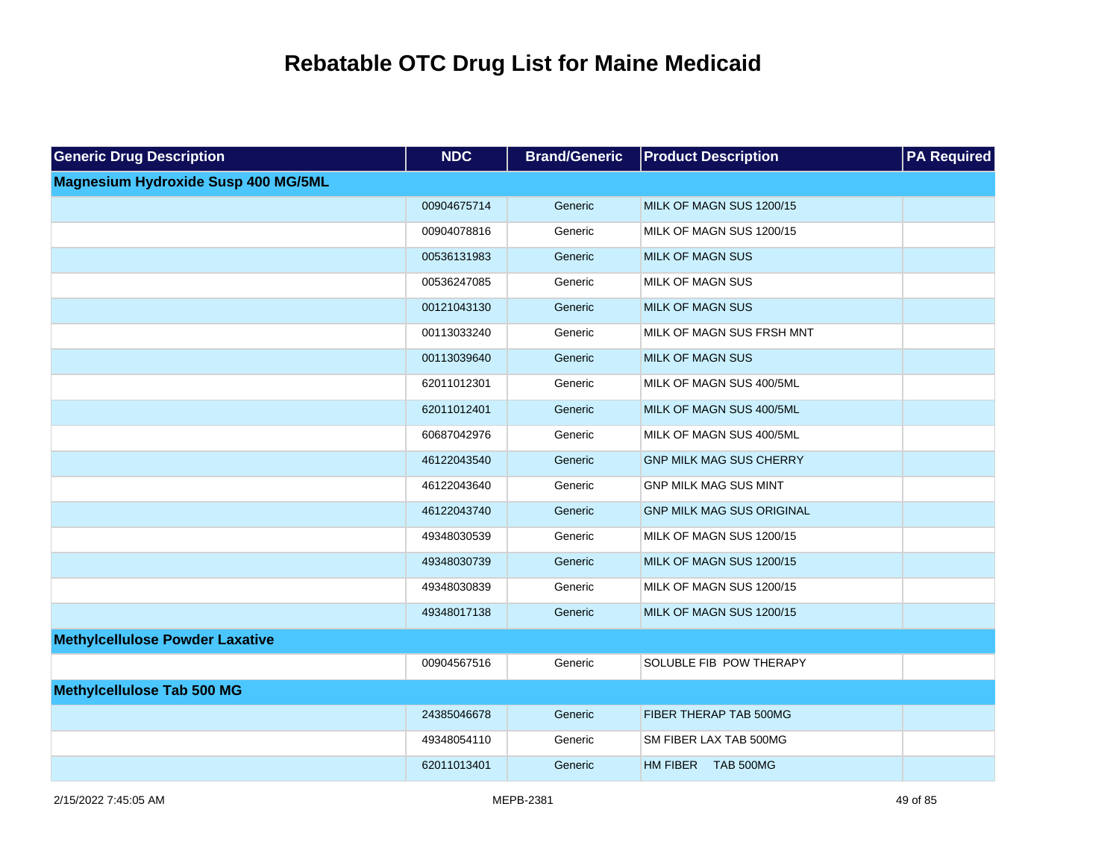| <b>Generic Drug Description</b>            | <b>NDC</b>  | <b>Brand/Generic</b> | <b>Product Description</b>       | <b>PA Required</b> |
|--------------------------------------------|-------------|----------------------|----------------------------------|--------------------|
| <b>Magnesium Hydroxide Susp 400 MG/5ML</b> |             |                      |                                  |                    |
|                                            | 00904675714 | Generic              | MILK OF MAGN SUS 1200/15         |                    |
|                                            | 00904078816 | Generic              | MILK OF MAGN SUS 1200/15         |                    |
|                                            | 00536131983 | Generic              | <b>MILK OF MAGN SUS</b>          |                    |
|                                            | 00536247085 | Generic              | MILK OF MAGN SUS                 |                    |
|                                            | 00121043130 | Generic              | <b>MILK OF MAGN SUS</b>          |                    |
|                                            | 00113033240 | Generic              | MILK OF MAGN SUS FRSH MNT        |                    |
|                                            | 00113039640 | Generic              | <b>MILK OF MAGN SUS</b>          |                    |
|                                            | 62011012301 | Generic              | MILK OF MAGN SUS 400/5ML         |                    |
|                                            | 62011012401 | Generic              | MILK OF MAGN SUS 400/5ML         |                    |
|                                            | 60687042976 | Generic              | MILK OF MAGN SUS 400/5ML         |                    |
|                                            | 46122043540 | Generic              | <b>GNP MILK MAG SUS CHERRY</b>   |                    |
|                                            | 46122043640 | Generic              | <b>GNP MILK MAG SUS MINT</b>     |                    |
|                                            | 46122043740 | Generic              | <b>GNP MILK MAG SUS ORIGINAL</b> |                    |
|                                            | 49348030539 | Generic              | MILK OF MAGN SUS 1200/15         |                    |
|                                            | 49348030739 | Generic              | MILK OF MAGN SUS 1200/15         |                    |
|                                            | 49348030839 | Generic              | MILK OF MAGN SUS 1200/15         |                    |
|                                            | 49348017138 | Generic              | MILK OF MAGN SUS 1200/15         |                    |
| <b>Methylcellulose Powder Laxative</b>     |             |                      |                                  |                    |
|                                            | 00904567516 | Generic              | SOLUBLE FIB POW THERAPY          |                    |
| <b>Methylcellulose Tab 500 MG</b>          |             |                      |                                  |                    |
|                                            | 24385046678 | Generic              | FIBER THERAP TAB 500MG           |                    |
|                                            | 49348054110 | Generic              | SM FIBER LAX TAB 500MG           |                    |
|                                            | 62011013401 | Generic              | HM FIBER TAB 500MG               |                    |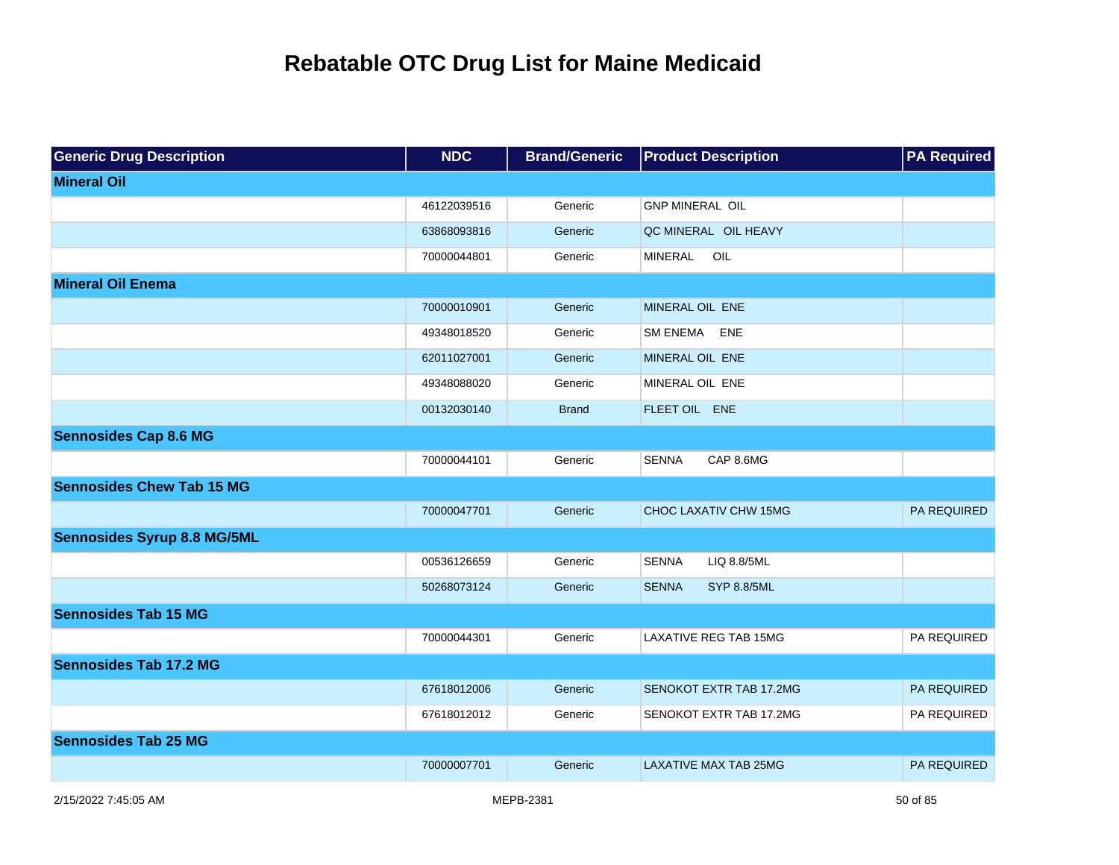| <b>Generic Drug Description</b>    | <b>NDC</b>  | <b>Brand/Generic</b> | <b>Product Description</b>         | <b>PA Required</b> |
|------------------------------------|-------------|----------------------|------------------------------------|--------------------|
| <b>Mineral Oil</b>                 |             |                      |                                    |                    |
|                                    | 46122039516 | Generic              | <b>GNP MINERAL OIL</b>             |                    |
|                                    | 63868093816 | Generic              | QC MINERAL OIL HEAVY               |                    |
|                                    | 70000044801 | Generic              | OIL<br>MINERAL                     |                    |
| <b>Mineral Oil Enema</b>           |             |                      |                                    |                    |
|                                    | 70000010901 | Generic              | MINERAL OIL ENE                    |                    |
|                                    | 49348018520 | Generic              | SM ENEMA ENE                       |                    |
|                                    | 62011027001 | Generic              | MINERAL OIL ENE                    |                    |
|                                    | 49348088020 | Generic              | MINERAL OIL ENE                    |                    |
|                                    | 00132030140 | <b>Brand</b>         | FLEET OIL ENE                      |                    |
| <b>Sennosides Cap 8.6 MG</b>       |             |                      |                                    |                    |
|                                    | 70000044101 | Generic              | <b>SENNA</b><br>CAP 8.6MG          |                    |
| <b>Sennosides Chew Tab 15 MG</b>   |             |                      |                                    |                    |
|                                    | 70000047701 | Generic              | CHOC LAXATIV CHW 15MG              | PA REQUIRED        |
| <b>Sennosides Syrup 8.8 MG/5ML</b> |             |                      |                                    |                    |
|                                    | 00536126659 | Generic              | <b>SENNA</b><br>LIQ 8.8/5ML        |                    |
|                                    | 50268073124 | Generic              | <b>SENNA</b><br><b>SYP 8.8/5ML</b> |                    |
| <b>Sennosides Tab 15 MG</b>        |             |                      |                                    |                    |
|                                    | 70000044301 | Generic              | <b>LAXATIVE REG TAB 15MG</b>       | PA REQUIRED        |
| <b>Sennosides Tab 17.2 MG</b>      |             |                      |                                    |                    |
|                                    | 67618012006 | Generic              | <b>SENOKOT EXTR TAB 17.2MG</b>     | <b>PA REQUIRED</b> |
|                                    | 67618012012 | Generic              | SENOKOT EXTR TAB 17.2MG            | <b>PA REQUIRED</b> |
| <b>Sennosides Tab 25 MG</b>        |             |                      |                                    |                    |
|                                    | 70000007701 | Generic              | <b>LAXATIVE MAX TAB 25MG</b>       | PA REQUIRED        |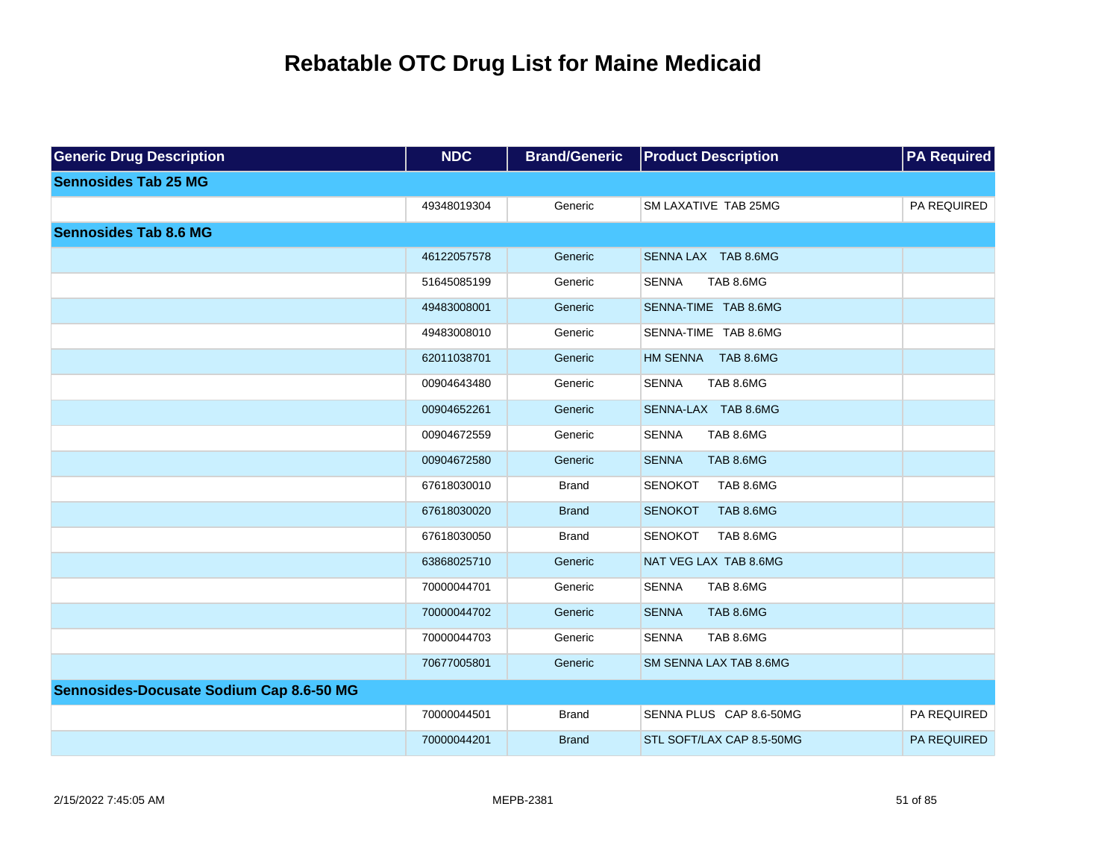| <b>Generic Drug Description</b>          | <b>NDC</b>  | <b>Brand/Generic</b> | <b>Product Description</b>         | <b>PA Required</b> |
|------------------------------------------|-------------|----------------------|------------------------------------|--------------------|
| <b>Sennosides Tab 25 MG</b>              |             |                      |                                    |                    |
|                                          | 49348019304 | Generic              | SM LAXATIVE TAB 25MG               | PA REQUIRED        |
| <b>Sennosides Tab 8.6 MG</b>             |             |                      |                                    |                    |
|                                          | 46122057578 | Generic              | SENNA LAX TAB 8.6MG                |                    |
|                                          | 51645085199 | Generic              | <b>SENNA</b><br>TAB 8.6MG          |                    |
|                                          | 49483008001 | Generic              | SENNA-TIME TAB 8.6MG               |                    |
|                                          | 49483008010 | Generic              | SENNA-TIME TAB 8.6MG               |                    |
|                                          | 62011038701 | Generic              | HM SENNA TAB 8.6MG                 |                    |
|                                          | 00904643480 | Generic              | <b>SENNA</b><br>TAB 8.6MG          |                    |
|                                          | 00904652261 | Generic              | SENNA-LAX TAB 8.6MG                |                    |
|                                          | 00904672559 | Generic              | <b>SENNA</b><br>TAB 8.6MG          |                    |
|                                          | 00904672580 | Generic              | TAB 8.6MG<br><b>SENNA</b>          |                    |
|                                          | 67618030010 | <b>Brand</b>         | <b>SENOKOT</b><br>TAB 8.6MG        |                    |
|                                          | 67618030020 | <b>Brand</b>         | <b>SENOKOT</b><br><b>TAB 8.6MG</b> |                    |
|                                          | 67618030050 | <b>Brand</b>         | <b>SENOKOT</b><br>TAB 8.6MG        |                    |
|                                          | 63868025710 | Generic              | NAT VEG LAX TAB 8.6MG              |                    |
|                                          | 70000044701 | Generic              | <b>SENNA</b><br>TAB 8.6MG          |                    |
|                                          | 70000044702 | Generic              | <b>SENNA</b><br>TAB 8.6MG          |                    |
|                                          | 70000044703 | Generic              | TAB 8.6MG<br><b>SENNA</b>          |                    |
|                                          | 70677005801 | Generic              | SM SENNA LAX TAB 8.6MG             |                    |
| Sennosides-Docusate Sodium Cap 8.6-50 MG |             |                      |                                    |                    |
|                                          | 70000044501 | <b>Brand</b>         | SENNA PLUS CAP 8.6-50MG            | PA REQUIRED        |
|                                          | 70000044201 | <b>Brand</b>         | STL SOFT/LAX CAP 8.5-50MG          | PA REQUIRED        |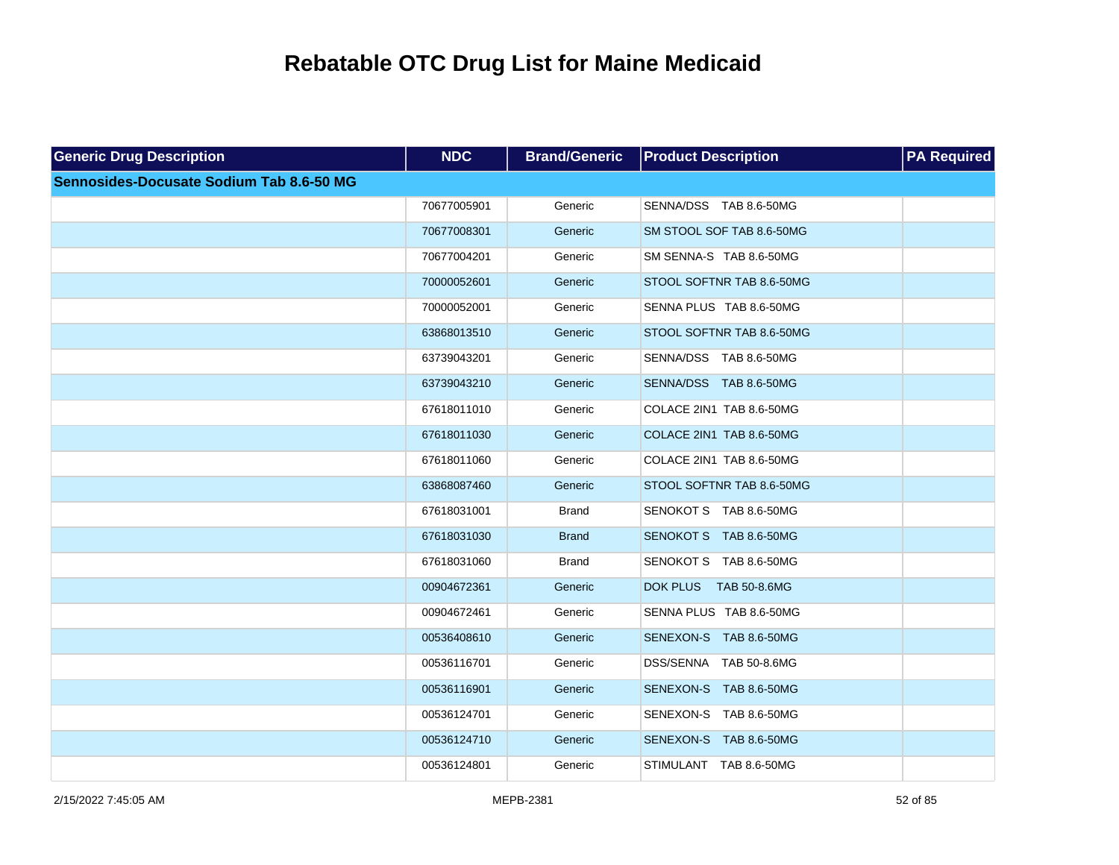| <b>Generic Drug Description</b>          | <b>NDC</b>  | <b>Brand/Generic</b> | <b>Product Description</b>      | <b>PA Required</b> |
|------------------------------------------|-------------|----------------------|---------------------------------|--------------------|
| Sennosides-Docusate Sodium Tab 8.6-50 MG |             |                      |                                 |                    |
|                                          | 70677005901 | Generic              | SENNA/DSS TAB 8.6-50MG          |                    |
|                                          | 70677008301 | Generic              | SM STOOL SOF TAB 8.6-50MG       |                    |
|                                          | 70677004201 | Generic              | SM SENNA-S TAB 8.6-50MG         |                    |
|                                          | 70000052601 | Generic              | STOOL SOFTNR TAB 8.6-50MG       |                    |
|                                          | 70000052001 | Generic              | SENNA PLUS TAB 8.6-50MG         |                    |
|                                          | 63868013510 | Generic              | STOOL SOFTNR TAB 8.6-50MG       |                    |
|                                          | 63739043201 | Generic              | SENNA/DSS TAB 8.6-50MG          |                    |
|                                          | 63739043210 | Generic              | SENNA/DSS TAB 8.6-50MG          |                    |
|                                          | 67618011010 | Generic              | COLACE 2IN1 TAB 8.6-50MG        |                    |
|                                          | 67618011030 | Generic              | COLACE 2IN1 TAB 8.6-50MG        |                    |
|                                          | 67618011060 | Generic              | COLACE 2IN1 TAB 8.6-50MG        |                    |
|                                          | 63868087460 | Generic              | STOOL SOFTNR TAB 8.6-50MG       |                    |
|                                          | 67618031001 | <b>Brand</b>         | SENOKOT S TAB 8.6-50MG          |                    |
|                                          | 67618031030 | <b>Brand</b>         | SENOKOT S TAB 8.6-50MG          |                    |
|                                          | 67618031060 | <b>Brand</b>         | SENOKOT S TAB 8.6-50MG          |                    |
|                                          | 00904672361 | Generic              | <b>DOK PLUS</b><br>TAB 50-8.6MG |                    |
|                                          | 00904672461 | Generic              | SENNA PLUS TAB 8.6-50MG         |                    |
|                                          | 00536408610 | Generic              | SENEXON-S TAB 8.6-50MG          |                    |
|                                          | 00536116701 | Generic              | DSS/SENNA TAB 50-8.6MG          |                    |
|                                          | 00536116901 | Generic              | SENEXON-S TAB 8.6-50MG          |                    |
|                                          | 00536124701 | Generic              | SENEXON-S TAB 8.6-50MG          |                    |
|                                          | 00536124710 | Generic              | SENEXON-S TAB 8.6-50MG          |                    |
|                                          | 00536124801 | Generic              | STIMULANT TAB 8.6-50MG          |                    |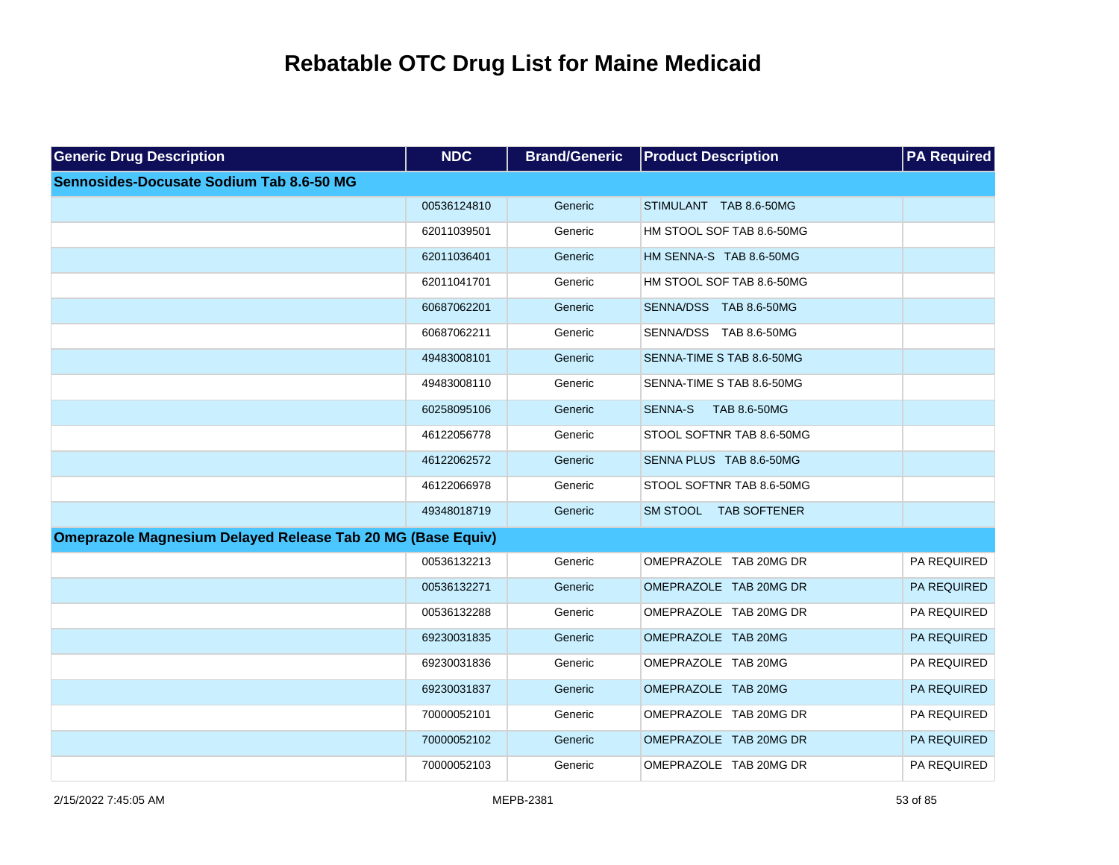| <b>Generic Drug Description</b>                                    | <b>NDC</b>  | <b>Brand/Generic</b> | <b>Product Description</b>     | <b>PA Required</b> |
|--------------------------------------------------------------------|-------------|----------------------|--------------------------------|--------------------|
| Sennosides-Docusate Sodium Tab 8.6-50 MG                           |             |                      |                                |                    |
|                                                                    | 00536124810 | Generic              | STIMULANT TAB 8.6-50MG         |                    |
|                                                                    | 62011039501 | Generic              | HM STOOL SOF TAB 8.6-50MG      |                    |
|                                                                    | 62011036401 | Generic              | HM SENNA-S TAB 8.6-50MG        |                    |
|                                                                    | 62011041701 | Generic              | HM STOOL SOF TAB 8.6-50MG      |                    |
|                                                                    | 60687062201 | Generic              | SENNA/DSS TAB 8.6-50MG         |                    |
|                                                                    | 60687062211 | Generic              | SENNA/DSS TAB 8.6-50MG         |                    |
|                                                                    | 49483008101 | Generic              | SENNA-TIME S TAB 8.6-50MG      |                    |
|                                                                    | 49483008110 | Generic              | SENNA-TIME S TAB 8.6-50MG      |                    |
|                                                                    | 60258095106 | Generic              | <b>SENNA-S</b><br>TAB 8.6-50MG |                    |
|                                                                    | 46122056778 | Generic              | STOOL SOFTNR TAB 8.6-50MG      |                    |
|                                                                    | 46122062572 | Generic              | SENNA PLUS TAB 8.6-50MG        |                    |
|                                                                    | 46122066978 | Generic              | STOOL SOFTNR TAB 8.6-50MG      |                    |
|                                                                    | 49348018719 | Generic              | SM STOOL TAB SOFTENER          |                    |
| <b>Omeprazole Magnesium Delayed Release Tab 20 MG (Base Equiv)</b> |             |                      |                                |                    |
|                                                                    | 00536132213 | Generic              | OMEPRAZOLE TAB 20MG DR         | PA REQUIRED        |
|                                                                    | 00536132271 | Generic              | OMEPRAZOLE TAB 20MG DR         | PA REQUIRED        |
|                                                                    | 00536132288 | Generic              | OMEPRAZOLE TAB 20MG DR         | PA REQUIRED        |
|                                                                    | 69230031835 | Generic              | OMEPRAZOLE TAB 20MG            | PA REQUIRED        |
|                                                                    | 69230031836 | Generic              | OMEPRAZOLE TAB 20MG            | PA REQUIRED        |
|                                                                    | 69230031837 | Generic              | OMEPRAZOLE TAB 20MG            | PA REQUIRED        |
|                                                                    | 70000052101 | Generic              | OMEPRAZOLE TAB 20MG DR         | PA REQUIRED        |
|                                                                    | 70000052102 | Generic              | OMEPRAZOLE TAB 20MG DR         | PA REQUIRED        |
|                                                                    | 70000052103 | Generic              | OMEPRAZOLE TAB 20MG DR         | PA REQUIRED        |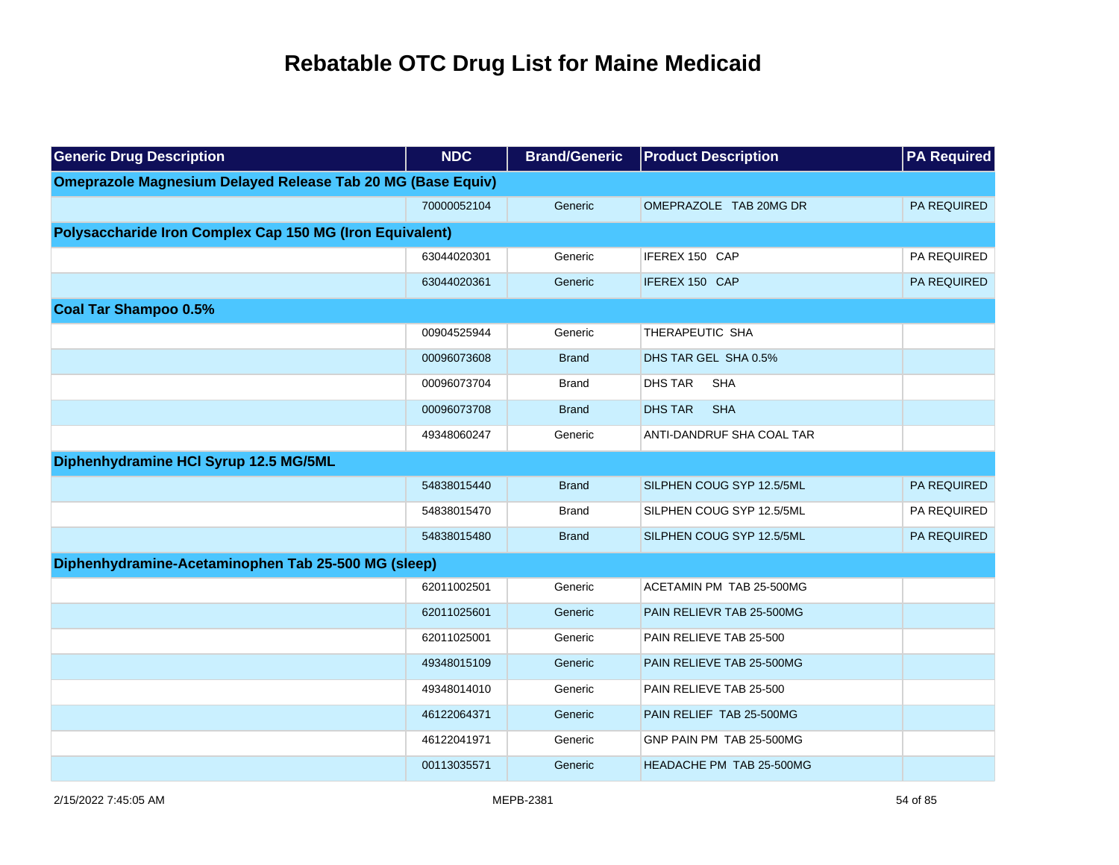| <b>Generic Drug Description</b>                                    | <b>NDC</b>  | <b>Brand/Generic</b> | <b>Product Description</b>      | <b>PA Required</b> |
|--------------------------------------------------------------------|-------------|----------------------|---------------------------------|--------------------|
| <b>Omeprazole Magnesium Delayed Release Tab 20 MG (Base Equiv)</b> |             |                      |                                 |                    |
|                                                                    | 70000052104 | Generic              | OMEPRAZOLE TAB 20MG DR          | <b>PA REQUIRED</b> |
| Polysaccharide Iron Complex Cap 150 MG (Iron Equivalent)           |             |                      |                                 |                    |
|                                                                    | 63044020301 | Generic              | IFEREX 150 CAP                  | PA REQUIRED        |
|                                                                    | 63044020361 | Generic              | IFEREX 150 CAP                  | PA REQUIRED        |
| <b>Coal Tar Shampoo 0.5%</b>                                       |             |                      |                                 |                    |
|                                                                    | 00904525944 | Generic              | THERAPEUTIC SHA                 |                    |
|                                                                    | 00096073608 | <b>Brand</b>         | DHS TAR GEL SHA 0.5%            |                    |
|                                                                    | 00096073704 | <b>Brand</b>         | <b>DHS TAR</b><br><b>SHA</b>    |                    |
|                                                                    | 00096073708 | <b>Brand</b>         | <b>DHS TAR</b><br><b>SHA</b>    |                    |
|                                                                    | 49348060247 | Generic              | ANTI-DANDRUF SHA COAL TAR       |                    |
| Diphenhydramine HCI Syrup 12.5 MG/5ML                              |             |                      |                                 |                    |
|                                                                    | 54838015440 | <b>Brand</b>         | SILPHEN COUG SYP 12.5/5ML       | PA REQUIRED        |
|                                                                    | 54838015470 | <b>Brand</b>         | SILPHEN COUG SYP 12.5/5ML       | PA REQUIRED        |
|                                                                    | 54838015480 | <b>Brand</b>         | SILPHEN COUG SYP 12.5/5ML       | PA REQUIRED        |
| Diphenhydramine-Acetaminophen Tab 25-500 MG (sleep)                |             |                      |                                 |                    |
|                                                                    | 62011002501 | Generic              | ACETAMIN PM TAB 25-500MG        |                    |
|                                                                    | 62011025601 | Generic              | PAIN RELIEVR TAB 25-500MG       |                    |
|                                                                    | 62011025001 | Generic              | PAIN RELIEVE TAB 25-500         |                    |
|                                                                    | 49348015109 | Generic              | PAIN RELIEVE TAB 25-500MG       |                    |
|                                                                    | 49348014010 | Generic              | PAIN RELIEVE TAB 25-500         |                    |
|                                                                    | 46122064371 | Generic              | PAIN RELIEF TAB 25-500MG        |                    |
|                                                                    | 46122041971 | Generic              | GNP PAIN PM TAB 25-500MG        |                    |
|                                                                    | 00113035571 | Generic              | <b>HEADACHE PM TAB 25-500MG</b> |                    |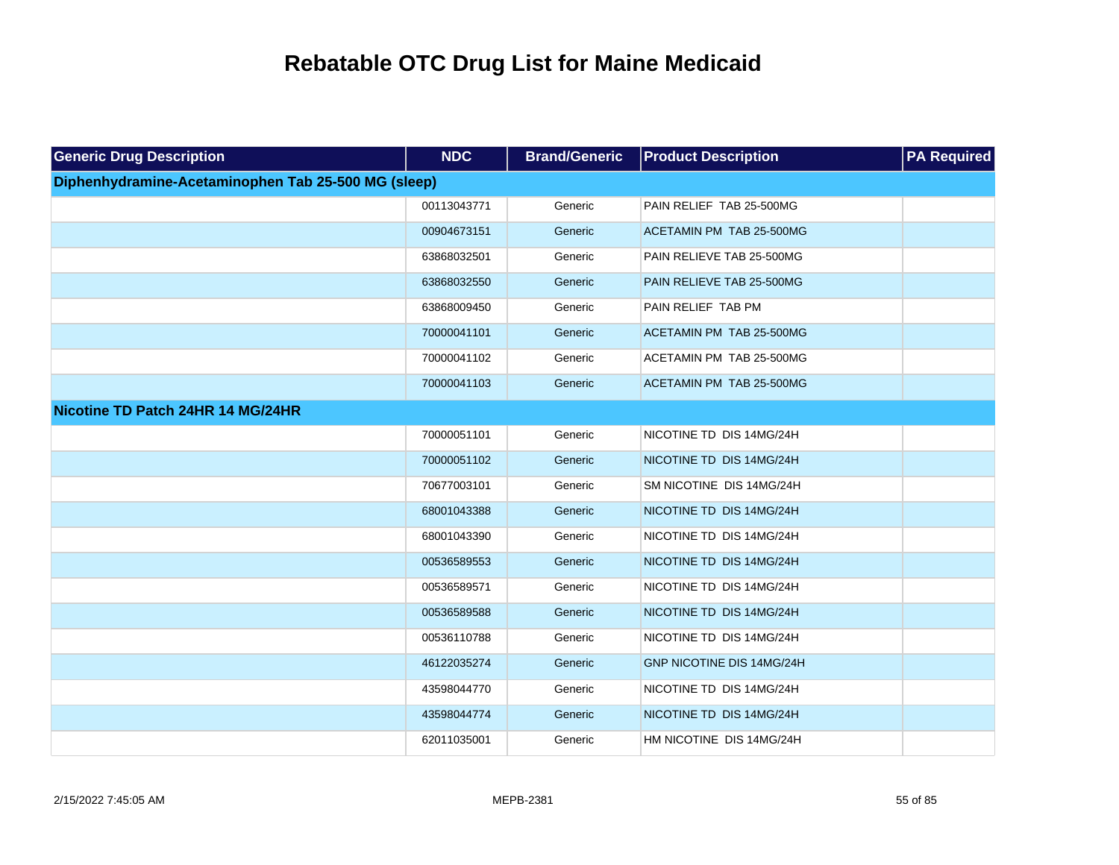| <b>Generic Drug Description</b>                     | <b>NDC</b>  | <b>Brand/Generic</b> | <b>Product Description</b> | <b>PA Required</b> |
|-----------------------------------------------------|-------------|----------------------|----------------------------|--------------------|
| Diphenhydramine-Acetaminophen Tab 25-500 MG (sleep) |             |                      |                            |                    |
|                                                     | 00113043771 | Generic              | PAIN RELIEF TAB 25-500MG   |                    |
|                                                     | 00904673151 | Generic              | ACETAMIN PM TAB 25-500MG   |                    |
|                                                     | 63868032501 | Generic              | PAIN RELIEVE TAB 25-500MG  |                    |
|                                                     | 63868032550 | Generic              | PAIN RELIEVE TAB 25-500MG  |                    |
|                                                     | 63868009450 | Generic              | PAIN RELIEF TAB PM         |                    |
|                                                     | 70000041101 | Generic              | ACETAMIN PM TAB 25-500MG   |                    |
|                                                     | 70000041102 | Generic              | ACETAMIN PM TAB 25-500MG   |                    |
|                                                     | 70000041103 | Generic              | ACETAMIN PM TAB 25-500MG   |                    |
| Nicotine TD Patch 24HR 14 MG/24HR                   |             |                      |                            |                    |
|                                                     | 70000051101 | Generic              | NICOTINE TD DIS 14MG/24H   |                    |
|                                                     | 70000051102 | Generic              | NICOTINE TD DIS 14MG/24H   |                    |
|                                                     | 70677003101 | Generic              | SM NICOTINE DIS 14MG/24H   |                    |
|                                                     | 68001043388 | Generic              | NICOTINE TD DIS 14MG/24H   |                    |
|                                                     | 68001043390 | Generic              | NICOTINE TD DIS 14MG/24H   |                    |
|                                                     | 00536589553 | Generic              | NICOTINE TD DIS 14MG/24H   |                    |
|                                                     | 00536589571 | Generic              | NICOTINE TD DIS 14MG/24H   |                    |
|                                                     | 00536589588 | Generic              | NICOTINE TD DIS 14MG/24H   |                    |
|                                                     | 00536110788 | Generic              | NICOTINE TD DIS 14MG/24H   |                    |
|                                                     | 46122035274 | Generic              | GNP NICOTINE DIS 14MG/24H  |                    |
|                                                     | 43598044770 | Generic              | NICOTINE TD DIS 14MG/24H   |                    |
|                                                     | 43598044774 | Generic              | NICOTINE TD DIS 14MG/24H   |                    |
|                                                     | 62011035001 | Generic              | HM NICOTINE DIS 14MG/24H   |                    |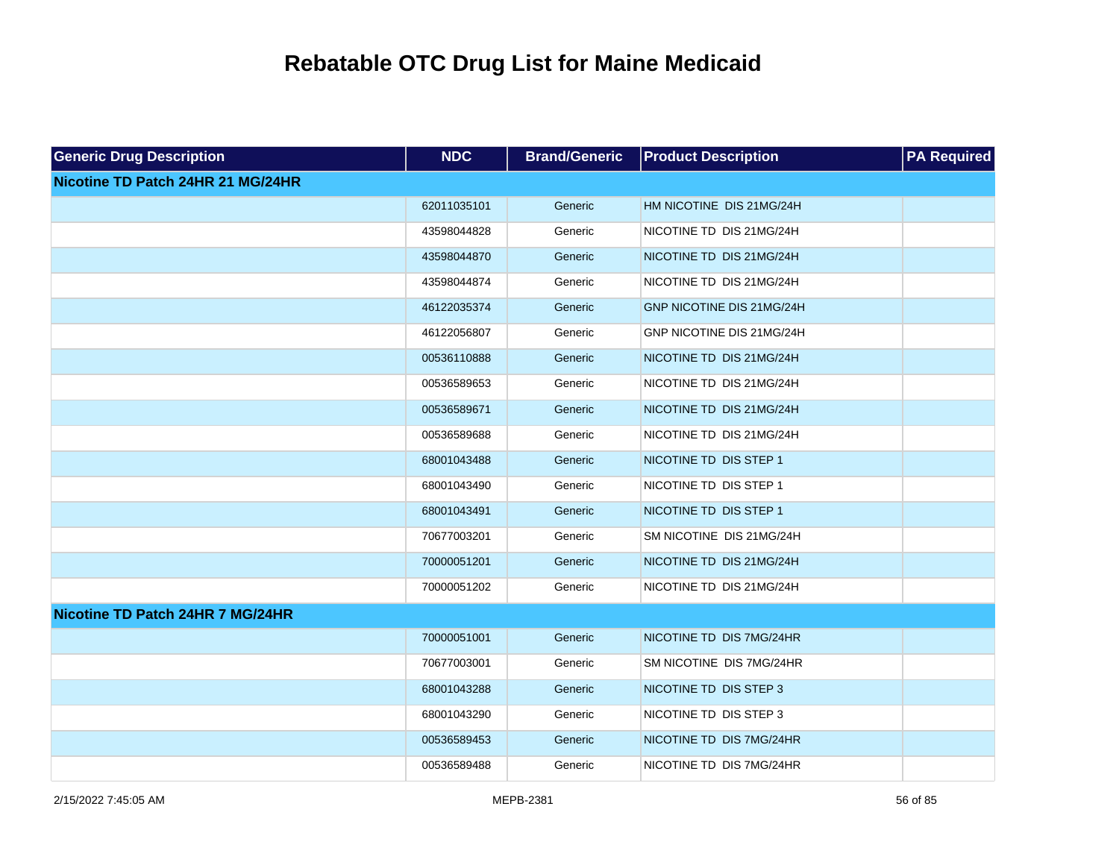| <b>Generic Drug Description</b>   | <b>NDC</b>  | <b>Brand/Generic</b> | <b>Product Description</b> | <b>PA Required</b> |
|-----------------------------------|-------------|----------------------|----------------------------|--------------------|
| Nicotine TD Patch 24HR 21 MG/24HR |             |                      |                            |                    |
|                                   | 62011035101 | Generic              | HM NICOTINE DIS 21MG/24H   |                    |
|                                   | 43598044828 | Generic              | NICOTINE TD DIS 21MG/24H   |                    |
|                                   | 43598044870 | Generic              | NICOTINE TD DIS 21MG/24H   |                    |
|                                   | 43598044874 | Generic              | NICOTINE TD DIS 21MG/24H   |                    |
|                                   | 46122035374 | Generic              | GNP NICOTINE DIS 21MG/24H  |                    |
|                                   | 46122056807 | Generic              | GNP NICOTINE DIS 21MG/24H  |                    |
|                                   | 00536110888 | Generic              | NICOTINE TD DIS 21MG/24H   |                    |
|                                   | 00536589653 | Generic              | NICOTINE TD DIS 21MG/24H   |                    |
|                                   | 00536589671 | Generic              | NICOTINE TD DIS 21MG/24H   |                    |
|                                   | 00536589688 | Generic              | NICOTINE TD DIS 21MG/24H   |                    |
|                                   | 68001043488 | Generic              | NICOTINE TD DIS STEP 1     |                    |
|                                   | 68001043490 | Generic              | NICOTINE TD DIS STEP 1     |                    |
|                                   | 68001043491 | Generic              | NICOTINE TD DIS STEP 1     |                    |
|                                   | 70677003201 | Generic              | SM NICOTINE DIS 21MG/24H   |                    |
|                                   | 70000051201 | Generic              | NICOTINE TD DIS 21MG/24H   |                    |
|                                   | 70000051202 | Generic              | NICOTINE TD DIS 21MG/24H   |                    |
| Nicotine TD Patch 24HR 7 MG/24HR  |             |                      |                            |                    |
|                                   | 70000051001 | Generic              | NICOTINE TD DIS 7MG/24HR   |                    |
|                                   | 70677003001 | Generic              | SM NICOTINE DIS 7MG/24HR   |                    |
|                                   | 68001043288 | Generic              | NICOTINE TD DIS STEP 3     |                    |
|                                   | 68001043290 | Generic              | NICOTINE TD DIS STEP 3     |                    |
|                                   | 00536589453 | Generic              | NICOTINE TD DIS 7MG/24HR   |                    |
|                                   | 00536589488 | Generic              | NICOTINE TD DIS 7MG/24HR   |                    |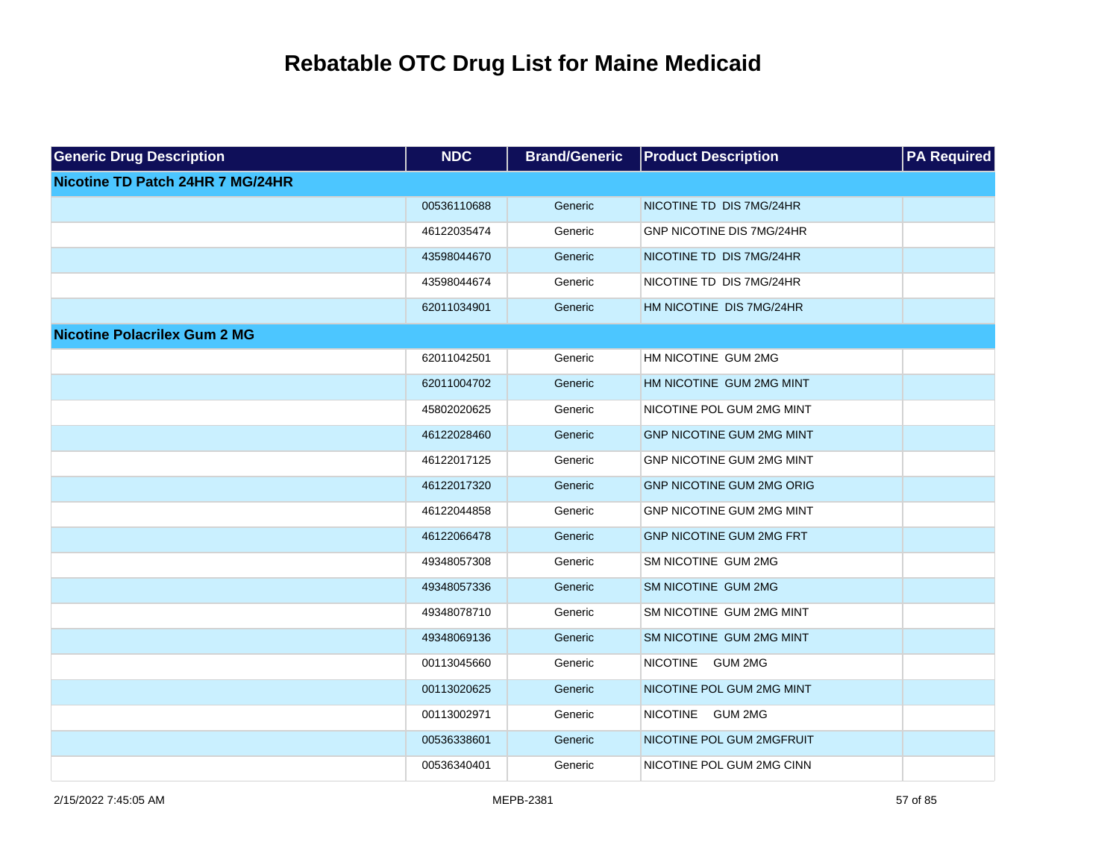| <b>Generic Drug Description</b>     | <b>NDC</b>  | <b>Brand/Generic</b> | <b>Product Description</b>       | <b>PA Required</b> |
|-------------------------------------|-------------|----------------------|----------------------------------|--------------------|
| Nicotine TD Patch 24HR 7 MG/24HR    |             |                      |                                  |                    |
|                                     | 00536110688 | Generic              | NICOTINE TD DIS 7MG/24HR         |                    |
|                                     | 46122035474 | Generic              | <b>GNP NICOTINE DIS 7MG/24HR</b> |                    |
|                                     | 43598044670 | Generic              | NICOTINE TD DIS 7MG/24HR         |                    |
|                                     | 43598044674 | Generic              | NICOTINE TD DIS 7MG/24HR         |                    |
|                                     | 62011034901 | Generic              | HM NICOTINE DIS 7MG/24HR         |                    |
| <b>Nicotine Polacrilex Gum 2 MG</b> |             |                      |                                  |                    |
|                                     | 62011042501 | Generic              | HM NICOTINE GUM 2MG              |                    |
|                                     | 62011004702 | Generic              | HM NICOTINE GUM 2MG MINT         |                    |
|                                     | 45802020625 | Generic              | NICOTINE POL GUM 2MG MINT        |                    |
|                                     | 46122028460 | Generic              | <b>GNP NICOTINE GUM 2MG MINT</b> |                    |
|                                     | 46122017125 | Generic              | GNP NICOTINE GUM 2MG MINT        |                    |
|                                     | 46122017320 | Generic              | <b>GNP NICOTINE GUM 2MG ORIG</b> |                    |
|                                     | 46122044858 | Generic              | <b>GNP NICOTINE GUM 2MG MINT</b> |                    |
|                                     | 46122066478 | Generic              | <b>GNP NICOTINE GUM 2MG FRT</b>  |                    |
|                                     | 49348057308 | Generic              | SM NICOTINE GUM 2MG              |                    |
|                                     | 49348057336 | Generic              | SM NICOTINE GUM 2MG              |                    |
|                                     | 49348078710 | Generic              | SM NICOTINE GUM 2MG MINT         |                    |
|                                     | 49348069136 | Generic              | SM NICOTINE GUM 2MG MINT         |                    |
|                                     | 00113045660 | Generic              | NICOTINE GUM 2MG                 |                    |
|                                     | 00113020625 | Generic              | NICOTINE POL GUM 2MG MINT        |                    |
|                                     | 00113002971 | Generic              | NICOTINE GUM 2MG                 |                    |
|                                     | 00536338601 | Generic              | NICOTINE POL GUM 2MGFRUIT        |                    |
|                                     | 00536340401 | Generic              | NICOTINE POL GUM 2MG CINN        |                    |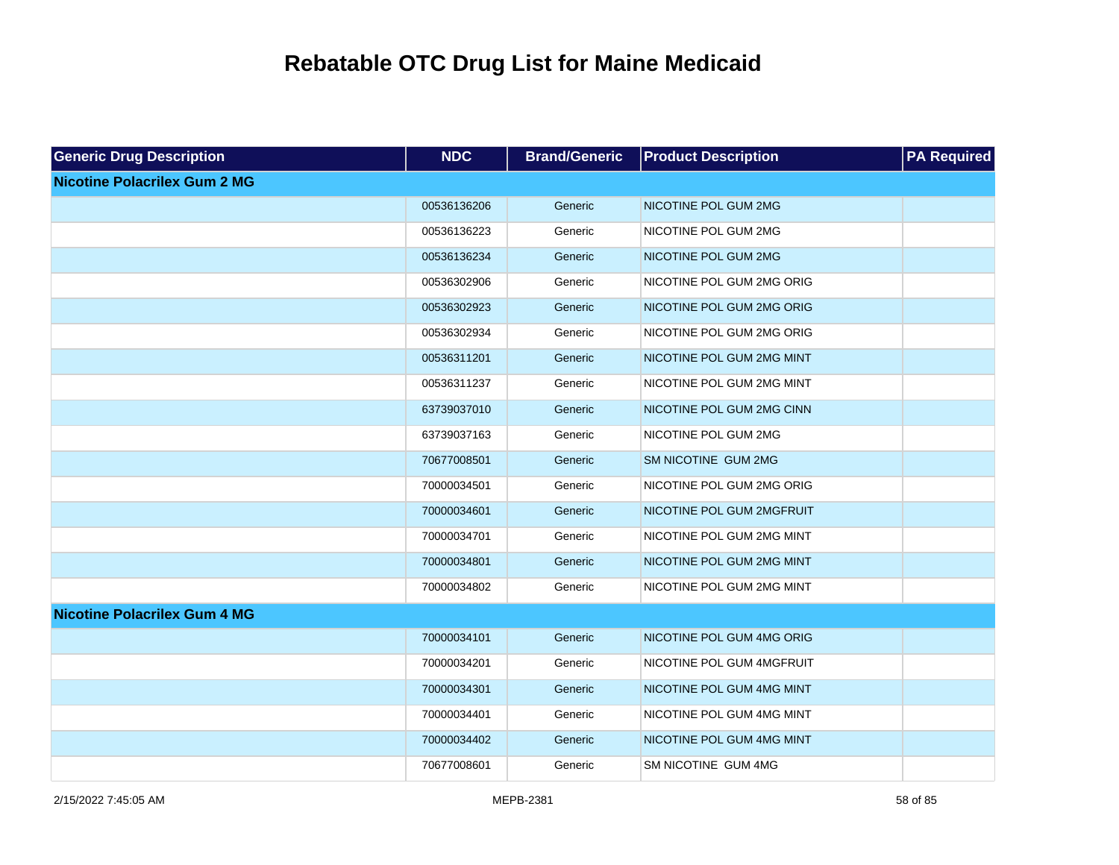| <b>Generic Drug Description</b>     | <b>NDC</b>  | <b>Brand/Generic</b> | <b>Product Description</b> | <b>PA Required</b> |
|-------------------------------------|-------------|----------------------|----------------------------|--------------------|
| <b>Nicotine Polacrilex Gum 2 MG</b> |             |                      |                            |                    |
|                                     | 00536136206 | Generic              | NICOTINE POL GUM 2MG       |                    |
|                                     | 00536136223 | Generic              | NICOTINE POL GUM 2MG       |                    |
|                                     | 00536136234 | Generic              | NICOTINE POL GUM 2MG       |                    |
|                                     | 00536302906 | Generic              | NICOTINE POL GUM 2MG ORIG  |                    |
|                                     | 00536302923 | Generic              | NICOTINE POL GUM 2MG ORIG  |                    |
|                                     | 00536302934 | Generic              | NICOTINE POL GUM 2MG ORIG  |                    |
|                                     | 00536311201 | Generic              | NICOTINE POL GUM 2MG MINT  |                    |
|                                     | 00536311237 | Generic              | NICOTINE POL GUM 2MG MINT  |                    |
|                                     | 63739037010 | Generic              | NICOTINE POL GUM 2MG CINN  |                    |
|                                     | 63739037163 | Generic              | NICOTINE POL GUM 2MG       |                    |
|                                     | 70677008501 | Generic              | SM NICOTINE GUM 2MG        |                    |
|                                     | 70000034501 | Generic              | NICOTINE POL GUM 2MG ORIG  |                    |
|                                     | 70000034601 | Generic              | NICOTINE POL GUM 2MGFRUIT  |                    |
|                                     | 70000034701 | Generic              | NICOTINE POL GUM 2MG MINT  |                    |
|                                     | 70000034801 | Generic              | NICOTINE POL GUM 2MG MINT  |                    |
|                                     | 70000034802 | Generic              | NICOTINE POL GUM 2MG MINT  |                    |
| <b>Nicotine Polacrilex Gum 4 MG</b> |             |                      |                            |                    |
|                                     | 70000034101 | Generic              | NICOTINE POL GUM 4MG ORIG  |                    |
|                                     | 70000034201 | Generic              | NICOTINE POL GUM 4MGFRUIT  |                    |
|                                     | 70000034301 | Generic              | NICOTINE POL GUM 4MG MINT  |                    |
|                                     | 70000034401 | Generic              | NICOTINE POL GUM 4MG MINT  |                    |
|                                     | 70000034402 | Generic              | NICOTINE POL GUM 4MG MINT  |                    |
|                                     | 70677008601 | Generic              | SM NICOTINE GUM 4MG        |                    |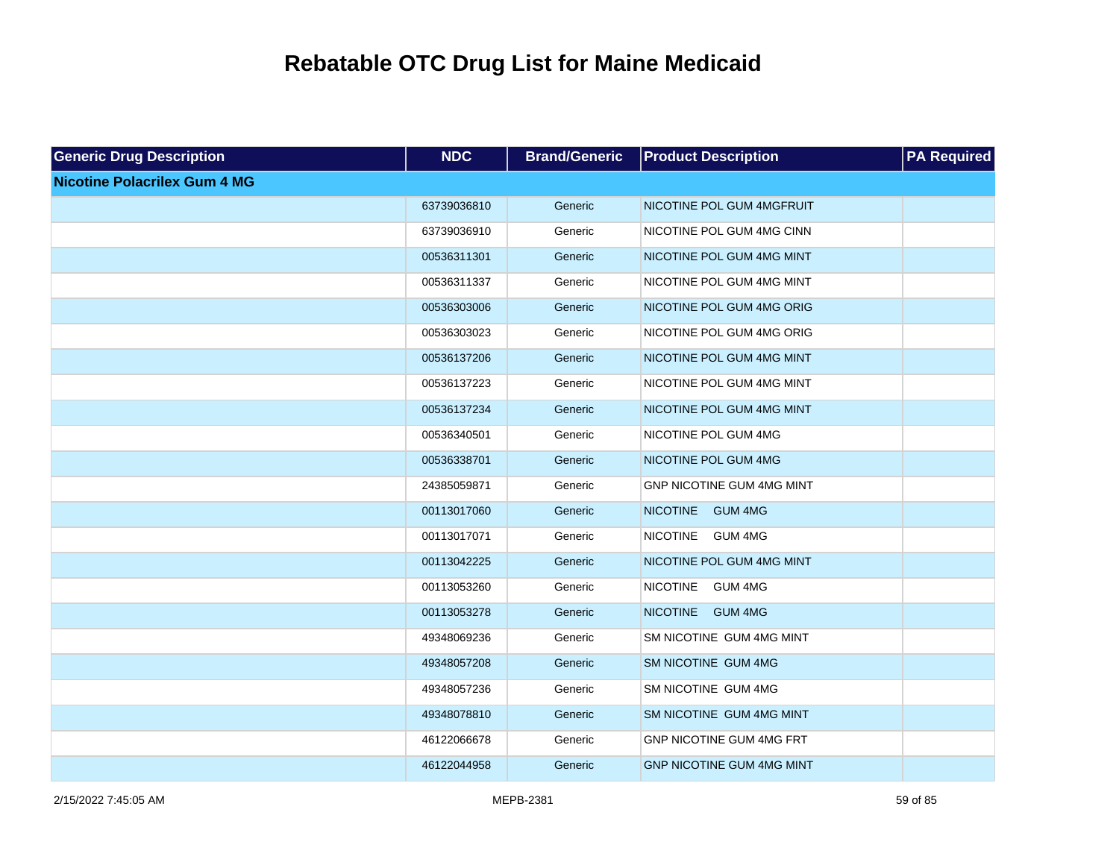| <b>Generic Drug Description</b>     | <b>NDC</b>  | <b>Brand/Generic</b> | <b>Product Description</b>        | <b>PA Required</b> |
|-------------------------------------|-------------|----------------------|-----------------------------------|--------------------|
| <b>Nicotine Polacrilex Gum 4 MG</b> |             |                      |                                   |                    |
|                                     | 63739036810 | Generic              | NICOTINE POL GUM 4MGFRUIT         |                    |
|                                     | 63739036910 | Generic              | NICOTINE POL GUM 4MG CINN         |                    |
|                                     | 00536311301 | Generic              | NICOTINE POL GUM 4MG MINT         |                    |
|                                     | 00536311337 | Generic              | NICOTINE POL GUM 4MG MINT         |                    |
|                                     | 00536303006 | Generic              | NICOTINE POL GUM 4MG ORIG         |                    |
|                                     | 00536303023 | Generic              | NICOTINE POL GUM 4MG ORIG         |                    |
|                                     | 00536137206 | Generic              | NICOTINE POL GUM 4MG MINT         |                    |
|                                     | 00536137223 | Generic              | NICOTINE POL GUM 4MG MINT         |                    |
|                                     | 00536137234 | Generic              | NICOTINE POL GUM 4MG MINT         |                    |
|                                     | 00536340501 | Generic              | NICOTINE POL GUM 4MG              |                    |
|                                     | 00536338701 | Generic              | NICOTINE POL GUM 4MG              |                    |
|                                     | 24385059871 | Generic              | GNP NICOTINE GUM 4MG MINT         |                    |
|                                     | 00113017060 | Generic              | <b>NICOTINE</b><br><b>GUM 4MG</b> |                    |
|                                     | 00113017071 | Generic              | <b>NICOTINE</b><br><b>GUM 4MG</b> |                    |
|                                     | 00113042225 | Generic              | NICOTINE POL GUM 4MG MINT         |                    |
|                                     | 00113053260 | Generic              | <b>NICOTINE</b><br><b>GUM 4MG</b> |                    |
|                                     | 00113053278 | Generic              | <b>NICOTINE</b><br><b>GUM 4MG</b> |                    |
|                                     | 49348069236 | Generic              | SM NICOTINE GUM 4MG MINT          |                    |
|                                     | 49348057208 | Generic              | SM NICOTINE GUM 4MG               |                    |
|                                     | 49348057236 | Generic              | SM NICOTINE GUM 4MG               |                    |
|                                     | 49348078810 | Generic              | SM NICOTINE GUM 4MG MINT          |                    |
|                                     | 46122066678 | Generic              | GNP NICOTINE GUM 4MG FRT          |                    |
|                                     | 46122044958 | Generic              | <b>GNP NICOTINE GUM 4MG MINT</b>  |                    |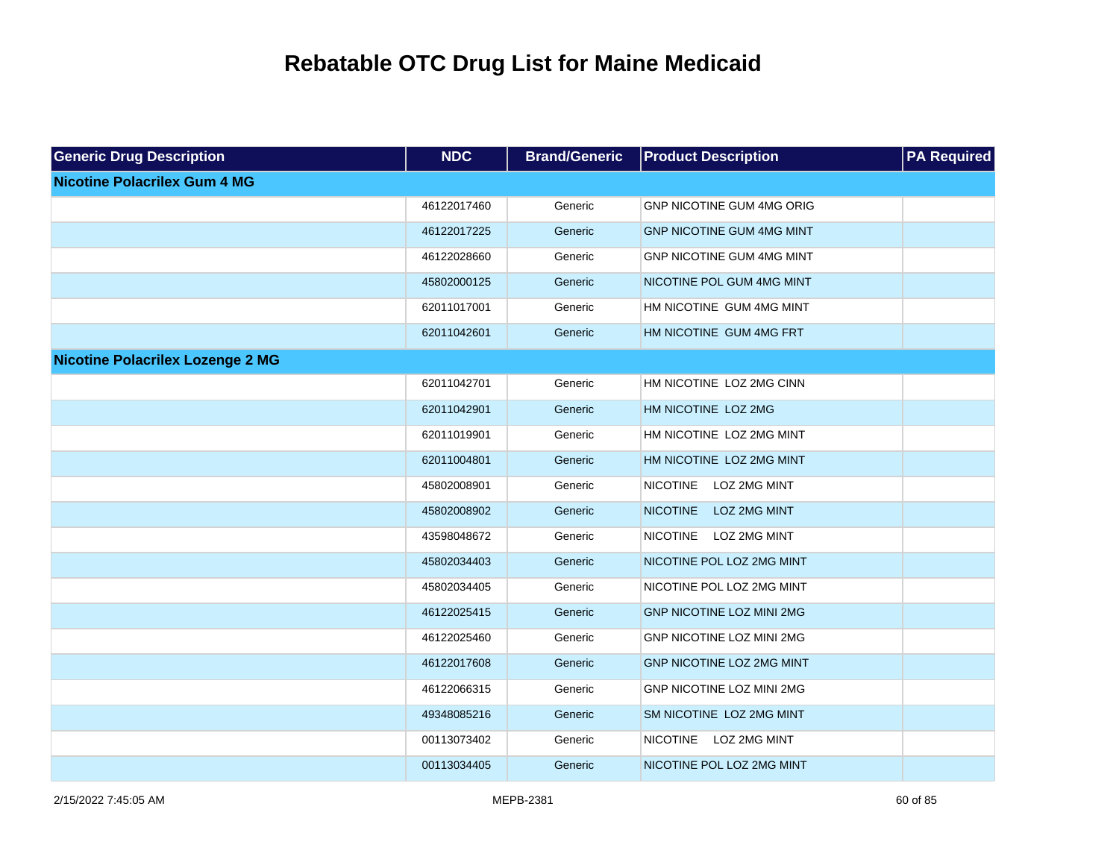| <b>Generic Drug Description</b>         | <b>NDC</b>  | <b>Brand/Generic</b> | <b>Product Description</b>             | <b>PA Required</b> |
|-----------------------------------------|-------------|----------------------|----------------------------------------|--------------------|
| <b>Nicotine Polacrilex Gum 4 MG</b>     |             |                      |                                        |                    |
|                                         | 46122017460 | Generic              | GNP NICOTINE GUM 4MG ORIG              |                    |
|                                         | 46122017225 | Generic              | <b>GNP NICOTINE GUM 4MG MINT</b>       |                    |
|                                         | 46122028660 | Generic              | GNP NICOTINE GUM 4MG MINT              |                    |
|                                         | 45802000125 | Generic              | NICOTINE POL GUM 4MG MINT              |                    |
|                                         | 62011017001 | Generic              | HM NICOTINE GUM 4MG MINT               |                    |
|                                         | 62011042601 | Generic              | HM NICOTINE GUM 4MG FRT                |                    |
| <b>Nicotine Polacrilex Lozenge 2 MG</b> |             |                      |                                        |                    |
|                                         | 62011042701 | Generic              | HM NICOTINE LOZ 2MG CINN               |                    |
|                                         | 62011042901 | Generic              | HM NICOTINE LOZ 2MG                    |                    |
|                                         | 62011019901 | Generic              | HM NICOTINE LOZ 2MG MINT               |                    |
|                                         | 62011004801 | Generic              | HM NICOTINE LOZ 2MG MINT               |                    |
|                                         | 45802008901 | Generic              | <b>NICOTINE</b><br>LOZ 2MG MINT        |                    |
|                                         | 45802008902 | Generic              | <b>NICOTINE</b><br><b>LOZ 2MG MINT</b> |                    |
|                                         | 43598048672 | Generic              | <b>NICOTINE</b><br>LOZ 2MG MINT        |                    |
|                                         | 45802034403 | Generic              | NICOTINE POL LOZ 2MG MINT              |                    |
|                                         | 45802034405 | Generic              | NICOTINE POL LOZ 2MG MINT              |                    |
|                                         | 46122025415 | Generic              | <b>GNP NICOTINE LOZ MINI 2MG</b>       |                    |
|                                         | 46122025460 | Generic              | <b>GNP NICOTINE LOZ MINI 2MG</b>       |                    |
|                                         | 46122017608 | Generic              | <b>GNP NICOTINE LOZ 2MG MINT</b>       |                    |
|                                         | 46122066315 | Generic              | <b>GNP NICOTINE LOZ MINI 2MG</b>       |                    |
|                                         | 49348085216 | Generic              | SM NICOTINE LOZ 2MG MINT               |                    |
|                                         | 00113073402 | Generic              | LOZ 2MG MINT<br><b>NICOTINE</b>        |                    |
|                                         | 00113034405 | Generic              | NICOTINE POL LOZ 2MG MINT              |                    |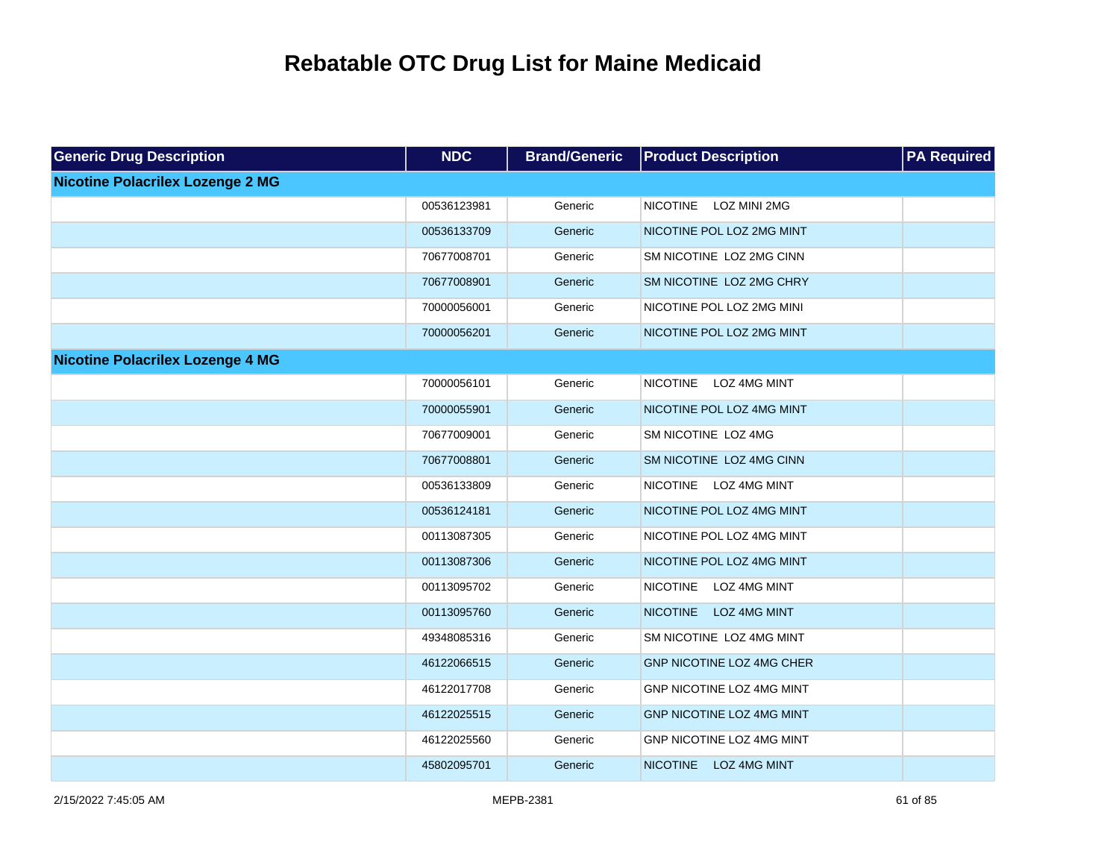| <b>Generic Drug Description</b>         | <b>NDC</b>  | <b>Brand/Generic</b> | <b>Product Description</b>             | <b>PA Required</b> |
|-----------------------------------------|-------------|----------------------|----------------------------------------|--------------------|
| <b>Nicotine Polacrilex Lozenge 2 MG</b> |             |                      |                                        |                    |
|                                         | 00536123981 | Generic              | <b>NICOTINE</b><br>LOZ MINI 2MG        |                    |
|                                         | 00536133709 | Generic              | NICOTINE POL LOZ 2MG MINT              |                    |
|                                         | 70677008701 | Generic              | SM NICOTINE LOZ 2MG CINN               |                    |
|                                         | 70677008901 | Generic              | SM NICOTINE LOZ 2MG CHRY               |                    |
|                                         | 70000056001 | Generic              | NICOTINE POL LOZ 2MG MINI              |                    |
|                                         | 70000056201 | Generic              | NICOTINE POL LOZ 2MG MINT              |                    |
| <b>Nicotine Polacrilex Lozenge 4 MG</b> |             |                      |                                        |                    |
|                                         | 70000056101 | Generic              | <b>NICOTINE</b><br>LOZ 4MG MINT        |                    |
|                                         | 70000055901 | Generic              | NICOTINE POL LOZ 4MG MINT              |                    |
|                                         | 70677009001 | Generic              | SM NICOTINE LOZ 4MG                    |                    |
|                                         | 70677008801 | Generic              | SM NICOTINE LOZ 4MG CINN               |                    |
|                                         | 00536133809 | Generic              | <b>NICOTINE</b><br>LOZ 4MG MINT        |                    |
|                                         | 00536124181 | Generic              | NICOTINE POL LOZ 4MG MINT              |                    |
|                                         | 00113087305 | Generic              | NICOTINE POL LOZ 4MG MINT              |                    |
|                                         | 00113087306 | Generic              | NICOTINE POL LOZ 4MG MINT              |                    |
|                                         | 00113095702 | Generic              | <b>NICOTINE</b><br>LOZ 4MG MINT        |                    |
|                                         | 00113095760 | Generic              | <b>NICOTINE</b><br><b>LOZ 4MG MINT</b> |                    |
|                                         | 49348085316 | Generic              | SM NICOTINE LOZ 4MG MINT               |                    |
|                                         | 46122066515 | Generic              | <b>GNP NICOTINE LOZ 4MG CHER</b>       |                    |
|                                         | 46122017708 | Generic              | GNP NICOTINE LOZ 4MG MINT              |                    |
|                                         | 46122025515 | Generic              | GNP NICOTINE LOZ 4MG MINT              |                    |
|                                         | 46122025560 | Generic              | GNP NICOTINE LOZ 4MG MINT              |                    |
|                                         | 45802095701 | Generic              | <b>NICOTINE</b><br><b>LOZ 4MG MINT</b> |                    |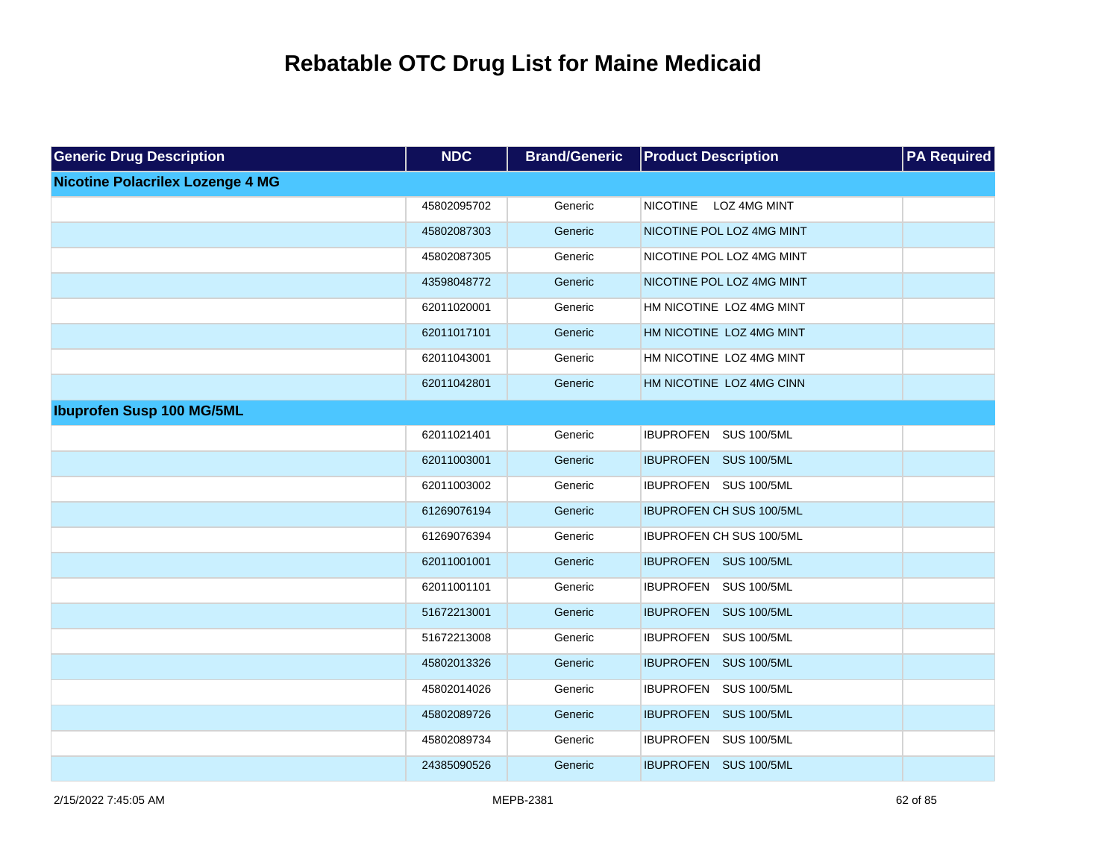| <b>Generic Drug Description</b>         | <b>NDC</b>  | <b>Brand/Generic</b> | <b>Product Description</b>      | <b>PA Required</b> |
|-----------------------------------------|-------------|----------------------|---------------------------------|--------------------|
| <b>Nicotine Polacrilex Lozenge 4 MG</b> |             |                      |                                 |                    |
|                                         | 45802095702 | Generic              | <b>NICOTINE</b><br>LOZ 4MG MINT |                    |
|                                         | 45802087303 | Generic              | NICOTINE POL LOZ 4MG MINT       |                    |
|                                         | 45802087305 | Generic              | NICOTINE POL LOZ 4MG MINT       |                    |
|                                         | 43598048772 | Generic              | NICOTINE POL LOZ 4MG MINT       |                    |
|                                         | 62011020001 | Generic              | HM NICOTINE LOZ 4MG MINT        |                    |
|                                         | 62011017101 | Generic              | HM NICOTINE LOZ 4MG MINT        |                    |
|                                         | 62011043001 | Generic              | HM NICOTINE LOZ 4MG MINT        |                    |
|                                         | 62011042801 | Generic              | HM NICOTINE LOZ 4MG CINN        |                    |
| <b>Ibuprofen Susp 100 MG/5ML</b>        |             |                      |                                 |                    |
|                                         | 62011021401 | Generic              | IBUPROFEN SUS 100/5ML           |                    |
|                                         | 62011003001 | Generic              | IBUPROFEN SUS 100/5ML           |                    |
|                                         | 62011003002 | Generic              | IBUPROFEN SUS 100/5ML           |                    |
|                                         | 61269076194 | Generic              | <b>IBUPROFEN CH SUS 100/5ML</b> |                    |
|                                         | 61269076394 | Generic              | IBUPROFEN CH SUS 100/5ML        |                    |
|                                         | 62011001001 | Generic              | IBUPROFEN SUS 100/5ML           |                    |
|                                         | 62011001101 | Generic              | IBUPROFEN SUS 100/5ML           |                    |
|                                         | 51672213001 | Generic              | IBUPROFEN SUS 100/5ML           |                    |
|                                         | 51672213008 | Generic              | IBUPROFEN SUS 100/5ML           |                    |
|                                         | 45802013326 | Generic              | IBUPROFEN SUS 100/5ML           |                    |
|                                         | 45802014026 | Generic              | IBUPROFEN SUS 100/5ML           |                    |
|                                         | 45802089726 | Generic              | IBUPROFEN SUS 100/5ML           |                    |
|                                         | 45802089734 | Generic              | IBUPROFEN SUS 100/5ML           |                    |
|                                         | 24385090526 | Generic              | IBUPROFEN SUS 100/5ML           |                    |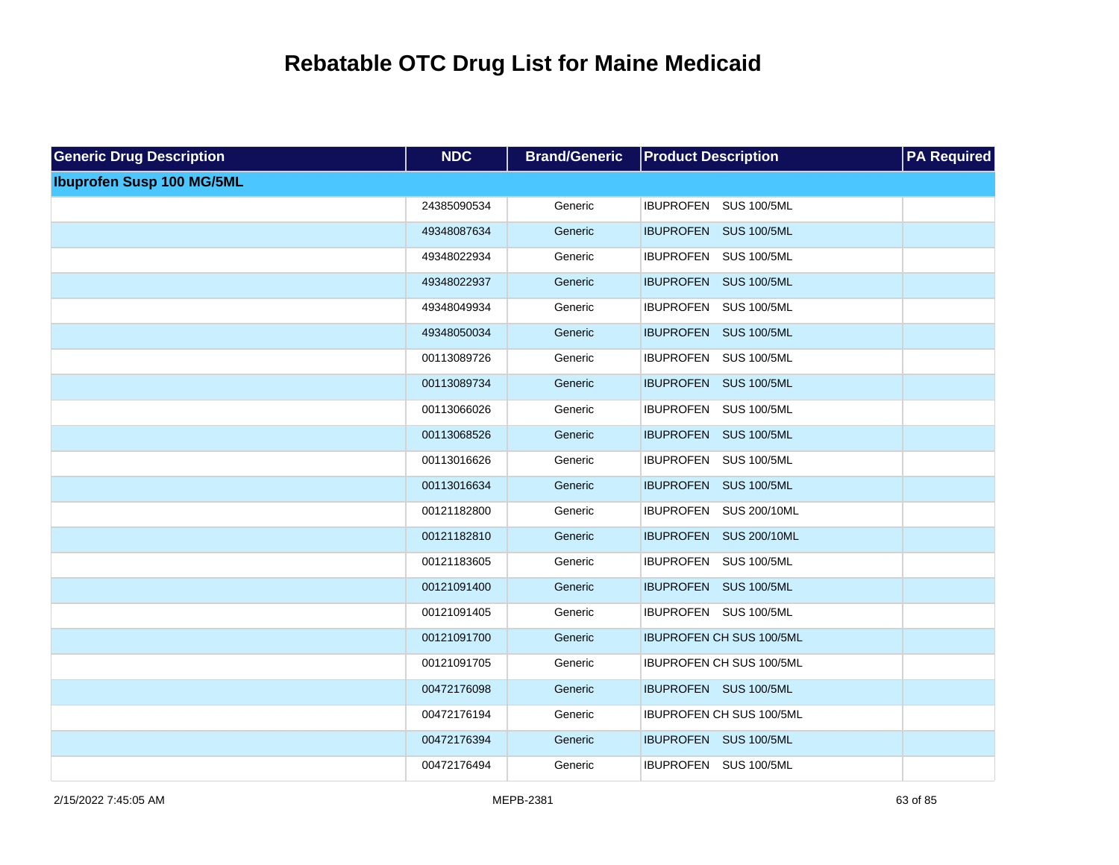| <b>Generic Drug Description</b>  | <b>NDC</b>  | <b>Brand/Generic</b> | <b>Product Description</b>      | <b>PA Required</b> |
|----------------------------------|-------------|----------------------|---------------------------------|--------------------|
| <b>Ibuprofen Susp 100 MG/5ML</b> |             |                      |                                 |                    |
|                                  | 24385090534 | Generic              | IBUPROFEN SUS 100/5ML           |                    |
|                                  | 49348087634 | Generic              | IBUPROFEN SUS 100/5ML           |                    |
|                                  | 49348022934 | Generic              | IBUPROFEN SUS 100/5ML           |                    |
|                                  | 49348022937 | Generic              | IBUPROFEN SUS 100/5ML           |                    |
|                                  | 49348049934 | Generic              | IBUPROFEN SUS 100/5ML           |                    |
|                                  | 49348050034 | Generic              | IBUPROFEN SUS 100/5ML           |                    |
|                                  | 00113089726 | Generic              | IBUPROFEN SUS 100/5ML           |                    |
|                                  | 00113089734 | Generic              | IBUPROFEN SUS 100/5ML           |                    |
|                                  | 00113066026 | Generic              | IBUPROFEN SUS 100/5ML           |                    |
|                                  | 00113068526 | Generic              | IBUPROFEN SUS 100/5ML           |                    |
|                                  | 00113016626 | Generic              | IBUPROFEN SUS 100/5ML           |                    |
|                                  | 00113016634 | Generic              | IBUPROFEN SUS 100/5ML           |                    |
|                                  | 00121182800 | Generic              | IBUPROFEN SUS 200/10ML          |                    |
|                                  | 00121182810 | Generic              | IBUPROFEN SUS 200/10ML          |                    |
|                                  | 00121183605 | Generic              | IBUPROFEN SUS 100/5ML           |                    |
|                                  | 00121091400 | Generic              | IBUPROFEN SUS 100/5ML           |                    |
|                                  | 00121091405 | Generic              | IBUPROFEN SUS 100/5ML           |                    |
|                                  | 00121091700 | Generic              | <b>IBUPROFEN CH SUS 100/5ML</b> |                    |
|                                  | 00121091705 | Generic              | IBUPROFEN CH SUS 100/5ML        |                    |
|                                  | 00472176098 | Generic              | IBUPROFEN SUS 100/5ML           |                    |
|                                  | 00472176194 | Generic              | IBUPROFEN CH SUS 100/5ML        |                    |
|                                  | 00472176394 | Generic              | IBUPROFEN SUS 100/5ML           |                    |
|                                  | 00472176494 | Generic              | IBUPROFEN SUS 100/5ML           |                    |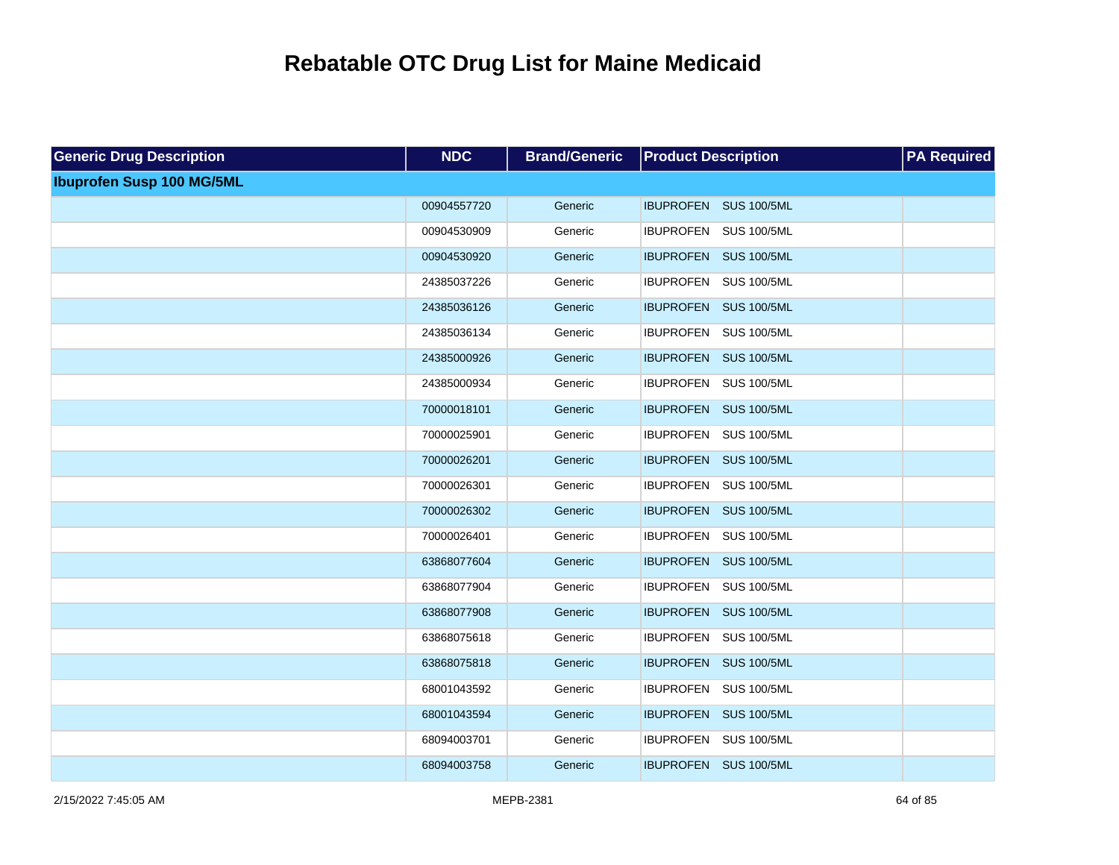| <b>Generic Drug Description</b>  | <b>NDC</b>  | <b>Brand/Generic</b> | <b>Product Description</b> | <b>PA Required</b> |
|----------------------------------|-------------|----------------------|----------------------------|--------------------|
| <b>Ibuprofen Susp 100 MG/5ML</b> |             |                      |                            |                    |
|                                  | 00904557720 | Generic              | IBUPROFEN SUS 100/5ML      |                    |
|                                  | 00904530909 | Generic              | IBUPROFEN SUS 100/5ML      |                    |
|                                  | 00904530920 | Generic              | IBUPROFEN SUS 100/5ML      |                    |
|                                  | 24385037226 | Generic              | IBUPROFEN SUS 100/5ML      |                    |
|                                  | 24385036126 | Generic              | IBUPROFEN SUS 100/5ML      |                    |
|                                  | 24385036134 | Generic              | IBUPROFEN SUS 100/5ML      |                    |
|                                  | 24385000926 | Generic              | IBUPROFEN SUS 100/5ML      |                    |
|                                  | 24385000934 | Generic              | IBUPROFEN SUS 100/5ML      |                    |
|                                  | 70000018101 | Generic              | IBUPROFEN SUS 100/5ML      |                    |
|                                  | 70000025901 | Generic              | IBUPROFEN SUS 100/5ML      |                    |
|                                  | 70000026201 | Generic              | IBUPROFEN SUS 100/5ML      |                    |
|                                  | 70000026301 | Generic              | IBUPROFEN SUS 100/5ML      |                    |
|                                  | 70000026302 | Generic              | IBUPROFEN SUS 100/5ML      |                    |
|                                  | 70000026401 | Generic              | IBUPROFEN SUS 100/5ML      |                    |
|                                  | 63868077604 | Generic              | IBUPROFEN SUS 100/5ML      |                    |
|                                  | 63868077904 | Generic              | IBUPROFEN SUS 100/5ML      |                    |
|                                  | 63868077908 | Generic              | IBUPROFEN SUS 100/5ML      |                    |
|                                  | 63868075618 | Generic              | IBUPROFEN SUS 100/5ML      |                    |
|                                  | 63868075818 | Generic              | IBUPROFEN SUS 100/5ML      |                    |
|                                  | 68001043592 | Generic              | IBUPROFEN SUS 100/5ML      |                    |
|                                  | 68001043594 | Generic              | IBUPROFEN SUS 100/5ML      |                    |
|                                  | 68094003701 | Generic              | IBUPROFEN SUS 100/5ML      |                    |
|                                  | 68094003758 | Generic              | IBUPROFEN SUS 100/5ML      |                    |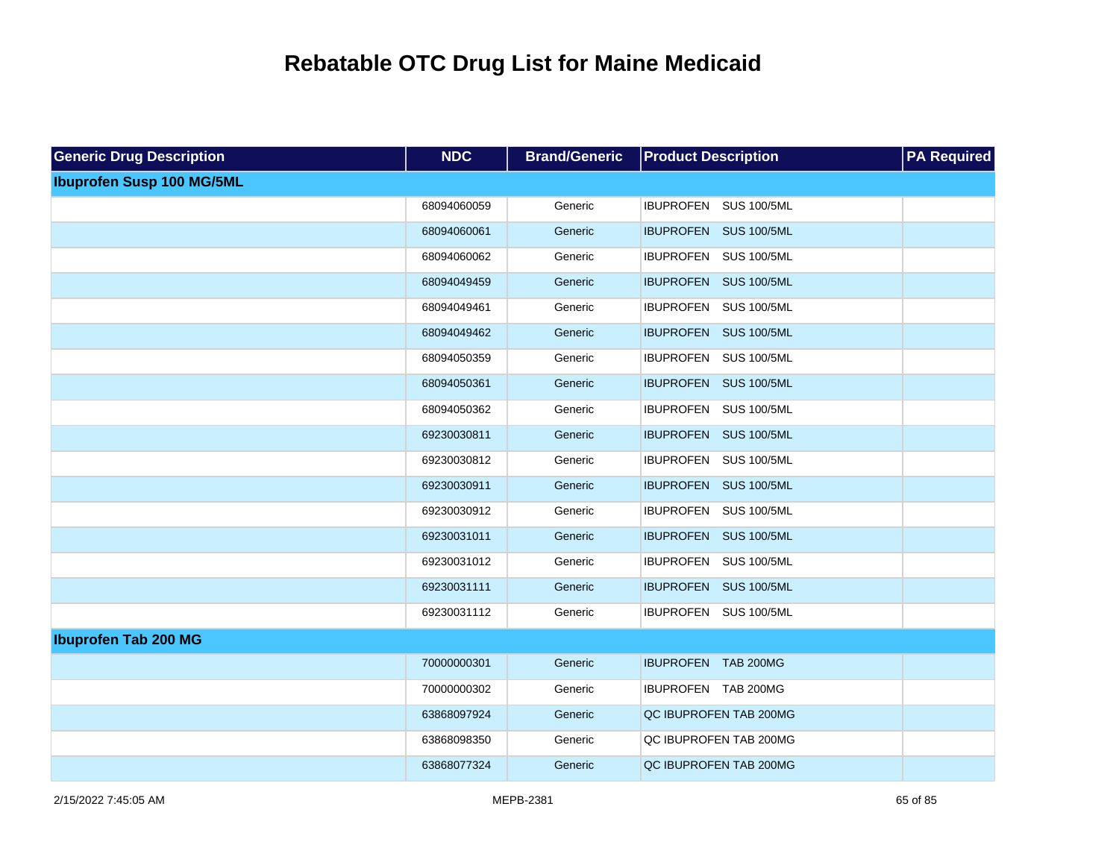| <b>Generic Drug Description</b>  | <b>NDC</b>  | <b>Brand/Generic</b> | <b>Product Description</b> | <b>PA Required</b> |
|----------------------------------|-------------|----------------------|----------------------------|--------------------|
| <b>Ibuprofen Susp 100 MG/5ML</b> |             |                      |                            |                    |
|                                  | 68094060059 | Generic              | IBUPROFEN SUS 100/5ML      |                    |
|                                  | 68094060061 | Generic              | IBUPROFEN SUS 100/5ML      |                    |
|                                  | 68094060062 | Generic              | IBUPROFEN SUS 100/5ML      |                    |
|                                  | 68094049459 | Generic              | IBUPROFEN SUS 100/5ML      |                    |
|                                  | 68094049461 | Generic              | IBUPROFEN SUS 100/5ML      |                    |
|                                  | 68094049462 | Generic              | IBUPROFEN SUS 100/5ML      |                    |
|                                  | 68094050359 | Generic              | IBUPROFEN SUS 100/5ML      |                    |
|                                  | 68094050361 | Generic              | IBUPROFEN SUS 100/5ML      |                    |
|                                  | 68094050362 | Generic              | IBUPROFEN SUS 100/5ML      |                    |
|                                  | 69230030811 | Generic              | IBUPROFEN SUS 100/5ML      |                    |
|                                  | 69230030812 | Generic              | IBUPROFEN SUS 100/5ML      |                    |
|                                  | 69230030911 | Generic              | IBUPROFEN SUS 100/5ML      |                    |
|                                  | 69230030912 | Generic              | IBUPROFEN SUS 100/5ML      |                    |
|                                  | 69230031011 | Generic              | IBUPROFEN SUS 100/5ML      |                    |
|                                  | 69230031012 | Generic              | IBUPROFEN SUS 100/5ML      |                    |
|                                  | 69230031111 | Generic              | IBUPROFEN SUS 100/5ML      |                    |
|                                  | 69230031112 | Generic              | IBUPROFEN SUS 100/5ML      |                    |
| <b>Ibuprofen Tab 200 MG</b>      |             |                      |                            |                    |
|                                  | 70000000301 | Generic              | IBUPROFEN TAB 200MG        |                    |
|                                  | 70000000302 | Generic              | IBUPROFEN TAB 200MG        |                    |
|                                  | 63868097924 | Generic              | QC IBUPROFEN TAB 200MG     |                    |
|                                  | 63868098350 | Generic              | QC IBUPROFEN TAB 200MG     |                    |
|                                  | 63868077324 | Generic              | QC IBUPROFEN TAB 200MG     |                    |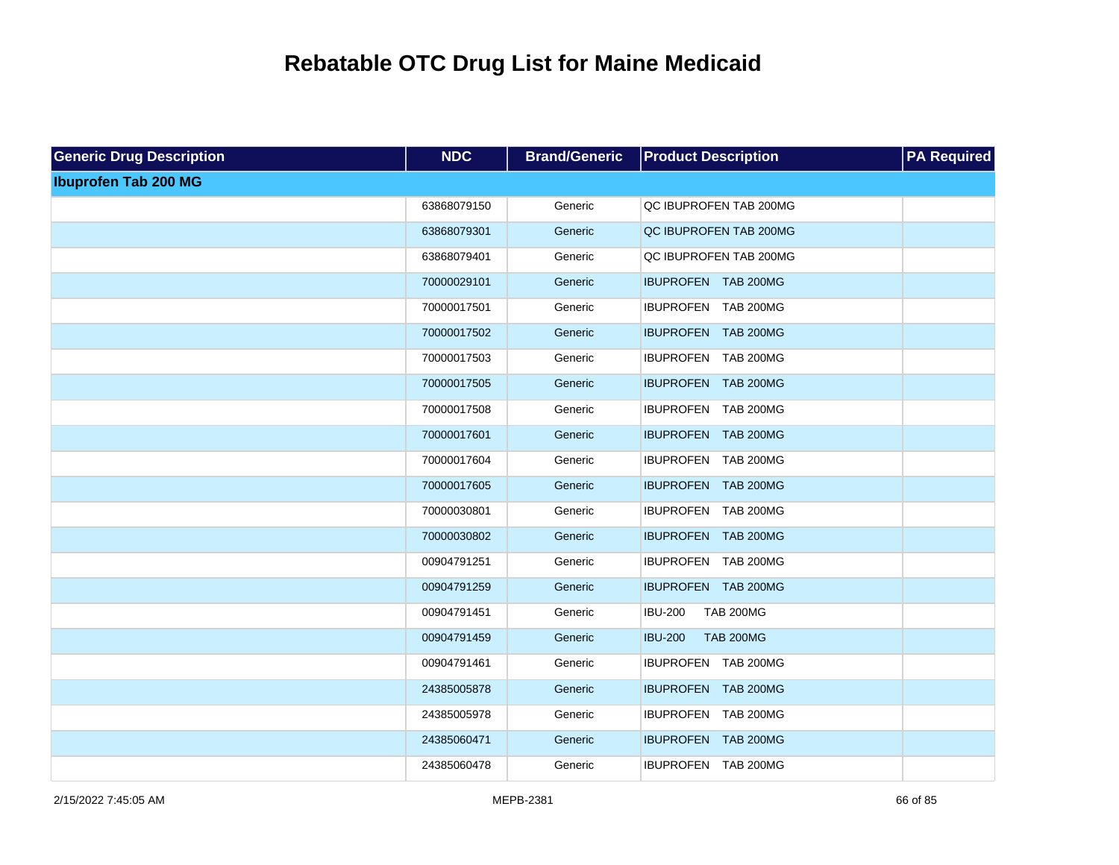| <b>Generic Drug Description</b> | <b>NDC</b>  | <b>Brand/Generic</b> | <b>Product Description</b>         | <b>PA Required</b> |
|---------------------------------|-------------|----------------------|------------------------------------|--------------------|
| <b>Ibuprofen Tab 200 MG</b>     |             |                      |                                    |                    |
|                                 | 63868079150 | Generic              | QC IBUPROFEN TAB 200MG             |                    |
|                                 | 63868079301 | Generic              | QC IBUPROFEN TAB 200MG             |                    |
|                                 | 63868079401 | Generic              | QC IBUPROFEN TAB 200MG             |                    |
|                                 | 70000029101 | Generic              | IBUPROFEN TAB 200MG                |                    |
|                                 | 70000017501 | Generic              | IBUPROFEN TAB 200MG                |                    |
|                                 | 70000017502 | Generic              | IBUPROFEN TAB 200MG                |                    |
|                                 | 70000017503 | Generic              | IBUPROFEN TAB 200MG                |                    |
|                                 | 70000017505 | Generic              | IBUPROFEN TAB 200MG                |                    |
|                                 | 70000017508 | Generic              | IBUPROFEN TAB 200MG                |                    |
|                                 | 70000017601 | Generic              | IBUPROFEN TAB 200MG                |                    |
|                                 | 70000017604 | Generic              | IBUPROFEN TAB 200MG                |                    |
|                                 | 70000017605 | Generic              | IBUPROFEN TAB 200MG                |                    |
|                                 | 70000030801 | Generic              | IBUPROFEN TAB 200MG                |                    |
|                                 | 70000030802 | Generic              | IBUPROFEN TAB 200MG                |                    |
|                                 | 00904791251 | Generic              | IBUPROFEN TAB 200MG                |                    |
|                                 | 00904791259 | Generic              | IBUPROFEN TAB 200MG                |                    |
|                                 | 00904791451 | Generic              | <b>IBU-200</b><br><b>TAB 200MG</b> |                    |
|                                 | 00904791459 | Generic              | <b>IBU-200</b><br><b>TAB 200MG</b> |                    |
|                                 | 00904791461 | Generic              | IBUPROFEN TAB 200MG                |                    |
|                                 | 24385005878 | Generic              | IBUPROFEN TAB 200MG                |                    |
|                                 | 24385005978 | Generic              | IBUPROFEN TAB 200MG                |                    |
|                                 | 24385060471 | Generic              | IBUPROFEN TAB 200MG                |                    |
|                                 | 24385060478 | Generic              | IBUPROFEN TAB 200MG                |                    |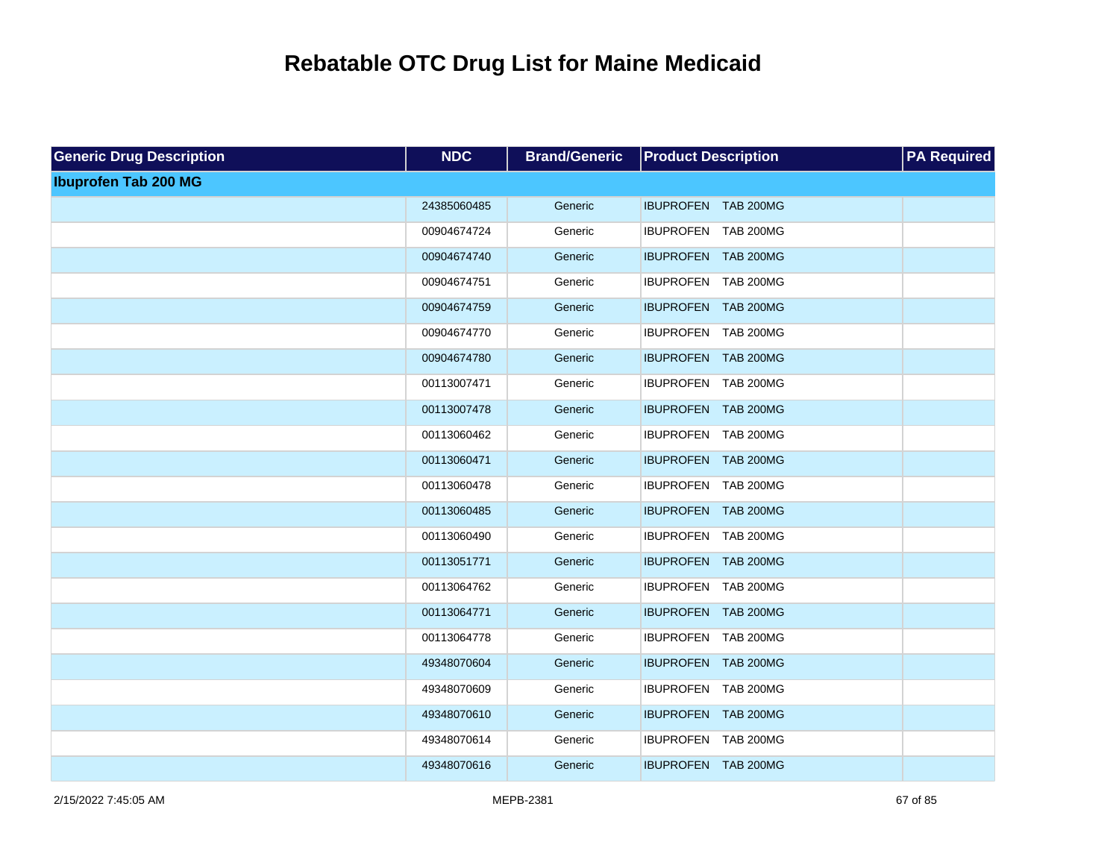| <b>Generic Drug Description</b> | <b>NDC</b>  | <b>Brand/Generic</b> | <b>Product Description</b> | <b>PA Required</b> |
|---------------------------------|-------------|----------------------|----------------------------|--------------------|
| <b>Ibuprofen Tab 200 MG</b>     |             |                      |                            |                    |
|                                 | 24385060485 | Generic              | IBUPROFEN TAB 200MG        |                    |
|                                 | 00904674724 | Generic              | IBUPROFEN TAB 200MG        |                    |
|                                 | 00904674740 | Generic              | IBUPROFEN TAB 200MG        |                    |
|                                 | 00904674751 | Generic              | IBUPROFEN TAB 200MG        |                    |
|                                 | 00904674759 | Generic              | IBUPROFEN TAB 200MG        |                    |
|                                 | 00904674770 | Generic              | IBUPROFEN TAB 200MG        |                    |
|                                 | 00904674780 | Generic              | IBUPROFEN TAB 200MG        |                    |
|                                 | 00113007471 | Generic              | IBUPROFEN TAB 200MG        |                    |
|                                 | 00113007478 | Generic              | IBUPROFEN TAB 200MG        |                    |
|                                 | 00113060462 | Generic              | IBUPROFEN TAB 200MG        |                    |
|                                 | 00113060471 | Generic              | IBUPROFEN TAB 200MG        |                    |
|                                 | 00113060478 | Generic              | IBUPROFEN TAB 200MG        |                    |
|                                 | 00113060485 | Generic              | IBUPROFEN TAB 200MG        |                    |
|                                 | 00113060490 | Generic              | IBUPROFEN TAB 200MG        |                    |
|                                 | 00113051771 | Generic              | IBUPROFEN TAB 200MG        |                    |
|                                 | 00113064762 | Generic              | IBUPROFEN TAB 200MG        |                    |
|                                 | 00113064771 | Generic              | IBUPROFEN TAB 200MG        |                    |
|                                 | 00113064778 | Generic              | IBUPROFEN TAB 200MG        |                    |
|                                 | 49348070604 | Generic              | IBUPROFEN TAB 200MG        |                    |
|                                 | 49348070609 | Generic              | IBUPROFEN TAB 200MG        |                    |
|                                 | 49348070610 | Generic              | IBUPROFEN TAB 200MG        |                    |
|                                 | 49348070614 | Generic              | IBUPROFEN TAB 200MG        |                    |
|                                 | 49348070616 | Generic              | IBUPROFEN TAB 200MG        |                    |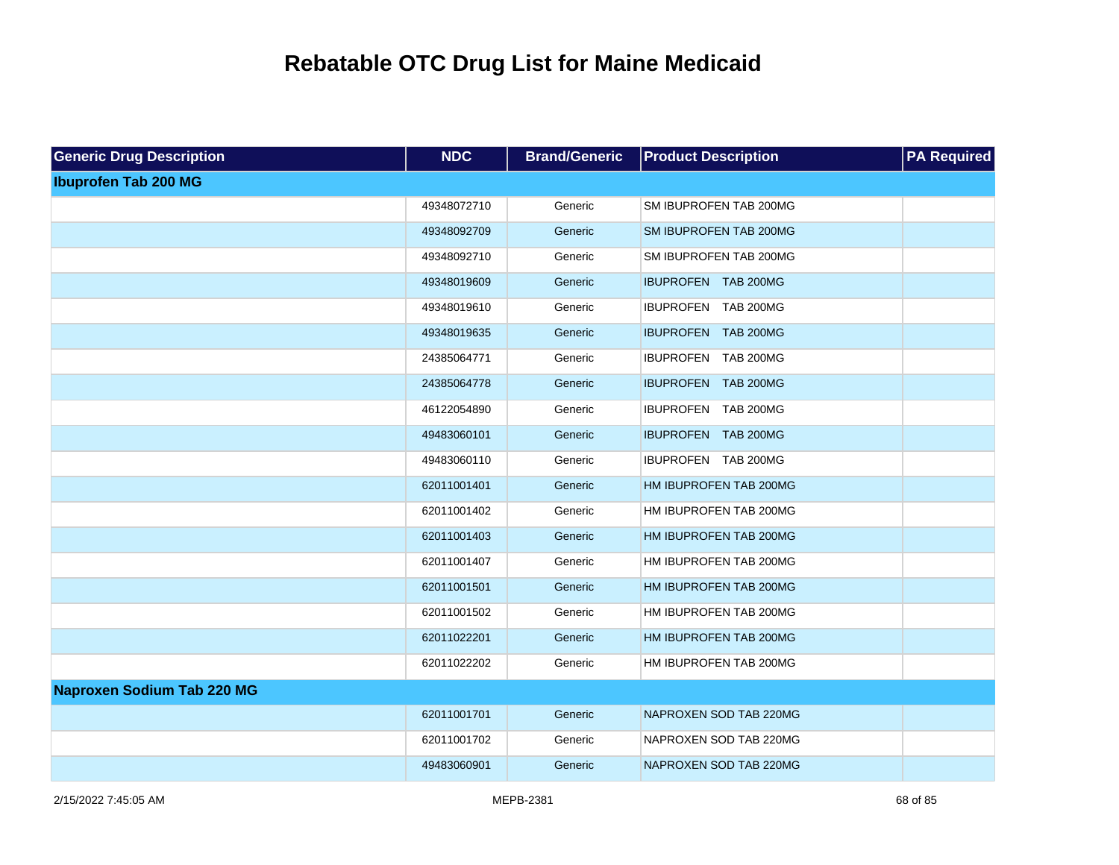| <b>Generic Drug Description</b>   | <b>NDC</b>  | <b>Brand/Generic</b> | <b>Product Description</b> | <b>PA Required</b> |
|-----------------------------------|-------------|----------------------|----------------------------|--------------------|
| <b>Ibuprofen Tab 200 MG</b>       |             |                      |                            |                    |
|                                   | 49348072710 | Generic              | SM IBUPROFEN TAB 200MG     |                    |
|                                   | 49348092709 | Generic              | SM IBUPROFEN TAB 200MG     |                    |
|                                   | 49348092710 | Generic              | SM IBUPROFEN TAB 200MG     |                    |
|                                   | 49348019609 | Generic              | IBUPROFEN TAB 200MG        |                    |
|                                   | 49348019610 | Generic              | IBUPROFEN TAB 200MG        |                    |
|                                   | 49348019635 | Generic              | IBUPROFEN TAB 200MG        |                    |
|                                   | 24385064771 | Generic              | IBUPROFEN TAB 200MG        |                    |
|                                   | 24385064778 | Generic              | IBUPROFEN TAB 200MG        |                    |
|                                   | 46122054890 | Generic              | IBUPROFEN TAB 200MG        |                    |
|                                   | 49483060101 | Generic              | IBUPROFEN TAB 200MG        |                    |
|                                   | 49483060110 | Generic              | IBUPROFEN TAB 200MG        |                    |
|                                   | 62011001401 | Generic              | HM IBUPROFEN TAB 200MG     |                    |
|                                   | 62011001402 | Generic              | HM IBUPROFEN TAB 200MG     |                    |
|                                   | 62011001403 | Generic              | HM IBUPROFEN TAB 200MG     |                    |
|                                   | 62011001407 | Generic              | HM IBUPROFEN TAB 200MG     |                    |
|                                   | 62011001501 | Generic              | HM IBUPROFEN TAB 200MG     |                    |
|                                   | 62011001502 | Generic              | HM IBUPROFEN TAB 200MG     |                    |
|                                   | 62011022201 | Generic              | HM IBUPROFEN TAB 200MG     |                    |
|                                   | 62011022202 | Generic              | HM IBUPROFEN TAB 200MG     |                    |
| <b>Naproxen Sodium Tab 220 MG</b> |             |                      |                            |                    |
|                                   | 62011001701 | Generic              | NAPROXEN SOD TAB 220MG     |                    |
|                                   | 62011001702 | Generic              | NAPROXEN SOD TAB 220MG     |                    |
|                                   | 49483060901 | Generic              | NAPROXEN SOD TAB 220MG     |                    |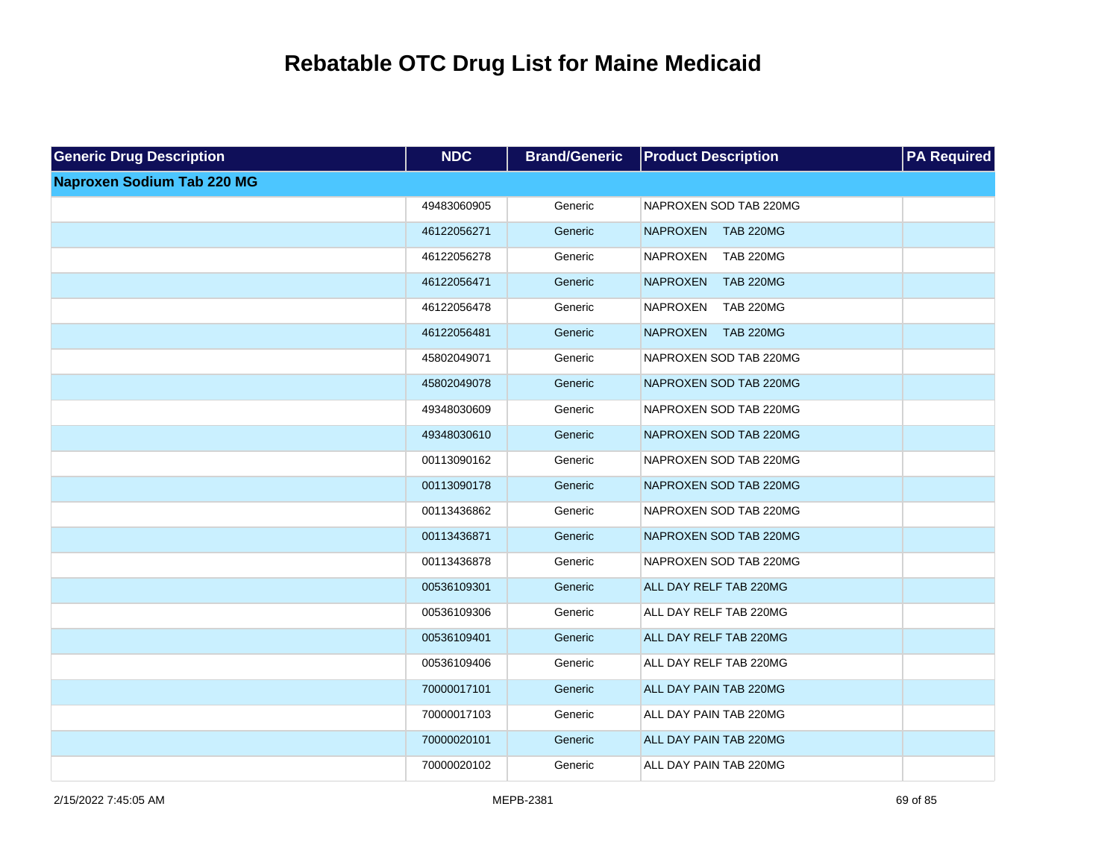| <b>Generic Drug Description</b>   | <b>NDC</b>  | <b>Brand/Generic</b> | <b>Product Description</b>          | <b>PA Required</b> |
|-----------------------------------|-------------|----------------------|-------------------------------------|--------------------|
| <b>Naproxen Sodium Tab 220 MG</b> |             |                      |                                     |                    |
|                                   | 49483060905 | Generic              | NAPROXEN SOD TAB 220MG              |                    |
|                                   | 46122056271 | Generic              | <b>NAPROXEN</b><br><b>TAB 220MG</b> |                    |
|                                   | 46122056278 | Generic              | <b>TAB 220MG</b><br><b>NAPROXEN</b> |                    |
|                                   | 46122056471 | Generic              | <b>NAPROXEN</b><br><b>TAB 220MG</b> |                    |
|                                   | 46122056478 | Generic              | <b>NAPROXEN</b><br><b>TAB 220MG</b> |                    |
|                                   | 46122056481 | Generic              | <b>TAB 220MG</b><br><b>NAPROXEN</b> |                    |
|                                   | 45802049071 | Generic              | NAPROXEN SOD TAB 220MG              |                    |
|                                   | 45802049078 | Generic              | NAPROXEN SOD TAB 220MG              |                    |
|                                   | 49348030609 | Generic              | NAPROXEN SOD TAB 220MG              |                    |
|                                   | 49348030610 | Generic              | NAPROXEN SOD TAB 220MG              |                    |
|                                   | 00113090162 | Generic              | NAPROXEN SOD TAB 220MG              |                    |
|                                   | 00113090178 | Generic              | NAPROXEN SOD TAB 220MG              |                    |
|                                   | 00113436862 | Generic              | NAPROXEN SOD TAB 220MG              |                    |
|                                   | 00113436871 | Generic              | NAPROXEN SOD TAB 220MG              |                    |
|                                   | 00113436878 | Generic              | NAPROXEN SOD TAB 220MG              |                    |
|                                   | 00536109301 | Generic              | ALL DAY RELF TAB 220MG              |                    |
|                                   | 00536109306 | Generic              | ALL DAY RELF TAB 220MG              |                    |
|                                   | 00536109401 | Generic              | ALL DAY RELF TAB 220MG              |                    |
|                                   | 00536109406 | Generic              | ALL DAY RELF TAB 220MG              |                    |
|                                   | 70000017101 | Generic              | ALL DAY PAIN TAB 220MG              |                    |
|                                   | 70000017103 | Generic              | ALL DAY PAIN TAB 220MG              |                    |
|                                   | 70000020101 | Generic              | ALL DAY PAIN TAB 220MG              |                    |
|                                   | 70000020102 | Generic              | ALL DAY PAIN TAB 220MG              |                    |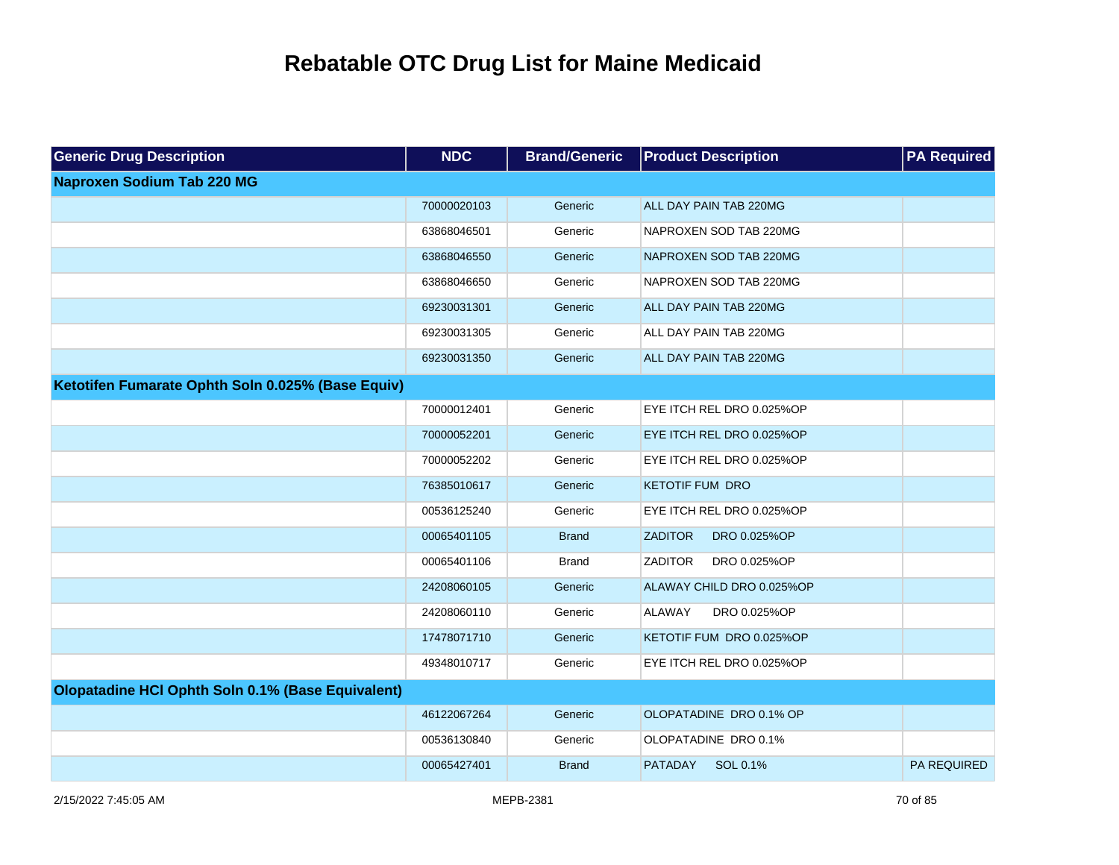| <b>Generic Drug Description</b>                   | <b>NDC</b>  | <b>Brand/Generic</b> | <b>Product Description</b>     | <b>PA Required</b> |
|---------------------------------------------------|-------------|----------------------|--------------------------------|--------------------|
| <b>Naproxen Sodium Tab 220 MG</b>                 |             |                      |                                |                    |
|                                                   | 70000020103 | Generic              | ALL DAY PAIN TAB 220MG         |                    |
|                                                   | 63868046501 | Generic              | NAPROXEN SOD TAB 220MG         |                    |
|                                                   | 63868046550 | Generic              | NAPROXEN SOD TAB 220MG         |                    |
|                                                   | 63868046650 | Generic              | NAPROXEN SOD TAB 220MG         |                    |
|                                                   | 69230031301 | Generic              | ALL DAY PAIN TAB 220MG         |                    |
|                                                   | 69230031305 | Generic              | ALL DAY PAIN TAB 220MG         |                    |
|                                                   | 69230031350 | Generic              | ALL DAY PAIN TAB 220MG         |                    |
| Ketotifen Fumarate Ophth Soln 0.025% (Base Equiv) |             |                      |                                |                    |
|                                                   | 70000012401 | Generic              | EYE ITCH REL DRO 0.025%OP      |                    |
|                                                   | 70000052201 | Generic              | EYE ITCH REL DRO 0.025%OP      |                    |
|                                                   | 70000052202 | Generic              | EYE ITCH REL DRO 0.025%OP      |                    |
|                                                   | 76385010617 | Generic              | <b>KETOTIF FUM DRO</b>         |                    |
|                                                   | 00536125240 | Generic              | EYE ITCH REL DRO 0.025%OP      |                    |
|                                                   | 00065401105 | <b>Brand</b>         | <b>ZADITOR</b><br>DRO 0.025%OP |                    |
|                                                   | 00065401106 | <b>Brand</b>         | <b>ZADITOR</b><br>DRO 0.025%OP |                    |
|                                                   | 24208060105 | Generic              | ALAWAY CHILD DRO 0.025%OP      |                    |
|                                                   | 24208060110 | Generic              | <b>ALAWAY</b><br>DRO 0.025%OP  |                    |
|                                                   | 17478071710 | Generic              | KETOTIF FUM DRO 0.025%OP       |                    |
|                                                   | 49348010717 | Generic              | EYE ITCH REL DRO 0.025%OP      |                    |
| Olopatadine HCI Ophth Soln 0.1% (Base Equivalent) |             |                      |                                |                    |
|                                                   | 46122067264 | Generic              | OLOPATADINE DRO 0.1% OP        |                    |
|                                                   | 00536130840 | Generic              | OLOPATADINE DRO 0.1%           |                    |
|                                                   | 00065427401 | <b>Brand</b>         | <b>PATADAY</b><br>SOL 0.1%     | <b>PA REQUIRED</b> |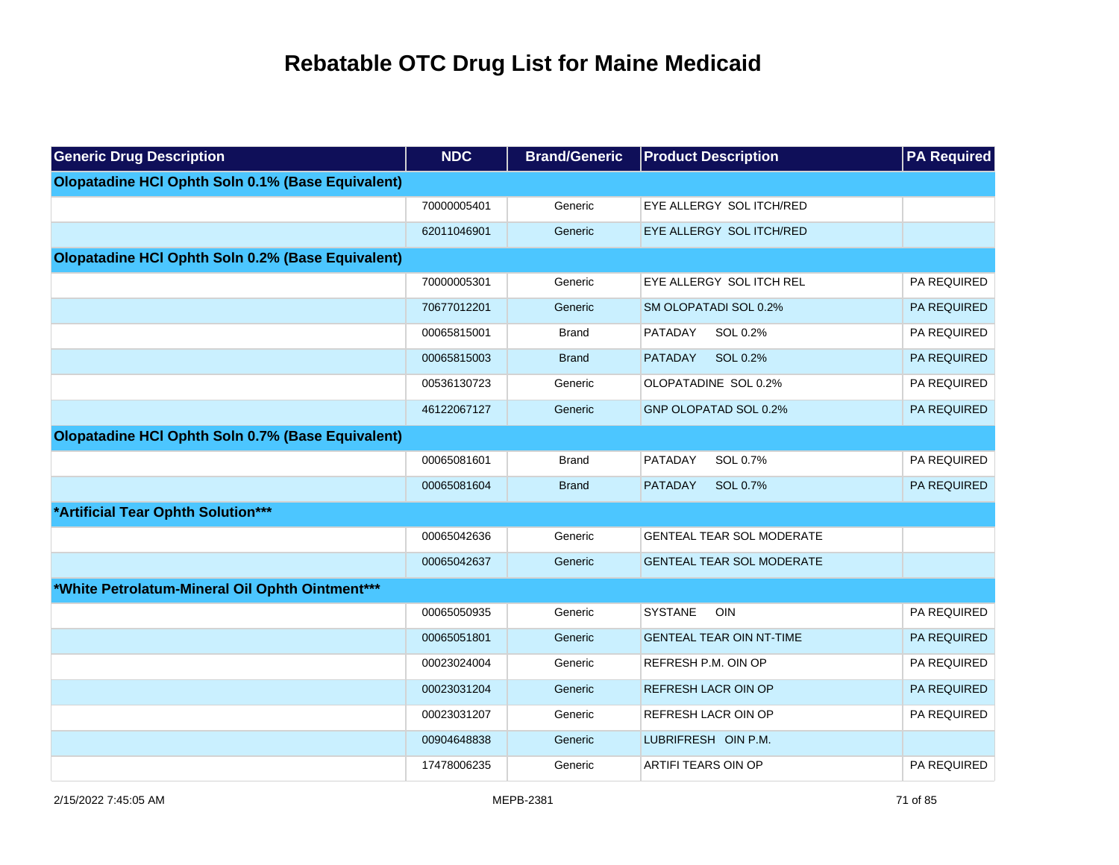| <b>Generic Drug Description</b>                   | <b>NDC</b>  | <b>Brand/Generic</b> | <b>Product Description</b>       | <b>PA Required</b> |
|---------------------------------------------------|-------------|----------------------|----------------------------------|--------------------|
| Olopatadine HCI Ophth Soln 0.1% (Base Equivalent) |             |                      |                                  |                    |
|                                                   | 70000005401 | Generic              | EYE ALLERGY SOL ITCH/RED         |                    |
|                                                   | 62011046901 | Generic              | EYE ALLERGY SOL ITCH/RED         |                    |
| Olopatadine HCI Ophth Soln 0.2% (Base Equivalent) |             |                      |                                  |                    |
|                                                   | 70000005301 | Generic              | EYE ALLERGY SOL ITCH REL         | PA REQUIRED        |
|                                                   | 70677012201 | Generic              | SM OLOPATADI SOL 0.2%            | PA REQUIRED        |
|                                                   | 00065815001 | <b>Brand</b>         | PATADAY<br>SOL 0.2%              | PA REQUIRED        |
|                                                   | 00065815003 | <b>Brand</b>         | SOL 0.2%<br><b>PATADAY</b>       | PA REQUIRED        |
|                                                   | 00536130723 | Generic              | OLOPATADINE SOL 0.2%             | PA REQUIRED        |
|                                                   | 46122067127 | Generic              | GNP OLOPATAD SOL 0.2%            | PA REQUIRED        |
| Olopatadine HCI Ophth Soln 0.7% (Base Equivalent) |             |                      |                                  |                    |
|                                                   | 00065081601 | <b>Brand</b>         | PATADAY<br>SOL 0.7%              | PA REQUIRED        |
|                                                   | 00065081604 | <b>Brand</b>         | <b>PATADAY</b><br>SOL 0.7%       | PA REQUIRED        |
| *Artificial Tear Ophth Solution***                |             |                      |                                  |                    |
|                                                   | 00065042636 | Generic              | GENTEAL TEAR SOL MODERATE        |                    |
|                                                   | 00065042637 | Generic              | <b>GENTEAL TEAR SOL MODERATE</b> |                    |
| *White Petrolatum-Mineral Oil Ophth Ointment***   |             |                      |                                  |                    |
|                                                   | 00065050935 | Generic              | <b>SYSTANE</b><br><b>OIN</b>     | PA REQUIRED        |
|                                                   | 00065051801 | Generic              | <b>GENTEAL TEAR OIN NT-TIME</b>  | PA REQUIRED        |
|                                                   | 00023024004 | Generic              | REFRESH P.M. OIN OP              | PA REQUIRED        |
|                                                   | 00023031204 | Generic              | REFRESH LACR OIN OP              | PA REQUIRED        |
|                                                   | 00023031207 | Generic              | REFRESH LACR OIN OP              | PA REQUIRED        |
|                                                   | 00904648838 | Generic              | LUBRIFRESH OIN P.M.              |                    |
|                                                   | 17478006235 | Generic              | ARTIFI TEARS OIN OP              | PA REQUIRED        |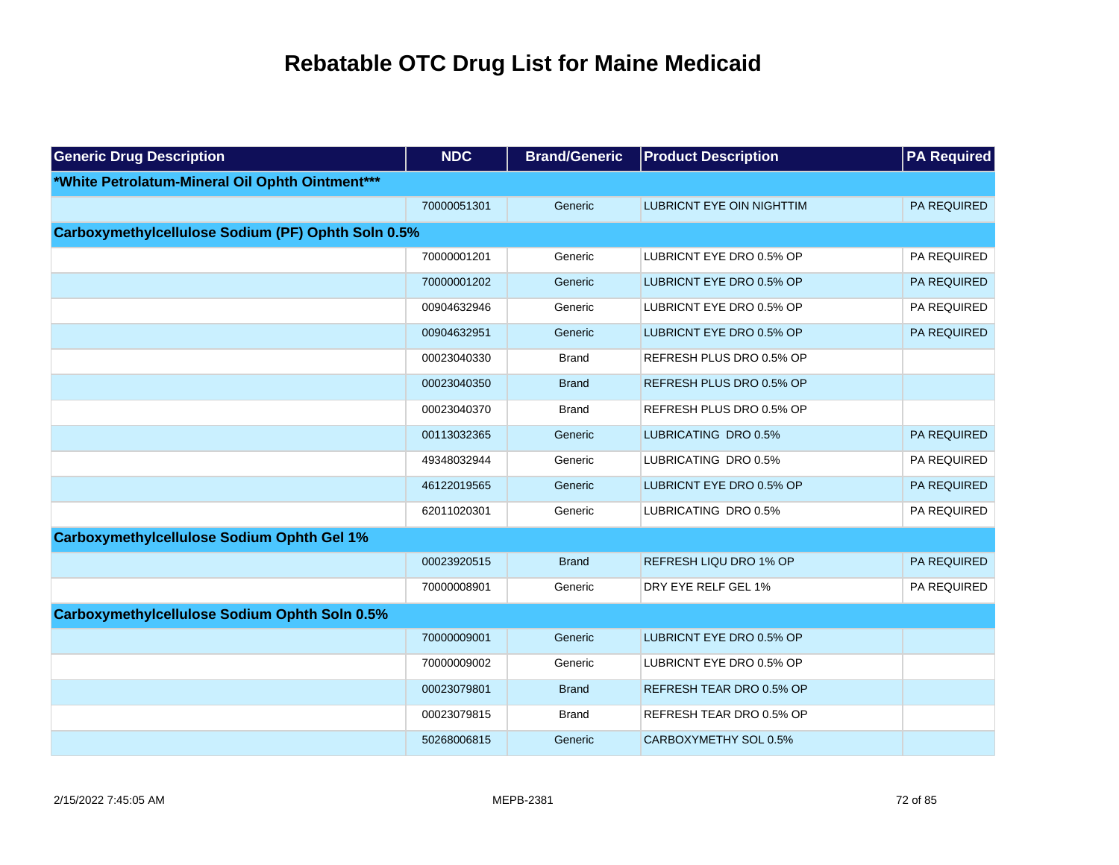| <b>Generic Drug Description</b>                      | <b>NDC</b>  | <b>Brand/Generic</b> | <b>Product Description</b>       | <b>PA Required</b> |
|------------------------------------------------------|-------------|----------------------|----------------------------------|--------------------|
| *White Petrolatum-Mineral Oil Ophth Ointment***      |             |                      |                                  |                    |
|                                                      | 70000051301 | Generic              | <b>LUBRICNT EYE OIN NIGHTTIM</b> | <b>PA REQUIRED</b> |
| Carboxymethylcellulose Sodium (PF) Ophth Soln 0.5%   |             |                      |                                  |                    |
|                                                      | 70000001201 | Generic              | LUBRICNT EYE DRO 0.5% OP         | PA REQUIRED        |
|                                                      | 70000001202 | Generic              | LUBRICNT EYE DRO 0.5% OP         | PA REQUIRED        |
|                                                      | 00904632946 | Generic              | LUBRICNT EYE DRO 0.5% OP         | <b>PA REQUIRED</b> |
|                                                      | 00904632951 | Generic              | LUBRICNT EYE DRO 0.5% OP         | PA REQUIRED        |
|                                                      | 00023040330 | <b>Brand</b>         | REFRESH PLUS DRO 0.5% OP         |                    |
|                                                      | 00023040350 | <b>Brand</b>         | REFRESH PLUS DRO 0.5% OP         |                    |
|                                                      | 00023040370 | Brand                | REFRESH PLUS DRO 0.5% OP         |                    |
|                                                      | 00113032365 | Generic              | LUBRICATING DRO 0.5%             | PA REQUIRED        |
|                                                      | 49348032944 | Generic              | LUBRICATING DRO 0.5%             | PA REQUIRED        |
|                                                      | 46122019565 | Generic              | LUBRICNT EYE DRO 0.5% OP         | <b>PA REQUIRED</b> |
|                                                      | 62011020301 | Generic              | LUBRICATING DRO 0.5%             | PA REQUIRED        |
| <b>Carboxymethylcellulose Sodium Ophth Gel 1%</b>    |             |                      |                                  |                    |
|                                                      | 00023920515 | <b>Brand</b>         | REFRESH LIQU DRO 1% OP           | PA REQUIRED        |
|                                                      | 70000008901 | Generic              | DRY EYE RELF GEL 1%              | PA REQUIRED        |
| <b>Carboxymethylcellulose Sodium Ophth Soln 0.5%</b> |             |                      |                                  |                    |
|                                                      | 70000009001 | Generic              | LUBRICNT EYE DRO 0.5% OP         |                    |
|                                                      | 70000009002 | Generic              | LUBRICNT EYE DRO 0.5% OP         |                    |
|                                                      | 00023079801 | <b>Brand</b>         | REFRESH TEAR DRO 0.5% OP         |                    |
|                                                      | 00023079815 | <b>Brand</b>         | REFRESH TEAR DRO 0.5% OP         |                    |
|                                                      | 50268006815 | Generic              | CARBOXYMETHY SOL 0.5%            |                    |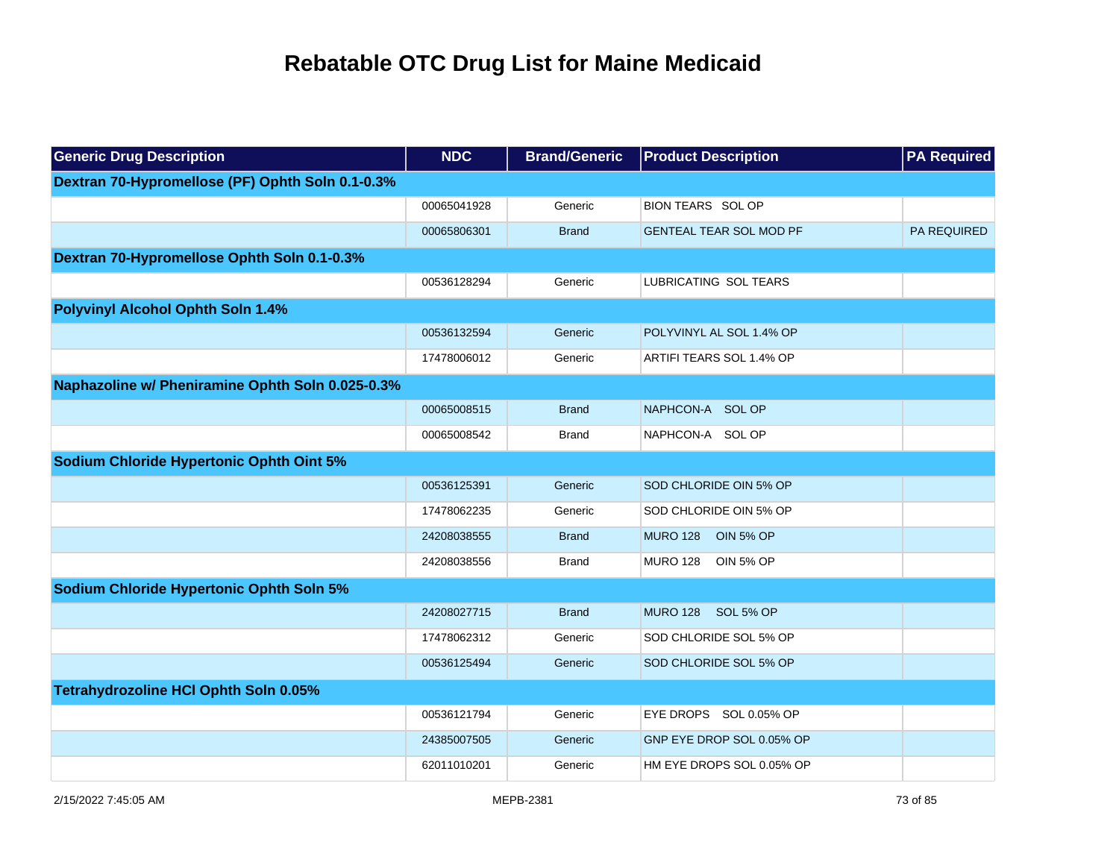| <b>Generic Drug Description</b>                  | <b>NDC</b>  | <b>Brand/Generic</b> | <b>Product Description</b>          | <b>PA Required</b> |
|--------------------------------------------------|-------------|----------------------|-------------------------------------|--------------------|
| Dextran 70-Hypromellose (PF) Ophth Soln 0.1-0.3% |             |                      |                                     |                    |
|                                                  | 00065041928 | Generic              | <b>BION TEARS SOL OP</b>            |                    |
|                                                  | 00065806301 | <b>Brand</b>         | <b>GENTEAL TEAR SOL MOD PF</b>      | PA REQUIRED        |
| Dextran 70-Hypromellose Ophth Soln 0.1-0.3%      |             |                      |                                     |                    |
|                                                  | 00536128294 | Generic              | LUBRICATING SOL TEARS               |                    |
| <b>Polyvinyl Alcohol Ophth Soln 1.4%</b>         |             |                      |                                     |                    |
|                                                  | 00536132594 | Generic              | POLYVINYL AL SOL 1.4% OP            |                    |
|                                                  | 17478006012 | Generic              | ARTIFI TEARS SOL 1.4% OP            |                    |
| Naphazoline w/ Pheniramine Ophth Soln 0.025-0.3% |             |                      |                                     |                    |
|                                                  | 00065008515 | <b>Brand</b>         | NAPHCON-A SOL OP                    |                    |
|                                                  | 00065008542 | <b>Brand</b>         | NAPHCON-A SOL OP                    |                    |
| Sodium Chloride Hypertonic Ophth Oint 5%         |             |                      |                                     |                    |
|                                                  | 00536125391 | Generic              | SOD CHLORIDE OIN 5% OP              |                    |
|                                                  | 17478062235 | Generic              | SOD CHLORIDE OIN 5% OP              |                    |
|                                                  | 24208038555 | <b>Brand</b>         | <b>MURO 128</b><br><b>OIN 5% OP</b> |                    |
|                                                  | 24208038556 | <b>Brand</b>         | <b>MURO 128</b><br><b>OIN 5% OP</b> |                    |
| <b>Sodium Chloride Hypertonic Ophth Soln 5%</b>  |             |                      |                                     |                    |
|                                                  | 24208027715 | <b>Brand</b>         | MURO 128 SOL 5% OP                  |                    |
|                                                  | 17478062312 | Generic              | SOD CHLORIDE SOL 5% OP              |                    |
|                                                  | 00536125494 | Generic              | SOD CHLORIDE SOL 5% OP              |                    |
| Tetrahydrozoline HCI Ophth Soln 0.05%            |             |                      |                                     |                    |
|                                                  | 00536121794 | Generic              | EYE DROPS SOL 0.05% OP              |                    |
|                                                  | 24385007505 | Generic              | GNP EYE DROP SOL 0.05% OP           |                    |
|                                                  | 62011010201 | Generic              | HM EYE DROPS SOL 0.05% OP           |                    |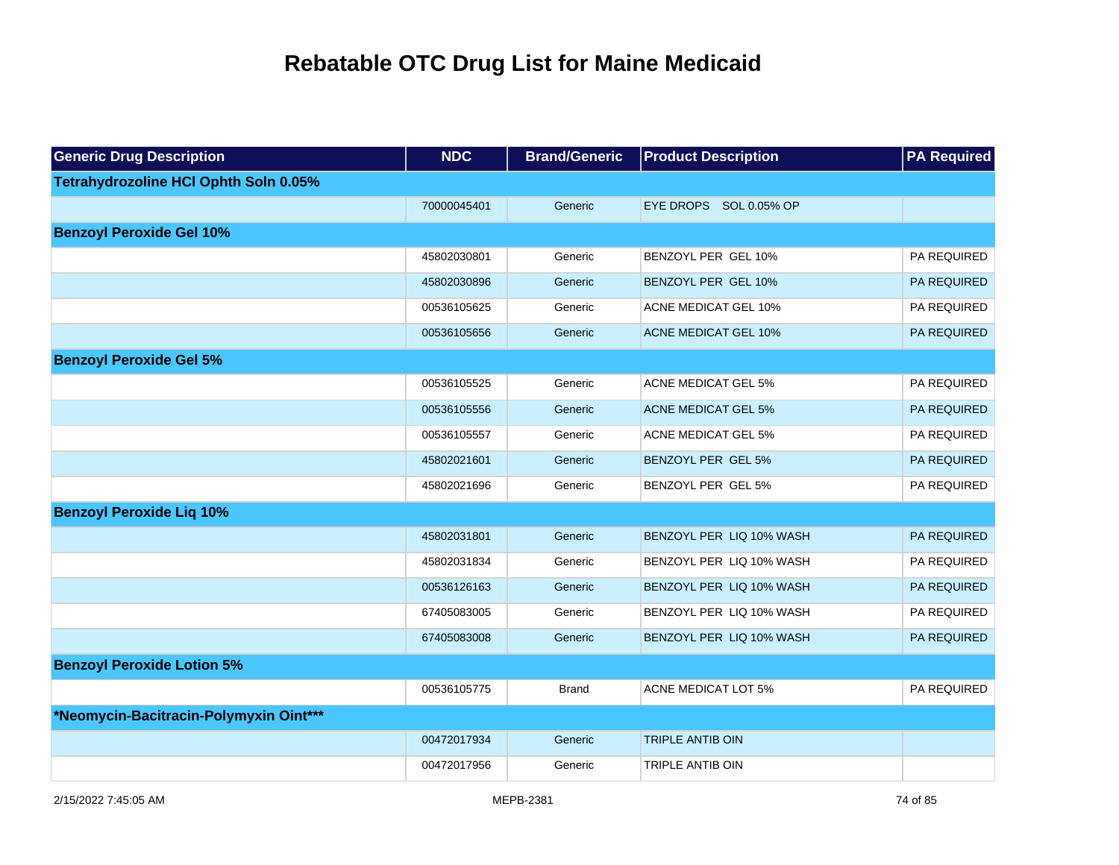| <b>Generic Drug Description</b>        | <b>NDC</b>  | <b>Brand/Generic</b> | <b>Product Description</b>  | <b>PA Required</b> |
|----------------------------------------|-------------|----------------------|-----------------------------|--------------------|
| Tetrahydrozoline HCI Ophth Soln 0.05%  |             |                      |                             |                    |
|                                        | 70000045401 | Generic              | EYE DROPS SOL 0.05% OP      |                    |
| <b>Benzoyl Peroxide Gel 10%</b>        |             |                      |                             |                    |
|                                        | 45802030801 | Generic              | BENZOYL PER GEL 10%         | PA REQUIRED        |
|                                        | 45802030896 | Generic              | BENZOYL PER GEL 10%         | PA REQUIRED        |
|                                        | 00536105625 | Generic              | <b>ACNE MEDICAT GEL 10%</b> | PA REQUIRED        |
|                                        | 00536105656 | Generic              | <b>ACNE MEDICAT GEL 10%</b> | PA REQUIRED        |
| <b>Benzoyl Peroxide Gel 5%</b>         |             |                      |                             |                    |
|                                        | 00536105525 | Generic              | <b>ACNE MEDICAT GEL 5%</b>  | PA REQUIRED        |
|                                        | 00536105556 | Generic              | <b>ACNE MEDICAT GEL 5%</b>  | PA REQUIRED        |
|                                        | 00536105557 | Generic              | <b>ACNE MEDICAT GEL 5%</b>  | PA REQUIRED        |
|                                        | 45802021601 | Generic              | BENZOYL PER GEL 5%          | PA REQUIRED        |
|                                        | 45802021696 | Generic              | BENZOYL PER GEL 5%          | PA REQUIRED        |
| <b>Benzoyl Peroxide Liq 10%</b>        |             |                      |                             |                    |
|                                        | 45802031801 | Generic              | BENZOYL PER LIQ 10% WASH    | PA REQUIRED        |
|                                        | 45802031834 | Generic              | BENZOYL PER LIQ 10% WASH    | PA REQUIRED        |
|                                        | 00536126163 | Generic              | BENZOYL PER LIQ 10% WASH    | PA REQUIRED        |
|                                        | 67405083005 | Generic              | BENZOYL PER LIQ 10% WASH    | PA REQUIRED        |
|                                        | 67405083008 | Generic              | BENZOYL PER LIQ 10% WASH    | PA REQUIRED        |
| <b>Benzoyl Peroxide Lotion 5%</b>      |             |                      |                             |                    |
|                                        | 00536105775 | <b>Brand</b>         | <b>ACNE MEDICAT LOT 5%</b>  | PA REQUIRED        |
| *Neomycin-Bacitracin-Polymyxin Oint*** |             |                      |                             |                    |
|                                        | 00472017934 | Generic              | <b>TRIPLE ANTIB OIN</b>     |                    |
|                                        | 00472017956 | Generic              | <b>TRIPLE ANTIB OIN</b>     |                    |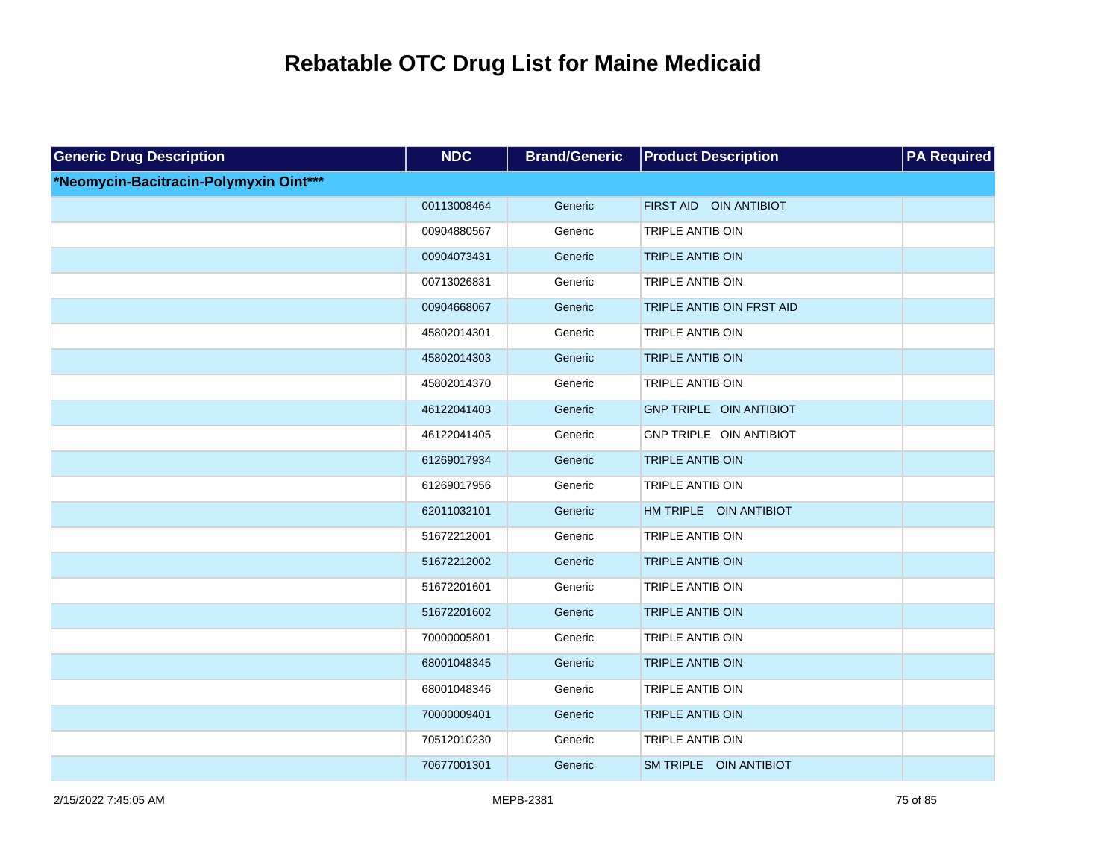| <b>Generic Drug Description</b>        | <b>NDC</b>  | <b>Brand/Generic</b> | <b>Product Description</b>       | <b>PA Required</b> |
|----------------------------------------|-------------|----------------------|----------------------------------|--------------------|
| *Neomycin-Bacitracin-Polymyxin Oint*** |             |                      |                                  |                    |
|                                        | 00113008464 | Generic              | FIRST AID OIN ANTIBIOT           |                    |
|                                        | 00904880567 | Generic              | <b>TRIPLE ANTIB OIN</b>          |                    |
|                                        | 00904073431 | Generic              | <b>TRIPLE ANTIB OIN</b>          |                    |
|                                        | 00713026831 | Generic              | TRIPLE ANTIB OIN                 |                    |
|                                        | 00904668067 | Generic              | <b>TRIPLE ANTIB OIN FRST AID</b> |                    |
|                                        | 45802014301 | Generic              | TRIPLE ANTIB OIN                 |                    |
|                                        | 45802014303 | Generic              | <b>TRIPLE ANTIB OIN</b>          |                    |
|                                        | 45802014370 | Generic              | TRIPLE ANTIB OIN                 |                    |
|                                        | 46122041403 | Generic              | GNP TRIPLE OIN ANTIBIOT          |                    |
|                                        | 46122041405 | Generic              | GNP TRIPLE OIN ANTIBIOT          |                    |
|                                        | 61269017934 | Generic              | <b>TRIPLE ANTIB OIN</b>          |                    |
|                                        | 61269017956 | Generic              | TRIPLE ANTIB OIN                 |                    |
|                                        | 62011032101 | Generic              | HM TRIPLE OIN ANTIBIOT           |                    |
|                                        | 51672212001 | Generic              | TRIPLE ANTIB OIN                 |                    |
|                                        | 51672212002 | Generic              | <b>TRIPLE ANTIB OIN</b>          |                    |
|                                        | 51672201601 | Generic              | <b>TRIPLE ANTIB OIN</b>          |                    |
|                                        | 51672201602 | Generic              | <b>TRIPLE ANTIB OIN</b>          |                    |
|                                        | 70000005801 | Generic              | TRIPLE ANTIB OIN                 |                    |
|                                        | 68001048345 | Generic              | <b>TRIPLE ANTIB OIN</b>          |                    |
|                                        | 68001048346 | Generic              | TRIPLE ANTIB OIN                 |                    |
|                                        | 70000009401 | Generic              | <b>TRIPLE ANTIB OIN</b>          |                    |
|                                        | 70512010230 | Generic              | TRIPLE ANTIB OIN                 |                    |
|                                        | 70677001301 | Generic              | SM TRIPLE OIN ANTIBIOT           |                    |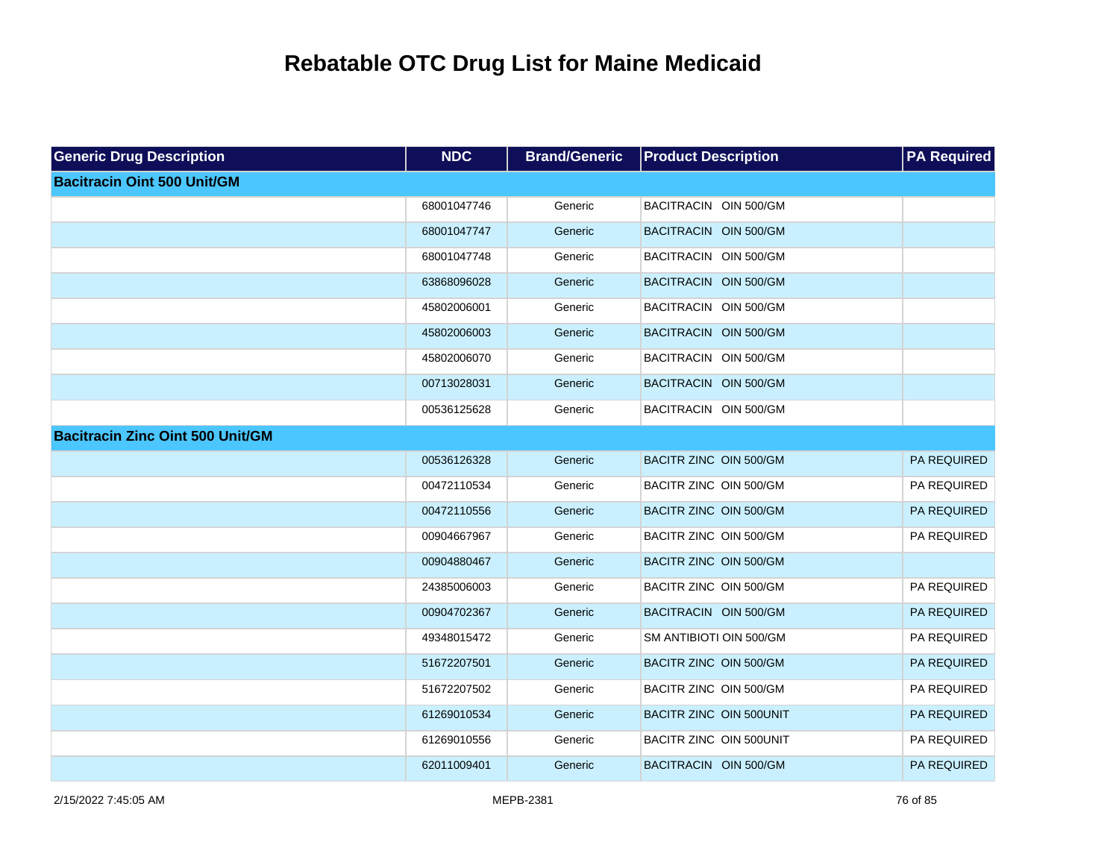| <b>Generic Drug Description</b>         | <b>NDC</b>  | <b>Brand/Generic</b> | <b>Product Description</b> | <b>PA Required</b> |
|-----------------------------------------|-------------|----------------------|----------------------------|--------------------|
| <b>Bacitracin Oint 500 Unit/GM</b>      |             |                      |                            |                    |
|                                         | 68001047746 | Generic              | BACITRACIN OIN 500/GM      |                    |
|                                         | 68001047747 | Generic              | BACITRACIN OIN 500/GM      |                    |
|                                         | 68001047748 | Generic              | BACITRACIN OIN 500/GM      |                    |
|                                         | 63868096028 | Generic              | BACITRACIN OIN 500/GM      |                    |
|                                         | 45802006001 | Generic              | BACITRACIN OIN 500/GM      |                    |
|                                         | 45802006003 | Generic              | BACITRACIN OIN 500/GM      |                    |
|                                         | 45802006070 | Generic              | BACITRACIN OIN 500/GM      |                    |
|                                         | 00713028031 | Generic              | BACITRACIN OIN 500/GM      |                    |
|                                         | 00536125628 | Generic              | BACITRACIN OIN 500/GM      |                    |
| <b>Bacitracin Zinc Oint 500 Unit/GM</b> |             |                      |                            |                    |
|                                         | 00536126328 | Generic              | BACITR ZINC OIN 500/GM     | PA REQUIRED        |
|                                         | 00472110534 | Generic              | BACITR ZINC OIN 500/GM     | PA REQUIRED        |
|                                         | 00472110556 | Generic              | BACITR ZINC OIN 500/GM     | PA REQUIRED        |
|                                         | 00904667967 | Generic              | BACITR ZINC OIN 500/GM     | PA REQUIRED        |
|                                         | 00904880467 | Generic              | BACITR ZINC OIN 500/GM     |                    |
|                                         | 24385006003 | Generic              | BACITR ZINC OIN 500/GM     | PA REQUIRED        |
|                                         | 00904702367 | Generic              | BACITRACIN OIN 500/GM      | PA REQUIRED        |
|                                         | 49348015472 | Generic              | SM ANTIBIOTI OIN 500/GM    | PA REQUIRED        |
|                                         | 51672207501 | Generic              | BACITR ZINC OIN 500/GM     | PA REQUIRED        |
|                                         | 51672207502 | Generic              | BACITR ZINC OIN 500/GM     | PA REQUIRED        |
|                                         | 61269010534 | Generic              | BACITR ZINC OIN 500UNIT    | PA REQUIRED        |
|                                         | 61269010556 | Generic              | BACITR ZINC OIN 500UNIT    | PA REQUIRED        |
|                                         | 62011009401 | Generic              | BACITRACIN OIN 500/GM      | <b>PA REQUIRED</b> |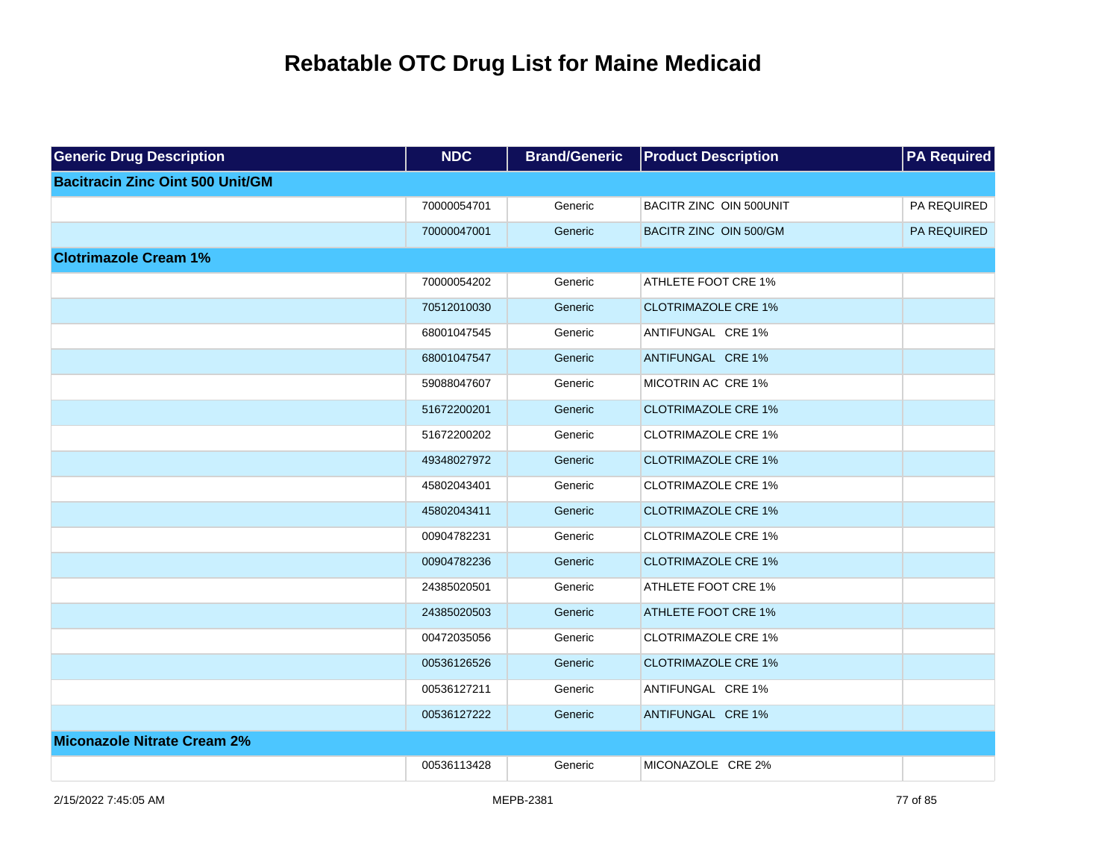| <b>Generic Drug Description</b>         | <b>NDC</b>  | <b>Brand/Generic</b> | <b>Product Description</b> | <b>PA</b> Required |
|-----------------------------------------|-------------|----------------------|----------------------------|--------------------|
| <b>Bacitracin Zinc Oint 500 Unit/GM</b> |             |                      |                            |                    |
|                                         | 70000054701 | Generic              | BACITR ZINC OIN 500UNIT    | PA REQUIRED        |
|                                         | 70000047001 | Generic              | BACITR ZINC OIN 500/GM     | PA REQUIRED        |
| <b>Clotrimazole Cream 1%</b>            |             |                      |                            |                    |
|                                         | 70000054202 | Generic              | ATHLETE FOOT CRE 1%        |                    |
|                                         | 70512010030 | Generic              | <b>CLOTRIMAZOLE CRE 1%</b> |                    |
|                                         | 68001047545 | Generic              | ANTIFUNGAL CRE 1%          |                    |
|                                         | 68001047547 | Generic              | ANTIFUNGAL CRE 1%          |                    |
|                                         | 59088047607 | Generic              | MICOTRIN AC CRE 1%         |                    |
|                                         | 51672200201 | Generic              | <b>CLOTRIMAZOLE CRE 1%</b> |                    |
|                                         | 51672200202 | Generic              | <b>CLOTRIMAZOLE CRE 1%</b> |                    |
|                                         | 49348027972 | Generic              | <b>CLOTRIMAZOLE CRE 1%</b> |                    |
|                                         | 45802043401 | Generic              | <b>CLOTRIMAZOLE CRE 1%</b> |                    |
|                                         | 45802043411 | Generic              | <b>CLOTRIMAZOLE CRE 1%</b> |                    |
|                                         | 00904782231 | Generic              | <b>CLOTRIMAZOLE CRE 1%</b> |                    |
|                                         | 00904782236 | Generic              | <b>CLOTRIMAZOLE CRE 1%</b> |                    |
|                                         | 24385020501 | Generic              | ATHLETE FOOT CRE 1%        |                    |
|                                         | 24385020503 | Generic              | <b>ATHLETE FOOT CRE 1%</b> |                    |
|                                         | 00472035056 | Generic              | <b>CLOTRIMAZOLE CRE 1%</b> |                    |
|                                         | 00536126526 | Generic              | <b>CLOTRIMAZOLE CRE 1%</b> |                    |
|                                         | 00536127211 | Generic              | ANTIFUNGAL CRE 1%          |                    |
|                                         | 00536127222 | Generic              | ANTIFUNGAL CRE 1%          |                    |
| <b>Miconazole Nitrate Cream 2%</b>      |             |                      |                            |                    |
|                                         | 00536113428 | Generic              | MICONAZOLE CRE 2%          |                    |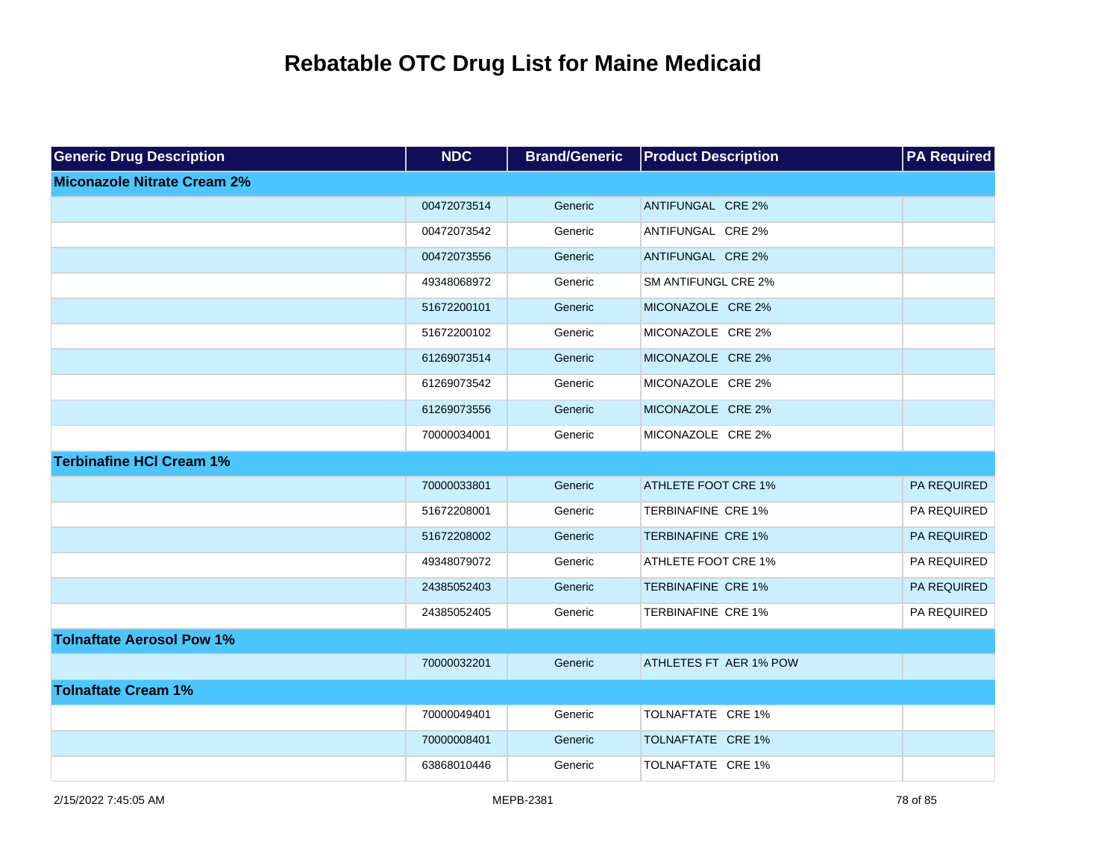| <b>Generic Drug Description</b>    | <b>NDC</b>  | <b>Brand/Generic</b> | <b>Product Description</b> | <b>PA Required</b> |
|------------------------------------|-------------|----------------------|----------------------------|--------------------|
| <b>Miconazole Nitrate Cream 2%</b> |             |                      |                            |                    |
|                                    | 00472073514 | Generic              | ANTIFUNGAL CRE 2%          |                    |
|                                    | 00472073542 | Generic              | ANTIFUNGAL CRE 2%          |                    |
|                                    | 00472073556 | Generic              | ANTIFUNGAL CRE 2%          |                    |
|                                    | 49348068972 | Generic              | <b>SM ANTIFUNGL CRE 2%</b> |                    |
|                                    | 51672200101 | Generic              | MICONAZOLE CRE 2%          |                    |
|                                    | 51672200102 | Generic              | MICONAZOLE CRE 2%          |                    |
|                                    | 61269073514 | Generic              | MICONAZOLE CRE 2%          |                    |
|                                    | 61269073542 | Generic              | MICONAZOLE CRE 2%          |                    |
|                                    | 61269073556 | Generic              | MICONAZOLE CRE 2%          |                    |
|                                    | 70000034001 | Generic              | MICONAZOLE CRE 2%          |                    |
| <b>Terbinafine HCI Cream 1%</b>    |             |                      |                            |                    |
|                                    | 70000033801 | Generic              | ATHLETE FOOT CRE 1%        | PA REQUIRED        |
|                                    | 51672208001 | Generic              | <b>TERBINAFINE CRE 1%</b>  | PA REQUIRED        |
|                                    | 51672208002 | Generic              | <b>TERBINAFINE CRE 1%</b>  | PA REQUIRED        |
|                                    | 49348079072 | Generic              | ATHLETE FOOT CRE 1%        | PA REQUIRED        |
|                                    | 24385052403 | Generic              | <b>TERBINAFINE CRE 1%</b>  | PA REQUIRED        |
|                                    | 24385052405 | Generic              | TERBINAFINE CRE 1%         | PA REQUIRED        |
| <b>Tolnaftate Aerosol Pow 1%</b>   |             |                      |                            |                    |
|                                    | 70000032201 | Generic              | ATHLETES FT AER 1% POW     |                    |
| <b>Tolnaftate Cream 1%</b>         |             |                      |                            |                    |
|                                    | 70000049401 | Generic              | TOLNAFTATE CRE 1%          |                    |
|                                    | 70000008401 | Generic              | TOLNAFTATE CRE 1%          |                    |
|                                    | 63868010446 | Generic              | TOLNAFTATE CRE 1%          |                    |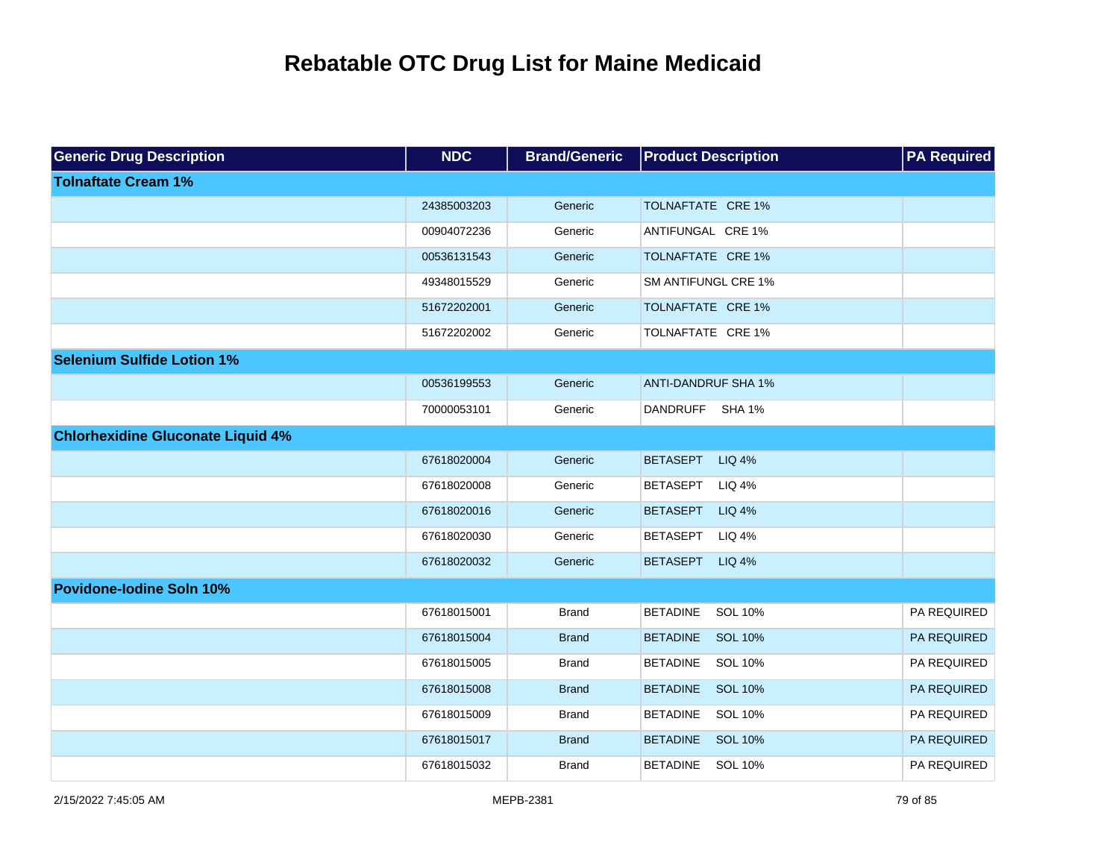| <b>Generic Drug Description</b>          | <b>NDC</b>  | <b>Brand/Generic</b> | <b>Product Description</b>        | <b>PA Required</b> |
|------------------------------------------|-------------|----------------------|-----------------------------------|--------------------|
| <b>Tolnaftate Cream 1%</b>               |             |                      |                                   |                    |
|                                          | 24385003203 | Generic              | TOLNAFTATE CRE 1%                 |                    |
|                                          | 00904072236 | Generic              | ANTIFUNGAL CRE 1%                 |                    |
|                                          | 00536131543 | Generic              | TOLNAFTATE CRE 1%                 |                    |
|                                          | 49348015529 | Generic              | <b>SM ANTIFUNGL CRE 1%</b>        |                    |
|                                          | 51672202001 | Generic              | TOLNAFTATE CRE 1%                 |                    |
|                                          | 51672202002 | Generic              | TOLNAFTATE CRE 1%                 |                    |
| <b>Selenium Sulfide Lotion 1%</b>        |             |                      |                                   |                    |
|                                          | 00536199553 | Generic              | <b>ANTI-DANDRUF SHA 1%</b>        |                    |
|                                          | 70000053101 | Generic              | DANDRUFF SHA 1%                   |                    |
| <b>Chlorhexidine Gluconate Liquid 4%</b> |             |                      |                                   |                    |
|                                          | 67618020004 | Generic              | BETASEPT LIQ 4%                   |                    |
|                                          | 67618020008 | Generic              | <b>LIQ 4%</b><br><b>BETASEPT</b>  |                    |
|                                          | 67618020016 | Generic              | <b>LIQ 4%</b><br><b>BETASEPT</b>  |                    |
|                                          | 67618020030 | Generic              | <b>BETASEPT</b><br><b>LIQ 4%</b>  |                    |
|                                          | 67618020032 | Generic              | BETASEPT LIQ 4%                   |                    |
| <b>Povidone-lodine Soln 10%</b>          |             |                      |                                   |                    |
|                                          | 67618015001 | <b>Brand</b>         | <b>BETADINE</b><br>SOL 10%        | PA REQUIRED        |
|                                          | 67618015004 | <b>Brand</b>         | <b>BETADINE</b><br><b>SOL 10%</b> | PA REQUIRED        |
|                                          | 67618015005 | <b>Brand</b>         | <b>BETADINE</b><br>SOL 10%        | PA REQUIRED        |
|                                          | 67618015008 | <b>Brand</b>         | <b>BETADINE</b><br><b>SOL 10%</b> | PA REQUIRED        |
|                                          | 67618015009 | <b>Brand</b>         | <b>BETADINE</b><br>SOL 10%        | PA REQUIRED        |
|                                          | 67618015017 | <b>Brand</b>         | <b>BETADINE</b><br>SOL 10%        | PA REQUIRED        |
|                                          | 67618015032 | <b>Brand</b>         | SOL 10%<br><b>BETADINE</b>        | PA REQUIRED        |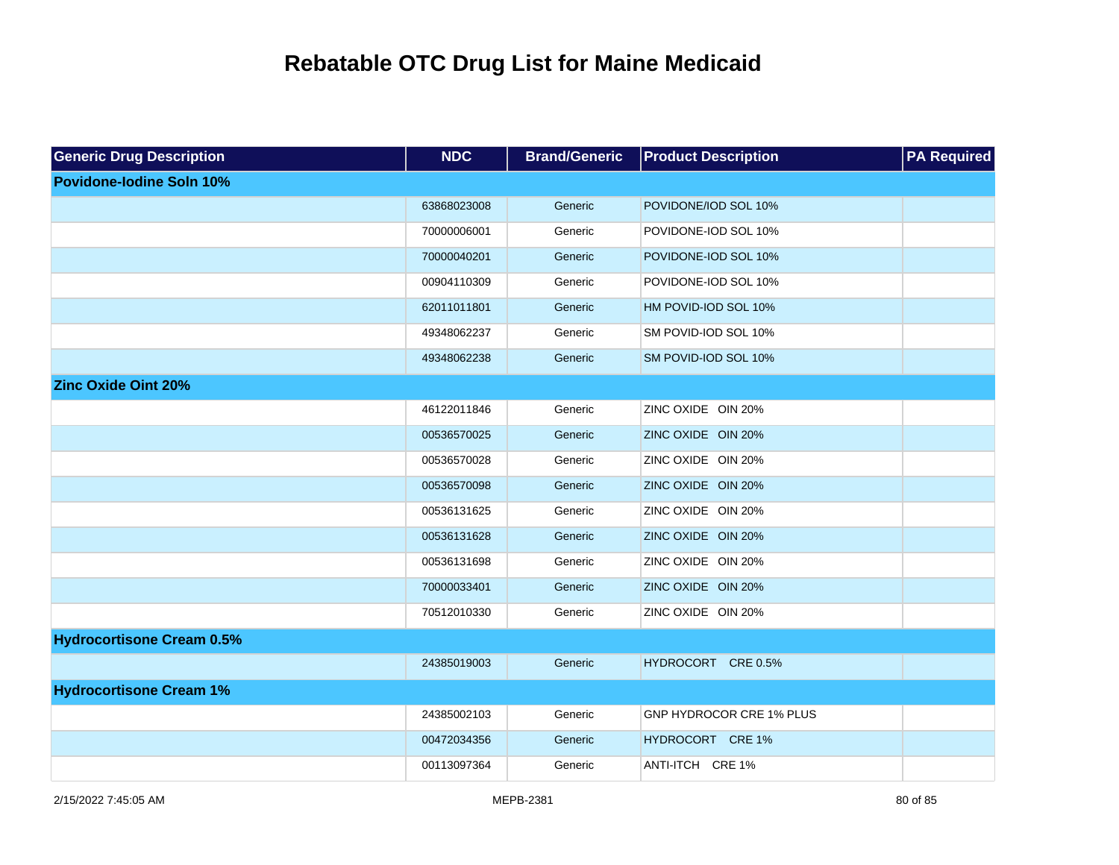| <b>Generic Drug Description</b>  | <b>NDC</b>  | <b>Brand/Generic</b> | <b>Product Description</b> | <b>PA Required</b> |
|----------------------------------|-------------|----------------------|----------------------------|--------------------|
| <b>Povidone-lodine Soln 10%</b>  |             |                      |                            |                    |
|                                  | 63868023008 | Generic              | POVIDONE/IOD SOL 10%       |                    |
|                                  | 70000006001 | Generic              | POVIDONE-IOD SOL 10%       |                    |
|                                  | 70000040201 | Generic              | POVIDONE-IOD SOL 10%       |                    |
|                                  | 00904110309 | Generic              | POVIDONE-IOD SOL 10%       |                    |
|                                  | 62011011801 | Generic              | HM POVID-IOD SOL 10%       |                    |
|                                  | 49348062237 | Generic              | SM POVID-IOD SOL 10%       |                    |
|                                  | 49348062238 | Generic              | SM POVID-IOD SOL 10%       |                    |
| <b>Zinc Oxide Oint 20%</b>       |             |                      |                            |                    |
|                                  | 46122011846 | Generic              | ZINC OXIDE OIN 20%         |                    |
|                                  | 00536570025 | Generic              | ZINC OXIDE OIN 20%         |                    |
|                                  | 00536570028 | Generic              | ZINC OXIDE OIN 20%         |                    |
|                                  | 00536570098 | Generic              | ZINC OXIDE OIN 20%         |                    |
|                                  | 00536131625 | Generic              | ZINC OXIDE OIN 20%         |                    |
|                                  | 00536131628 | Generic              | ZINC OXIDE OIN 20%         |                    |
|                                  | 00536131698 | Generic              | ZINC OXIDE OIN 20%         |                    |
|                                  | 70000033401 | Generic              | ZINC OXIDE OIN 20%         |                    |
|                                  | 70512010330 | Generic              | ZINC OXIDE OIN 20%         |                    |
| <b>Hydrocortisone Cream 0.5%</b> |             |                      |                            |                    |
|                                  | 24385019003 | Generic              | HYDROCORT CRE 0.5%         |                    |
| <b>Hydrocortisone Cream 1%</b>   |             |                      |                            |                    |
|                                  | 24385002103 | Generic              | GNP HYDROCOR CRE 1% PLUS   |                    |
|                                  | 00472034356 | Generic              | HYDROCORT CRE 1%           |                    |
|                                  | 00113097364 | Generic              | ANTI-ITCH CRE 1%           |                    |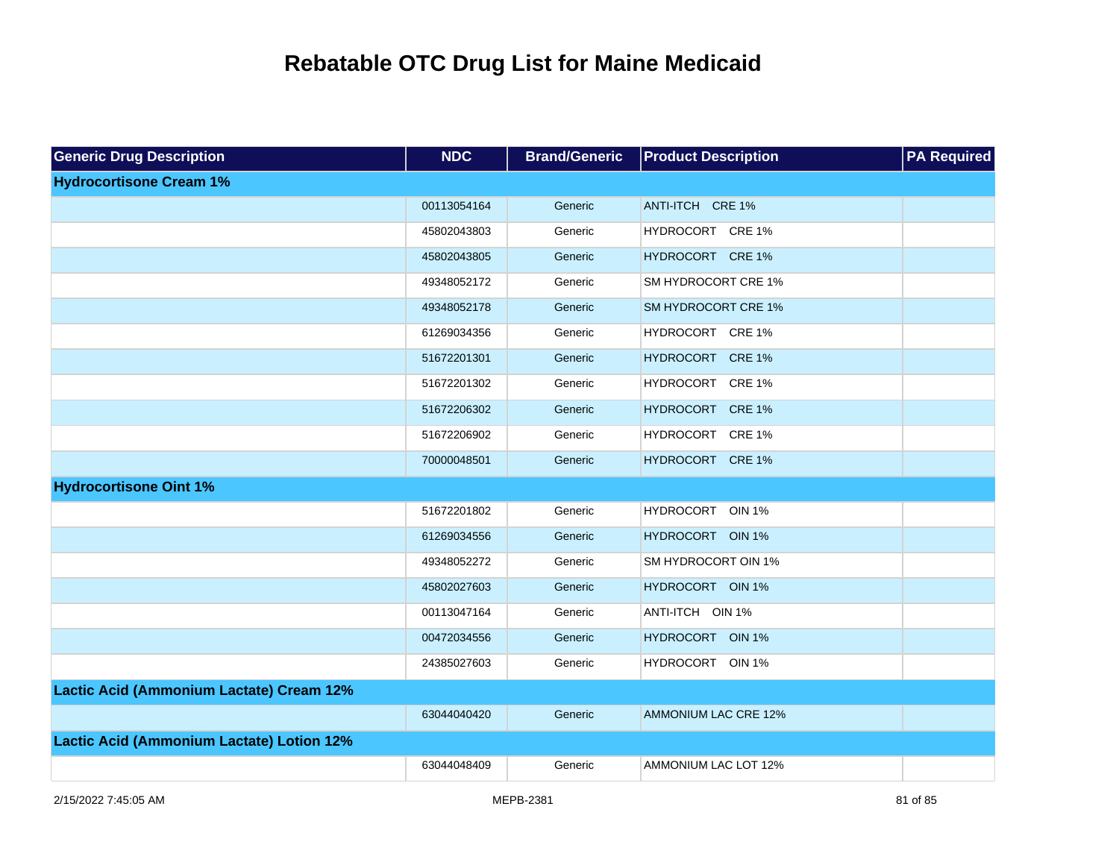| <b>Generic Drug Description</b>           | <b>NDC</b>  | <b>Brand/Generic</b> | <b>Product Description</b>  | <b>PA Required</b> |
|-------------------------------------------|-------------|----------------------|-----------------------------|--------------------|
| <b>Hydrocortisone Cream 1%</b>            |             |                      |                             |                    |
|                                           | 00113054164 | Generic              | ANTI-ITCH CRE 1%            |                    |
|                                           | 45802043803 | Generic              | HYDROCORT CRE 1%            |                    |
|                                           | 45802043805 | Generic              | HYDROCORT CRE 1%            |                    |
|                                           | 49348052172 | Generic              | SM HYDROCORT CRE 1%         |                    |
|                                           | 49348052178 | Generic              | SM HYDROCORT CRE 1%         |                    |
|                                           | 61269034356 | Generic              | HYDROCORT CRE 1%            |                    |
|                                           | 51672201301 | Generic              | HYDROCORT CRE 1%            |                    |
|                                           | 51672201302 | Generic              | HYDROCORT CRE 1%            |                    |
|                                           | 51672206302 | Generic              | HYDROCORT CRE 1%            |                    |
|                                           | 51672206902 | Generic              | HYDROCORT CRE 1%            |                    |
|                                           | 70000048501 | Generic              | HYDROCORT CRE 1%            |                    |
| <b>Hydrocortisone Oint 1%</b>             |             |                      |                             |                    |
|                                           | 51672201802 | Generic              | HYDROCORT OIN 1%            |                    |
|                                           | 61269034556 | Generic              | HYDROCORT OIN 1%            |                    |
|                                           | 49348052272 | Generic              | SM HYDROCORT OIN 1%         |                    |
|                                           | 45802027603 | Generic              | HYDROCORT OIN 1%            |                    |
|                                           | 00113047164 | Generic              | ANTI-ITCH OIN 1%            |                    |
|                                           | 00472034556 | Generic              | HYDROCORT OIN 1%            |                    |
|                                           | 24385027603 | Generic              | HYDROCORT OIN 1%            |                    |
| Lactic Acid (Ammonium Lactate) Cream 12%  |             |                      |                             |                    |
|                                           | 63044040420 | Generic              | AMMONIUM LAC CRE 12%        |                    |
| Lactic Acid (Ammonium Lactate) Lotion 12% |             |                      |                             |                    |
|                                           | 63044048409 | Generic              | <b>AMMONIUM LAC LOT 12%</b> |                    |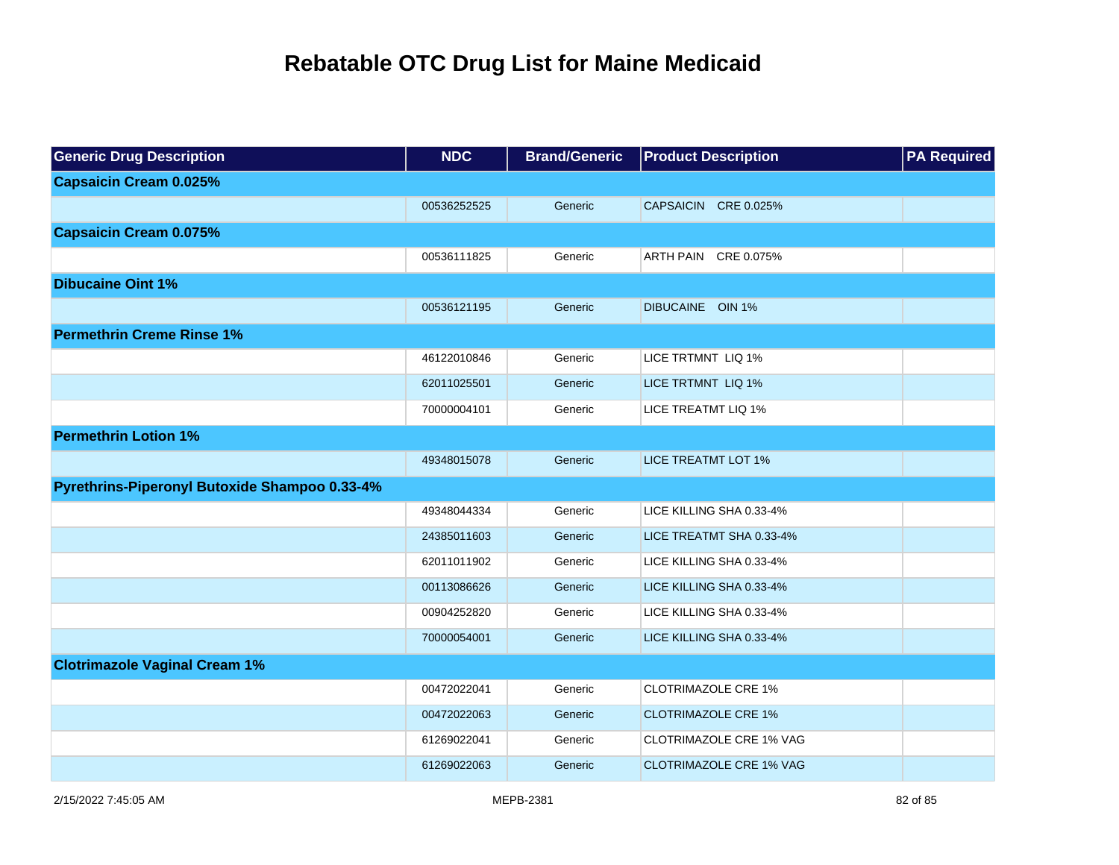| <b>Generic Drug Description</b>               | <b>NDC</b>  | <b>Brand/Generic</b> | <b>Product Description</b>     | <b>PA Required</b> |
|-----------------------------------------------|-------------|----------------------|--------------------------------|--------------------|
| <b>Capsaicin Cream 0.025%</b>                 |             |                      |                                |                    |
|                                               | 00536252525 | Generic              | <b>CAPSAICIN</b><br>CRE 0.025% |                    |
| <b>Capsaicin Cream 0.075%</b>                 |             |                      |                                |                    |
|                                               | 00536111825 | Generic              | ARTH PAIN CRE 0.075%           |                    |
| <b>Dibucaine Oint 1%</b>                      |             |                      |                                |                    |
|                                               | 00536121195 | Generic              | DIBUCAINE OIN 1%               |                    |
| <b>Permethrin Creme Rinse 1%</b>              |             |                      |                                |                    |
|                                               | 46122010846 | Generic              | LICE TRTMNT LIQ 1%             |                    |
|                                               | 62011025501 | Generic              | LICE TRTMNT LIQ 1%             |                    |
|                                               | 70000004101 | Generic              | LICE TREATMT LIQ 1%            |                    |
| <b>Permethrin Lotion 1%</b>                   |             |                      |                                |                    |
|                                               | 49348015078 | Generic              | <b>LICE TREATMT LOT 1%</b>     |                    |
| Pyrethrins-Piperonyl Butoxide Shampoo 0.33-4% |             |                      |                                |                    |
|                                               | 49348044334 | Generic              | LICE KILLING SHA 0.33-4%       |                    |
|                                               | 24385011603 | Generic              | LICE TREATMT SHA 0.33-4%       |                    |
|                                               | 62011011902 | Generic              | LICE KILLING SHA 0.33-4%       |                    |
|                                               | 00113086626 | Generic              | LICE KILLING SHA 0.33-4%       |                    |
|                                               | 00904252820 | Generic              | LICE KILLING SHA 0.33-4%       |                    |
|                                               | 70000054001 | Generic              | LICE KILLING SHA 0.33-4%       |                    |
| <b>Clotrimazole Vaginal Cream 1%</b>          |             |                      |                                |                    |
|                                               | 00472022041 | Generic              | <b>CLOTRIMAZOLE CRE 1%</b>     |                    |
|                                               | 00472022063 | Generic              | <b>CLOTRIMAZOLE CRE 1%</b>     |                    |
|                                               | 61269022041 | Generic              | CLOTRIMAZOLE CRE 1% VAG        |                    |
|                                               | 61269022063 | Generic              | <b>CLOTRIMAZOLE CRE 1% VAG</b> |                    |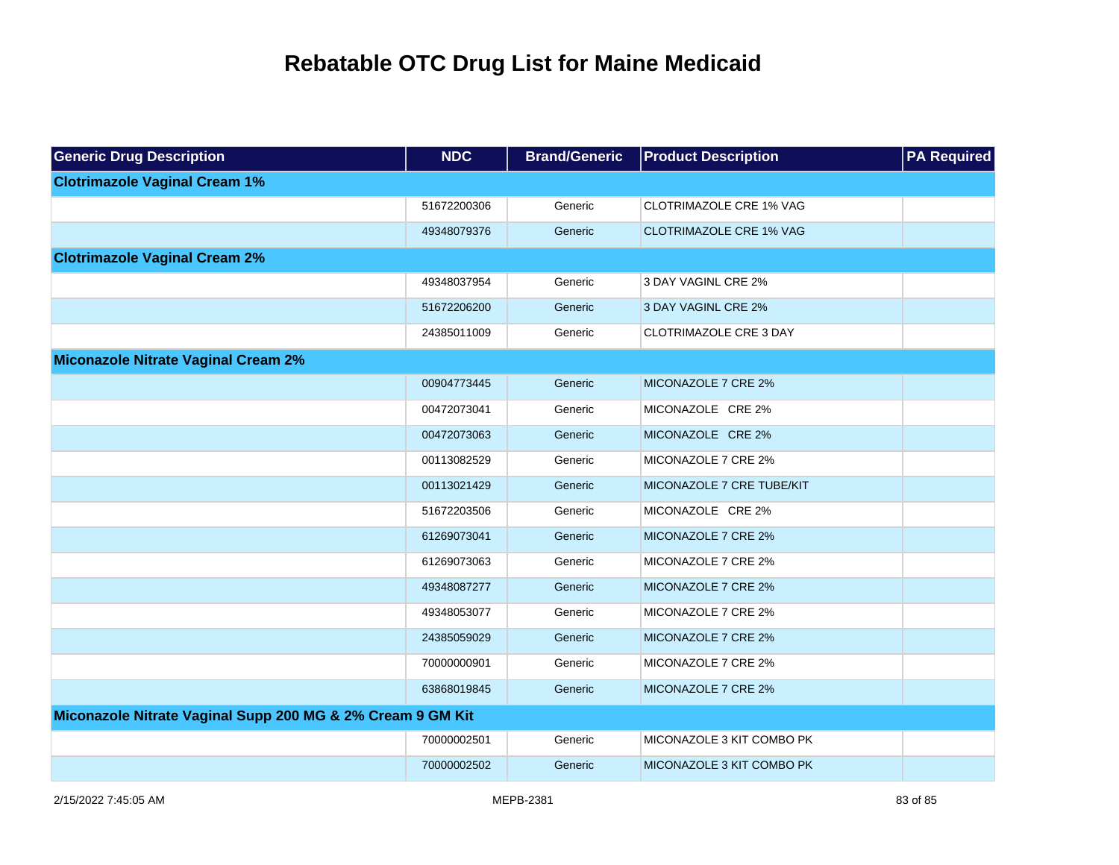| <b>Generic Drug Description</b>                            | <b>NDC</b>  | <b>Brand/Generic</b> | <b>Product Description</b>     | <b>PA Required</b> |
|------------------------------------------------------------|-------------|----------------------|--------------------------------|--------------------|
| <b>Clotrimazole Vaginal Cream 1%</b>                       |             |                      |                                |                    |
|                                                            | 51672200306 | Generic              | <b>CLOTRIMAZOLE CRE 1% VAG</b> |                    |
|                                                            | 49348079376 | Generic              | <b>CLOTRIMAZOLE CRE 1% VAG</b> |                    |
| <b>Clotrimazole Vaginal Cream 2%</b>                       |             |                      |                                |                    |
|                                                            | 49348037954 | Generic              | 3 DAY VAGINL CRE 2%            |                    |
|                                                            | 51672206200 | Generic              | 3 DAY VAGINL CRE 2%            |                    |
|                                                            | 24385011009 | Generic              | <b>CLOTRIMAZOLE CRE 3 DAY</b>  |                    |
| <b>Miconazole Nitrate Vaginal Cream 2%</b>                 |             |                      |                                |                    |
|                                                            | 00904773445 | Generic              | MICONAZOLE 7 CRE 2%            |                    |
|                                                            | 00472073041 | Generic              | MICONAZOLE CRE 2%              |                    |
|                                                            | 00472073063 | Generic              | MICONAZOLE CRE 2%              |                    |
|                                                            | 00113082529 | Generic              | MICONAZOLE 7 CRE 2%            |                    |
|                                                            | 00113021429 | Generic              | MICONAZOLE 7 CRE TUBE/KIT      |                    |
|                                                            | 51672203506 | Generic              | MICONAZOLE CRE 2%              |                    |
|                                                            | 61269073041 | Generic              | MICONAZOLE 7 CRE 2%            |                    |
|                                                            | 61269073063 | Generic              | MICONAZOLE 7 CRE 2%            |                    |
|                                                            | 49348087277 | Generic              | MICONAZOLE 7 CRE 2%            |                    |
|                                                            | 49348053077 | Generic              | MICONAZOLE 7 CRE 2%            |                    |
|                                                            | 24385059029 | Generic              | MICONAZOLE 7 CRE 2%            |                    |
|                                                            | 70000000901 | Generic              | MICONAZOLE 7 CRE 2%            |                    |
|                                                            | 63868019845 | Generic              | MICONAZOLE 7 CRE 2%            |                    |
| Miconazole Nitrate Vaginal Supp 200 MG & 2% Cream 9 GM Kit |             |                      |                                |                    |
|                                                            | 70000002501 | Generic              | MICONAZOLE 3 KIT COMBO PK      |                    |
|                                                            | 70000002502 | Generic              | MICONAZOLE 3 KIT COMBO PK      |                    |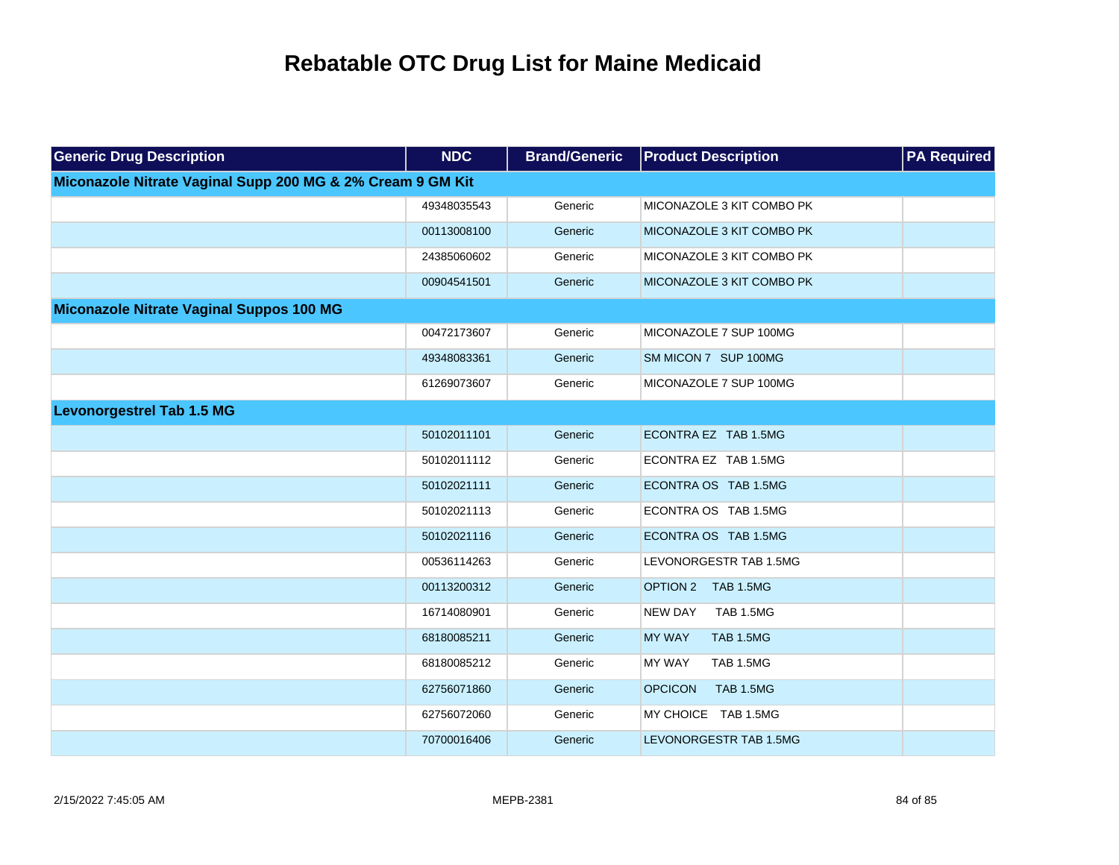| <b>Generic Drug Description</b>                            | <b>NDC</b>  | <b>Brand/Generic</b> | <b>Product Description</b>         | <b>PA Required</b> |
|------------------------------------------------------------|-------------|----------------------|------------------------------------|--------------------|
| Miconazole Nitrate Vaginal Supp 200 MG & 2% Cream 9 GM Kit |             |                      |                                    |                    |
|                                                            | 49348035543 | Generic              | MICONAZOLE 3 KIT COMBO PK          |                    |
|                                                            | 00113008100 | Generic              | MICONAZOLE 3 KIT COMBO PK          |                    |
|                                                            | 24385060602 | Generic              | MICONAZOLE 3 KIT COMBO PK          |                    |
|                                                            | 00904541501 | Generic              | MICONAZOLE 3 KIT COMBO PK          |                    |
| Miconazole Nitrate Vaginal Suppos 100 MG                   |             |                      |                                    |                    |
|                                                            | 00472173607 | Generic              | MICONAZOLE 7 SUP 100MG             |                    |
|                                                            | 49348083361 | Generic              | SM MICON 7 SUP 100MG               |                    |
|                                                            | 61269073607 | Generic              | MICONAZOLE 7 SUP 100MG             |                    |
| <b>Levonorgestrel Tab 1.5 MG</b>                           |             |                      |                                    |                    |
|                                                            | 50102011101 | Generic              | ECONTRA EZ TAB 1.5MG               |                    |
|                                                            | 50102011112 | Generic              | ECONTRA EZ TAB 1.5MG               |                    |
|                                                            | 50102021111 | Generic              | ECONTRA OS TAB 1.5MG               |                    |
|                                                            | 50102021113 | Generic              | ECONTRA OS TAB 1.5MG               |                    |
|                                                            | 50102021116 | Generic              | ECONTRA OS TAB 1.5MG               |                    |
|                                                            | 00536114263 | Generic              | LEVONORGESTR TAB 1.5MG             |                    |
|                                                            | 00113200312 | Generic              | OPTION 2 TAB 1.5MG                 |                    |
|                                                            | 16714080901 | Generic              | TAB 1.5MG<br><b>NEW DAY</b>        |                    |
|                                                            | 68180085211 | Generic              | <b>MY WAY</b><br><b>TAB 1.5MG</b>  |                    |
|                                                            | 68180085212 | Generic              | <b>MY WAY</b><br><b>TAB 1.5MG</b>  |                    |
|                                                            | 62756071860 | Generic              | <b>TAB 1.5MG</b><br><b>OPCICON</b> |                    |
|                                                            | 62756072060 | Generic              | MY CHOICE TAB 1.5MG                |                    |
|                                                            | 70700016406 | Generic              | LEVONORGESTR TAB 1.5MG             |                    |